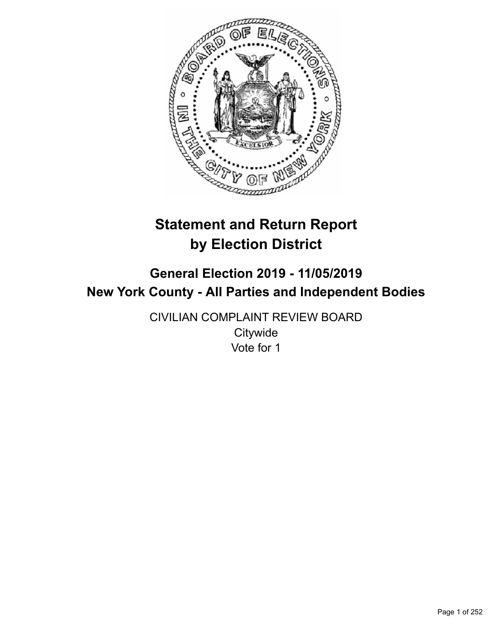

# **Statement and Return Report by Election District**

# **General Election 2019 - 11/05/2019 New York County - All Parties and Independent Bodies**

CIVILIAN COMPLAINT REVIEW BOARD **Citywide** Vote for 1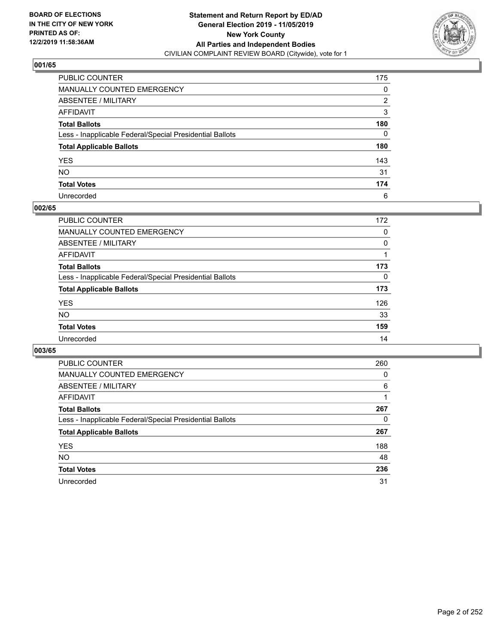

| PUBLIC COUNTER                                           | 175 |
|----------------------------------------------------------|-----|
| MANUALLY COUNTED EMERGENCY                               | 0   |
| ABSENTEE / MILITARY                                      | 2   |
| AFFIDAVIT                                                | 3   |
| Total Ballots                                            | 180 |
| Less - Inapplicable Federal/Special Presidential Ballots | 0   |
| <b>Total Applicable Ballots</b>                          | 180 |
| YES                                                      | 143 |
| NO.                                                      | 31  |
| <b>Total Votes</b>                                       | 174 |
| Unrecorded                                               | 6   |

### **002/65**

| <b>PUBLIC COUNTER</b>                                    | 172      |
|----------------------------------------------------------|----------|
| <b>MANUALLY COUNTED EMERGENCY</b>                        | 0        |
| ABSENTEE / MILITARY                                      | $\Omega$ |
| AFFIDAVIT                                                |          |
| <b>Total Ballots</b>                                     | 173      |
| Less - Inapplicable Federal/Special Presidential Ballots | $\Omega$ |
| <b>Total Applicable Ballots</b>                          | 173      |
| <b>YES</b>                                               | 126      |
| <b>NO</b>                                                | 33       |
| <b>Total Votes</b>                                       | 159      |
| Unrecorded                                               | 14       |

| <b>PUBLIC COUNTER</b>                                    | 260 |
|----------------------------------------------------------|-----|
| MANUALLY COUNTED EMERGENCY                               | 0   |
| ABSENTEE / MILITARY                                      | 6   |
| AFFIDAVIT                                                |     |
| <b>Total Ballots</b>                                     | 267 |
| Less - Inapplicable Federal/Special Presidential Ballots | 0   |
| <b>Total Applicable Ballots</b>                          | 267 |
| <b>YES</b>                                               | 188 |
| <b>NO</b>                                                | 48  |
| <b>Total Votes</b>                                       | 236 |
| Unrecorded                                               | 31  |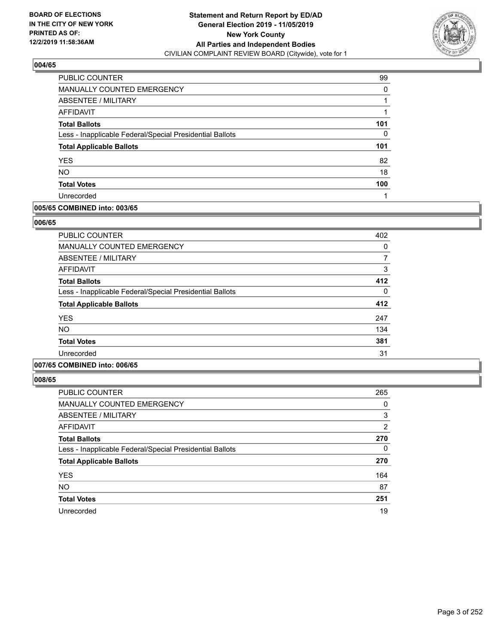

| PUBLIC COUNTER                                           | 99  |
|----------------------------------------------------------|-----|
| MANUALLY COUNTED EMERGENCY                               | 0   |
| ABSENTEE / MILITARY                                      |     |
| AFFIDAVIT                                                |     |
| <b>Total Ballots</b>                                     | 101 |
| Less - Inapplicable Federal/Special Presidential Ballots | 0   |
| <b>Total Applicable Ballots</b>                          | 101 |
| <b>YES</b>                                               | 82  |
| <b>NO</b>                                                | 18  |
| <b>Total Votes</b>                                       | 100 |
| Unrecorded                                               |     |

## **005/65 COMBINED into: 003/65**

### **006/65**

| <b>PUBLIC COUNTER</b>                                    | 402 |
|----------------------------------------------------------|-----|
| <b>MANUALLY COUNTED EMERGENCY</b>                        | 0   |
| <b>ABSENTEE / MILITARY</b>                               | 7   |
| AFFIDAVIT                                                | 3   |
| <b>Total Ballots</b>                                     | 412 |
| Less - Inapplicable Federal/Special Presidential Ballots | 0   |
| <b>Total Applicable Ballots</b>                          | 412 |
| <b>YES</b>                                               | 247 |
| <b>NO</b>                                                | 134 |
| <b>Total Votes</b>                                       | 381 |
| Unrecorded                                               | 31  |
|                                                          |     |

# **007/65 COMBINED into: 006/65**

| <b>PUBLIC COUNTER</b>                                    | 265 |
|----------------------------------------------------------|-----|
| <b>MANUALLY COUNTED EMERGENCY</b>                        | 0   |
| ABSENTEE / MILITARY                                      | 3   |
| AFFIDAVIT                                                | 2   |
| <b>Total Ballots</b>                                     | 270 |
| Less - Inapplicable Federal/Special Presidential Ballots | 0   |
| <b>Total Applicable Ballots</b>                          | 270 |
| <b>YES</b>                                               | 164 |
| <b>NO</b>                                                | 87  |
| <b>Total Votes</b>                                       | 251 |
| Unrecorded                                               | 19  |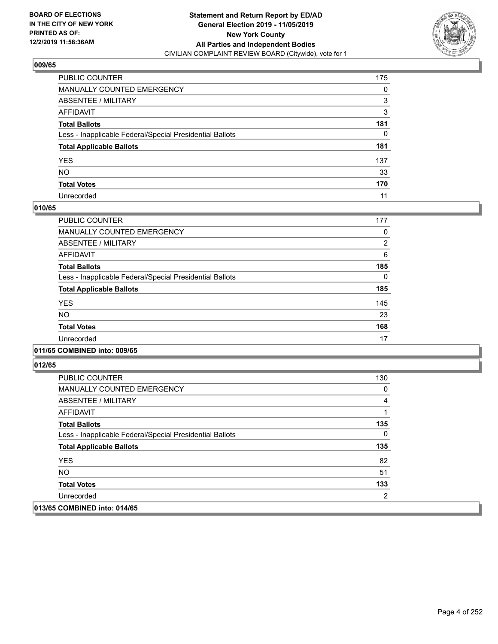

| PUBLIC COUNTER                                           | 175 |
|----------------------------------------------------------|-----|
| MANUALLY COUNTED EMERGENCY                               | 0   |
| ABSENTEE / MILITARY                                      | 3   |
| AFFIDAVIT                                                | 3   |
| Total Ballots                                            | 181 |
| Less - Inapplicable Federal/Special Presidential Ballots | 0   |
| <b>Total Applicable Ballots</b>                          | 181 |
| YES                                                      | 137 |
| NO.                                                      | 33  |
| <b>Total Votes</b>                                       | 170 |
| Unrecorded                                               | 11  |

## **010/65**

| PUBLIC COUNTER                                           | 177            |
|----------------------------------------------------------|----------------|
| <b>MANUALLY COUNTED EMERGENCY</b>                        | 0              |
| ABSENTEE / MILITARY                                      | $\overline{2}$ |
| <b>AFFIDAVIT</b>                                         | 6              |
| <b>Total Ballots</b>                                     | 185            |
| Less - Inapplicable Federal/Special Presidential Ballots | 0              |
| <b>Total Applicable Ballots</b>                          | 185            |
| <b>YES</b>                                               | 145            |
| <b>NO</b>                                                | 23             |
| <b>Total Votes</b>                                       | 168            |
| Unrecorded                                               | 17             |

### **011/65 COMBINED into: 009/65**

| <b>PUBLIC COUNTER</b>                                    | 130 |
|----------------------------------------------------------|-----|
| <b>MANUALLY COUNTED EMERGENCY</b>                        | 0   |
| ABSENTEE / MILITARY                                      | 4   |
| AFFIDAVIT                                                |     |
| <b>Total Ballots</b>                                     | 135 |
| Less - Inapplicable Federal/Special Presidential Ballots | 0   |
| <b>Total Applicable Ballots</b>                          | 135 |
| <b>YES</b>                                               | 82  |
| NO.                                                      | 51  |
| <b>Total Votes</b>                                       | 133 |
| Unrecorded                                               | 2   |
| 013/65 COMBINED into: 014/65                             |     |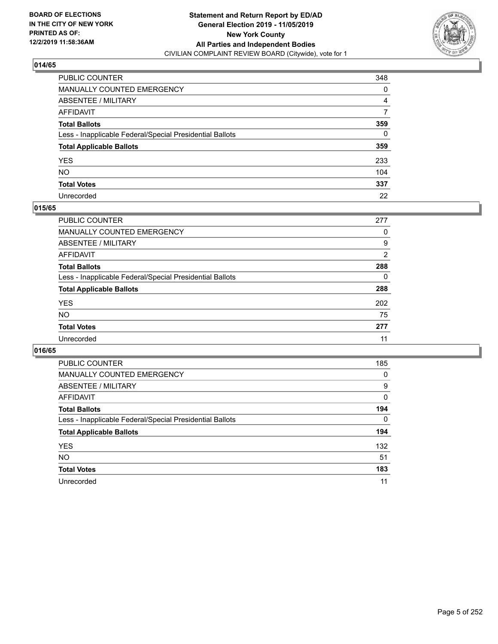

| PUBLIC COUNTER                                           | 348      |
|----------------------------------------------------------|----------|
| MANUALLY COUNTED EMERGENCY                               | 0        |
| ABSENTEE / MILITARY                                      | 4        |
| AFFIDAVIT                                                | 7        |
| Total Ballots                                            | 359      |
| Less - Inapplicable Federal/Special Presidential Ballots | $\Omega$ |
| <b>Total Applicable Ballots</b>                          | 359      |
| YES                                                      | 233      |
| NO.                                                      | 104      |
| <b>Total Votes</b>                                       | 337      |
| Unrecorded                                               | 22       |

## **015/65**

| PUBLIC COUNTER                                           | 277 |
|----------------------------------------------------------|-----|
| <b>MANUALLY COUNTED EMERGENCY</b>                        | 0   |
| ABSENTEE / MILITARY                                      | 9   |
| AFFIDAVIT                                                | 2   |
| <b>Total Ballots</b>                                     | 288 |
| Less - Inapplicable Federal/Special Presidential Ballots | 0   |
| <b>Total Applicable Ballots</b>                          | 288 |
| <b>YES</b>                                               | 202 |
| <b>NO</b>                                                | 75  |
| <b>Total Votes</b>                                       | 277 |
| Unrecorded                                               | 11  |

| <b>PUBLIC COUNTER</b>                                    | 185      |
|----------------------------------------------------------|----------|
| <b>MANUALLY COUNTED EMERGENCY</b>                        | 0        |
| ABSENTEE / MILITARY                                      | 9        |
| AFFIDAVIT                                                | 0        |
| <b>Total Ballots</b>                                     | 194      |
| Less - Inapplicable Federal/Special Presidential Ballots | $\Omega$ |
| <b>Total Applicable Ballots</b>                          | 194      |
| <b>YES</b>                                               | 132      |
| <b>NO</b>                                                | 51       |
| <b>Total Votes</b>                                       | 183      |
| Unrecorded                                               | 11       |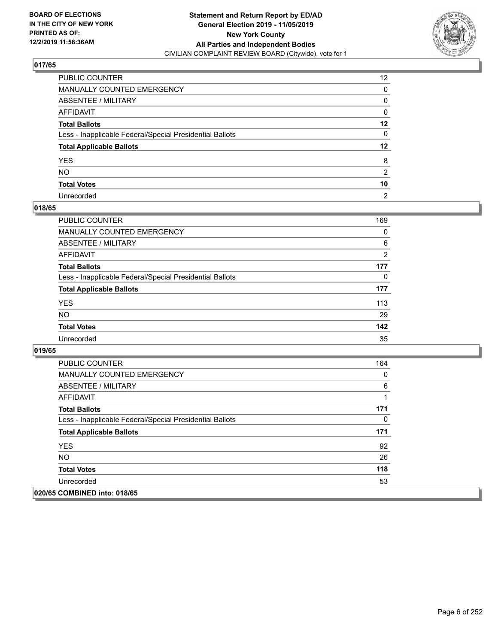

| PUBLIC COUNTER                                           | 12 <sup>2</sup> |
|----------------------------------------------------------|-----------------|
| MANUALLY COUNTED EMERGENCY                               | 0               |
| ABSENTEE / MILITARY                                      | 0               |
| AFFIDAVIT                                                | 0               |
| Total Ballots                                            | $12 \,$         |
| Less - Inapplicable Federal/Special Presidential Ballots | 0               |
| <b>Total Applicable Ballots</b>                          | $12 \,$         |
| YES                                                      | 8               |
| NO.                                                      | 2               |
| <b>Total Votes</b>                                       | 10              |
| Unrecorded                                               | $\overline{2}$  |

### **018/65**

| <b>PUBLIC COUNTER</b>                                    | 169      |
|----------------------------------------------------------|----------|
| MANUALLY COUNTED EMERGENCY                               | $\Omega$ |
| ABSENTEE / MILITARY                                      | 6        |
| AFFIDAVIT                                                | 2        |
| <b>Total Ballots</b>                                     | 177      |
| Less - Inapplicable Federal/Special Presidential Ballots | 0        |
| <b>Total Applicable Ballots</b>                          | 177      |
| <b>YES</b>                                               | 113      |
| <b>NO</b>                                                | 29       |
| <b>Total Votes</b>                                       | 142      |
| Unrecorded                                               | 35       |

| <b>PUBLIC COUNTER</b>                                    | 164 |
|----------------------------------------------------------|-----|
| <b>MANUALLY COUNTED EMERGENCY</b>                        | 0   |
| ABSENTEE / MILITARY                                      | 6   |
| AFFIDAVIT                                                |     |
| <b>Total Ballots</b>                                     | 171 |
| Less - Inapplicable Federal/Special Presidential Ballots | 0   |
| <b>Total Applicable Ballots</b>                          | 171 |
| <b>YES</b>                                               | 92  |
| NO.                                                      | 26  |
| <b>Total Votes</b>                                       | 118 |
| Unrecorded                                               | 53  |
| 020/65 COMBINED into: 018/65                             |     |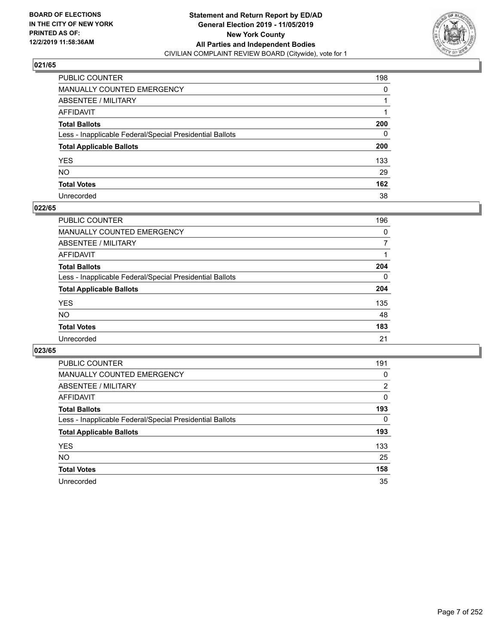

| PUBLIC COUNTER                                           | 198          |
|----------------------------------------------------------|--------------|
| MANUALLY COUNTED EMERGENCY                               | $\Omega$     |
| ABSENTEE / MILITARY                                      |              |
| AFFIDAVIT                                                |              |
| Total Ballots                                            | 200          |
| Less - Inapplicable Federal/Special Presidential Ballots | $\mathbf{0}$ |
| <b>Total Applicable Ballots</b>                          | 200          |
| YES                                                      | 133          |
| NO.                                                      | 29           |
| <b>Total Votes</b>                                       | 162          |
| Unrecorded                                               | 38           |

### **022/65**

| PUBLIC COUNTER                                           | 196 |
|----------------------------------------------------------|-----|
| <b>MANUALLY COUNTED EMERGENCY</b>                        | 0   |
| ABSENTEE / MILITARY                                      |     |
| AFFIDAVIT                                                |     |
| <b>Total Ballots</b>                                     | 204 |
| Less - Inapplicable Federal/Special Presidential Ballots | 0   |
| <b>Total Applicable Ballots</b>                          | 204 |
| <b>YES</b>                                               | 135 |
| <b>NO</b>                                                | 48  |
| <b>Total Votes</b>                                       | 183 |
| Unrecorded                                               | 21  |

| <b>PUBLIC COUNTER</b>                                    | 191      |
|----------------------------------------------------------|----------|
| <b>MANUALLY COUNTED EMERGENCY</b>                        | 0        |
| ABSENTEE / MILITARY                                      | 2        |
| AFFIDAVIT                                                | $\Omega$ |
| <b>Total Ballots</b>                                     | 193      |
| Less - Inapplicable Federal/Special Presidential Ballots | $\Omega$ |
| <b>Total Applicable Ballots</b>                          | 193      |
| <b>YES</b>                                               | 133      |
| NO.                                                      | 25       |
| <b>Total Votes</b>                                       | 158      |
| Unrecorded                                               | 35       |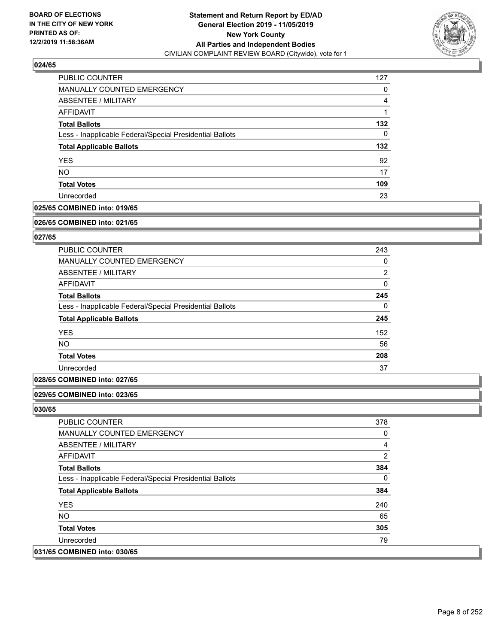

| PUBLIC COUNTER                                           | 127 |
|----------------------------------------------------------|-----|
| MANUALLY COUNTED EMERGENCY                               | 0   |
| ABSENTEE / MILITARY                                      | 4   |
| AFFIDAVIT                                                |     |
| <b>Total Ballots</b>                                     | 132 |
| Less - Inapplicable Federal/Special Presidential Ballots | 0   |
| <b>Total Applicable Ballots</b>                          | 132 |
| <b>YES</b>                                               | 92  |
| <b>NO</b>                                                | 17  |
| <b>Total Votes</b>                                       | 109 |
| Unrecorded                                               | 23  |

# **025/65 COMBINED into: 019/65**

#### **026/65 COMBINED into: 021/65**

# **027/65**

| PUBLIC COUNTER                                           | 243            |
|----------------------------------------------------------|----------------|
| <b>MANUALLY COUNTED EMERGENCY</b>                        | 0              |
| ABSENTEE / MILITARY                                      | $\overline{2}$ |
| AFFIDAVIT                                                | 0              |
| <b>Total Ballots</b>                                     | 245            |
| Less - Inapplicable Federal/Special Presidential Ballots | $\Omega$       |
| <b>Total Applicable Ballots</b>                          | 245            |
| <b>YES</b>                                               | 152            |
| <b>NO</b>                                                | 56             |
| <b>Total Votes</b>                                       | 208            |
| Unrecorded                                               | 37             |

# **028/65 COMBINED into: 027/65**

### **029/65 COMBINED into: 023/65**

| <b>PUBLIC COUNTER</b>                                    | 378      |
|----------------------------------------------------------|----------|
| <b>MANUALLY COUNTED EMERGENCY</b>                        | 0        |
| ABSENTEE / MILITARY                                      | 4        |
| AFFIDAVIT                                                | 2        |
| <b>Total Ballots</b>                                     | 384      |
| Less - Inapplicable Federal/Special Presidential Ballots | $\Omega$ |
| <b>Total Applicable Ballots</b>                          | 384      |
| <b>YES</b>                                               | 240      |
| NO.                                                      | 65       |
| <b>Total Votes</b>                                       | 305      |
| Unrecorded                                               | 79       |
| 031/65 COMBINED into: 030/65                             |          |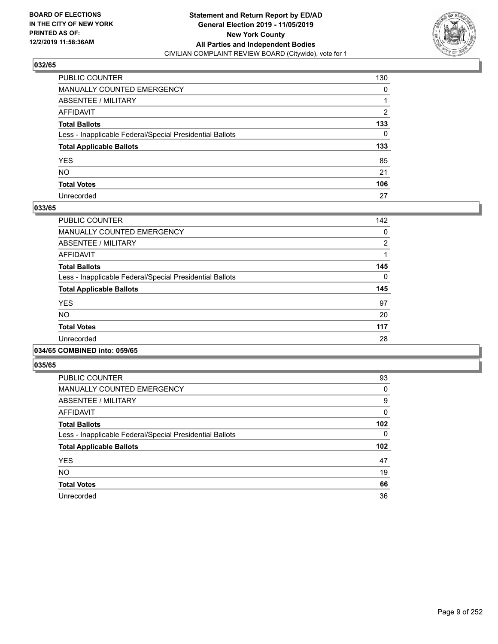

| PUBLIC COUNTER                                           | 130 |
|----------------------------------------------------------|-----|
| MANUALLY COUNTED EMERGENCY                               | 0   |
| ABSENTEE / MILITARY                                      |     |
| AFFIDAVIT                                                | 2   |
| Total Ballots                                            | 133 |
| Less - Inapplicable Federal/Special Presidential Ballots | 0   |
| <b>Total Applicable Ballots</b>                          | 133 |
| YES                                                      | 85  |
| NO.                                                      | 21  |
| <b>Total Votes</b>                                       | 106 |
| Unrecorded                                               | 27  |

### **033/65**

| <b>PUBLIC COUNTER</b>                                    | 142      |
|----------------------------------------------------------|----------|
| <b>MANUALLY COUNTED EMERGENCY</b>                        | 0        |
| ABSENTEE / MILITARY                                      | 2        |
| <b>AFFIDAVIT</b>                                         |          |
| <b>Total Ballots</b>                                     | 145      |
| Less - Inapplicable Federal/Special Presidential Ballots | $\Omega$ |
| <b>Total Applicable Ballots</b>                          | 145      |
| <b>YES</b>                                               | 97       |
| <b>NO</b>                                                | 20       |
| <b>Total Votes</b>                                       | 117      |
| Unrecorded                                               | 28       |
|                                                          |          |

### **034/65 COMBINED into: 059/65**

| <b>PUBLIC COUNTER</b>                                    | 93  |
|----------------------------------------------------------|-----|
| MANUALLY COUNTED EMERGENCY                               | 0   |
| ABSENTEE / MILITARY                                      | 9   |
| AFFIDAVIT                                                | 0   |
| <b>Total Ballots</b>                                     | 102 |
| Less - Inapplicable Federal/Special Presidential Ballots | 0   |
|                                                          |     |
| <b>Total Applicable Ballots</b>                          | 102 |
| <b>YES</b>                                               | 47  |
| <b>NO</b>                                                | 19  |
| <b>Total Votes</b>                                       | 66  |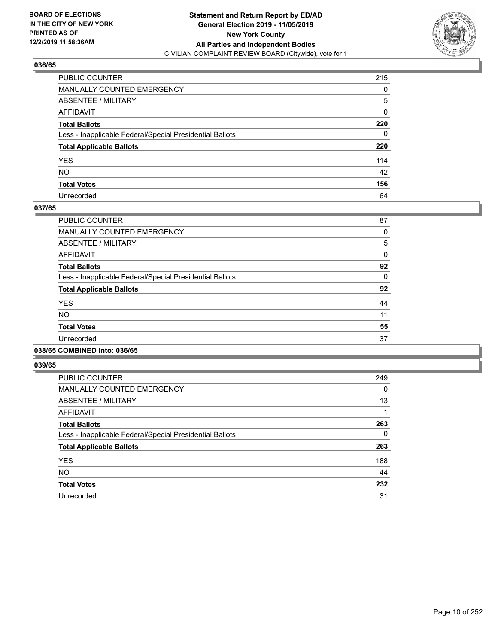

| PUBLIC COUNTER                                           | 215 |
|----------------------------------------------------------|-----|
| MANUALLY COUNTED EMERGENCY                               | 0   |
| ABSENTEE / MILITARY                                      | 5   |
| AFFIDAVIT                                                | 0   |
| Total Ballots                                            | 220 |
| Less - Inapplicable Federal/Special Presidential Ballots | 0   |
| <b>Total Applicable Ballots</b>                          | 220 |
| YES                                                      | 114 |
| NO.                                                      | 42  |
| <b>Total Votes</b>                                       | 156 |
| Unrecorded                                               | 64  |

### **037/65**

| <b>PUBLIC COUNTER</b>                                    | 87 |
|----------------------------------------------------------|----|
| <b>MANUALLY COUNTED EMERGENCY</b>                        | 0  |
| ABSENTEE / MILITARY                                      | 5  |
| AFFIDAVIT                                                | 0  |
| <b>Total Ballots</b>                                     | 92 |
| Less - Inapplicable Federal/Special Presidential Ballots | 0  |
| <b>Total Applicable Ballots</b>                          | 92 |
| <b>YES</b>                                               | 44 |
| <b>NO</b>                                                | 11 |
| <b>Total Votes</b>                                       | 55 |
| Unrecorded                                               | 37 |
|                                                          |    |

### **038/65 COMBINED into: 036/65**

| <b>PUBLIC COUNTER</b>                                    | 249 |
|----------------------------------------------------------|-----|
| <b>MANUALLY COUNTED EMERGENCY</b>                        | 0   |
| ABSENTEE / MILITARY                                      | 13  |
| AFFIDAVIT                                                |     |
| <b>Total Ballots</b>                                     | 263 |
| Less - Inapplicable Federal/Special Presidential Ballots | 0   |
| <b>Total Applicable Ballots</b>                          | 263 |
| <b>YES</b>                                               | 188 |
| <b>NO</b>                                                | 44  |
| <b>Total Votes</b>                                       | 232 |
| Unrecorded                                               | 31  |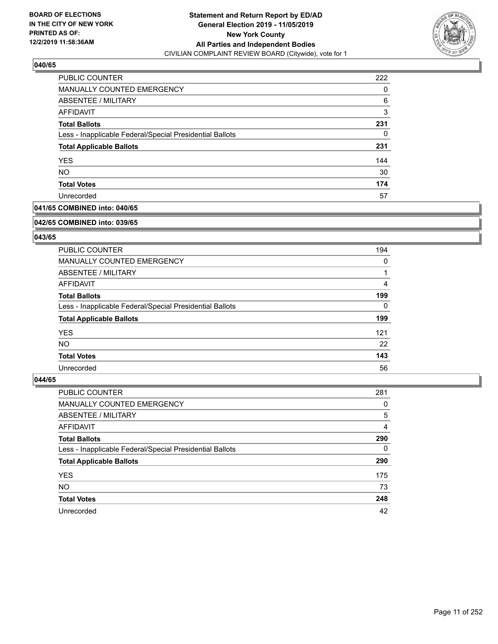

| PUBLIC COUNTER                                           | 222 |
|----------------------------------------------------------|-----|
| MANUALLY COUNTED EMERGENCY                               | 0   |
| ABSENTEE / MILITARY                                      | 6   |
| AFFIDAVIT                                                | 3   |
| <b>Total Ballots</b>                                     | 231 |
| Less - Inapplicable Federal/Special Presidential Ballots | 0   |
| <b>Total Applicable Ballots</b>                          | 231 |
| <b>YES</b>                                               | 144 |
| <b>NO</b>                                                | 30  |
| <b>Total Votes</b>                                       | 174 |
| Unrecorded                                               | 57  |

# **041/65 COMBINED into: 040/65**

#### **042/65 COMBINED into: 039/65**

# **043/65**

| PUBLIC COUNTER                                           | 194      |
|----------------------------------------------------------|----------|
| MANUALLY COUNTED EMERGENCY                               | 0        |
| ABSENTEE / MILITARY                                      |          |
| AFFIDAVIT                                                | 4        |
| <b>Total Ballots</b>                                     | 199      |
| Less - Inapplicable Federal/Special Presidential Ballots | $\Omega$ |
| <b>Total Applicable Ballots</b>                          | 199      |
| <b>YES</b>                                               | 121      |
| NO.                                                      | 22       |
| <b>Total Votes</b>                                       | 143      |
| Unrecorded                                               | 56       |

| PUBLIC COUNTER                                           | 281      |
|----------------------------------------------------------|----------|
| <b>MANUALLY COUNTED EMERGENCY</b>                        | 0        |
| ABSENTEE / MILITARY                                      | 5        |
| AFFIDAVIT                                                | 4        |
| <b>Total Ballots</b>                                     | 290      |
| Less - Inapplicable Federal/Special Presidential Ballots | $\Omega$ |
| <b>Total Applicable Ballots</b>                          | 290      |
| <b>YES</b>                                               | 175      |
| <b>NO</b>                                                | 73       |
| <b>Total Votes</b>                                       | 248      |
| Unrecorded                                               | 42       |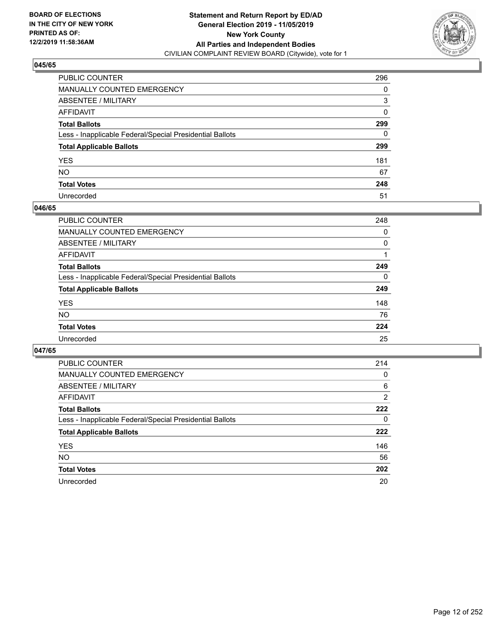

| PUBLIC COUNTER                                           | 296 |
|----------------------------------------------------------|-----|
| MANUALLY COUNTED EMERGENCY                               | 0   |
| ABSENTEE / MILITARY                                      | 3   |
| AFFIDAVIT                                                | 0   |
| Total Ballots                                            | 299 |
| Less - Inapplicable Federal/Special Presidential Ballots | 0   |
| <b>Total Applicable Ballots</b>                          | 299 |
| YES                                                      | 181 |
| NO.                                                      | 67  |
| <b>Total Votes</b>                                       | 248 |
| Unrecorded                                               | 51  |

### **046/65**

| <b>PUBLIC COUNTER</b>                                    | 248      |
|----------------------------------------------------------|----------|
| <b>MANUALLY COUNTED EMERGENCY</b>                        | 0        |
| ABSENTEE / MILITARY                                      | $\Omega$ |
| AFFIDAVIT                                                |          |
| <b>Total Ballots</b>                                     | 249      |
| Less - Inapplicable Federal/Special Presidential Ballots | $\Omega$ |
| <b>Total Applicable Ballots</b>                          | 249      |
| <b>YES</b>                                               | 148      |
| <b>NO</b>                                                | 76       |
| <b>Total Votes</b>                                       | 224      |
| Unrecorded                                               | 25       |

| PUBLIC COUNTER                                           | 214            |
|----------------------------------------------------------|----------------|
| <b>MANUALLY COUNTED EMERGENCY</b>                        | 0              |
| ABSENTEE / MILITARY                                      | 6              |
| AFFIDAVIT                                                | $\overline{2}$ |
| <b>Total Ballots</b>                                     | 222            |
| Less - Inapplicable Federal/Special Presidential Ballots | 0              |
| <b>Total Applicable Ballots</b>                          | 222            |
| <b>YES</b>                                               | 146            |
| NO.                                                      | 56             |
| <b>Total Votes</b>                                       | 202            |
| Unrecorded                                               | 20             |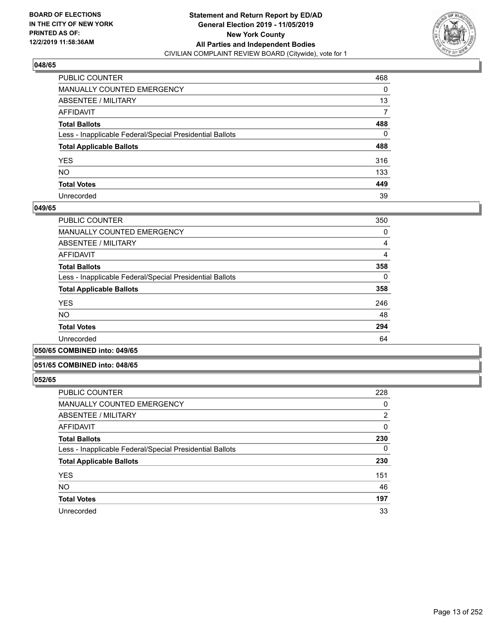

| PUBLIC COUNTER                                           | 468 |
|----------------------------------------------------------|-----|
| MANUALLY COUNTED EMERGENCY                               | 0   |
| ABSENTEE / MILITARY                                      | 13  |
| AFFIDAVIT                                                | 7   |
| Total Ballots                                            | 488 |
| Less - Inapplicable Federal/Special Presidential Ballots | 0   |
| <b>Total Applicable Ballots</b>                          | 488 |
| YES                                                      | 316 |
| NO.                                                      | 133 |
| <b>Total Votes</b>                                       | 449 |
| Unrecorded                                               | 39  |

### **049/65**

| PUBLIC COUNTER                                           | 350 |
|----------------------------------------------------------|-----|
| MANUALLY COUNTED EMERGENCY                               | 0   |
| ABSENTEE / MILITARY                                      | 4   |
| AFFIDAVIT                                                | 4   |
| <b>Total Ballots</b>                                     | 358 |
| Less - Inapplicable Federal/Special Presidential Ballots | 0   |
| <b>Total Applicable Ballots</b>                          | 358 |
| <b>YES</b>                                               | 246 |
| <b>NO</b>                                                | 48  |
| <b>Total Votes</b>                                       | 294 |
| Unrecorded                                               | 64  |
|                                                          |     |

### **050/65 COMBINED into: 049/65**

### **051/65 COMBINED into: 048/65**

| PUBLIC COUNTER                                           | 228            |
|----------------------------------------------------------|----------------|
| <b>MANUALLY COUNTED EMERGENCY</b>                        | 0              |
| ABSENTEE / MILITARY                                      | $\overline{2}$ |
| <b>AFFIDAVIT</b>                                         | 0              |
| <b>Total Ballots</b>                                     | 230            |
| Less - Inapplicable Federal/Special Presidential Ballots | 0              |
| <b>Total Applicable Ballots</b>                          | 230            |
| <b>YES</b>                                               | 151            |
| <b>NO</b>                                                | 46             |
| <b>Total Votes</b>                                       | 197            |
| Unrecorded                                               | 33             |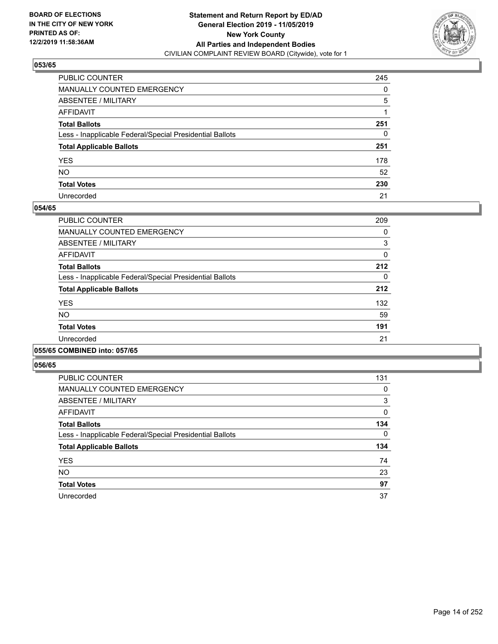

| PUBLIC COUNTER                                           | 245      |
|----------------------------------------------------------|----------|
| MANUALLY COUNTED EMERGENCY                               | $\Omega$ |
| ABSENTEE / MILITARY                                      | 5        |
| AFFIDAVIT                                                |          |
| Total Ballots                                            | 251      |
| Less - Inapplicable Federal/Special Presidential Ballots | 0        |
| <b>Total Applicable Ballots</b>                          | 251      |
| YES                                                      | 178      |
| NO.                                                      | 52       |
| <b>Total Votes</b>                                       | 230      |
| Unrecorded                                               | 21       |

### **054/65**

| PUBLIC COUNTER                                           | 209 |
|----------------------------------------------------------|-----|
| MANUALLY COUNTED EMERGENCY                               | 0   |
| ABSENTEE / MILITARY                                      | 3   |
| <b>AFFIDAVIT</b>                                         | 0   |
| <b>Total Ballots</b>                                     | 212 |
| Less - Inapplicable Federal/Special Presidential Ballots | 0   |
| <b>Total Applicable Ballots</b>                          | 212 |
| <b>YES</b>                                               | 132 |
| <b>NO</b>                                                | 59  |
| <b>Total Votes</b>                                       | 191 |
| Unrecorded                                               | 21  |
|                                                          |     |

### **055/65 COMBINED into: 057/65**

| PUBLIC COUNTER                                           | 131 |
|----------------------------------------------------------|-----|
| <b>MANUALLY COUNTED EMERGENCY</b>                        | 0   |
| ABSENTEE / MILITARY                                      | 3   |
| AFFIDAVIT                                                | 0   |
| <b>Total Ballots</b>                                     | 134 |
| Less - Inapplicable Federal/Special Presidential Ballots | 0   |
| <b>Total Applicable Ballots</b>                          | 134 |
| <b>YES</b>                                               | 74  |
| <b>NO</b>                                                | 23  |
| <b>Total Votes</b>                                       | 97  |
| Unrecorded                                               | 37  |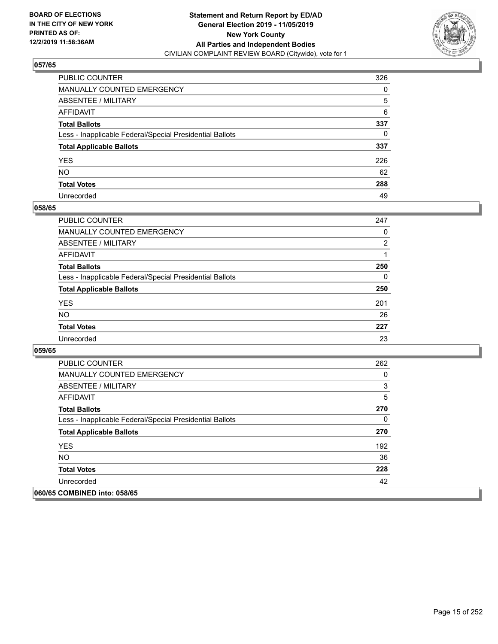

| PUBLIC COUNTER                                           | 326 |
|----------------------------------------------------------|-----|
| MANUALLY COUNTED EMERGENCY                               | 0   |
| ABSENTEE / MILITARY                                      | 5   |
| AFFIDAVIT                                                | 6   |
| Total Ballots                                            | 337 |
| Less - Inapplicable Federal/Special Presidential Ballots | 0   |
| <b>Total Applicable Ballots</b>                          | 337 |
| YES                                                      | 226 |
| NO.                                                      | 62  |
| <b>Total Votes</b>                                       | 288 |
| Unrecorded                                               | 49  |

### **058/65**

| <b>PUBLIC COUNTER</b>                                    | 247      |
|----------------------------------------------------------|----------|
| <b>MANUALLY COUNTED EMERGENCY</b>                        | 0        |
| ABSENTEE / MILITARY                                      | 2        |
| AFFIDAVIT                                                |          |
| <b>Total Ballots</b>                                     | 250      |
| Less - Inapplicable Federal/Special Presidential Ballots | $\Omega$ |
| <b>Total Applicable Ballots</b>                          | 250      |
| <b>YES</b>                                               | 201      |
| <b>NO</b>                                                | 26       |
| <b>Total Votes</b>                                       | 227      |
| Unrecorded                                               | 23       |

| <b>PUBLIC COUNTER</b>                                    | 262 |
|----------------------------------------------------------|-----|
| <b>MANUALLY COUNTED EMERGENCY</b>                        | 0   |
| ABSENTEE / MILITARY                                      | 3   |
| AFFIDAVIT                                                | 5   |
| <b>Total Ballots</b>                                     | 270 |
| Less - Inapplicable Federal/Special Presidential Ballots | 0   |
| <b>Total Applicable Ballots</b>                          | 270 |
| <b>YES</b>                                               | 192 |
| NO.                                                      | 36  |
| <b>Total Votes</b>                                       | 228 |
| Unrecorded                                               | 42  |
| 060/65 COMBINED into: 058/65                             |     |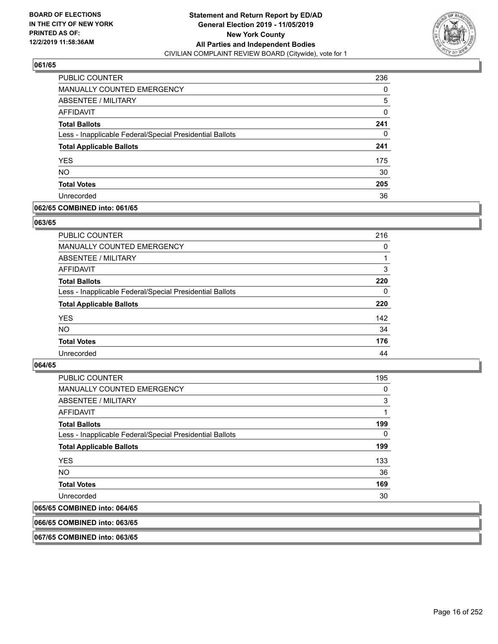

| PUBLIC COUNTER                                           | 236      |
|----------------------------------------------------------|----------|
| <b>MANUALLY COUNTED EMERGENCY</b>                        | 0        |
| ABSENTEE / MILITARY                                      | 5        |
| AFFIDAVIT                                                | $\Omega$ |
| <b>Total Ballots</b>                                     | 241      |
| Less - Inapplicable Federal/Special Presidential Ballots | 0        |
| <b>Total Applicable Ballots</b>                          | 241      |
| <b>YES</b>                                               | 175      |
| <b>NO</b>                                                | 30       |
| <b>Total Votes</b>                                       | 205      |
| Unrecorded                                               | 36       |

## **062/65 COMBINED into: 061/65**

### **063/65**

| PUBLIC COUNTER                                           | 216      |
|----------------------------------------------------------|----------|
| <b>MANUALLY COUNTED EMERGENCY</b>                        | $\Omega$ |
| ABSENTEE / MILITARY                                      |          |
| AFFIDAVIT                                                | 3        |
| <b>Total Ballots</b>                                     | 220      |
| Less - Inapplicable Federal/Special Presidential Ballots | 0        |
| <b>Total Applicable Ballots</b>                          | 220      |
| <b>YES</b>                                               | 142      |
| <b>NO</b>                                                | 34       |
| <b>Total Votes</b>                                       | 176      |
| Unrecorded                                               | 44       |
|                                                          |          |

# **064/65**

| <b>PUBLIC COUNTER</b>                                    | 195      |
|----------------------------------------------------------|----------|
| <b>MANUALLY COUNTED EMERGENCY</b>                        | $\Omega$ |
| ABSENTEE / MILITARY                                      | 3        |
| AFFIDAVIT                                                |          |
| <b>Total Ballots</b>                                     | 199      |
| Less - Inapplicable Federal/Special Presidential Ballots | 0        |
| <b>Total Applicable Ballots</b>                          | 199      |
| <b>YES</b>                                               | 133      |
| NO.                                                      | 36       |
| <b>Total Votes</b>                                       | 169      |
| Unrecorded                                               | 30       |
| 065/65 COMBINED into: 064/65                             |          |

# **066/65 COMBINED into: 063/65**

**067/65 COMBINED into: 063/65**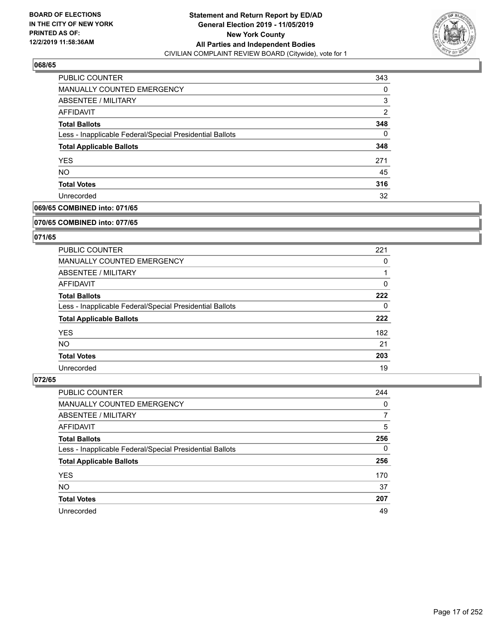

| PUBLIC COUNTER                                           | 343            |
|----------------------------------------------------------|----------------|
| MANUALLY COUNTED EMERGENCY                               | 0              |
| ABSENTEE / MILITARY                                      | 3              |
| AFFIDAVIT                                                | $\overline{2}$ |
| <b>Total Ballots</b>                                     | 348            |
| Less - Inapplicable Federal/Special Presidential Ballots | 0              |
| <b>Total Applicable Ballots</b>                          | 348            |
| <b>YES</b>                                               | 271            |
| <b>NO</b>                                                | 45             |
| <b>Total Votes</b>                                       | 316            |
| Unrecorded                                               | 32             |

# **069/65 COMBINED into: 071/65**

#### **070/65 COMBINED into: 077/65**

# **071/65**

| PUBLIC COUNTER                                           | 221      |
|----------------------------------------------------------|----------|
| <b>MANUALLY COUNTED EMERGENCY</b>                        | 0        |
| ABSENTEE / MILITARY                                      |          |
| AFFIDAVIT                                                | $\Omega$ |
| <b>Total Ballots</b>                                     | 222      |
| Less - Inapplicable Federal/Special Presidential Ballots | $\Omega$ |
| <b>Total Applicable Ballots</b>                          | 222      |
| <b>YES</b>                                               | 182      |
| <b>NO</b>                                                | 21       |
| <b>Total Votes</b>                                       | 203      |
| Unrecorded                                               | 19       |

| <b>PUBLIC COUNTER</b>                                    | 244      |
|----------------------------------------------------------|----------|
| MANUALLY COUNTED EMERGENCY                               | $\Omega$ |
| ABSENTEE / MILITARY                                      | 7        |
| AFFIDAVIT                                                | 5        |
| <b>Total Ballots</b>                                     | 256      |
| Less - Inapplicable Federal/Special Presidential Ballots | $\Omega$ |
| <b>Total Applicable Ballots</b>                          | 256      |
| <b>YES</b>                                               | 170      |
| <b>NO</b>                                                | 37       |
| <b>Total Votes</b>                                       | 207      |
| Unrecorded                                               | 49       |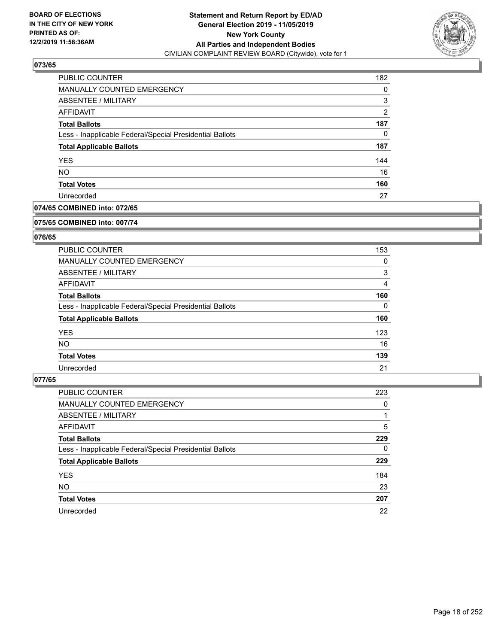

| PUBLIC COUNTER                                           | 182            |
|----------------------------------------------------------|----------------|
| MANUALLY COUNTED EMERGENCY                               | 0              |
| ABSENTEE / MILITARY                                      | 3              |
| AFFIDAVIT                                                | $\overline{2}$ |
| <b>Total Ballots</b>                                     | 187            |
| Less - Inapplicable Federal/Special Presidential Ballots | 0              |
| <b>Total Applicable Ballots</b>                          | 187            |
| <b>YES</b>                                               | 144            |
| <b>NO</b>                                                | 16             |
| <b>Total Votes</b>                                       | 160            |
| Unrecorded                                               | 27             |

# **074/65 COMBINED into: 072/65**

#### **075/65 COMBINED into: 007/74**

# **076/65**

| PUBLIC COUNTER                                           | 153      |
|----------------------------------------------------------|----------|
| MANUALLY COUNTED EMERGENCY                               | 0        |
| ABSENTEE / MILITARY                                      | 3        |
| AFFIDAVIT                                                | 4        |
| <b>Total Ballots</b>                                     | 160      |
| Less - Inapplicable Federal/Special Presidential Ballots | $\Omega$ |
| <b>Total Applicable Ballots</b>                          | 160      |
| <b>YES</b>                                               | 123      |
| NO.                                                      | 16       |
| <b>Total Votes</b>                                       | 139      |
| Unrecorded                                               | 21       |

| PUBLIC COUNTER                                           | 223      |
|----------------------------------------------------------|----------|
| <b>MANUALLY COUNTED EMERGENCY</b>                        | 0        |
| ABSENTEE / MILITARY                                      |          |
| AFFIDAVIT                                                | 5        |
| <b>Total Ballots</b>                                     | 229      |
| Less - Inapplicable Federal/Special Presidential Ballots | $\Omega$ |
| <b>Total Applicable Ballots</b>                          | 229      |
| <b>YES</b>                                               | 184      |
| <b>NO</b>                                                | 23       |
| <b>Total Votes</b>                                       | 207      |
| Unrecorded                                               | 22       |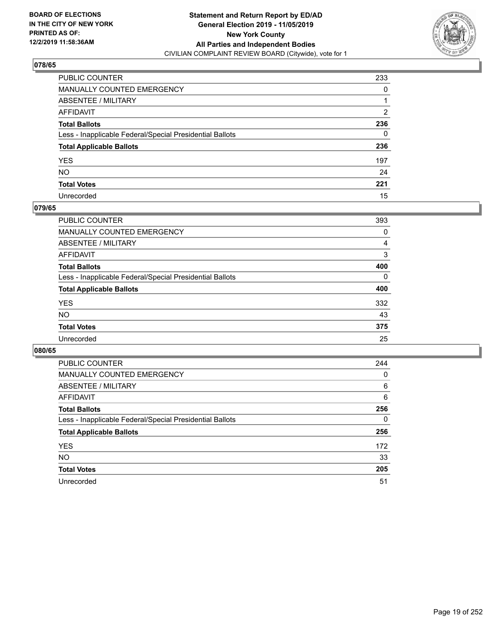

| PUBLIC COUNTER                                           | 233 |
|----------------------------------------------------------|-----|
| MANUALLY COUNTED EMERGENCY                               | 0   |
| ABSENTEE / MILITARY                                      |     |
| AFFIDAVIT                                                | 2   |
| Total Ballots                                            | 236 |
| Less - Inapplicable Federal/Special Presidential Ballots | 0   |
| <b>Total Applicable Ballots</b>                          | 236 |
| YES                                                      | 197 |
| NO.                                                      | 24  |
| <b>Total Votes</b>                                       | 221 |
| Unrecorded                                               | 15  |

## **079/65**

| <b>PUBLIC COUNTER</b>                                    | 393      |
|----------------------------------------------------------|----------|
| MANUALLY COUNTED EMERGENCY                               | 0        |
| ABSENTEE / MILITARY                                      | 4        |
| AFFIDAVIT                                                | 3        |
| <b>Total Ballots</b>                                     | 400      |
| Less - Inapplicable Federal/Special Presidential Ballots | $\Omega$ |
| <b>Total Applicable Ballots</b>                          | 400      |
| <b>YES</b>                                               | 332      |
| <b>NO</b>                                                | 43       |
| <b>Total Votes</b>                                       | 375      |
| Unrecorded                                               | 25       |

| PUBLIC COUNTER                                           | 244 |
|----------------------------------------------------------|-----|
| MANUALLY COUNTED EMERGENCY                               | 0   |
| ABSENTEE / MILITARY                                      | 6   |
| AFFIDAVIT                                                | 6   |
| <b>Total Ballots</b>                                     | 256 |
| Less - Inapplicable Federal/Special Presidential Ballots | 0   |
| <b>Total Applicable Ballots</b>                          | 256 |
| <b>YES</b>                                               | 172 |
| <b>NO</b>                                                | 33  |
| <b>Total Votes</b>                                       | 205 |
| Unrecorded                                               | 51  |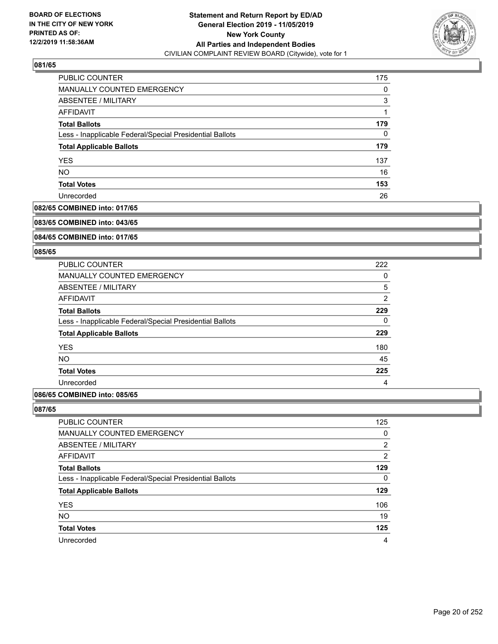

| PUBLIC COUNTER                                           | 175 |
|----------------------------------------------------------|-----|
| <b>MANUALLY COUNTED EMERGENCY</b>                        | 0   |
| ABSENTEE / MILITARY                                      | 3   |
| AFFIDAVIT                                                |     |
| <b>Total Ballots</b>                                     | 179 |
| Less - Inapplicable Federal/Special Presidential Ballots | 0   |
| <b>Total Applicable Ballots</b>                          | 179 |
| <b>YES</b>                                               | 137 |
| <b>NO</b>                                                | 16  |
| <b>Total Votes</b>                                       | 153 |
| Unrecorded                                               | 26  |

# **082/65 COMBINED into: 017/65**

#### **083/65 COMBINED into: 043/65**

# **084/65 COMBINED into: 017/65**

### **085/65**

| PUBLIC COUNTER                                           | 222            |
|----------------------------------------------------------|----------------|
| <b>MANUALLY COUNTED EMERGENCY</b>                        | 0              |
| ABSENTEE / MILITARY                                      | 5              |
| AFFIDAVIT                                                | $\overline{2}$ |
| <b>Total Ballots</b>                                     | 229            |
| Less - Inapplicable Federal/Special Presidential Ballots | 0              |
| <b>Total Applicable Ballots</b>                          | 229            |
| <b>YES</b>                                               | 180            |
| NO.                                                      | 45             |
| <b>Total Votes</b>                                       | 225            |
| Unrecorded                                               | 4              |

# **086/65 COMBINED into: 085/65**

| <b>PUBLIC COUNTER</b>                                    | 125            |
|----------------------------------------------------------|----------------|
| <b>MANUALLY COUNTED EMERGENCY</b>                        | $\Omega$       |
| ABSENTEE / MILITARY                                      | 2              |
| AFFIDAVIT                                                | $\overline{2}$ |
| <b>Total Ballots</b>                                     | 129            |
| Less - Inapplicable Federal/Special Presidential Ballots | 0              |
| <b>Total Applicable Ballots</b>                          | 129            |
| <b>YES</b>                                               | 106            |
| <b>NO</b>                                                | 19             |
| <b>Total Votes</b>                                       | 125            |
| Unrecorded                                               | 4              |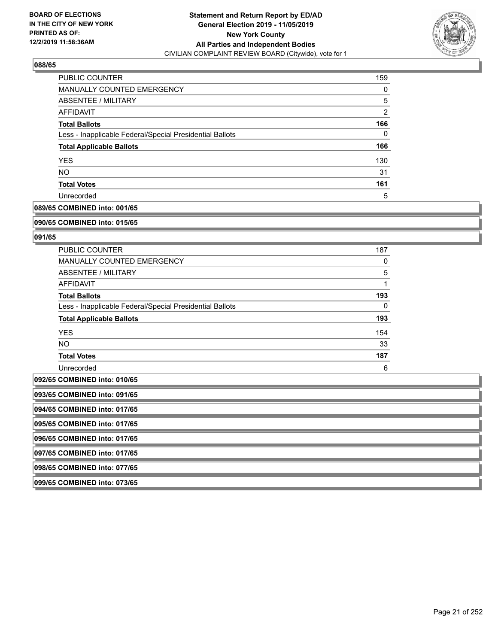

| PUBLIC COUNTER                                           | 159            |
|----------------------------------------------------------|----------------|
| <b>MANUALLY COUNTED EMERGENCY</b>                        | 0              |
| ABSENTEE / MILITARY                                      | 5              |
| AFFIDAVIT                                                | $\overline{2}$ |
| <b>Total Ballots</b>                                     | 166            |
| Less - Inapplicable Federal/Special Presidential Ballots | 0              |
| <b>Total Applicable Ballots</b>                          | 166            |
| <b>YES</b>                                               | 130            |
| <b>NO</b>                                                | 31             |
| <b>Total Votes</b>                                       | 161            |
| Unrecorded                                               | 5              |

### **089/65 COMBINED into: 001/65**

#### **090/65 COMBINED into: 015/65**

### **091/65**

| <b>PUBLIC COUNTER</b>                                    | 187      |
|----------------------------------------------------------|----------|
| <b>MANUALLY COUNTED EMERGENCY</b>                        | 0        |
| ABSENTEE / MILITARY                                      | 5        |
| AFFIDAVIT                                                |          |
| <b>Total Ballots</b>                                     | 193      |
| Less - Inapplicable Federal/Special Presidential Ballots | $\Omega$ |
| <b>Total Applicable Ballots</b>                          | 193      |
| <b>YES</b>                                               | 154      |
| NO.                                                      | 33       |
| <b>Total Votes</b>                                       | 187      |
| Unrecorded                                               | 6        |

# **092/65 COMBINED into: 010/65**

| 093/65 COMBINED into: 091/65 |
|------------------------------|
|                              |

**094/65 COMBINED into: 017/65**

**095/65 COMBINED into: 017/65**

**096/65 COMBINED into: 017/65**

**097/65 COMBINED into: 017/65**

**098/65 COMBINED into: 077/65**

**099/65 COMBINED into: 073/65**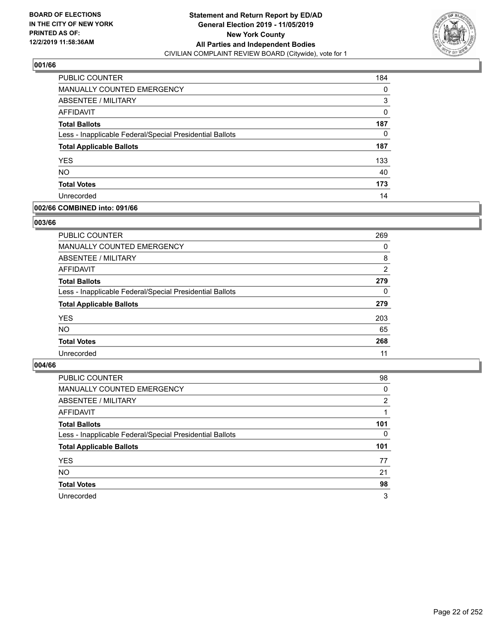

| PUBLIC COUNTER                                           | 184      |
|----------------------------------------------------------|----------|
| <b>MANUALLY COUNTED EMERGENCY</b>                        | 0        |
| <b>ABSENTEE / MILITARY</b>                               | 3        |
| <b>AFFIDAVIT</b>                                         | $\Omega$ |
| <b>Total Ballots</b>                                     | 187      |
| Less - Inapplicable Federal/Special Presidential Ballots | 0        |
| <b>Total Applicable Ballots</b>                          | 187      |
| <b>YES</b>                                               | 133      |
| <b>NO</b>                                                | 40       |
| <b>Total Votes</b>                                       | 173      |
| Unrecorded                                               | 14       |

## **002/66 COMBINED into: 091/66**

### **003/66**

| <b>PUBLIC COUNTER</b>                                    | 269            |
|----------------------------------------------------------|----------------|
| <b>MANUALLY COUNTED EMERGENCY</b>                        | 0              |
| ABSENTEE / MILITARY                                      | 8              |
| AFFIDAVIT                                                | $\overline{2}$ |
| <b>Total Ballots</b>                                     | 279            |
| Less - Inapplicable Federal/Special Presidential Ballots | $\Omega$       |
| <b>Total Applicable Ballots</b>                          | 279            |
| <b>YES</b>                                               | 203            |
| <b>NO</b>                                                | 65             |
| <b>Total Votes</b>                                       | 268            |
| Unrecorded                                               | 11             |
|                                                          |                |

| <b>PUBLIC COUNTER</b>                                    | 98             |
|----------------------------------------------------------|----------------|
| MANUALLY COUNTED EMERGENCY                               | 0              |
| ABSENTEE / MILITARY                                      | $\overline{2}$ |
| AFFIDAVIT                                                |                |
| <b>Total Ballots</b>                                     | 101            |
| Less - Inapplicable Federal/Special Presidential Ballots | $\Omega$       |
| <b>Total Applicable Ballots</b>                          | 101            |
| <b>YES</b>                                               | 77             |
| <b>NO</b>                                                | 21             |
| <b>Total Votes</b>                                       | 98             |
| Unrecorded                                               | 3              |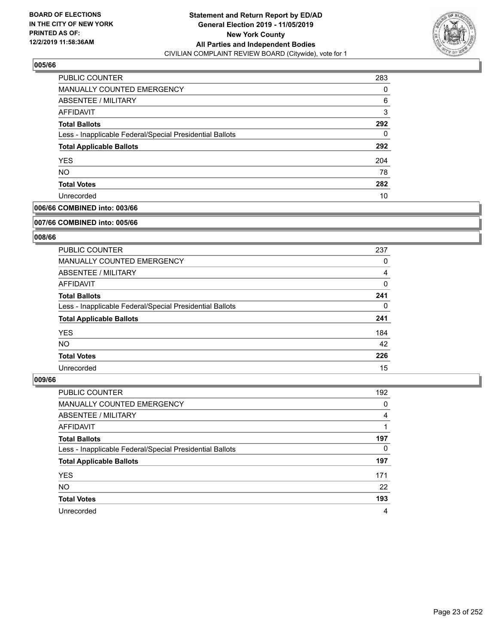

| PUBLIC COUNTER                                           | 283 |
|----------------------------------------------------------|-----|
| MANUALLY COUNTED EMERGENCY                               | 0   |
| ABSENTEE / MILITARY                                      | 6   |
| AFFIDAVIT                                                | 3   |
| <b>Total Ballots</b>                                     | 292 |
| Less - Inapplicable Federal/Special Presidential Ballots | 0   |
| <b>Total Applicable Ballots</b>                          | 292 |
| <b>YES</b>                                               | 204 |
| <b>NO</b>                                                | 78  |
| <b>Total Votes</b>                                       | 282 |
| Unrecorded                                               | 10  |

# **006/66 COMBINED into: 003/66**

#### **007/66 COMBINED into: 005/66**

# **008/66**

| PUBLIC COUNTER                                           | 237      |
|----------------------------------------------------------|----------|
| <b>MANUALLY COUNTED EMERGENCY</b>                        | 0        |
| ABSENTEE / MILITARY                                      | 4        |
| <b>AFFIDAVIT</b>                                         | $\Omega$ |
| <b>Total Ballots</b>                                     | 241      |
| Less - Inapplicable Federal/Special Presidential Ballots | 0        |
| <b>Total Applicable Ballots</b>                          | 241      |
| <b>YES</b>                                               | 184      |
| NO.                                                      | 42       |
| <b>Total Votes</b>                                       | 226      |
| Unrecorded                                               | 15       |

| <b>PUBLIC COUNTER</b>                                    | 192 |
|----------------------------------------------------------|-----|
| MANUALLY COUNTED EMERGENCY                               | 0   |
| ABSENTEE / MILITARY                                      | 4   |
| AFFIDAVIT                                                |     |
| <b>Total Ballots</b>                                     | 197 |
| Less - Inapplicable Federal/Special Presidential Ballots | 0   |
| <b>Total Applicable Ballots</b>                          | 197 |
| <b>YES</b>                                               | 171 |
| <b>NO</b>                                                | 22  |
| <b>Total Votes</b>                                       | 193 |
| Unrecorded                                               | 4   |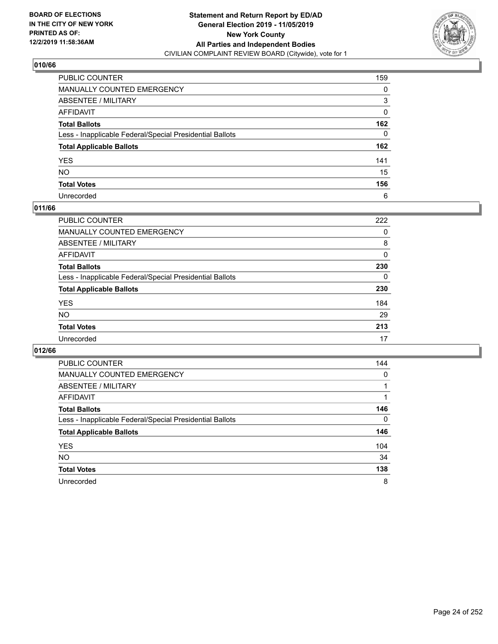

| PUBLIC COUNTER                                           | 159 |
|----------------------------------------------------------|-----|
| MANUALLY COUNTED EMERGENCY                               | 0   |
| ABSENTEE / MILITARY                                      | 3   |
| AFFIDAVIT                                                | 0   |
| Total Ballots                                            | 162 |
| Less - Inapplicable Federal/Special Presidential Ballots | 0   |
| <b>Total Applicable Ballots</b>                          | 162 |
| YES                                                      | 141 |
| NO.                                                      | 15  |
| <b>Total Votes</b>                                       | 156 |
| Unrecorded                                               | 6   |

## **011/66**

| <b>PUBLIC COUNTER</b>                                    | 222 |
|----------------------------------------------------------|-----|
| MANUALLY COUNTED EMERGENCY                               | 0   |
| ABSENTEE / MILITARY                                      | 8   |
| AFFIDAVIT                                                | 0   |
| <b>Total Ballots</b>                                     | 230 |
| Less - Inapplicable Federal/Special Presidential Ballots | 0   |
| <b>Total Applicable Ballots</b>                          | 230 |
| <b>YES</b>                                               | 184 |
| <b>NO</b>                                                | 29  |
| <b>Total Votes</b>                                       | 213 |
| Unrecorded                                               | 17  |

| PUBLIC COUNTER                                           | 144      |
|----------------------------------------------------------|----------|
| <b>MANUALLY COUNTED EMERGENCY</b>                        | $\Omega$ |
| ABSENTEE / MILITARY                                      |          |
| AFFIDAVIT                                                |          |
| <b>Total Ballots</b>                                     | 146      |
| Less - Inapplicable Federal/Special Presidential Ballots | $\Omega$ |
| <b>Total Applicable Ballots</b>                          | 146      |
| <b>YES</b>                                               | 104      |
| <b>NO</b>                                                | 34       |
| <b>Total Votes</b>                                       | 138      |
| Unrecorded                                               | 8        |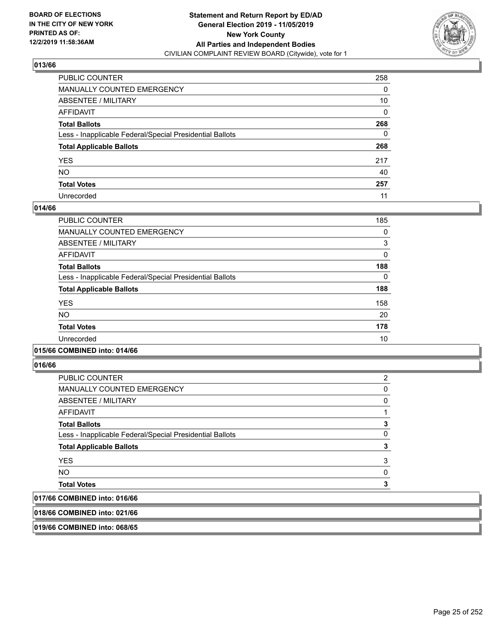

| PUBLIC COUNTER                                           | 258 |
|----------------------------------------------------------|-----|
| MANUALLY COUNTED EMERGENCY                               | 0   |
| ABSENTEE / MILITARY                                      | 10  |
| AFFIDAVIT                                                | 0   |
| Total Ballots                                            | 268 |
| Less - Inapplicable Federal/Special Presidential Ballots | 0   |
| <b>Total Applicable Ballots</b>                          | 268 |
| YES                                                      | 217 |
| NO.                                                      | 40  |
| <b>Total Votes</b>                                       | 257 |
| Unrecorded                                               | 11  |

### **014/66**

| PUBLIC COUNTER                                           | 185      |
|----------------------------------------------------------|----------|
| <b>MANUALLY COUNTED EMERGENCY</b>                        | 0        |
| ABSENTEE / MILITARY                                      | 3        |
| <b>AFFIDAVIT</b>                                         | 0        |
| <b>Total Ballots</b>                                     | 188      |
| Less - Inapplicable Federal/Special Presidential Ballots | $\Omega$ |
| <b>Total Applicable Ballots</b>                          | 188      |
| <b>YES</b>                                               | 158      |
| <b>NO</b>                                                | 20       |
| <b>Total Votes</b>                                       | 178      |
| Unrecorded                                               | 10       |
|                                                          |          |

### **015/66 COMBINED into: 014/66**

**016/66** 

| 0.01101100010100                                         |   |
|----------------------------------------------------------|---|
| <b>Total Votes</b>                                       | 3 |
| <b>NO</b>                                                | 0 |
| <b>YES</b>                                               | 3 |
| <b>Total Applicable Ballots</b>                          | 3 |
| Less - Inapplicable Federal/Special Presidential Ballots | 0 |
| <b>Total Ballots</b>                                     | 3 |
| <b>AFFIDAVIT</b>                                         |   |
| ABSENTEE / MILITARY                                      | 0 |
| <b>MANUALLY COUNTED EMERGENCY</b>                        | 0 |
| PUBLIC COUNTER                                           | 2 |

# **017/66 COMBINED into: 016/66**

**018/66 COMBINED into: 021/66**

**019/66 COMBINED into: 068/65**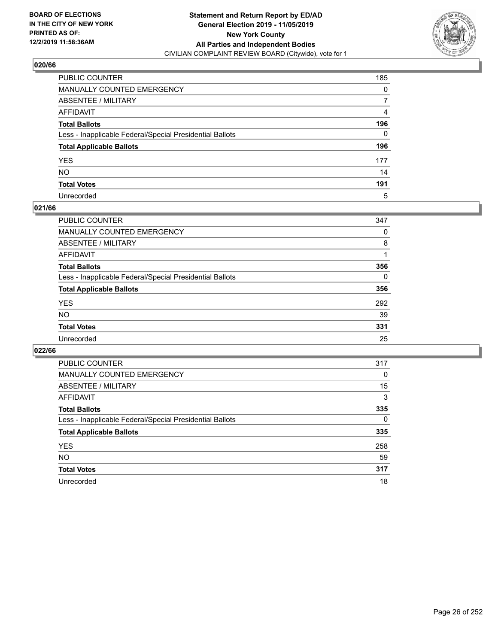

| PUBLIC COUNTER                                           | 185 |
|----------------------------------------------------------|-----|
| MANUALLY COUNTED EMERGENCY                               | 0   |
| ABSENTEE / MILITARY                                      | 7   |
| AFFIDAVIT                                                | 4   |
| Total Ballots                                            | 196 |
| Less - Inapplicable Federal/Special Presidential Ballots | 0   |
| <b>Total Applicable Ballots</b>                          | 196 |
| YES                                                      | 177 |
| NO.                                                      | 14  |
| <b>Total Votes</b>                                       | 191 |
| Unrecorded                                               | 5   |

### **021/66**

| <b>PUBLIC COUNTER</b>                                    | 347      |
|----------------------------------------------------------|----------|
| MANUALLY COUNTED EMERGENCY                               | 0        |
| ABSENTEE / MILITARY                                      | 8        |
| AFFIDAVIT                                                |          |
| <b>Total Ballots</b>                                     | 356      |
| Less - Inapplicable Federal/Special Presidential Ballots | $\Omega$ |
| <b>Total Applicable Ballots</b>                          | 356      |
| <b>YES</b>                                               | 292      |
| <b>NO</b>                                                | 39       |
| <b>Total Votes</b>                                       | 331      |
| Unrecorded                                               | 25       |

| PUBLIC COUNTER                                           | 317      |
|----------------------------------------------------------|----------|
| MANUALLY COUNTED EMERGENCY                               | 0        |
| ABSENTEE / MILITARY                                      | 15       |
| AFFIDAVIT                                                | 3        |
| <b>Total Ballots</b>                                     | 335      |
| Less - Inapplicable Federal/Special Presidential Ballots | $\Omega$ |
| <b>Total Applicable Ballots</b>                          | 335      |
| <b>YES</b>                                               | 258      |
| <b>NO</b>                                                | 59       |
| <b>Total Votes</b>                                       | 317      |
| Unrecorded                                               | 18       |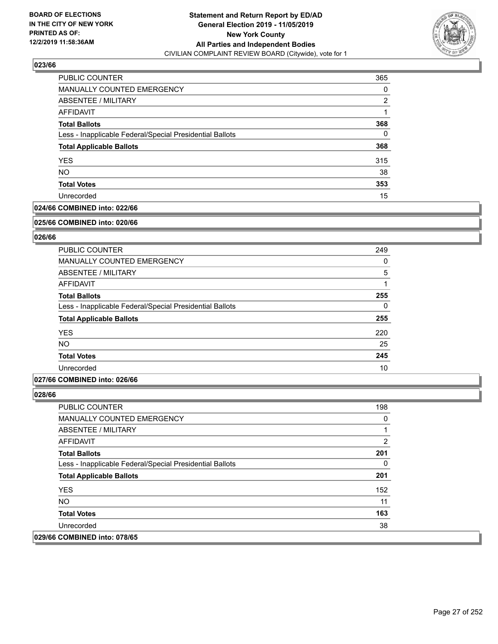

| PUBLIC COUNTER                                           | 365 |
|----------------------------------------------------------|-----|
| MANUALLY COUNTED EMERGENCY                               | 0   |
| <b>ABSENTEE / MILITARY</b>                               | 2   |
| AFFIDAVIT                                                |     |
| <b>Total Ballots</b>                                     | 368 |
| Less - Inapplicable Federal/Special Presidential Ballots | 0   |
| <b>Total Applicable Ballots</b>                          | 368 |
| <b>YES</b>                                               | 315 |
| <b>NO</b>                                                | 38  |
| <b>Total Votes</b>                                       | 353 |
| Unrecorded                                               | 15  |

# **024/66 COMBINED into: 022/66**

#### **025/66 COMBINED into: 020/66**

# **026/66**

| <b>PUBLIC COUNTER</b>                                    | 249      |
|----------------------------------------------------------|----------|
| <b>MANUALLY COUNTED EMERGENCY</b>                        | 0        |
| ABSENTEE / MILITARY                                      | 5        |
| <b>AFFIDAVIT</b>                                         |          |
| <b>Total Ballots</b>                                     | 255      |
| Less - Inapplicable Federal/Special Presidential Ballots | $\Omega$ |
| <b>Total Applicable Ballots</b>                          | 255      |
| <b>YES</b>                                               | 220      |
| <b>NO</b>                                                | 25       |
| <b>Total Votes</b>                                       | 245      |
| Unrecorded                                               | 10       |

### **027/66 COMBINED into: 026/66**

| PUBLIC COUNTER                                           | 198 |
|----------------------------------------------------------|-----|
| MANUALLY COUNTED EMERGENCY                               | 0   |
| ABSENTEE / MILITARY                                      |     |
| AFFIDAVIT                                                | 2   |
| <b>Total Ballots</b>                                     | 201 |
| Less - Inapplicable Federal/Special Presidential Ballots | 0   |
| <b>Total Applicable Ballots</b>                          | 201 |
| <b>YES</b>                                               | 152 |
| <b>NO</b>                                                | 11  |
| <b>Total Votes</b>                                       | 163 |
| Unrecorded                                               | 38  |
| 029/66 COMBINED into: 078/65                             |     |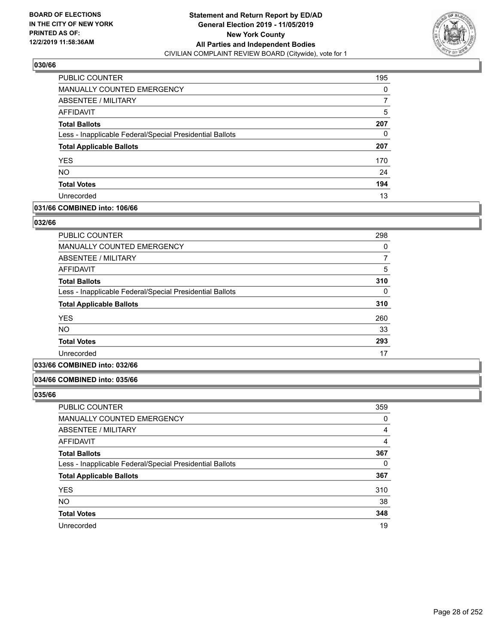

| PUBLIC COUNTER                                           | 195 |
|----------------------------------------------------------|-----|
| MANUALLY COUNTED EMERGENCY                               | 0   |
| ABSENTEE / MILITARY                                      |     |
| AFFIDAVIT                                                | 5   |
| <b>Total Ballots</b>                                     | 207 |
| Less - Inapplicable Federal/Special Presidential Ballots | 0   |
| <b>Total Applicable Ballots</b>                          | 207 |
| <b>YES</b>                                               | 170 |
| <b>NO</b>                                                | 24  |
| <b>Total Votes</b>                                       | 194 |
| Unrecorded                                               | 13  |

# **031/66 COMBINED into: 106/66**

### **032/66**

| <b>PUBLIC COUNTER</b>                                    | 298 |
|----------------------------------------------------------|-----|
| <b>MANUALLY COUNTED EMERGENCY</b>                        | 0   |
| ABSENTEE / MILITARY                                      |     |
| <b>AFFIDAVIT</b>                                         | 5   |
| <b>Total Ballots</b>                                     | 310 |
| Less - Inapplicable Federal/Special Presidential Ballots | 0   |
| <b>Total Applicable Ballots</b>                          | 310 |
| <b>YES</b>                                               | 260 |
| NO                                                       | 33  |
| <b>Total Votes</b>                                       | 293 |
| Unrecorded                                               | 17  |
|                                                          |     |

# **033/66 COMBINED into: 032/66**

### **034/66 COMBINED into: 035/66**

| <b>PUBLIC COUNTER</b>                                    | 359 |
|----------------------------------------------------------|-----|
| MANUALLY COUNTED EMERGENCY                               | 0   |
| ABSENTEE / MILITARY                                      | 4   |
| AFFIDAVIT                                                | 4   |
| <b>Total Ballots</b>                                     | 367 |
| Less - Inapplicable Federal/Special Presidential Ballots | 0   |
| <b>Total Applicable Ballots</b>                          | 367 |
| <b>YES</b>                                               | 310 |
| <b>NO</b>                                                | 38  |
| <b>Total Votes</b>                                       | 348 |
| Unrecorded                                               | 19  |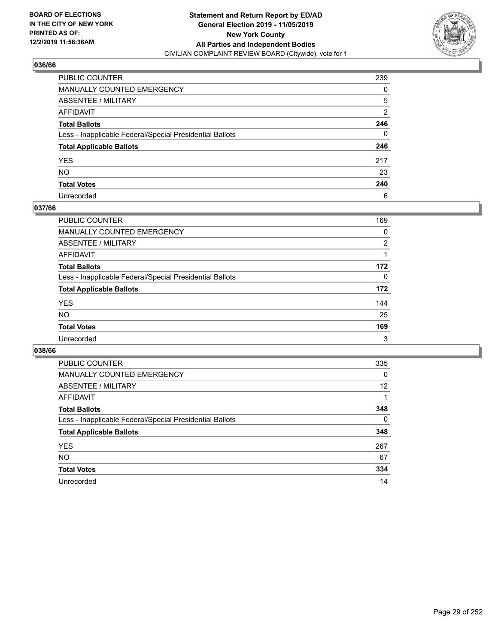

| PUBLIC COUNTER                                           | 239 |
|----------------------------------------------------------|-----|
| MANUALLY COUNTED EMERGENCY                               | 0   |
| ABSENTEE / MILITARY                                      | 5   |
| AFFIDAVIT                                                | 2   |
| Total Ballots                                            | 246 |
| Less - Inapplicable Federal/Special Presidential Ballots | 0   |
| <b>Total Applicable Ballots</b>                          | 246 |
| YES                                                      | 217 |
| NO.                                                      | 23  |
| <b>Total Votes</b>                                       | 240 |
| Unrecorded                                               | 6   |

## **037/66**

| <b>PUBLIC COUNTER</b>                                    | 169      |
|----------------------------------------------------------|----------|
| <b>MANUALLY COUNTED EMERGENCY</b>                        | 0        |
| ABSENTEE / MILITARY                                      | 2        |
| AFFIDAVIT                                                |          |
| <b>Total Ballots</b>                                     | 172      |
| Less - Inapplicable Federal/Special Presidential Ballots | $\Omega$ |
| <b>Total Applicable Ballots</b>                          | 172      |
| <b>YES</b>                                               | 144      |
| <b>NO</b>                                                | 25       |
| <b>Total Votes</b>                                       | 169      |
| Unrecorded                                               | 3        |

| PUBLIC COUNTER                                           | 335      |
|----------------------------------------------------------|----------|
| <b>MANUALLY COUNTED EMERGENCY</b>                        | 0        |
| ABSENTEE / MILITARY                                      | 12       |
| AFFIDAVIT                                                |          |
| <b>Total Ballots</b>                                     | 348      |
| Less - Inapplicable Federal/Special Presidential Ballots | $\Omega$ |
| <b>Total Applicable Ballots</b>                          | 348      |
| <b>YES</b>                                               | 267      |
| NO.                                                      | 67       |
| <b>Total Votes</b>                                       | 334      |
| Unrecorded                                               | 14       |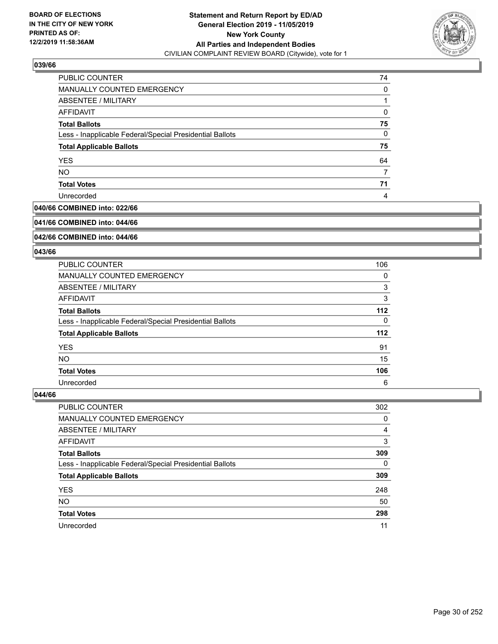

| <b>PUBLIC COUNTER</b>                                    | 74 |
|----------------------------------------------------------|----|
| MANUALLY COUNTED EMERGENCY                               | 0  |
| ABSENTEE / MILITARY                                      |    |
| AFFIDAVIT                                                | 0  |
| <b>Total Ballots</b>                                     | 75 |
| Less - Inapplicable Federal/Special Presidential Ballots | 0  |
| <b>Total Applicable Ballots</b>                          | 75 |
| <b>YES</b>                                               | 64 |
| <b>NO</b>                                                |    |
| <b>Total Votes</b>                                       | 71 |
| Unrecorded                                               | 4  |

# **040/66 COMBINED into: 022/66**

#### **041/66 COMBINED into: 044/66**

# **042/66 COMBINED into: 044/66**

### **043/66**

| <b>PUBLIC COUNTER</b>                                    | 106 |
|----------------------------------------------------------|-----|
| MANUALLY COUNTED EMERGENCY                               | 0   |
| ABSENTEE / MILITARY                                      | 3   |
| AFFIDAVIT                                                | 3   |
| <b>Total Ballots</b>                                     | 112 |
| Less - Inapplicable Federal/Special Presidential Ballots | 0   |
| <b>Total Applicable Ballots</b>                          | 112 |
| <b>YES</b>                                               | 91  |
| NO.                                                      | 15  |
| <b>Total Votes</b>                                       | 106 |
| Unrecorded                                               | 6   |

| <b>PUBLIC COUNTER</b>                                    | 302      |
|----------------------------------------------------------|----------|
| MANUALLY COUNTED EMERGENCY                               | 0        |
| ABSENTEE / MILITARY                                      | 4        |
| AFFIDAVIT                                                | 3        |
| <b>Total Ballots</b>                                     | 309      |
| Less - Inapplicable Federal/Special Presidential Ballots | $\Omega$ |
| <b>Total Applicable Ballots</b>                          | 309      |
| <b>YES</b>                                               | 248      |
| <b>NO</b>                                                | 50       |
| <b>Total Votes</b>                                       | 298      |
| Unrecorded                                               | 11       |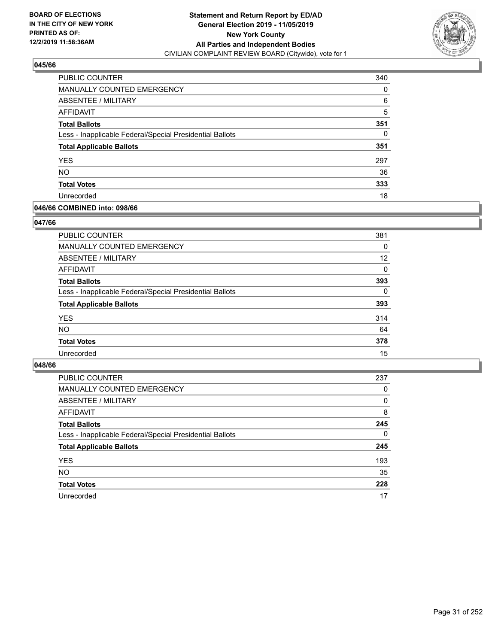

| PUBLIC COUNTER                                           | 340 |
|----------------------------------------------------------|-----|
| MANUALLY COUNTED EMERGENCY                               | 0   |
| ABSENTEE / MILITARY                                      | 6   |
| AFFIDAVIT                                                | 5   |
| <b>Total Ballots</b>                                     | 351 |
| Less - Inapplicable Federal/Special Presidential Ballots | 0   |
| <b>Total Applicable Ballots</b>                          | 351 |
| <b>YES</b>                                               | 297 |
| <b>NO</b>                                                | 36  |
| <b>Total Votes</b>                                       | 333 |
| Unrecorded                                               | 18  |

## **046/66 COMBINED into: 098/66**

### **047/66**

| <b>PUBLIC COUNTER</b>                                    | 381      |
|----------------------------------------------------------|----------|
| <b>MANUALLY COUNTED EMERGENCY</b>                        | $\Omega$ |
| ABSENTEE / MILITARY                                      | 12       |
| AFFIDAVIT                                                | 0        |
| <b>Total Ballots</b>                                     | 393      |
| Less - Inapplicable Federal/Special Presidential Ballots | $\Omega$ |
| <b>Total Applicable Ballots</b>                          | 393      |
| <b>YES</b>                                               | 314      |
| <b>NO</b>                                                | 64       |
| <b>Total Votes</b>                                       | 378      |
| Unrecorded                                               | 15       |
|                                                          |          |

| PUBLIC COUNTER                                           | 237      |
|----------------------------------------------------------|----------|
| MANUALLY COUNTED EMERGENCY                               | $\Omega$ |
| ABSENTEE / MILITARY                                      | $\Omega$ |
| AFFIDAVIT                                                | 8        |
| <b>Total Ballots</b>                                     | 245      |
| Less - Inapplicable Federal/Special Presidential Ballots | $\Omega$ |
| <b>Total Applicable Ballots</b>                          | 245      |
| <b>YES</b>                                               | 193      |
| <b>NO</b>                                                | 35       |
| <b>Total Votes</b>                                       | 228      |
| Unrecorded                                               | 17       |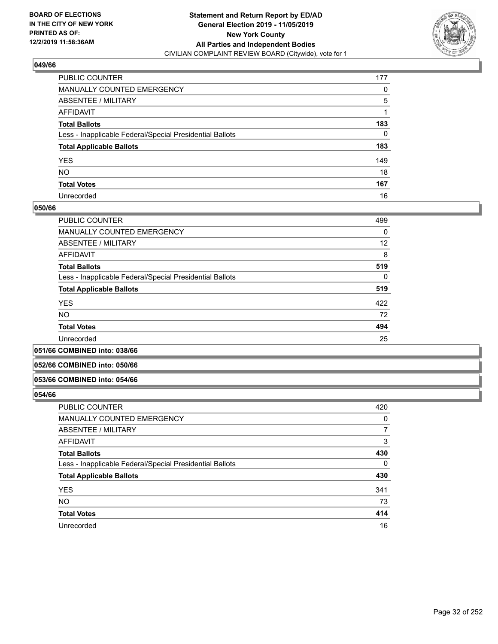

| PUBLIC COUNTER                                           | 177 |
|----------------------------------------------------------|-----|
| MANUALLY COUNTED EMERGENCY                               | 0   |
| ABSENTEE / MILITARY                                      | 5   |
| AFFIDAVIT                                                |     |
| Total Ballots                                            | 183 |
| Less - Inapplicable Federal/Special Presidential Ballots | 0   |
| <b>Total Applicable Ballots</b>                          | 183 |
| YES                                                      | 149 |
| NO.                                                      | 18  |
| <b>Total Votes</b>                                       | 167 |
| Unrecorded                                               | 16  |

### **050/66**

| PUBLIC COUNTER                                           | 499      |
|----------------------------------------------------------|----------|
| MANUALLY COUNTED EMERGENCY                               | $\Omega$ |
| ABSENTEE / MILITARY                                      | 12       |
| AFFIDAVIT                                                | 8        |
| <b>Total Ballots</b>                                     | 519      |
| Less - Inapplicable Federal/Special Presidential Ballots | $\Omega$ |
| <b>Total Applicable Ballots</b>                          | 519      |
| <b>YES</b>                                               | 422      |
| <b>NO</b>                                                | 72       |
| <b>Total Votes</b>                                       | 494      |
| Unrecorded                                               | 25       |
|                                                          |          |

#### **051/66 COMBINED into: 038/66**

### **052/66 COMBINED into: 050/66**

# **053/66 COMBINED into: 054/66**

| <b>PUBLIC COUNTER</b>                                    | 420 |
|----------------------------------------------------------|-----|
| MANUALLY COUNTED EMERGENCY                               | 0   |
| ABSENTEE / MILITARY                                      | 7   |
| AFFIDAVIT                                                | 3   |
| <b>Total Ballots</b>                                     | 430 |
| Less - Inapplicable Federal/Special Presidential Ballots | 0   |
| <b>Total Applicable Ballots</b>                          | 430 |
| <b>YES</b>                                               | 341 |
| <b>NO</b>                                                | 73  |
| <b>Total Votes</b>                                       | 414 |
| Unrecorded                                               | 16  |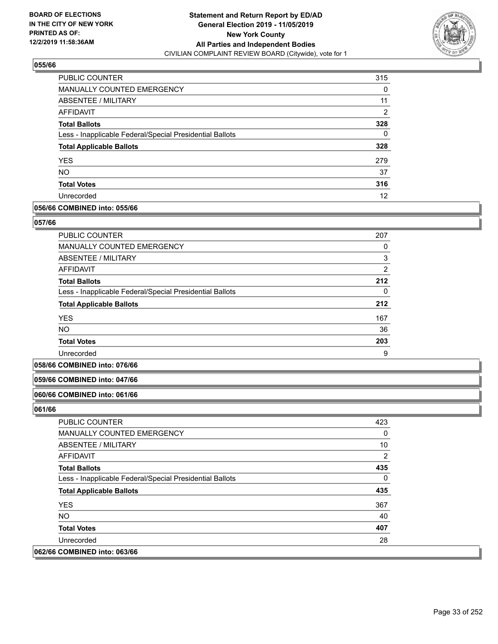

| PUBLIC COUNTER                                           | 315 |
|----------------------------------------------------------|-----|
| <b>MANUALLY COUNTED EMERGENCY</b>                        | 0   |
| ABSENTEE / MILITARY                                      | 11  |
| AFFIDAVIT                                                | 2   |
| <b>Total Ballots</b>                                     | 328 |
| Less - Inapplicable Federal/Special Presidential Ballots | 0   |
| <b>Total Applicable Ballots</b>                          | 328 |
| <b>YES</b>                                               | 279 |
| <b>NO</b>                                                | 37  |
| <b>Total Votes</b>                                       | 316 |
| Unrecorded                                               | 12  |

## **056/66 COMBINED into: 055/66**

### **057/66**

| <b>PUBLIC COUNTER</b>                                    | 207            |
|----------------------------------------------------------|----------------|
| <b>MANUALLY COUNTED EMERGENCY</b>                        | 0              |
| ABSENTEE / MILITARY                                      | 3              |
| AFFIDAVIT                                                | $\overline{2}$ |
| <b>Total Ballots</b>                                     | 212            |
| Less - Inapplicable Federal/Special Presidential Ballots | 0              |
| <b>Total Applicable Ballots</b>                          | 212            |
| <b>YES</b>                                               | 167            |
| <b>NO</b>                                                | 36             |
| <b>Total Votes</b>                                       | 203            |
| Unrecorded                                               | 9              |

### **058/66 COMBINED into: 076/66**

### **059/66 COMBINED into: 047/66**

### **060/66 COMBINED into: 061/66**

| <b>PUBLIC COUNTER</b>                                    | 423 |
|----------------------------------------------------------|-----|
| MANUALLY COUNTED EMERGENCY                               | 0   |
| ABSENTEE / MILITARY                                      | 10  |
| AFFIDAVIT                                                | 2   |
| <b>Total Ballots</b>                                     | 435 |
| Less - Inapplicable Federal/Special Presidential Ballots | 0   |
| <b>Total Applicable Ballots</b>                          | 435 |
| <b>YES</b>                                               | 367 |
| NO.                                                      | 40  |
| <b>Total Votes</b>                                       | 407 |
| Unrecorded                                               | 28  |
| 062/66 COMBINED into: 063/66                             |     |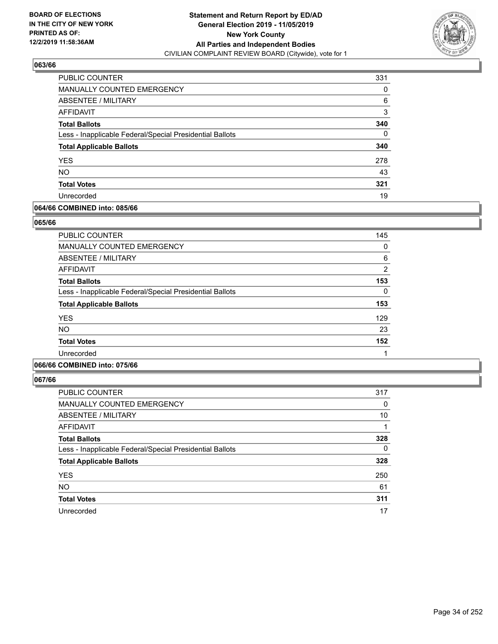

| <b>PUBLIC COUNTER</b>                                    | 331 |
|----------------------------------------------------------|-----|
| <b>MANUALLY COUNTED EMERGENCY</b>                        | 0   |
| ABSENTEE / MILITARY                                      | 6   |
| AFFIDAVIT                                                | 3   |
| <b>Total Ballots</b>                                     | 340 |
| Less - Inapplicable Federal/Special Presidential Ballots | 0   |
| <b>Total Applicable Ballots</b>                          | 340 |
| <b>YES</b>                                               | 278 |
| <b>NO</b>                                                | 43  |
| <b>Total Votes</b>                                       | 321 |
| Unrecorded                                               | 19  |

# **064/66 COMBINED into: 085/66**

### **065/66**

| <b>PUBLIC COUNTER</b>                                    | 145           |
|----------------------------------------------------------|---------------|
| MANUALLY COUNTED EMERGENCY                               | 0             |
| ABSENTEE / MILITARY                                      | 6             |
| AFFIDAVIT                                                | $\mathcal{P}$ |
| <b>Total Ballots</b>                                     | 153           |
| Less - Inapplicable Federal/Special Presidential Ballots | 0             |
| <b>Total Applicable Ballots</b>                          | 153           |
| <b>YES</b>                                               | 129           |
| <b>NO</b>                                                | 23            |
| <b>Total Votes</b>                                       | 152           |
| Unrecorded                                               |               |
|                                                          |               |

# **066/66 COMBINED into: 075/66**

| <b>PUBLIC COUNTER</b>                                    | 317 |
|----------------------------------------------------------|-----|
| <b>MANUALLY COUNTED EMERGENCY</b>                        | 0   |
| ABSENTEE / MILITARY                                      | 10  |
| AFFIDAVIT                                                |     |
| <b>Total Ballots</b>                                     | 328 |
| Less - Inapplicable Federal/Special Presidential Ballots | 0   |
| <b>Total Applicable Ballots</b>                          | 328 |
| <b>YES</b>                                               | 250 |
| <b>NO</b>                                                | 61  |
| <b>Total Votes</b>                                       | 311 |
| Unrecorded                                               | 17  |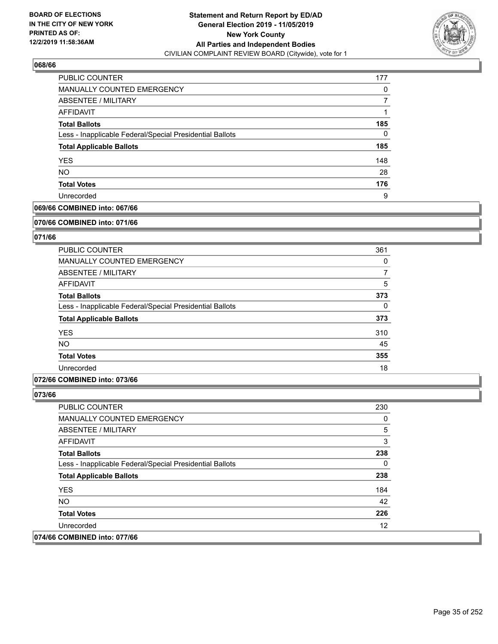

| PUBLIC COUNTER                                           | 177 |
|----------------------------------------------------------|-----|
| <b>MANUALLY COUNTED EMERGENCY</b>                        | 0   |
| ABSENTEE / MILITARY                                      |     |
| AFFIDAVIT                                                |     |
| <b>Total Ballots</b>                                     | 185 |
| Less - Inapplicable Federal/Special Presidential Ballots | 0   |
| <b>Total Applicable Ballots</b>                          | 185 |
| <b>YES</b>                                               | 148 |
| <b>NO</b>                                                | 28  |
| <b>Total Votes</b>                                       | 176 |
| Unrecorded                                               | 9   |

# **069/66 COMBINED into: 067/66**

#### **070/66 COMBINED into: 071/66**

# **071/66**

| <b>PUBLIC COUNTER</b>                                    | 361      |
|----------------------------------------------------------|----------|
| <b>MANUALLY COUNTED EMERGENCY</b>                        | 0        |
| ABSENTEE / MILITARY                                      | 7        |
| AFFIDAVIT                                                | 5        |
| <b>Total Ballots</b>                                     | 373      |
| Less - Inapplicable Federal/Special Presidential Ballots | $\Omega$ |
| <b>Total Applicable Ballots</b>                          | 373      |
| <b>YES</b>                                               | 310      |
| <b>NO</b>                                                | 45       |
| <b>Total Votes</b>                                       | 355      |
| Unrecorded                                               | 18       |

### **072/66 COMBINED into: 073/66**

| PUBLIC COUNTER                                           | 230 |
|----------------------------------------------------------|-----|
| <b>MANUALLY COUNTED EMERGENCY</b>                        | 0   |
| ABSENTEE / MILITARY                                      | 5   |
| AFFIDAVIT                                                | 3   |
| <b>Total Ballots</b>                                     | 238 |
| Less - Inapplicable Federal/Special Presidential Ballots | 0   |
| <b>Total Applicable Ballots</b>                          | 238 |
| <b>YES</b>                                               | 184 |
| <b>NO</b>                                                | 42  |
| <b>Total Votes</b>                                       | 226 |
| Unrecorded                                               | 12  |
| 074/66 COMBINED into: 077/66                             |     |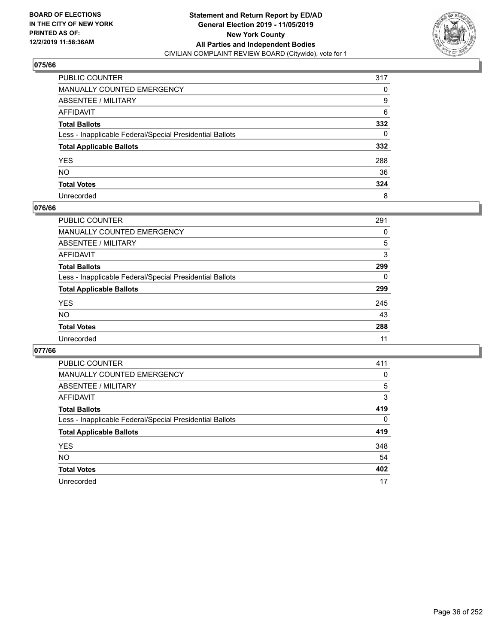

| PUBLIC COUNTER                                           | 317 |
|----------------------------------------------------------|-----|
| MANUALLY COUNTED EMERGENCY                               | 0   |
| ABSENTEE / MILITARY                                      | 9   |
| AFFIDAVIT                                                | 6   |
| Total Ballots                                            | 332 |
| Less - Inapplicable Federal/Special Presidential Ballots | 0   |
| <b>Total Applicable Ballots</b>                          | 332 |
| YES                                                      | 288 |
| NO.                                                      | 36  |
| <b>Total Votes</b>                                       | 324 |
| Unrecorded                                               | 8   |

### **076/66**

| PUBLIC COUNTER                                           | 291      |
|----------------------------------------------------------|----------|
| MANUALLY COUNTED EMERGENCY                               | 0        |
| ABSENTEE / MILITARY                                      | 5        |
| AFFIDAVIT                                                | 3        |
| <b>Total Ballots</b>                                     | 299      |
| Less - Inapplicable Federal/Special Presidential Ballots | $\Omega$ |
| <b>Total Applicable Ballots</b>                          | 299      |
| <b>YES</b>                                               | 245      |
| <b>NO</b>                                                | 43       |
| <b>Total Votes</b>                                       | 288      |
| Unrecorded                                               | 11       |

| PUBLIC COUNTER                                           | 411      |
|----------------------------------------------------------|----------|
| <b>MANUALLY COUNTED EMERGENCY</b>                        | $\Omega$ |
| ABSENTEE / MILITARY                                      | 5        |
| AFFIDAVIT                                                | 3        |
| <b>Total Ballots</b>                                     | 419      |
| Less - Inapplicable Federal/Special Presidential Ballots | $\Omega$ |
| <b>Total Applicable Ballots</b>                          | 419      |
| <b>YES</b>                                               | 348      |
| <b>NO</b>                                                | 54       |
| <b>Total Votes</b>                                       | 402      |
| Unrecorded                                               | 17       |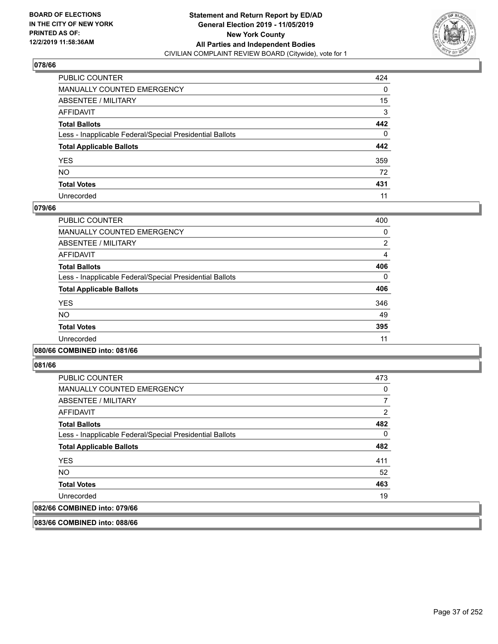

| PUBLIC COUNTER                                           | 424 |
|----------------------------------------------------------|-----|
| MANUALLY COUNTED EMERGENCY                               | 0   |
| ABSENTEE / MILITARY                                      | 15  |
| AFFIDAVIT                                                | 3   |
| Total Ballots                                            | 442 |
| Less - Inapplicable Federal/Special Presidential Ballots | 0   |
| <b>Total Applicable Ballots</b>                          | 442 |
| YES                                                      | 359 |
| NO.                                                      | 72  |
| <b>Total Votes</b>                                       | 431 |
| Unrecorded                                               | 11  |

### **079/66**

| <b>PUBLIC COUNTER</b>                                    | 400      |
|----------------------------------------------------------|----------|
| MANUALLY COUNTED EMERGENCY                               | 0        |
| ABSENTEE / MILITARY                                      | 2        |
| <b>AFFIDAVIT</b>                                         | 4        |
| <b>Total Ballots</b>                                     | 406      |
| Less - Inapplicable Federal/Special Presidential Ballots | $\Omega$ |
| <b>Total Applicable Ballots</b>                          | 406      |
| <b>YES</b>                                               | 346      |
| NO.                                                      | 49       |
| <b>Total Votes</b>                                       | 395      |
| Unrecorded                                               | 11       |
|                                                          |          |

#### **080/66 COMBINED into: 081/66**

**081/66** 

| <b>PUBLIC COUNTER</b>                                    | 473      |
|----------------------------------------------------------|----------|
| MANUALLY COUNTED EMERGENCY                               | 0        |
| ABSENTEE / MILITARY                                      |          |
| AFFIDAVIT                                                | 2        |
| <b>Total Ballots</b>                                     | 482      |
| Less - Inapplicable Federal/Special Presidential Ballots | $\Omega$ |
| <b>Total Applicable Ballots</b>                          | 482      |
| <b>YES</b>                                               | 411      |
| <b>NO</b>                                                | 52       |
| <b>Total Votes</b>                                       | 463      |
| Unrecorded                                               | 19       |
| 082/66 COMBINED into: 079/66                             |          |

**083/66 COMBINED into: 088/66**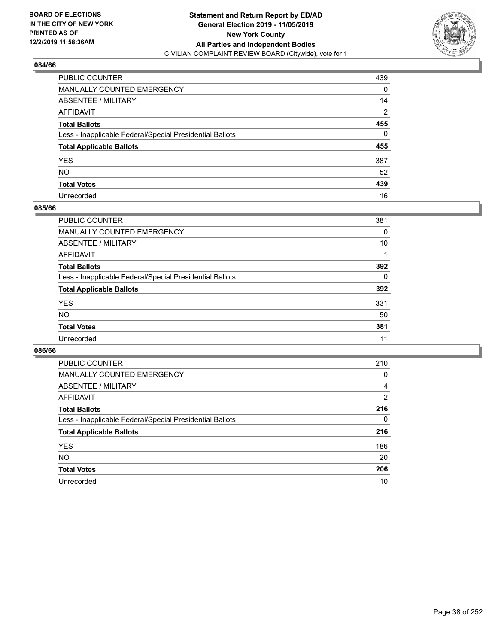

| PUBLIC COUNTER                                           | 439            |
|----------------------------------------------------------|----------------|
| MANUALLY COUNTED EMERGENCY                               | 0              |
| ABSENTEE / MILITARY                                      | 14             |
| AFFIDAVIT                                                | $\overline{2}$ |
| Total Ballots                                            | 455            |
| Less - Inapplicable Federal/Special Presidential Ballots | 0              |
| <b>Total Applicable Ballots</b>                          | 455            |
| YES                                                      | 387            |
| NO.                                                      | 52             |
| <b>Total Votes</b>                                       | 439            |
| Unrecorded                                               | 16             |

### **085/66**

| <b>PUBLIC COUNTER</b>                                    | 381      |
|----------------------------------------------------------|----------|
| <b>MANUALLY COUNTED EMERGENCY</b>                        | 0        |
| ABSENTEE / MILITARY                                      | 10       |
| AFFIDAVIT                                                |          |
| <b>Total Ballots</b>                                     | 392      |
| Less - Inapplicable Federal/Special Presidential Ballots | $\Omega$ |
| <b>Total Applicable Ballots</b>                          | 392      |
| <b>YES</b>                                               | 331      |
| <b>NO</b>                                                | 50       |
| <b>Total Votes</b>                                       | 381      |
| Unrecorded                                               | 11       |

| <b>PUBLIC COUNTER</b>                                    | 210 |
|----------------------------------------------------------|-----|
| <b>MANUALLY COUNTED EMERGENCY</b>                        | 0   |
| ABSENTEE / MILITARY                                      | 4   |
| AFFIDAVIT                                                | 2   |
| <b>Total Ballots</b>                                     | 216 |
| Less - Inapplicable Federal/Special Presidential Ballots | 0   |
| <b>Total Applicable Ballots</b>                          | 216 |
| <b>YES</b>                                               | 186 |
| <b>NO</b>                                                | 20  |
| <b>Total Votes</b>                                       | 206 |
| Unrecorded                                               | 10  |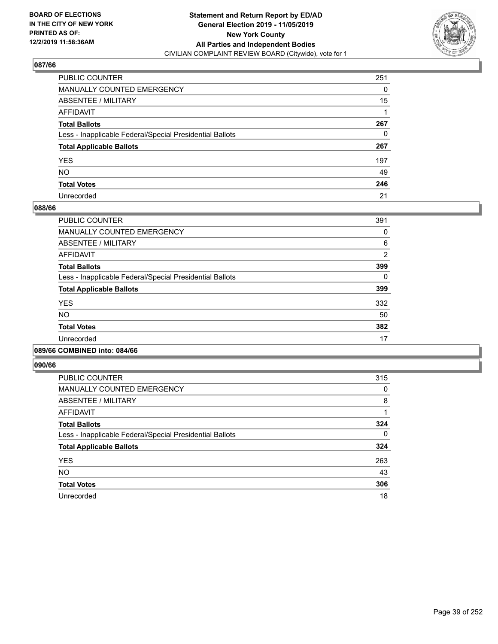

| PUBLIC COUNTER                                           | 251 |
|----------------------------------------------------------|-----|
| MANUALLY COUNTED EMERGENCY                               | 0   |
| ABSENTEE / MILITARY                                      | 15  |
| AFFIDAVIT                                                |     |
| Total Ballots                                            | 267 |
| Less - Inapplicable Federal/Special Presidential Ballots | 0   |
| <b>Total Applicable Ballots</b>                          | 267 |
| YES                                                      | 197 |
| NO.                                                      | 49  |
| <b>Total Votes</b>                                       | 246 |
| Unrecorded                                               | 21  |

### **088/66**

| <b>PUBLIC COUNTER</b>                                    | 391            |
|----------------------------------------------------------|----------------|
| <b>MANUALLY COUNTED EMERGENCY</b>                        | 0              |
| ABSENTEE / MILITARY                                      | 6              |
| <b>AFFIDAVIT</b>                                         | $\overline{2}$ |
| <b>Total Ballots</b>                                     | 399            |
| Less - Inapplicable Federal/Special Presidential Ballots | 0              |
| <b>Total Applicable Ballots</b>                          | 399            |
| <b>YES</b>                                               | 332            |
| N <sub>O</sub>                                           | 50             |
| <b>Total Votes</b>                                       | 382            |
| Unrecorded                                               | 17             |
|                                                          |                |

#### **089/66 COMBINED into: 084/66**

| <b>PUBLIC COUNTER</b>                                    | 315      |
|----------------------------------------------------------|----------|
| <b>MANUALLY COUNTED EMERGENCY</b>                        | 0        |
| ABSENTEE / MILITARY                                      | 8        |
| <b>AFFIDAVIT</b>                                         |          |
| <b>Total Ballots</b>                                     | 324      |
| Less - Inapplicable Federal/Special Presidential Ballots | $\Omega$ |
| <b>Total Applicable Ballots</b>                          | 324      |
| <b>YES</b>                                               | 263      |
| <b>NO</b>                                                | 43       |
| <b>Total Votes</b>                                       | 306      |
| Unrecorded                                               | 18       |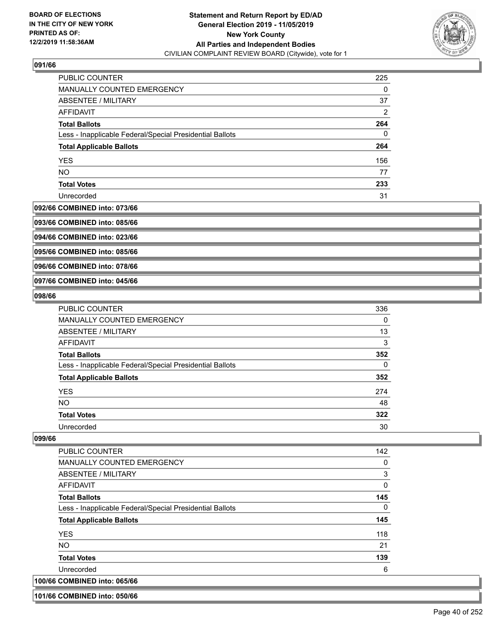

| <b>PUBLIC COUNTER</b>                                    | 225 |
|----------------------------------------------------------|-----|
| MANUALLY COUNTED EMERGENCY                               | 0   |
| ABSENTEE / MILITARY                                      | 37  |
| AFFIDAVIT                                                | 2   |
| <b>Total Ballots</b>                                     | 264 |
| Less - Inapplicable Federal/Special Presidential Ballots | 0   |
| <b>Total Applicable Ballots</b>                          | 264 |
| <b>YES</b>                                               | 156 |
| <b>NO</b>                                                | 77  |
| <b>Total Votes</b>                                       | 233 |
| Unrecorded                                               | 31  |

#### **092/66 COMBINED into: 073/66**

**093/66 COMBINED into: 085/66**

**094/66 COMBINED into: 023/66**

**095/66 COMBINED into: 085/66**

**096/66 COMBINED into: 078/66**

**097/66 COMBINED into: 045/66**

#### **098/66**

| <b>PUBLIC COUNTER</b>                                    | 336 |
|----------------------------------------------------------|-----|
| <b>MANUALLY COUNTED EMERGENCY</b>                        | 0   |
| ABSENTEE / MILITARY                                      | 13  |
| AFFIDAVIT                                                | 3   |
| <b>Total Ballots</b>                                     | 352 |
| Less - Inapplicable Federal/Special Presidential Ballots | 0   |
| <b>Total Applicable Ballots</b>                          | 352 |
| <b>YES</b>                                               | 274 |
| <b>NO</b>                                                | 48  |
| <b>Total Votes</b>                                       | 322 |
| Unrecorded                                               | 30  |

#### **099/66**

| <b>PUBLIC COUNTER</b>                                    | 142      |
|----------------------------------------------------------|----------|
| <b>MANUALLY COUNTED EMERGENCY</b>                        | 0        |
| ABSENTEE / MILITARY                                      | 3        |
| AFFIDAVIT                                                | $\Omega$ |
| <b>Total Ballots</b>                                     | 145      |
| Less - Inapplicable Federal/Special Presidential Ballots | 0        |
| <b>Total Applicable Ballots</b>                          | 145      |
| <b>YES</b>                                               | 118      |
| <b>NO</b>                                                | 21       |
| <b>Total Votes</b>                                       | 139      |
| Unrecorded                                               | 6        |
| 100/66 COMBINED into: 065/66                             |          |

**101/66 COMBINED into: 050/66**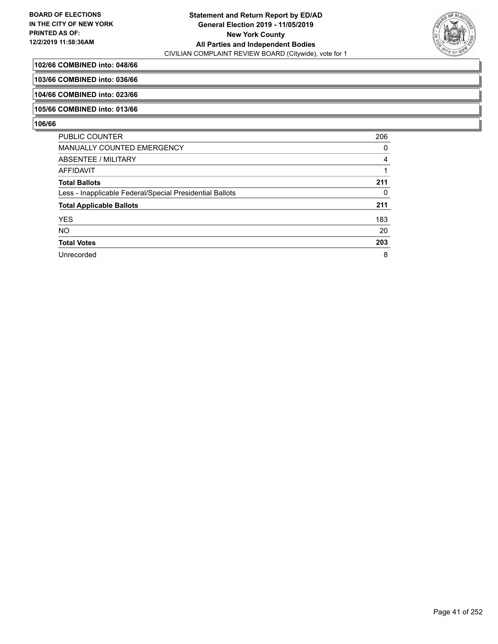

## **102/66 COMBINED into: 048/66**

### **103/66 COMBINED into: 036/66**

**104/66 COMBINED into: 023/66**

#### **105/66 COMBINED into: 013/66**

| <b>PUBLIC COUNTER</b>                                    | 206 |
|----------------------------------------------------------|-----|
| <b>MANUALLY COUNTED EMERGENCY</b>                        | 0   |
| <b>ABSENTEE / MILITARY</b>                               | 4   |
| <b>AFFIDAVIT</b>                                         |     |
| <b>Total Ballots</b>                                     | 211 |
| Less - Inapplicable Federal/Special Presidential Ballots | 0   |
| <b>Total Applicable Ballots</b>                          | 211 |
| <b>YES</b>                                               | 183 |
| <b>NO</b>                                                | 20  |
| <b>Total Votes</b>                                       | 203 |
| Unrecorded                                               | 8   |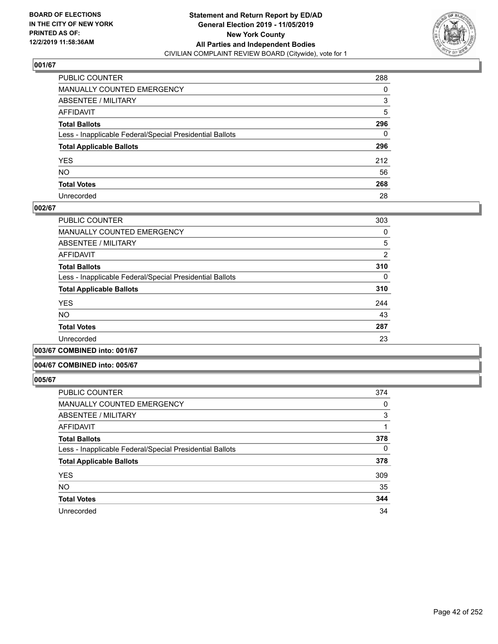

| PUBLIC COUNTER                                           | 288      |
|----------------------------------------------------------|----------|
| MANUALLY COUNTED EMERGENCY                               | 0        |
| ABSENTEE / MILITARY                                      | 3        |
| AFFIDAVIT                                                | 5        |
| Total Ballots                                            | 296      |
| Less - Inapplicable Federal/Special Presidential Ballots | $\Omega$ |
| <b>Total Applicable Ballots</b>                          | 296      |
| YES                                                      | 212      |
| NO.                                                      | 56       |
| <b>Total Votes</b>                                       | 268      |
| Unrecorded                                               | 28       |

### **002/67**

| <b>PUBLIC COUNTER</b>                                    | 303      |
|----------------------------------------------------------|----------|
| <b>MANUALLY COUNTED EMERGENCY</b>                        | 0        |
| ABSENTEE / MILITARY                                      | 5        |
| AFFIDAVIT                                                | 2        |
| <b>Total Ballots</b>                                     | 310      |
| Less - Inapplicable Federal/Special Presidential Ballots | $\Omega$ |
| <b>Total Applicable Ballots</b>                          | 310      |
| <b>YES</b>                                               | 244      |
| <b>NO</b>                                                | 43       |
| <b>Total Votes</b>                                       | 287      |
| Unrecorded                                               | 23       |
| .                                                        |          |

### **003/67 COMBINED into: 001/67**

#### **004/67 COMBINED into: 005/67**

| <b>PUBLIC COUNTER</b>                                    | 374 |
|----------------------------------------------------------|-----|
| <b>MANUALLY COUNTED EMERGENCY</b>                        | 0   |
| ABSENTEE / MILITARY                                      | 3   |
| <b>AFFIDAVIT</b>                                         |     |
| <b>Total Ballots</b>                                     | 378 |
| Less - Inapplicable Federal/Special Presidential Ballots | 0   |
| <b>Total Applicable Ballots</b>                          | 378 |
| <b>YES</b>                                               | 309 |
| <b>NO</b>                                                | 35  |
| <b>Total Votes</b>                                       | 344 |
| Unrecorded                                               | 34  |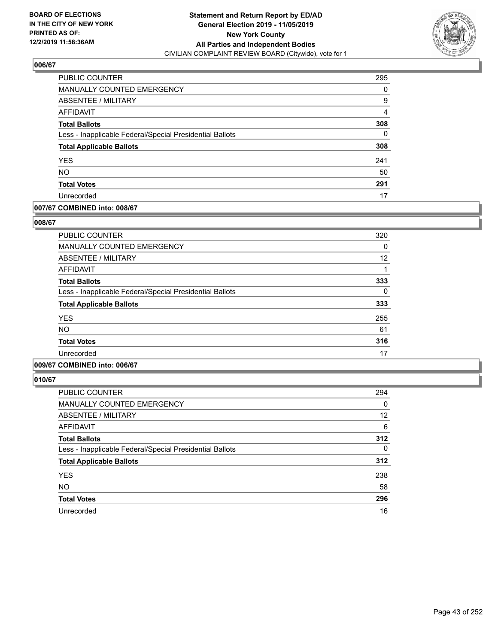

| <b>PUBLIC COUNTER</b>                                    | 295 |
|----------------------------------------------------------|-----|
| MANUALLY COUNTED EMERGENCY                               | 0   |
| ABSENTEE / MILITARY                                      | 9   |
| AFFIDAVIT                                                | 4   |
| <b>Total Ballots</b>                                     | 308 |
| Less - Inapplicable Federal/Special Presidential Ballots | 0   |
| <b>Total Applicable Ballots</b>                          | 308 |
| <b>YES</b>                                               | 241 |
| <b>NO</b>                                                | 50  |
| <b>Total Votes</b>                                       | 291 |
| Unrecorded                                               | 17  |

### **007/67 COMBINED into: 008/67**

### **008/67**

| <b>PUBLIC COUNTER</b>                                    | 320 |
|----------------------------------------------------------|-----|
| <b>MANUALLY COUNTED EMERGENCY</b>                        | 0   |
| <b>ABSENTEE / MILITARY</b>                               | 12  |
| <b>AFFIDAVIT</b>                                         |     |
| <b>Total Ballots</b>                                     | 333 |
| Less - Inapplicable Federal/Special Presidential Ballots | 0   |
| <b>Total Applicable Ballots</b>                          | 333 |
| <b>YES</b>                                               | 255 |
| <b>NO</b>                                                | 61  |
| <b>Total Votes</b>                                       | 316 |
| Unrecorded                                               | 17  |
|                                                          |     |

## **009/67 COMBINED into: 006/67**

| <b>PUBLIC COUNTER</b>                                    | 294      |
|----------------------------------------------------------|----------|
| <b>MANUALLY COUNTED EMERGENCY</b>                        | 0        |
| ABSENTEE / MILITARY                                      | 12       |
| <b>AFFIDAVIT</b>                                         | 6        |
| <b>Total Ballots</b>                                     | 312      |
| Less - Inapplicable Federal/Special Presidential Ballots | $\Omega$ |
| <b>Total Applicable Ballots</b>                          | 312      |
| <b>YES</b>                                               | 238      |
| <b>NO</b>                                                | 58       |
| <b>Total Votes</b>                                       | 296      |
| Unrecorded                                               | 16       |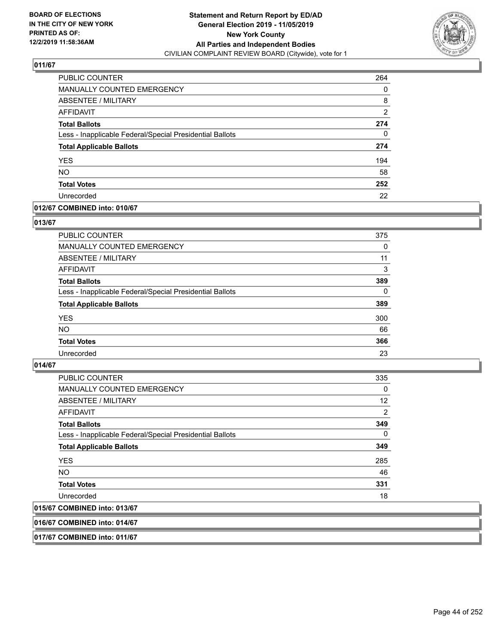

| PUBLIC COUNTER                                           | 264 |
|----------------------------------------------------------|-----|
| <b>MANUALLY COUNTED EMERGENCY</b>                        | 0   |
| ABSENTEE / MILITARY                                      | 8   |
| <b>AFFIDAVIT</b>                                         | 2   |
| <b>Total Ballots</b>                                     | 274 |
| Less - Inapplicable Federal/Special Presidential Ballots | 0   |
| <b>Total Applicable Ballots</b>                          | 274 |
| <b>YES</b>                                               | 194 |
| <b>NO</b>                                                | 58  |
| <b>Total Votes</b>                                       | 252 |
| Unrecorded                                               | 22  |

### **012/67 COMBINED into: 010/67**

### **013/67**

| <b>PUBLIC COUNTER</b>                                    | 375      |
|----------------------------------------------------------|----------|
| <b>MANUALLY COUNTED EMERGENCY</b>                        | $\Omega$ |
| ABSENTEE / MILITARY                                      | 11       |
| AFFIDAVIT                                                | 3        |
| <b>Total Ballots</b>                                     | 389      |
| Less - Inapplicable Federal/Special Presidential Ballots | $\Omega$ |
| <b>Total Applicable Ballots</b>                          | 389      |
| <b>YES</b>                                               | 300      |
| <b>NO</b>                                                | 66       |
| <b>Total Votes</b>                                       | 366      |
| Unrecorded                                               | 23       |
|                                                          |          |

### **014/67**

| <b>PUBLIC COUNTER</b>                                    | 335      |
|----------------------------------------------------------|----------|
| <b>MANUALLY COUNTED EMERGENCY</b>                        | $\Omega$ |
| ABSENTEE / MILITARY                                      | 12       |
| AFFIDAVIT                                                | 2        |
| <b>Total Ballots</b>                                     | 349      |
| Less - Inapplicable Federal/Special Presidential Ballots | $\Omega$ |
| <b>Total Applicable Ballots</b>                          | 349      |
| <b>YES</b>                                               | 285      |
| NO.                                                      | 46       |
| <b>Total Votes</b>                                       | 331      |
| Unrecorded                                               | 18       |
| 015/67 COMBINED into: 013/67                             |          |

### **016/67 COMBINED into: 014/67**

**017/67 COMBINED into: 011/67**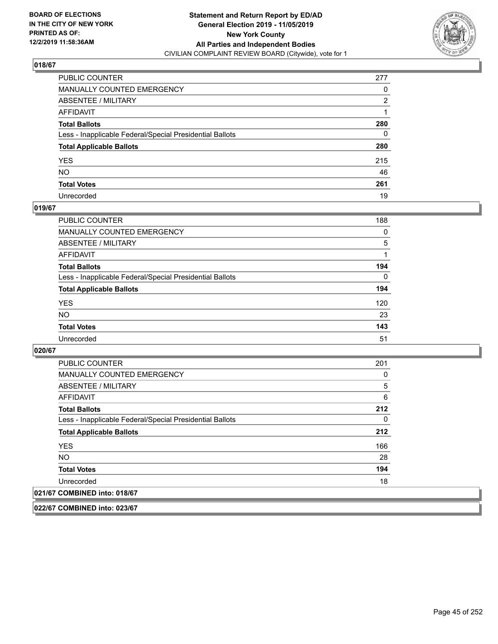

| PUBLIC COUNTER                                           | 277          |
|----------------------------------------------------------|--------------|
| MANUALLY COUNTED EMERGENCY                               | 0            |
| ABSENTEE / MILITARY                                      | 2            |
| AFFIDAVIT                                                |              |
| Total Ballots                                            | 280          |
| Less - Inapplicable Federal/Special Presidential Ballots | $\mathbf{0}$ |
| <b>Total Applicable Ballots</b>                          | 280          |
| YES                                                      | 215          |
| NO.                                                      | 46           |
| <b>Total Votes</b>                                       | 261          |
| Unrecorded                                               | 19           |

### **019/67**

| <b>PUBLIC COUNTER</b>                                    | 188      |
|----------------------------------------------------------|----------|
| <b>MANUALLY COUNTED EMERGENCY</b>                        | 0        |
| ABSENTEE / MILITARY                                      | 5        |
| AFFIDAVIT                                                |          |
| <b>Total Ballots</b>                                     | 194      |
| Less - Inapplicable Federal/Special Presidential Ballots | $\Omega$ |
| <b>Total Applicable Ballots</b>                          | 194      |
| <b>YES</b>                                               | 120      |
| <b>NO</b>                                                | 23       |
| <b>Total Votes</b>                                       | 143      |
| Unrecorded                                               | 51       |

### **020/67**

| <b>PUBLIC COUNTER</b>                                    | 201 |
|----------------------------------------------------------|-----|
| <b>MANUALLY COUNTED EMERGENCY</b>                        | 0   |
| ABSENTEE / MILITARY                                      | 5   |
| AFFIDAVIT                                                | 6   |
| <b>Total Ballots</b>                                     | 212 |
| Less - Inapplicable Federal/Special Presidential Ballots | 0   |
| <b>Total Applicable Ballots</b>                          | 212 |
| <b>YES</b>                                               | 166 |
| <b>NO</b>                                                | 28  |
| <b>Total Votes</b>                                       | 194 |
| Unrecorded                                               | 18  |
| 021/67 COMBINED into: 018/67                             |     |

**022/67 COMBINED into: 023/67**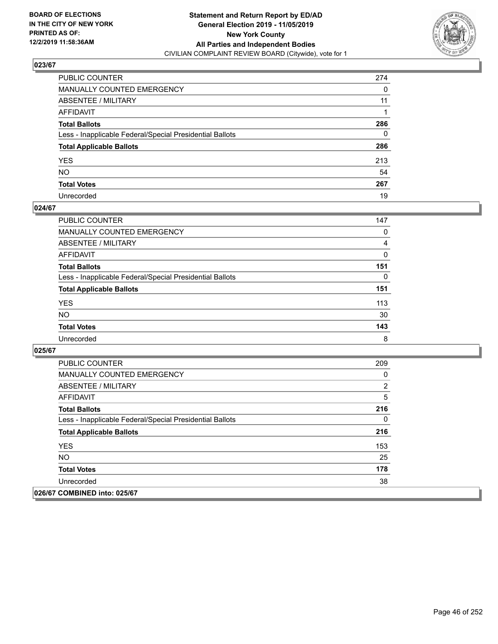

| PUBLIC COUNTER                                           | 274 |
|----------------------------------------------------------|-----|
| MANUALLY COUNTED EMERGENCY                               | 0   |
| ABSENTEE / MILITARY                                      | 11  |
| AFFIDAVIT                                                |     |
| Total Ballots                                            | 286 |
| Less - Inapplicable Federal/Special Presidential Ballots | 0   |
| <b>Total Applicable Ballots</b>                          | 286 |
| YES                                                      | 213 |
| NO.                                                      | 54  |
| <b>Total Votes</b>                                       | 267 |
| Unrecorded                                               | 19  |

### **024/67**

| PUBLIC COUNTER                                           | 147      |
|----------------------------------------------------------|----------|
| <b>MANUALLY COUNTED EMERGENCY</b>                        | $\Omega$ |
| ABSENTEE / MILITARY                                      | 4        |
| AFFIDAVIT                                                | $\Omega$ |
| <b>Total Ballots</b>                                     | 151      |
| Less - Inapplicable Federal/Special Presidential Ballots | 0        |
| <b>Total Applicable Ballots</b>                          | 151      |
| <b>YES</b>                                               | 113      |
| <b>NO</b>                                                | 30       |
| <b>Total Votes</b>                                       | 143      |
| Unrecorded                                               | 8        |

| <b>PUBLIC COUNTER</b>                                    | 209 |
|----------------------------------------------------------|-----|
| <b>MANUALLY COUNTED EMERGENCY</b>                        | 0   |
| ABSENTEE / MILITARY                                      | 2   |
| <b>AFFIDAVIT</b>                                         | 5   |
| <b>Total Ballots</b>                                     | 216 |
| Less - Inapplicable Federal/Special Presidential Ballots | 0   |
| <b>Total Applicable Ballots</b>                          | 216 |
| <b>YES</b>                                               | 153 |
| <b>NO</b>                                                | 25  |
| <b>Total Votes</b>                                       | 178 |
| Unrecorded                                               | 38  |
| 026/67 COMBINED into: 025/67                             |     |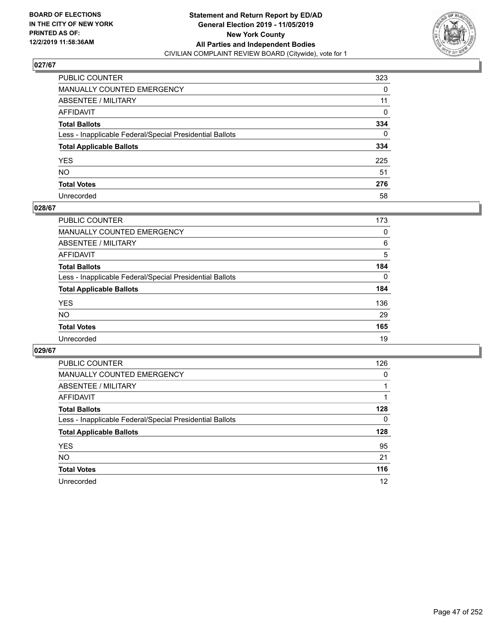

| PUBLIC COUNTER                                           | 323          |
|----------------------------------------------------------|--------------|
| MANUALLY COUNTED EMERGENCY                               | 0            |
| ABSENTEE / MILITARY                                      | 11           |
| AFFIDAVIT                                                | 0            |
| Total Ballots                                            | 334          |
| Less - Inapplicable Federal/Special Presidential Ballots | $\mathbf{0}$ |
| <b>Total Applicable Ballots</b>                          | 334          |
| YES                                                      | 225          |
| NO.                                                      | 51           |
| <b>Total Votes</b>                                       | 276          |
| Unrecorded                                               | 58           |

### **028/67**

| <b>PUBLIC COUNTER</b>                                    | 173      |
|----------------------------------------------------------|----------|
| MANUALLY COUNTED EMERGENCY                               | 0        |
| ABSENTEE / MILITARY                                      | 6        |
| AFFIDAVIT                                                | 5        |
| <b>Total Ballots</b>                                     | 184      |
| Less - Inapplicable Federal/Special Presidential Ballots | $\Omega$ |
| <b>Total Applicable Ballots</b>                          | 184      |
| <b>YES</b>                                               | 136      |
| <b>NO</b>                                                | 29       |
| <b>Total Votes</b>                                       | 165      |
| Unrecorded                                               | 19       |

| <b>PUBLIC COUNTER</b>                                    | 126      |
|----------------------------------------------------------|----------|
| <b>MANUALLY COUNTED EMERGENCY</b>                        | $\Omega$ |
| ABSENTEE / MILITARY                                      |          |
| AFFIDAVIT                                                |          |
| <b>Total Ballots</b>                                     | 128      |
| Less - Inapplicable Federal/Special Presidential Ballots | 0        |
| <b>Total Applicable Ballots</b>                          | 128      |
| <b>YES</b>                                               | 95       |
| NO.                                                      | 21       |
| <b>Total Votes</b>                                       | 116      |
| Unrecorded                                               | 12       |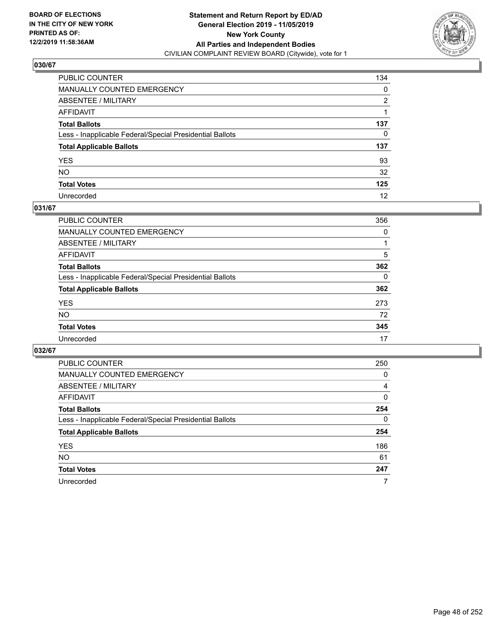

| PUBLIC COUNTER                                           | 134      |
|----------------------------------------------------------|----------|
| MANUALLY COUNTED EMERGENCY                               | 0        |
| ABSENTEE / MILITARY                                      | 2        |
| AFFIDAVIT                                                |          |
| Total Ballots                                            | 137      |
| Less - Inapplicable Federal/Special Presidential Ballots | $\Omega$ |
| <b>Total Applicable Ballots</b>                          | 137      |
| YES                                                      | 93       |
| NO.                                                      | 32       |
| <b>Total Votes</b>                                       | 125      |
| Unrecorded                                               | 12       |

### **031/67**

| PUBLIC COUNTER                                           | 356      |
|----------------------------------------------------------|----------|
| MANUALLY COUNTED EMERGENCY                               | 0        |
| ABSENTEE / MILITARY                                      |          |
| AFFIDAVIT                                                | 5        |
| <b>Total Ballots</b>                                     | 362      |
| Less - Inapplicable Federal/Special Presidential Ballots | $\Omega$ |
| <b>Total Applicable Ballots</b>                          | 362      |
| <b>YES</b>                                               | 273      |
| <b>NO</b>                                                | 72       |
| <b>Total Votes</b>                                       | 345      |
| Unrecorded                                               | 17       |

| <b>PUBLIC COUNTER</b>                                    | 250      |
|----------------------------------------------------------|----------|
| <b>MANUALLY COUNTED EMERGENCY</b>                        | 0        |
| ABSENTEE / MILITARY                                      | 4        |
| AFFIDAVIT                                                | 0        |
| <b>Total Ballots</b>                                     | 254      |
| Less - Inapplicable Federal/Special Presidential Ballots | $\Omega$ |
| <b>Total Applicable Ballots</b>                          | 254      |
| <b>YES</b>                                               | 186      |
| <b>NO</b>                                                | 61       |
| <b>Total Votes</b>                                       | 247      |
| Unrecorded                                               | 7        |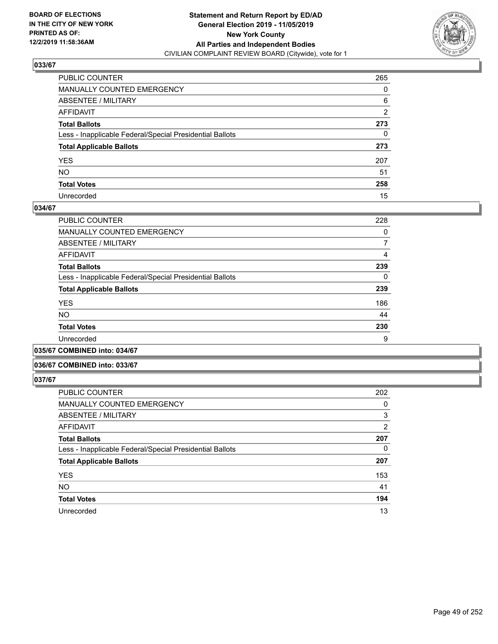

| PUBLIC COUNTER                                           | 265 |
|----------------------------------------------------------|-----|
| MANUALLY COUNTED EMERGENCY                               | 0   |
| ABSENTEE / MILITARY                                      | 6   |
| AFFIDAVIT                                                | 2   |
| Total Ballots                                            | 273 |
| Less - Inapplicable Federal/Special Presidential Ballots | 0   |
| <b>Total Applicable Ballots</b>                          | 273 |
| YES                                                      | 207 |
| NO.                                                      | 51  |
| <b>Total Votes</b>                                       | 258 |
| Unrecorded                                               | 15  |

### **034/67**

| <b>PUBLIC COUNTER</b>                                    | 228 |
|----------------------------------------------------------|-----|
| MANUALLY COUNTED EMERGENCY                               | 0   |
| ABSENTEE / MILITARY                                      | 7   |
| AFFIDAVIT                                                | 4   |
| <b>Total Ballots</b>                                     | 239 |
| Less - Inapplicable Federal/Special Presidential Ballots | 0   |
| <b>Total Applicable Ballots</b>                          | 239 |
| <b>YES</b>                                               | 186 |
| <b>NO</b>                                                | 44  |
| <b>Total Votes</b>                                       | 230 |
| Unrecorded                                               | 9   |
|                                                          |     |

**035/67 COMBINED into: 034/67**

### **036/67 COMBINED into: 033/67**

| <b>PUBLIC COUNTER</b>                                    | 202      |
|----------------------------------------------------------|----------|
| <b>MANUALLY COUNTED EMERGENCY</b>                        | 0        |
| <b>ABSENTEE / MILITARY</b>                               | 3        |
| AFFIDAVIT                                                | 2        |
| <b>Total Ballots</b>                                     | 207      |
| Less - Inapplicable Federal/Special Presidential Ballots | $\Omega$ |
| <b>Total Applicable Ballots</b>                          | 207      |
| <b>YES</b>                                               | 153      |
| <b>NO</b>                                                | 41       |
| <b>Total Votes</b>                                       | 194      |
| Unrecorded                                               | 13       |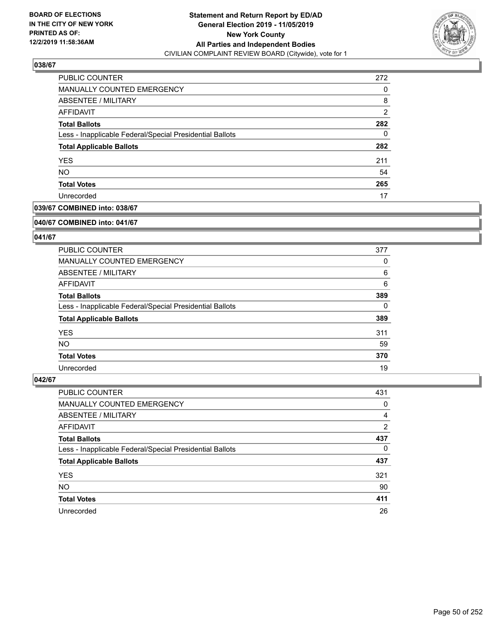

| PUBLIC COUNTER                                           | 272            |
|----------------------------------------------------------|----------------|
| MANUALLY COUNTED EMERGENCY                               | 0              |
| ABSENTEE / MILITARY                                      | 8              |
| AFFIDAVIT                                                | $\overline{2}$ |
| <b>Total Ballots</b>                                     | 282            |
| Less - Inapplicable Federal/Special Presidential Ballots | 0              |
| <b>Total Applicable Ballots</b>                          | 282            |
| <b>YES</b>                                               | 211            |
| <b>NO</b>                                                | 54             |
| <b>Total Votes</b>                                       | 265            |
| Unrecorded                                               | 17             |

## **039/67 COMBINED into: 038/67**

#### **040/67 COMBINED into: 041/67**

## **041/67**

| <b>PUBLIC COUNTER</b>                                    | 377      |
|----------------------------------------------------------|----------|
| <b>MANUALLY COUNTED EMERGENCY</b>                        | 0        |
| ABSENTEE / MILITARY                                      | 6        |
| AFFIDAVIT                                                | 6        |
| <b>Total Ballots</b>                                     | 389      |
| Less - Inapplicable Federal/Special Presidential Ballots | $\Omega$ |
| <b>Total Applicable Ballots</b>                          | 389      |
| <b>YES</b>                                               | 311      |
| NO.                                                      | 59       |
| <b>Total Votes</b>                                       | 370      |
| Unrecorded                                               | 19       |

| PUBLIC COUNTER                                           | 431 |
|----------------------------------------------------------|-----|
| <b>MANUALLY COUNTED EMERGENCY</b>                        | 0   |
| ABSENTEE / MILITARY                                      | 4   |
| AFFIDAVIT                                                | 2   |
| <b>Total Ballots</b>                                     | 437 |
| Less - Inapplicable Federal/Special Presidential Ballots | 0   |
| <b>Total Applicable Ballots</b>                          | 437 |
| <b>YES</b>                                               | 321 |
| <b>NO</b>                                                | 90  |
| <b>Total Votes</b>                                       | 411 |
| Unrecorded                                               | 26  |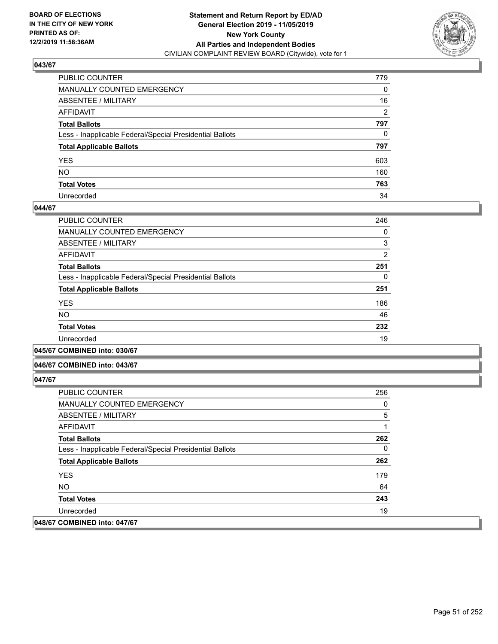

| PUBLIC COUNTER                                           | 779            |
|----------------------------------------------------------|----------------|
| MANUALLY COUNTED EMERGENCY                               | $\mathbf{0}$   |
| ABSENTEE / MILITARY                                      | 16             |
| AFFIDAVIT                                                | $\overline{2}$ |
| Total Ballots                                            | 797            |
| Less - Inapplicable Federal/Special Presidential Ballots | 0              |
| <b>Total Applicable Ballots</b>                          | 797            |
| YES                                                      | 603            |
| NO.                                                      | 160            |
| <b>Total Votes</b>                                       | 763            |
| Unrecorded                                               | 34             |

### **044/67**

| <b>PUBLIC COUNTER</b>                                    | 246 |
|----------------------------------------------------------|-----|
| <b>MANUALLY COUNTED EMERGENCY</b>                        | 0   |
| ABSENTEE / MILITARY                                      | 3   |
| <b>AFFIDAVIT</b>                                         | 2   |
| <b>Total Ballots</b>                                     | 251 |
| Less - Inapplicable Federal/Special Presidential Ballots | 0   |
| <b>Total Applicable Ballots</b>                          | 251 |
| <b>YES</b>                                               | 186 |
| <b>NO</b>                                                | 46  |
| <b>Total Votes</b>                                       | 232 |
| Unrecorded                                               | 19  |
|                                                          |     |

**045/67 COMBINED into: 030/67**

### **046/67 COMBINED into: 043/67**

| <b>PUBLIC COUNTER</b>                                    | 256 |
|----------------------------------------------------------|-----|
| <b>MANUALLY COUNTED EMERGENCY</b>                        | 0   |
| ABSENTEE / MILITARY                                      | 5   |
| AFFIDAVIT                                                |     |
| <b>Total Ballots</b>                                     | 262 |
| Less - Inapplicable Federal/Special Presidential Ballots | 0   |
| <b>Total Applicable Ballots</b>                          | 262 |
| <b>YES</b>                                               | 179 |
| NO.                                                      | 64  |
| <b>Total Votes</b>                                       | 243 |
| Unrecorded                                               | 19  |
| 048/67 COMBINED into: 047/67                             |     |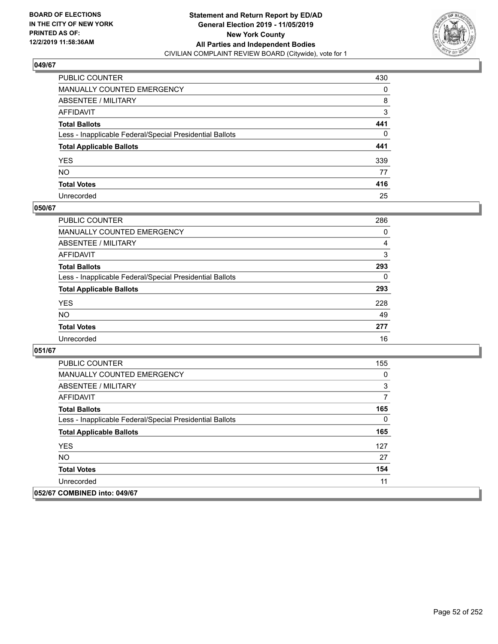

| PUBLIC COUNTER                                           | 430 |
|----------------------------------------------------------|-----|
| MANUALLY COUNTED EMERGENCY                               | 0   |
| ABSENTEE / MILITARY                                      | 8   |
| AFFIDAVIT                                                | 3   |
| Total Ballots                                            | 441 |
| Less - Inapplicable Federal/Special Presidential Ballots | 0   |
| <b>Total Applicable Ballots</b>                          | 441 |
| YES                                                      | 339 |
| NO.                                                      | 77  |
| <b>Total Votes</b>                                       | 416 |
| Unrecorded                                               | 25  |

### **050/67**

| <b>PUBLIC COUNTER</b>                                    | 286      |
|----------------------------------------------------------|----------|
| <b>MANUALLY COUNTED EMERGENCY</b>                        | $\Omega$ |
| ABSENTEE / MILITARY                                      | 4        |
| AFFIDAVIT                                                | 3        |
| <b>Total Ballots</b>                                     | 293      |
| Less - Inapplicable Federal/Special Presidential Ballots | 0        |
| <b>Total Applicable Ballots</b>                          | 293      |
| <b>YES</b>                                               | 228      |
| <b>NO</b>                                                | 49       |
| <b>Total Votes</b>                                       | 277      |
| Unrecorded                                               | 16       |

| <b>PUBLIC COUNTER</b>                                    | 155 |
|----------------------------------------------------------|-----|
| <b>MANUALLY COUNTED EMERGENCY</b>                        | 0   |
| ABSENTEE / MILITARY                                      | 3   |
| AFFIDAVIT                                                | 7   |
| <b>Total Ballots</b>                                     | 165 |
| Less - Inapplicable Federal/Special Presidential Ballots | 0   |
| <b>Total Applicable Ballots</b>                          | 165 |
| <b>YES</b>                                               | 127 |
| NO.                                                      | 27  |
| <b>Total Votes</b>                                       | 154 |
| Unrecorded                                               | 11  |
| 052/67 COMBINED into: 049/67                             |     |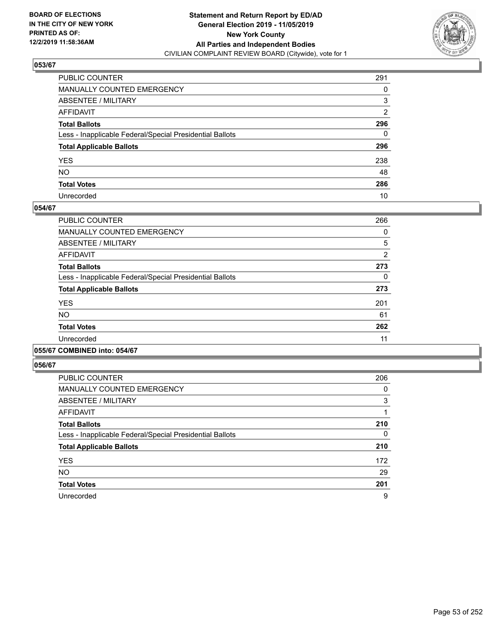

| PUBLIC COUNTER                                           | 291 |
|----------------------------------------------------------|-----|
| MANUALLY COUNTED EMERGENCY                               | 0   |
| ABSENTEE / MILITARY                                      | 3   |
| AFFIDAVIT                                                | 2   |
| Total Ballots                                            | 296 |
| Less - Inapplicable Federal/Special Presidential Ballots | 0   |
| <b>Total Applicable Ballots</b>                          | 296 |
| YES                                                      | 238 |
| NO.                                                      | 48  |
| <b>Total Votes</b>                                       | 286 |
| Unrecorded                                               | 10  |

### **054/67**

| <b>PUBLIC COUNTER</b>                                    | 266            |
|----------------------------------------------------------|----------------|
| <b>MANUALLY COUNTED EMERGENCY</b>                        | 0              |
| ABSENTEE / MILITARY                                      | 5              |
| AFFIDAVIT                                                | $\overline{2}$ |
| <b>Total Ballots</b>                                     | 273            |
| Less - Inapplicable Federal/Special Presidential Ballots | 0              |
| <b>Total Applicable Ballots</b>                          | 273            |
| <b>YES</b>                                               | 201            |
| <b>NO</b>                                                | 61             |
| <b>Total Votes</b>                                       | 262            |
| Unrecorded                                               | 11             |
|                                                          |                |

### **055/67 COMBINED into: 054/67**

| <b>PUBLIC COUNTER</b>                                    | 206 |
|----------------------------------------------------------|-----|
| <b>MANUALLY COUNTED EMERGENCY</b>                        | 0   |
| ABSENTEE / MILITARY                                      | 3   |
| <b>AFFIDAVIT</b>                                         |     |
| <b>Total Ballots</b>                                     | 210 |
| Less - Inapplicable Federal/Special Presidential Ballots | 0   |
| <b>Total Applicable Ballots</b>                          | 210 |
| <b>YES</b>                                               | 172 |
| <b>NO</b>                                                | 29  |
| <b>Total Votes</b>                                       | 201 |
| Unrecorded                                               | 9   |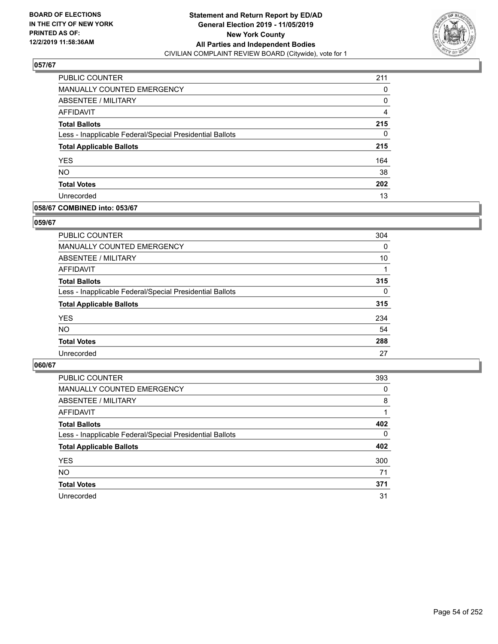

| <b>PUBLIC COUNTER</b>                                    | 211            |
|----------------------------------------------------------|----------------|
| <b>MANUALLY COUNTED EMERGENCY</b>                        | 0              |
| <b>ABSENTEE / MILITARY</b>                               | 0              |
| AFFIDAVIT                                                | $\overline{4}$ |
| <b>Total Ballots</b>                                     | 215            |
| Less - Inapplicable Federal/Special Presidential Ballots | 0              |
| <b>Total Applicable Ballots</b>                          | 215            |
| <b>YES</b>                                               | 164            |
| <b>NO</b>                                                | 38             |
| <b>Total Votes</b>                                       | 202            |
| Unrecorded                                               | 13             |

### **058/67 COMBINED into: 053/67**

### **059/67**

| <b>PUBLIC COUNTER</b>                                    | 304      |
|----------------------------------------------------------|----------|
| MANUALLY COUNTED EMERGENCY                               | $\Omega$ |
| <b>ABSENTEE / MILITARY</b>                               | 10       |
| AFFIDAVIT                                                |          |
| <b>Total Ballots</b>                                     | 315      |
| Less - Inapplicable Federal/Special Presidential Ballots | $\Omega$ |
| <b>Total Applicable Ballots</b>                          | 315      |
| <b>YES</b>                                               | 234      |
| <b>NO</b>                                                | 54       |
| <b>Total Votes</b>                                       | 288      |
| Unrecorded                                               | 27       |
|                                                          |          |

| <b>PUBLIC COUNTER</b>                                    | 393      |
|----------------------------------------------------------|----------|
| MANUALLY COUNTED EMERGENCY                               | 0        |
| ABSENTEE / MILITARY                                      | 8        |
| AFFIDAVIT                                                |          |
| <b>Total Ballots</b>                                     | 402      |
| Less - Inapplicable Federal/Special Presidential Ballots | $\Omega$ |
| <b>Total Applicable Ballots</b>                          | 402      |
| <b>YES</b>                                               | 300      |
| <b>NO</b>                                                | 71       |
| <b>Total Votes</b>                                       | 371      |
| Unrecorded                                               | 31       |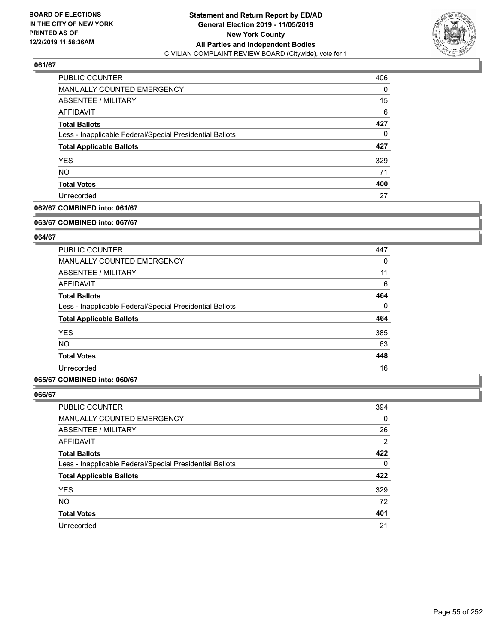

| PUBLIC COUNTER                                           | 406 |
|----------------------------------------------------------|-----|
| <b>MANUALLY COUNTED EMERGENCY</b>                        | 0   |
| ABSENTEE / MILITARY                                      | 15  |
| AFFIDAVIT                                                | 6   |
| <b>Total Ballots</b>                                     | 427 |
| Less - Inapplicable Federal/Special Presidential Ballots | 0   |
| <b>Total Applicable Ballots</b>                          | 427 |
| <b>YES</b>                                               | 329 |
| <b>NO</b>                                                | 71  |
| <b>Total Votes</b>                                       | 400 |
| Unrecorded                                               | 27  |

### **062/67 COMBINED into: 061/67**

#### **063/67 COMBINED into: 067/67**

## **064/67**

| 447      |
|----------|
| 0        |
| 11       |
| 6        |
| 464      |
| $\Omega$ |
| 464      |
| 385      |
| 63       |
| 448      |
| 16       |
|          |

### **065/67 COMBINED into: 060/67**

| <b>PUBLIC COUNTER</b>                                    | 394 |
|----------------------------------------------------------|-----|
| MANUALLY COUNTED EMERGENCY                               | 0   |
| ABSENTEE / MILITARY                                      | 26  |
| AFFIDAVIT                                                | 2   |
| <b>Total Ballots</b>                                     | 422 |
| Less - Inapplicable Federal/Special Presidential Ballots | 0   |
| <b>Total Applicable Ballots</b>                          | 422 |
| <b>YES</b>                                               | 329 |
| <b>NO</b>                                                | 72  |
| <b>Total Votes</b>                                       | 401 |
| Unrecorded                                               | 21  |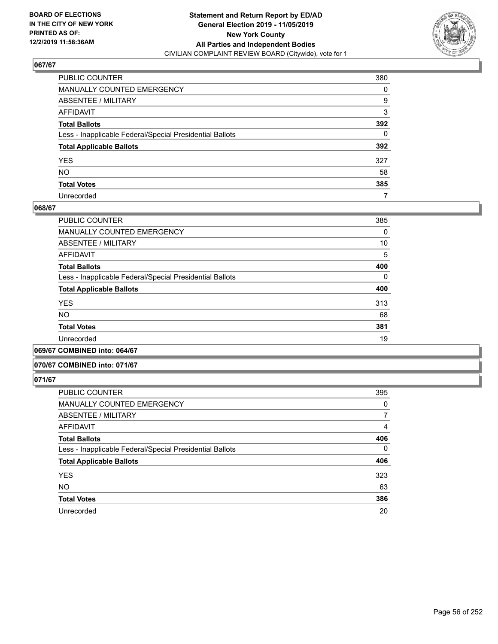

| PUBLIC COUNTER                                           | 380          |
|----------------------------------------------------------|--------------|
| MANUALLY COUNTED EMERGENCY                               | 0            |
| ABSENTEE / MILITARY                                      | 9            |
| AFFIDAVIT                                                | 3            |
| Total Ballots                                            | 392          |
| Less - Inapplicable Federal/Special Presidential Ballots | $\mathbf{0}$ |
| <b>Total Applicable Ballots</b>                          | 392          |
| YES                                                      | 327          |
| NO.                                                      | 58           |
| <b>Total Votes</b>                                       | 385          |
| Unrecorded                                               | 7            |

### **068/67**

| <b>PUBLIC COUNTER</b>                                    | 385      |
|----------------------------------------------------------|----------|
| MANUALLY COUNTED EMERGENCY                               | $\Omega$ |
| ABSENTEE / MILITARY                                      | 10       |
| <b>AFFIDAVIT</b>                                         | 5        |
| <b>Total Ballots</b>                                     | 400      |
| Less - Inapplicable Federal/Special Presidential Ballots | $\Omega$ |
| <b>Total Applicable Ballots</b>                          | 400      |
| <b>YES</b>                                               | 313      |
| <b>NO</b>                                                | 68       |
| <b>Total Votes</b>                                       | 381      |
| Unrecorded                                               | 19       |
|                                                          |          |

**069/67 COMBINED into: 064/67**

### **070/67 COMBINED into: 071/67**

| <b>PUBLIC COUNTER</b>                                    | 395 |
|----------------------------------------------------------|-----|
| <b>MANUALLY COUNTED EMERGENCY</b>                        | 0   |
| ABSENTEE / MILITARY                                      | 7   |
| <b>AFFIDAVIT</b>                                         | 4   |
| <b>Total Ballots</b>                                     | 406 |
| Less - Inapplicable Federal/Special Presidential Ballots | 0   |
| <b>Total Applicable Ballots</b>                          | 406 |
| <b>YES</b>                                               | 323 |
| <b>NO</b>                                                | 63  |
| <b>Total Votes</b>                                       | 386 |
| Unrecorded                                               | 20  |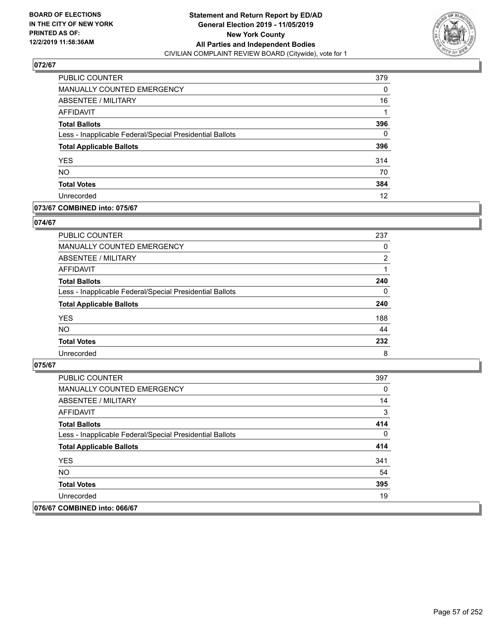

| PUBLIC COUNTER                                           | 379 |
|----------------------------------------------------------|-----|
| <b>MANUALLY COUNTED EMERGENCY</b>                        | 0   |
| ABSENTEE / MILITARY                                      | 16  |
| AFFIDAVIT                                                |     |
| <b>Total Ballots</b>                                     | 396 |
| Less - Inapplicable Federal/Special Presidential Ballots | 0   |
| <b>Total Applicable Ballots</b>                          | 396 |
| <b>YES</b>                                               | 314 |
| <b>NO</b>                                                | 70  |
| <b>Total Votes</b>                                       | 384 |
| Unrecorded                                               | 12  |

### **073/67 COMBINED into: 075/67**

### **074/67**

| PUBLIC COUNTER                                           | 237            |
|----------------------------------------------------------|----------------|
| <b>MANUALLY COUNTED EMERGENCY</b>                        | $\Omega$       |
| ABSENTEE / MILITARY                                      | $\overline{2}$ |
| AFFIDAVIT                                                |                |
| <b>Total Ballots</b>                                     | 240            |
| Less - Inapplicable Federal/Special Presidential Ballots | $\Omega$       |
| <b>Total Applicable Ballots</b>                          | 240            |
| <b>YES</b>                                               | 188            |
| <b>NO</b>                                                | 44             |
| <b>Total Votes</b>                                       | 232            |
| Unrecorded                                               | 8              |

| <b>PUBLIC COUNTER</b>                                    | 397 |
|----------------------------------------------------------|-----|
| <b>MANUALLY COUNTED EMERGENCY</b>                        | 0   |
| ABSENTEE / MILITARY                                      | 14  |
| AFFIDAVIT                                                | 3   |
| <b>Total Ballots</b>                                     | 414 |
| Less - Inapplicable Federal/Special Presidential Ballots | 0   |
| <b>Total Applicable Ballots</b>                          | 414 |
| <b>YES</b>                                               | 341 |
| NO.                                                      | 54  |
| <b>Total Votes</b>                                       | 395 |
| Unrecorded                                               | 19  |
| 076/67 COMBINED into: 066/67                             |     |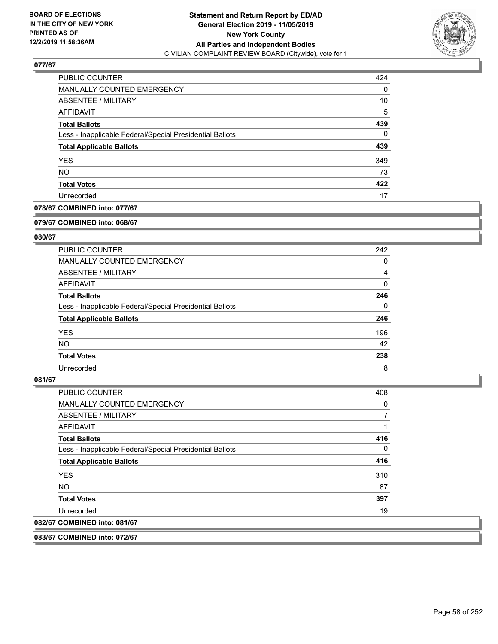

| <b>PUBLIC COUNTER</b>                                    | 424      |
|----------------------------------------------------------|----------|
| <b>MANUALLY COUNTED EMERGENCY</b>                        | 0        |
| <b>ABSENTEE / MILITARY</b>                               | 10       |
| AFFIDAVIT                                                | 5        |
| <b>Total Ballots</b>                                     | 439      |
| Less - Inapplicable Federal/Special Presidential Ballots | $\Omega$ |
| <b>Total Applicable Ballots</b>                          | 439      |
| <b>YES</b>                                               | 349      |
| <b>NO</b>                                                | 73       |
| <b>Total Votes</b>                                       | 422      |
| Unrecorded                                               | 17       |

## **078/67 COMBINED into: 077/67**

#### **079/67 COMBINED into: 068/67**

## **080/67**

| <b>PUBLIC COUNTER</b>                                    | 242      |
|----------------------------------------------------------|----------|
| <b>MANUALLY COUNTED EMERGENCY</b>                        | 0        |
| ABSENTEE / MILITARY                                      | 4        |
| AFFIDAVIT                                                | 0        |
| <b>Total Ballots</b>                                     | 246      |
| Less - Inapplicable Federal/Special Presidential Ballots | $\Omega$ |
| <b>Total Applicable Ballots</b>                          | 246      |
| <b>YES</b>                                               | 196      |
| NO.                                                      | 42       |
| <b>Total Votes</b>                                       | 238      |
| Unrecorded                                               | 8        |

### **081/67**

| <b>PUBLIC COUNTER</b>                                    | 408 |
|----------------------------------------------------------|-----|
| <b>MANUALLY COUNTED EMERGENCY</b>                        | 0   |
| ABSENTEE / MILITARY                                      | 7   |
| AFFIDAVIT                                                | 1   |
| <b>Total Ballots</b>                                     | 416 |
| Less - Inapplicable Federal/Special Presidential Ballots | 0   |
| <b>Total Applicable Ballots</b>                          | 416 |
| <b>YES</b>                                               | 310 |
| NO.                                                      | 87  |
| <b>Total Votes</b>                                       | 397 |
| Unrecorded                                               | 19  |
| 082/67 COMBINED into: 081/67                             |     |

**083/67 COMBINED into: 072/67**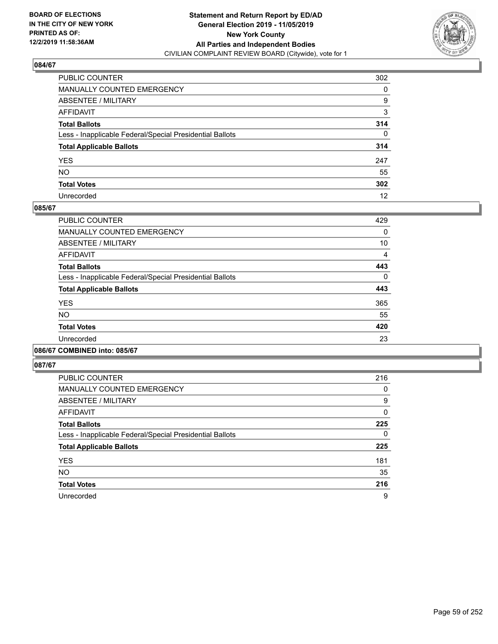

| PUBLIC COUNTER                                           | 302      |
|----------------------------------------------------------|----------|
| MANUALLY COUNTED EMERGENCY                               | 0        |
| ABSENTEE / MILITARY                                      | 9        |
| AFFIDAVIT                                                | 3        |
| Total Ballots                                            | 314      |
| Less - Inapplicable Federal/Special Presidential Ballots | $\Omega$ |
| <b>Total Applicable Ballots</b>                          | 314      |
| YES                                                      | 247      |
| NO.                                                      | 55       |
| <b>Total Votes</b>                                       | 302      |
| Unrecorded                                               | 12       |

### **085/67**

| <b>PUBLIC COUNTER</b>                                    | 429      |
|----------------------------------------------------------|----------|
| <b>MANUALLY COUNTED EMERGENCY</b>                        | 0        |
| ABSENTEE / MILITARY                                      | 10       |
| <b>AFFIDAVIT</b>                                         | 4        |
| <b>Total Ballots</b>                                     | 443      |
| Less - Inapplicable Federal/Special Presidential Ballots | $\Omega$ |
| <b>Total Applicable Ballots</b>                          | 443      |
| <b>YES</b>                                               | 365      |
| NO                                                       | 55       |
| <b>Total Votes</b>                                       | 420      |
| Unrecorded                                               | 23       |
|                                                          |          |

#### **086/67 COMBINED into: 085/67**

| <b>PUBLIC COUNTER</b>                                    | 216 |
|----------------------------------------------------------|-----|
| <b>MANUALLY COUNTED EMERGENCY</b>                        | 0   |
| ABSENTEE / MILITARY                                      | 9   |
| AFFIDAVIT                                                | 0   |
| <b>Total Ballots</b>                                     | 225 |
| Less - Inapplicable Federal/Special Presidential Ballots | 0   |
| <b>Total Applicable Ballots</b>                          | 225 |
| <b>YES</b>                                               | 181 |
| <b>NO</b>                                                | 35  |
| <b>Total Votes</b>                                       | 216 |
| Unrecorded                                               | 9   |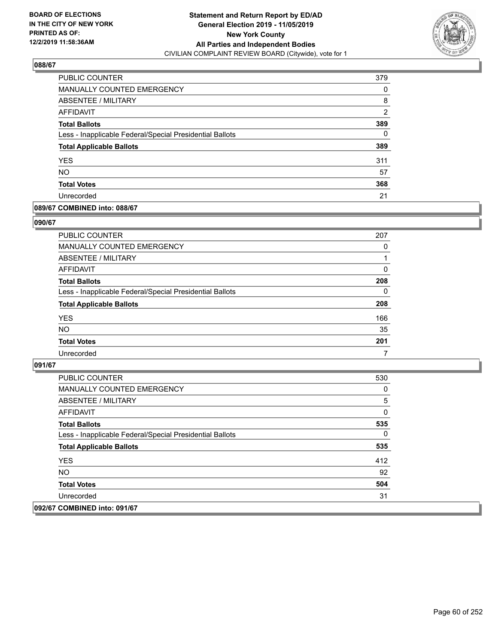

| PUBLIC COUNTER                                           | 379 |
|----------------------------------------------------------|-----|
| <b>MANUALLY COUNTED EMERGENCY</b>                        | 0   |
| ABSENTEE / MILITARY                                      | 8   |
| AFFIDAVIT                                                | 2   |
| <b>Total Ballots</b>                                     | 389 |
| Less - Inapplicable Federal/Special Presidential Ballots | 0   |
| <b>Total Applicable Ballots</b>                          | 389 |
| <b>YES</b>                                               | 311 |
| <b>NO</b>                                                | 57  |
| <b>Total Votes</b>                                       | 368 |
| Unrecorded                                               | 21  |

### **089/67 COMBINED into: 088/67**

### **090/67**

| PUBLIC COUNTER                                           | 207      |
|----------------------------------------------------------|----------|
| <b>MANUALLY COUNTED EMERGENCY</b>                        | $\Omega$ |
| ABSENTEE / MILITARY                                      |          |
| AFFIDAVIT                                                | $\Omega$ |
| <b>Total Ballots</b>                                     | 208      |
| Less - Inapplicable Federal/Special Presidential Ballots | $\Omega$ |
| <b>Total Applicable Ballots</b>                          | 208      |
| <b>YES</b>                                               | 166      |
| <b>NO</b>                                                | 35       |
| <b>Total Votes</b>                                       | 201      |
| Unrecorded                                               | 7        |

| PUBLIC COUNTER                                           | 530 |
|----------------------------------------------------------|-----|
| MANUALLY COUNTED EMERGENCY                               | 0   |
| ABSENTEE / MILITARY                                      | 5   |
| AFFIDAVIT                                                | 0   |
| <b>Total Ballots</b>                                     | 535 |
| Less - Inapplicable Federal/Special Presidential Ballots | 0   |
| <b>Total Applicable Ballots</b>                          | 535 |
| <b>YES</b>                                               | 412 |
| NO.                                                      | 92  |
| <b>Total Votes</b>                                       | 504 |
| Unrecorded                                               | 31  |
| 092/67 COMBINED into: 091/67                             |     |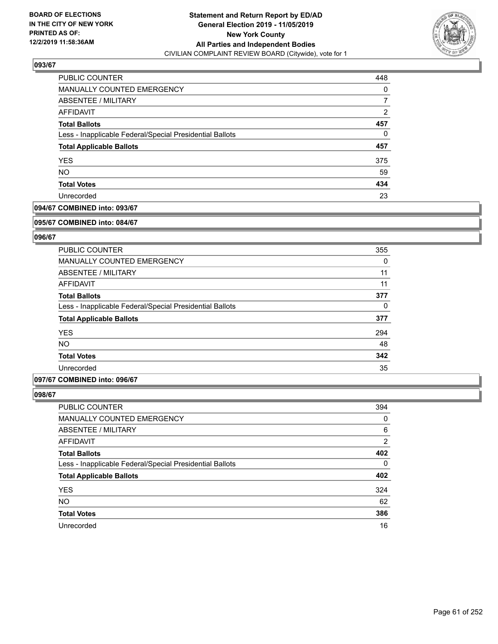

| PUBLIC COUNTER                                           | 448 |
|----------------------------------------------------------|-----|
| MANUALLY COUNTED EMERGENCY                               | 0   |
| ABSENTEE / MILITARY                                      |     |
| AFFIDAVIT                                                | 2   |
| <b>Total Ballots</b>                                     | 457 |
| Less - Inapplicable Federal/Special Presidential Ballots | 0   |
| <b>Total Applicable Ballots</b>                          | 457 |
| <b>YES</b>                                               | 375 |
| <b>NO</b>                                                | 59  |
| <b>Total Votes</b>                                       | 434 |
| Unrecorded                                               | 23  |

## **094/67 COMBINED into: 093/67**

#### **095/67 COMBINED into: 084/67**

## **096/67**

| <b>PUBLIC COUNTER</b>                                    | 355      |
|----------------------------------------------------------|----------|
| <b>MANUALLY COUNTED EMERGENCY</b>                        | 0        |
| ABSENTEE / MILITARY                                      | 11       |
| AFFIDAVIT                                                | 11       |
| <b>Total Ballots</b>                                     | 377      |
| Less - Inapplicable Federal/Special Presidential Ballots | $\Omega$ |
| <b>Total Applicable Ballots</b>                          | 377      |
| <b>YES</b>                                               | 294      |
| <b>NO</b>                                                | 48       |
| <b>Total Votes</b>                                       | 342      |
| Unrecorded                                               | 35       |

### **097/67 COMBINED into: 096/67**

| <b>PUBLIC COUNTER</b>                                    | 394      |
|----------------------------------------------------------|----------|
| MANUALLY COUNTED EMERGENCY                               | 0        |
| ABSENTEE / MILITARY                                      | 6        |
| AFFIDAVIT                                                | 2        |
| <b>Total Ballots</b>                                     | 402      |
| Less - Inapplicable Federal/Special Presidential Ballots | $\Omega$ |
| <b>Total Applicable Ballots</b>                          | 402      |
| <b>YES</b>                                               | 324      |
| <b>NO</b>                                                | 62       |
| <b>Total Votes</b>                                       | 386      |
| Unrecorded                                               | 16       |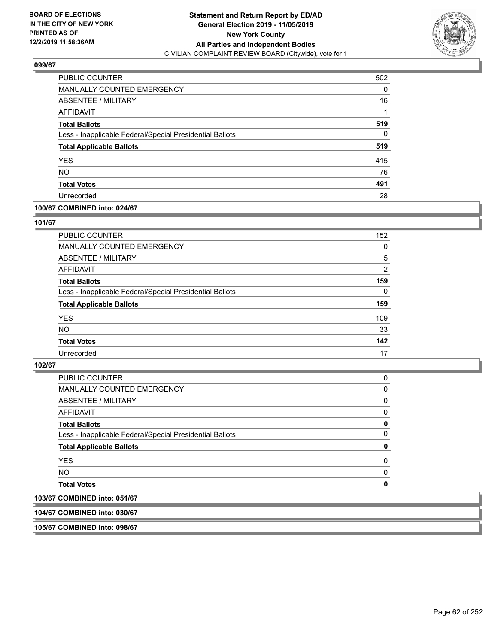

| PUBLIC COUNTER                                           | 502 |
|----------------------------------------------------------|-----|
| MANUALLY COUNTED EMERGENCY                               | 0   |
| <b>ABSENTEE / MILITARY</b>                               | 16  |
| AFFIDAVIT                                                |     |
| <b>Total Ballots</b>                                     | 519 |
| Less - Inapplicable Federal/Special Presidential Ballots | 0   |
| <b>Total Applicable Ballots</b>                          | 519 |
| <b>YES</b>                                               | 415 |
| <b>NO</b>                                                | 76  |
| <b>Total Votes</b>                                       | 491 |
| Unrecorded                                               | 28  |

### **100/67 COMBINED into: 024/67**

### **101/67**

| <b>PUBLIC COUNTER</b>                                    | 152      |
|----------------------------------------------------------|----------|
| <b>MANUALLY COUNTED EMERGENCY</b>                        | 0        |
| ABSENTEE / MILITARY                                      | 5        |
| AFFIDAVIT                                                | 2        |
| <b>Total Ballots</b>                                     | 159      |
| Less - Inapplicable Federal/Special Presidential Ballots | $\Omega$ |
| <b>Total Applicable Ballots</b>                          | 159      |
| <b>YES</b>                                               | 109      |
| <b>NO</b>                                                | 33       |
| <b>Total Votes</b>                                       | 142      |
| Unrecorded                                               | 17       |

#### **102/67**

| $A$ $A$                                                  |          |
|----------------------------------------------------------|----------|
| <b>Total Votes</b>                                       | 0        |
| <b>NO</b>                                                | 0        |
| <b>YES</b>                                               | $\Omega$ |
| <b>Total Applicable Ballots</b>                          | 0        |
| Less - Inapplicable Federal/Special Presidential Ballots | 0        |
| <b>Total Ballots</b>                                     | 0        |
| AFFIDAVIT                                                | 0        |
| ABSENTEE / MILITARY                                      | 0        |
| <b>MANUALLY COUNTED EMERGENCY</b>                        | 0        |
| <b>PUBLIC COUNTER</b>                                    | 0        |

# **103/67 COMBINED into: 051/67**

**104/67 COMBINED into: 030/67**

**105/67 COMBINED into: 098/67**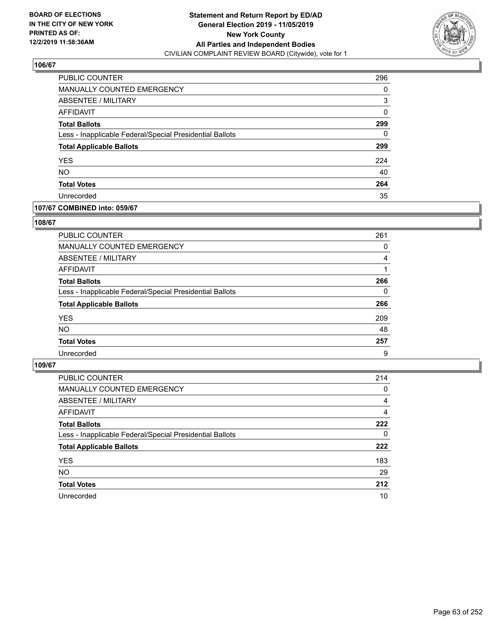

| PUBLIC COUNTER                                           | 296      |
|----------------------------------------------------------|----------|
| <b>MANUALLY COUNTED EMERGENCY</b>                        | 0        |
| ABSENTEE / MILITARY                                      | 3        |
| AFFIDAVIT                                                | $\Omega$ |
| <b>Total Ballots</b>                                     | 299      |
| Less - Inapplicable Federal/Special Presidential Ballots | 0        |
| <b>Total Applicable Ballots</b>                          | 299      |
| <b>YES</b>                                               | 224      |
| <b>NO</b>                                                | 40       |
| <b>Total Votes</b>                                       | 264      |
| Unrecorded                                               | 35       |

### **107/67 COMBINED into: 059/67**

#### **108/67**

| PUBLIC COUNTER                                           | 261      |
|----------------------------------------------------------|----------|
| <b>MANUALLY COUNTED EMERGENCY</b>                        | 0        |
| ABSENTEE / MILITARY                                      | 4        |
| AFFIDAVIT                                                |          |
| <b>Total Ballots</b>                                     | 266      |
| Less - Inapplicable Federal/Special Presidential Ballots | $\Omega$ |
| <b>Total Applicable Ballots</b>                          | 266      |
| <b>YES</b>                                               | 209      |
| <b>NO</b>                                                | 48       |
| <b>Total Votes</b>                                       | 257      |
| Unrecorded                                               | 9        |

| <b>PUBLIC COUNTER</b>                                    | 214      |
|----------------------------------------------------------|----------|
| <b>MANUALLY COUNTED EMERGENCY</b>                        | 0        |
| ABSENTEE / MILITARY                                      | 4        |
| AFFIDAVIT                                                | 4        |
| <b>Total Ballots</b>                                     | 222      |
| Less - Inapplicable Federal/Special Presidential Ballots | $\Omega$ |
| <b>Total Applicable Ballots</b>                          | 222      |
| <b>YES</b>                                               | 183      |
| <b>NO</b>                                                | 29       |
| <b>Total Votes</b>                                       | 212      |
| Unrecorded                                               | 10       |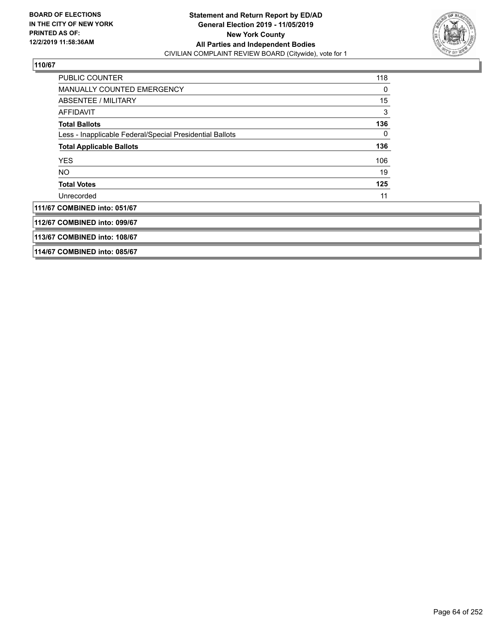

| <b>PUBLIC COUNTER</b>                                    | 118 |
|----------------------------------------------------------|-----|
| <b>MANUALLY COUNTED EMERGENCY</b>                        | 0   |
| ABSENTEE / MILITARY                                      | 15  |
| <b>AFFIDAVIT</b>                                         | 3   |
| <b>Total Ballots</b>                                     | 136 |
| Less - Inapplicable Federal/Special Presidential Ballots | 0   |
| <b>Total Applicable Ballots</b>                          | 136 |
| <b>YES</b>                                               | 106 |
| NO.                                                      | 19  |
| <b>Total Votes</b>                                       | 125 |
| Unrecorded                                               | 11  |
| 111/67 COMBINED into: 051/67                             |     |
| 112/67 COMBINED into: 099/67                             |     |
| 113/67 COMBINED into: 108/67                             |     |
| 114/67 COMBINED into: 085/67                             |     |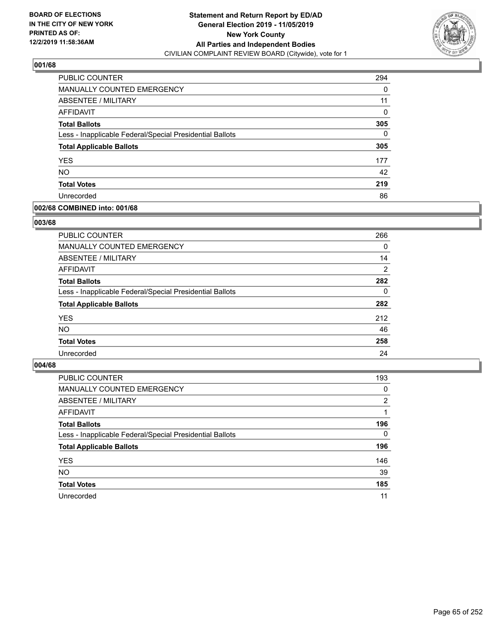

| PUBLIC COUNTER                                           | 294      |
|----------------------------------------------------------|----------|
| <b>MANUALLY COUNTED EMERGENCY</b>                        | 0        |
| ABSENTEE / MILITARY                                      | 11       |
| AFFIDAVIT                                                | $\Omega$ |
| <b>Total Ballots</b>                                     | 305      |
| Less - Inapplicable Federal/Special Presidential Ballots | 0        |
| <b>Total Applicable Ballots</b>                          | 305      |
| <b>YES</b>                                               | 177      |
| <b>NO</b>                                                | 42       |
| <b>Total Votes</b>                                       | 219      |
| Unrecorded                                               | 86       |

### **002/68 COMBINED into: 001/68**

### **003/68**

| <b>PUBLIC COUNTER</b>                                    | 266      |
|----------------------------------------------------------|----------|
| <b>MANUALLY COUNTED EMERGENCY</b>                        | $\Omega$ |
| ABSENTEE / MILITARY                                      | 14       |
| AFFIDAVIT                                                | 2        |
| <b>Total Ballots</b>                                     | 282      |
| Less - Inapplicable Federal/Special Presidential Ballots | $\Omega$ |
| <b>Total Applicable Ballots</b>                          | 282      |
| <b>YES</b>                                               | 212      |
| <b>NO</b>                                                | 46       |
| <b>Total Votes</b>                                       | 258      |
| Unrecorded                                               | 24       |
|                                                          |          |

| <b>PUBLIC COUNTER</b>                                    | 193      |
|----------------------------------------------------------|----------|
| MANUALLY COUNTED EMERGENCY                               | 0        |
| ABSENTEE / MILITARY                                      | 2        |
| AFFIDAVIT                                                |          |
| <b>Total Ballots</b>                                     | 196      |
| Less - Inapplicable Federal/Special Presidential Ballots | $\Omega$ |
| <b>Total Applicable Ballots</b>                          | 196      |
| <b>YES</b>                                               | 146      |
| <b>NO</b>                                                | 39       |
| <b>Total Votes</b>                                       | 185      |
| Unrecorded                                               | 11       |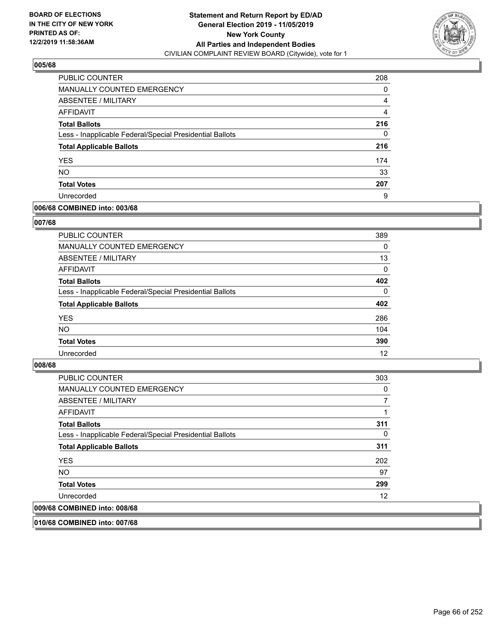

| PUBLIC COUNTER                                           | 208 |
|----------------------------------------------------------|-----|
| <b>MANUALLY COUNTED EMERGENCY</b>                        | 0   |
| ABSENTEE / MILITARY                                      | 4   |
| <b>AFFIDAVIT</b>                                         | 4   |
| <b>Total Ballots</b>                                     | 216 |
| Less - Inapplicable Federal/Special Presidential Ballots | 0   |
| <b>Total Applicable Ballots</b>                          | 216 |
| <b>YES</b>                                               | 174 |
| <b>NO</b>                                                | 33  |
| <b>Total Votes</b>                                       | 207 |
| Unrecorded                                               | 9   |

### **006/68 COMBINED into: 003/68**

### **007/68**

| PUBLIC COUNTER                                           | 389      |
|----------------------------------------------------------|----------|
| MANUALLY COUNTED EMERGENCY                               | $\Omega$ |
| ABSENTEE / MILITARY                                      | 13       |
| AFFIDAVIT                                                | 0        |
| <b>Total Ballots</b>                                     | 402      |
| Less - Inapplicable Federal/Special Presidential Ballots | $\Omega$ |
| <b>Total Applicable Ballots</b>                          | 402      |
| <b>YES</b>                                               | 286      |
| <b>NO</b>                                                | 104      |
| <b>Total Votes</b>                                       | 390      |
| Unrecorded                                               | 12       |
|                                                          |          |

### **008/68**

| PUBLIC COUNTER                                           | 303 |
|----------------------------------------------------------|-----|
| MANUALLY COUNTED EMERGENCY                               | 0   |
| ABSENTEE / MILITARY                                      |     |
| AFFIDAVIT                                                |     |
| <b>Total Ballots</b>                                     | 311 |
| Less - Inapplicable Federal/Special Presidential Ballots | 0   |
| <b>Total Applicable Ballots</b>                          | 311 |
| <b>YES</b>                                               | 202 |
| <b>NO</b>                                                | 97  |
| <b>Total Votes</b>                                       | 299 |
| Unrecorded                                               | 12  |
| 009/68 COMBINED into: 008/68                             |     |

**010/68 COMBINED into: 007/68**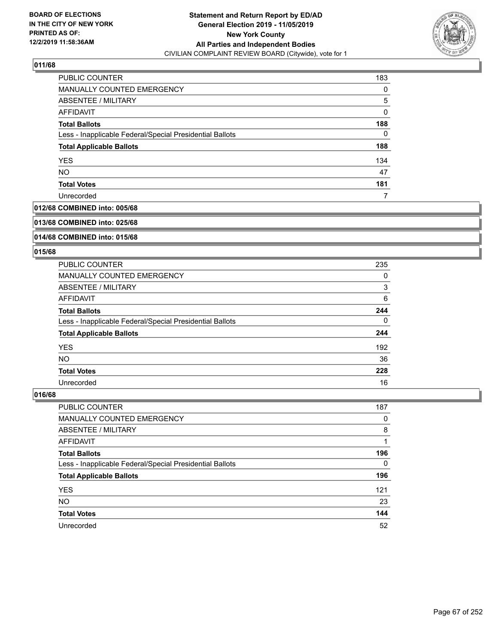

| <b>PUBLIC COUNTER</b>                                    | 183 |
|----------------------------------------------------------|-----|
| MANUALLY COUNTED EMERGENCY                               | 0   |
| ABSENTEE / MILITARY                                      | 5   |
| AFFIDAVIT                                                | 0   |
| <b>Total Ballots</b>                                     | 188 |
| Less - Inapplicable Federal/Special Presidential Ballots | 0   |
| <b>Total Applicable Ballots</b>                          | 188 |
| <b>YES</b>                                               | 134 |
| <b>NO</b>                                                | 47  |
| <b>Total Votes</b>                                       | 181 |
| Unrecorded                                               |     |

### **012/68 COMBINED into: 005/68**

#### **013/68 COMBINED into: 025/68**

## **014/68 COMBINED into: 015/68**

#### **015/68**

| <b>PUBLIC COUNTER</b>                                    | 235 |
|----------------------------------------------------------|-----|
| <b>MANUALLY COUNTED EMERGENCY</b>                        | 0   |
| ABSENTEE / MILITARY                                      | 3   |
| AFFIDAVIT                                                | 6   |
| <b>Total Ballots</b>                                     | 244 |
| Less - Inapplicable Federal/Special Presidential Ballots | 0   |
| <b>Total Applicable Ballots</b>                          | 244 |
| <b>YES</b>                                               | 192 |
| <b>NO</b>                                                | 36  |
| <b>Total Votes</b>                                       | 228 |
| Unrecorded                                               | 16  |

| <b>PUBLIC COUNTER</b>                                    | 187      |
|----------------------------------------------------------|----------|
| MANUALLY COUNTED EMERGENCY                               | 0        |
| ABSENTEE / MILITARY                                      | 8        |
| AFFIDAVIT                                                |          |
| <b>Total Ballots</b>                                     | 196      |
| Less - Inapplicable Federal/Special Presidential Ballots | $\Omega$ |
| <b>Total Applicable Ballots</b>                          | 196      |
| <b>YES</b>                                               | 121      |
| <b>NO</b>                                                | 23       |
| <b>Total Votes</b>                                       | 144      |
| Unrecorded                                               | 52       |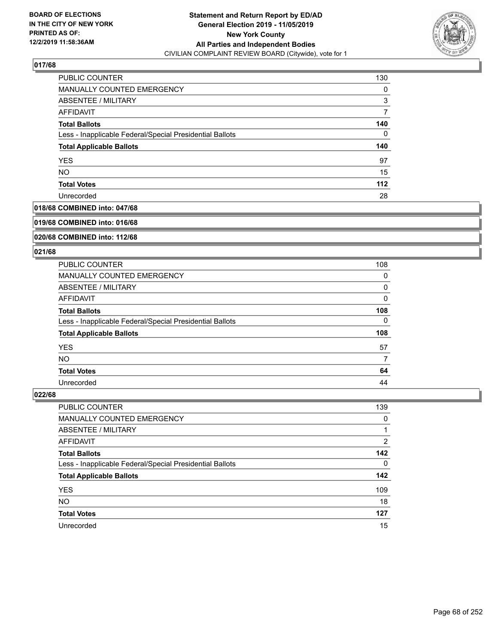

| PUBLIC COUNTER                                           | 130   |
|----------------------------------------------------------|-------|
| <b>MANUALLY COUNTED EMERGENCY</b>                        | 0     |
| ABSENTEE / MILITARY                                      | 3     |
| AFFIDAVIT                                                |       |
| <b>Total Ballots</b>                                     | 140   |
| Less - Inapplicable Federal/Special Presidential Ballots | 0     |
| <b>Total Applicable Ballots</b>                          | 140   |
| <b>YES</b>                                               | 97    |
| <b>NO</b>                                                | 15    |
| <b>Total Votes</b>                                       | $112$ |
| Unrecorded                                               | 28    |

#### **018/68 COMBINED into: 047/68**

#### **019/68 COMBINED into: 016/68**

## **020/68 COMBINED into: 112/68**

#### **021/68**

| PUBLIC COUNTER                                           | 108 |
|----------------------------------------------------------|-----|
| <b>MANUALLY COUNTED EMERGENCY</b>                        | 0   |
| ABSENTEE / MILITARY                                      | 0   |
| AFFIDAVIT                                                | 0   |
| <b>Total Ballots</b>                                     | 108 |
| Less - Inapplicable Federal/Special Presidential Ballots | 0   |
| <b>Total Applicable Ballots</b>                          | 108 |
| <b>YES</b>                                               | 57  |
| <b>NO</b>                                                |     |
| <b>Total Votes</b>                                       | 64  |
| Unrecorded                                               | 44  |

| <b>PUBLIC COUNTER</b>                                    | 139      |
|----------------------------------------------------------|----------|
| <b>MANUALLY COUNTED EMERGENCY</b>                        | 0        |
| ABSENTEE / MILITARY                                      |          |
| AFFIDAVIT                                                | 2        |
| <b>Total Ballots</b>                                     | 142      |
| Less - Inapplicable Federal/Special Presidential Ballots | $\Omega$ |
| <b>Total Applicable Ballots</b>                          | 142      |
| <b>YES</b>                                               | 109      |
| <b>NO</b>                                                | 18       |
| <b>Total Votes</b>                                       | 127      |
| Unrecorded                                               | 15       |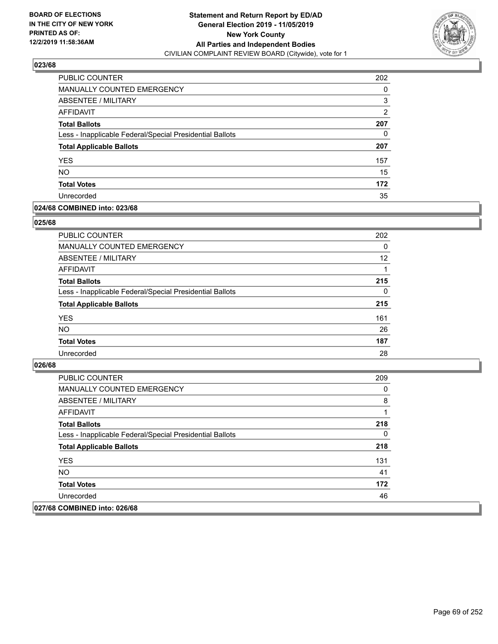

| <b>PUBLIC COUNTER</b>                                    | 202 |
|----------------------------------------------------------|-----|
| <b>MANUALLY COUNTED EMERGENCY</b>                        | 0   |
| <b>ABSENTEE / MILITARY</b>                               | 3   |
| AFFIDAVIT                                                | 2   |
| <b>Total Ballots</b>                                     | 207 |
| Less - Inapplicable Federal/Special Presidential Ballots | 0   |
| <b>Total Applicable Ballots</b>                          | 207 |
| <b>YES</b>                                               | 157 |
| <b>NO</b>                                                | 15  |
| <b>Total Votes</b>                                       | 172 |
| Unrecorded                                               | 35  |

### **024/68 COMBINED into: 023/68**

### **025/68**

| PUBLIC COUNTER                                           | 202      |
|----------------------------------------------------------|----------|
| <b>MANUALLY COUNTED EMERGENCY</b>                        | $\Omega$ |
| ABSENTEE / MILITARY                                      | 12       |
| AFFIDAVIT                                                |          |
| <b>Total Ballots</b>                                     | 215      |
| Less - Inapplicable Federal/Special Presidential Ballots | $\Omega$ |
| <b>Total Applicable Ballots</b>                          | 215      |
| <b>YES</b>                                               | 161      |
| <b>NO</b>                                                | 26       |
| <b>Total Votes</b>                                       | 187      |
| Unrecorded                                               | 28       |
|                                                          |          |

| <b>PUBLIC COUNTER</b>                                    | 209 |
|----------------------------------------------------------|-----|
| <b>MANUALLY COUNTED EMERGENCY</b>                        | 0   |
| <b>ABSENTEE / MILITARY</b>                               | 8   |
| AFFIDAVIT                                                |     |
| <b>Total Ballots</b>                                     | 218 |
| Less - Inapplicable Federal/Special Presidential Ballots | 0   |
| <b>Total Applicable Ballots</b>                          | 218 |
| <b>YES</b>                                               | 131 |
| NO.                                                      | 41  |
| <b>Total Votes</b>                                       | 172 |
| Unrecorded                                               | 46  |
| 027/68 COMBINED into: 026/68                             |     |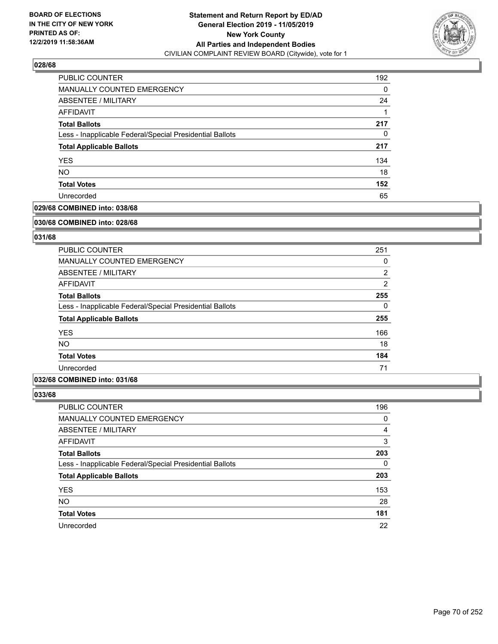

| PUBLIC COUNTER                                           | 192 |
|----------------------------------------------------------|-----|
| <b>MANUALLY COUNTED EMERGENCY</b>                        | 0   |
| ABSENTEE / MILITARY                                      | 24  |
| AFFIDAVIT                                                |     |
| <b>Total Ballots</b>                                     | 217 |
| Less - Inapplicable Federal/Special Presidential Ballots | 0   |
| <b>Total Applicable Ballots</b>                          | 217 |
| <b>YES</b>                                               | 134 |
| <b>NO</b>                                                | 18  |
| <b>Total Votes</b>                                       | 152 |
| Unrecorded                                               | 65  |

### **029/68 COMBINED into: 038/68**

#### **030/68 COMBINED into: 028/68**

## **031/68**

| PUBLIC COUNTER                                           | 251            |
|----------------------------------------------------------|----------------|
| <b>MANUALLY COUNTED EMERGENCY</b>                        | 0              |
| ABSENTEE / MILITARY                                      | $\overline{2}$ |
| AFFIDAVIT                                                | $\overline{2}$ |
| <b>Total Ballots</b>                                     | 255            |
| Less - Inapplicable Federal/Special Presidential Ballots | $\Omega$       |
| <b>Total Applicable Ballots</b>                          | 255            |
| <b>YES</b>                                               | 166            |
| NO.                                                      | 18             |
| <b>Total Votes</b>                                       | 184            |
| Unrecorded                                               | 71             |

### **032/68 COMBINED into: 031/68**

| PUBLIC COUNTER                                           | 196 |
|----------------------------------------------------------|-----|
| MANUALLY COUNTED EMERGENCY                               | 0   |
| ABSENTEE / MILITARY                                      | 4   |
| AFFIDAVIT                                                | 3   |
| <b>Total Ballots</b>                                     | 203 |
| Less - Inapplicable Federal/Special Presidential Ballots | 0   |
| <b>Total Applicable Ballots</b>                          | 203 |
| <b>YES</b>                                               | 153 |
| <b>NO</b>                                                | 28  |
| <b>Total Votes</b>                                       | 181 |
| Unrecorded                                               | 22  |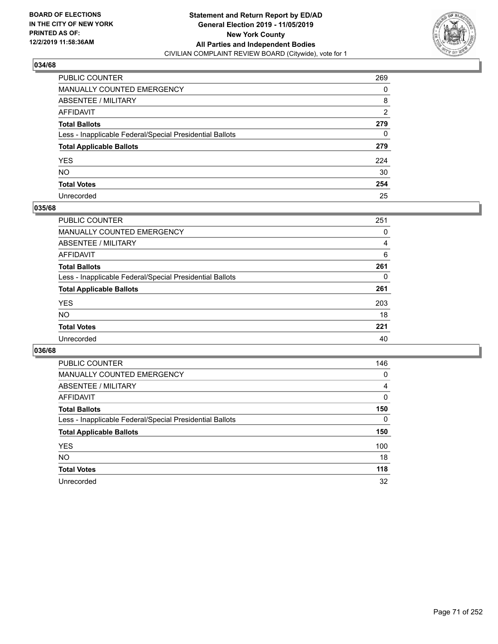

| PUBLIC COUNTER                                           | 269 |
|----------------------------------------------------------|-----|
| MANUALLY COUNTED EMERGENCY                               | 0   |
| ABSENTEE / MILITARY                                      | 8   |
| AFFIDAVIT                                                | 2   |
| Total Ballots                                            | 279 |
| Less - Inapplicable Federal/Special Presidential Ballots | 0   |
| <b>Total Applicable Ballots</b>                          | 279 |
| YES                                                      | 224 |
| NO.                                                      | 30  |
| <b>Total Votes</b>                                       | 254 |
| Unrecorded                                               | 25  |

### **035/68**

| PUBLIC COUNTER                                           | 251      |
|----------------------------------------------------------|----------|
| MANUALLY COUNTED EMERGENCY                               | 0        |
| ABSENTEE / MILITARY                                      | 4        |
| AFFIDAVIT                                                | 6        |
| <b>Total Ballots</b>                                     | 261      |
| Less - Inapplicable Federal/Special Presidential Ballots | $\Omega$ |
| <b>Total Applicable Ballots</b>                          | 261      |
| <b>YES</b>                                               | 203      |
| <b>NO</b>                                                | 18       |
| <b>Total Votes</b>                                       | 221      |
| Unrecorded                                               | 40       |

| <b>PUBLIC COUNTER</b>                                    | 146 |
|----------------------------------------------------------|-----|
| MANUALLY COUNTED EMERGENCY                               | 0   |
| ABSENTEE / MILITARY                                      | 4   |
| AFFIDAVIT                                                | 0   |
| <b>Total Ballots</b>                                     | 150 |
| Less - Inapplicable Federal/Special Presidential Ballots | 0   |
| <b>Total Applicable Ballots</b>                          | 150 |
| <b>YES</b>                                               | 100 |
| NO.                                                      | 18  |
| <b>Total Votes</b>                                       | 118 |
| Unrecorded                                               | 32  |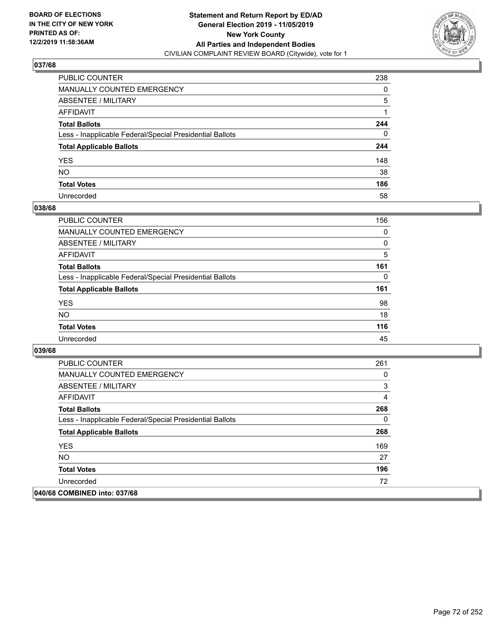

| PUBLIC COUNTER                                           | 238          |
|----------------------------------------------------------|--------------|
| MANUALLY COUNTED EMERGENCY                               | $\Omega$     |
| ABSENTEE / MILITARY                                      | 5            |
| AFFIDAVIT                                                |              |
| Total Ballots                                            | 244          |
| Less - Inapplicable Federal/Special Presidential Ballots | $\mathbf{0}$ |
| <b>Total Applicable Ballots</b>                          | 244          |
| YES                                                      | 148          |
| NO.                                                      | 38           |
| <b>Total Votes</b>                                       | 186          |
| Unrecorded                                               | 58           |

### **038/68**

| <b>PUBLIC COUNTER</b>                                    | 156      |
|----------------------------------------------------------|----------|
| <b>MANUALLY COUNTED EMERGENCY</b>                        | $\Omega$ |
| ABSENTEE / MILITARY                                      | 0        |
| AFFIDAVIT                                                | 5        |
| <b>Total Ballots</b>                                     | 161      |
| Less - Inapplicable Federal/Special Presidential Ballots | 0        |
| <b>Total Applicable Ballots</b>                          | 161      |
| <b>YES</b>                                               | 98       |
| <b>NO</b>                                                | 18       |
| <b>Total Votes</b>                                       | 116      |
| Unrecorded                                               | 45       |

| <b>PUBLIC COUNTER</b>                                    | 261 |
|----------------------------------------------------------|-----|
| <b>MANUALLY COUNTED EMERGENCY</b>                        | 0   |
| ABSENTEE / MILITARY                                      | 3   |
| AFFIDAVIT                                                | 4   |
| <b>Total Ballots</b>                                     | 268 |
| Less - Inapplicable Federal/Special Presidential Ballots | 0   |
| <b>Total Applicable Ballots</b>                          | 268 |
| <b>YES</b>                                               | 169 |
| <b>NO</b>                                                | 27  |
| <b>Total Votes</b>                                       | 196 |
| Unrecorded                                               | 72  |
| 040/68 COMBINED into: 037/68                             |     |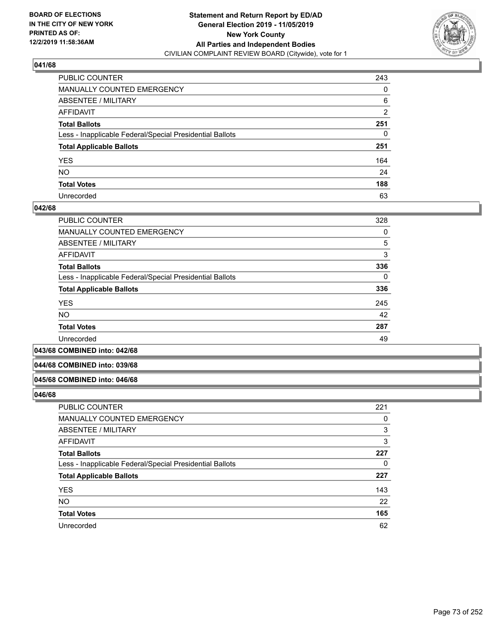

| PUBLIC COUNTER                                           | 243 |
|----------------------------------------------------------|-----|
| MANUALLY COUNTED EMERGENCY                               | 0   |
| ABSENTEE / MILITARY                                      | 6   |
| AFFIDAVIT                                                | 2   |
| Total Ballots                                            | 251 |
| Less - Inapplicable Federal/Special Presidential Ballots | 0   |
| <b>Total Applicable Ballots</b>                          | 251 |
| YES                                                      | 164 |
| NO.                                                      | 24  |
| <b>Total Votes</b>                                       | 188 |
| Unrecorded                                               | 63  |

### **042/68**

| <b>PUBLIC COUNTER</b>                                    | 328      |
|----------------------------------------------------------|----------|
| <b>MANUALLY COUNTED EMERGENCY</b>                        | 0        |
| ABSENTEE / MILITARY                                      | 5        |
| <b>AFFIDAVIT</b>                                         | 3        |
| <b>Total Ballots</b>                                     | 336      |
| Less - Inapplicable Federal/Special Presidential Ballots | $\Omega$ |
| <b>Total Applicable Ballots</b>                          | 336      |
| <b>YES</b>                                               | 245      |
| <b>NO</b>                                                | 42       |
| <b>Total Votes</b>                                       | 287      |
| Unrecorded                                               | 49       |
|                                                          |          |

**043/68 COMBINED into: 042/68**

#### **044/68 COMBINED into: 039/68**

#### **045/68 COMBINED into: 046/68**

| PUBLIC COUNTER                                           | 221 |
|----------------------------------------------------------|-----|
| MANUALLY COUNTED EMERGENCY                               | 0   |
| <b>ABSENTEE / MILITARY</b>                               | 3   |
| AFFIDAVIT                                                | 3   |
| <b>Total Ballots</b>                                     | 227 |
| Less - Inapplicable Federal/Special Presidential Ballots | 0   |
| <b>Total Applicable Ballots</b>                          | 227 |
| <b>YES</b>                                               | 143 |
| <b>NO</b>                                                | 22  |
| <b>Total Votes</b>                                       | 165 |
| Unrecorded                                               | 62  |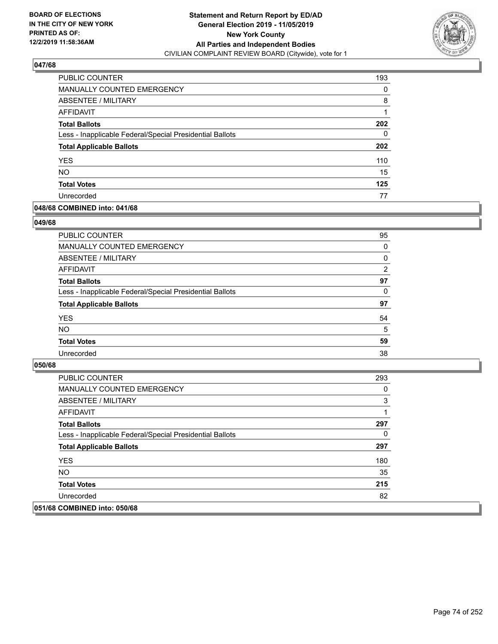

| PUBLIC COUNTER                                           | 193 |
|----------------------------------------------------------|-----|
| MANUALLY COUNTED EMERGENCY                               | 0   |
| ABSENTEE / MILITARY                                      | 8   |
| AFFIDAVIT                                                |     |
| <b>Total Ballots</b>                                     | 202 |
| Less - Inapplicable Federal/Special Presidential Ballots | 0   |
| <b>Total Applicable Ballots</b>                          | 202 |
| <b>YES</b>                                               | 110 |
| <b>NO</b>                                                | 15  |
| <b>Total Votes</b>                                       | 125 |
| Unrecorded                                               | 77  |

### **048/68 COMBINED into: 041/68**

#### **049/68**

| PUBLIC COUNTER                                           | 95             |
|----------------------------------------------------------|----------------|
| <b>MANUALLY COUNTED EMERGENCY</b>                        | $\Omega$       |
| ABSENTEE / MILITARY                                      | 0              |
| AFFIDAVIT                                                | $\overline{2}$ |
| <b>Total Ballots</b>                                     | 97             |
| Less - Inapplicable Federal/Special Presidential Ballots | $\Omega$       |
| <b>Total Applicable Ballots</b>                          | 97             |
| <b>YES</b>                                               | 54             |
| <b>NO</b>                                                | 5              |
| <b>Total Votes</b>                                       | 59             |
| Unrecorded                                               | 38             |
|                                                          |                |

| <b>PUBLIC COUNTER</b>                                    | 293 |
|----------------------------------------------------------|-----|
| <b>MANUALLY COUNTED EMERGENCY</b>                        | 0   |
| ABSENTEE / MILITARY                                      | 3   |
| AFFIDAVIT                                                |     |
| <b>Total Ballots</b>                                     | 297 |
| Less - Inapplicable Federal/Special Presidential Ballots | 0   |
| <b>Total Applicable Ballots</b>                          | 297 |
| <b>YES</b>                                               | 180 |
| NO.                                                      | 35  |
| <b>Total Votes</b>                                       | 215 |
| Unrecorded                                               | 82  |
| 051/68 COMBINED into: 050/68                             |     |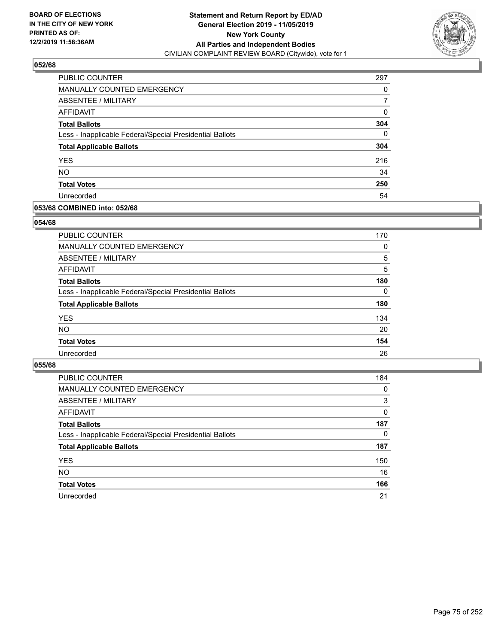

| PUBLIC COUNTER                                           | 297 |
|----------------------------------------------------------|-----|
| <b>MANUALLY COUNTED EMERGENCY</b>                        | 0   |
| ABSENTEE / MILITARY                                      |     |
| AFFIDAVIT                                                | 0   |
| <b>Total Ballots</b>                                     | 304 |
| Less - Inapplicable Federal/Special Presidential Ballots | 0   |
| <b>Total Applicable Ballots</b>                          | 304 |
| <b>YES</b>                                               | 216 |
| <b>NO</b>                                                | 34  |
| <b>Total Votes</b>                                       | 250 |
| Unrecorded                                               | 54  |

### **053/68 COMBINED into: 052/68**

### **054/68**

| <b>PUBLIC COUNTER</b>                                    | 170      |
|----------------------------------------------------------|----------|
| MANUALLY COUNTED EMERGENCY                               | $\Omega$ |
| ABSENTEE / MILITARY                                      | 5        |
| AFFIDAVIT                                                | 5        |
| <b>Total Ballots</b>                                     | 180      |
| Less - Inapplicable Federal/Special Presidential Ballots | $\Omega$ |
| <b>Total Applicable Ballots</b>                          | 180      |
| <b>YES</b>                                               | 134      |
| <b>NO</b>                                                | 20       |
| <b>Total Votes</b>                                       | 154      |
| Unrecorded                                               | 26       |
|                                                          |          |

| <b>PUBLIC COUNTER</b>                                    | 184      |
|----------------------------------------------------------|----------|
| MANUALLY COUNTED EMERGENCY                               | 0        |
| ABSENTEE / MILITARY                                      | 3        |
| AFFIDAVIT                                                | $\Omega$ |
| <b>Total Ballots</b>                                     | 187      |
| Less - Inapplicable Federal/Special Presidential Ballots | $\Omega$ |
| <b>Total Applicable Ballots</b>                          | 187      |
| <b>YES</b>                                               | 150      |
| <b>NO</b>                                                | 16       |
| <b>Total Votes</b>                                       | 166      |
| Unrecorded                                               | 21       |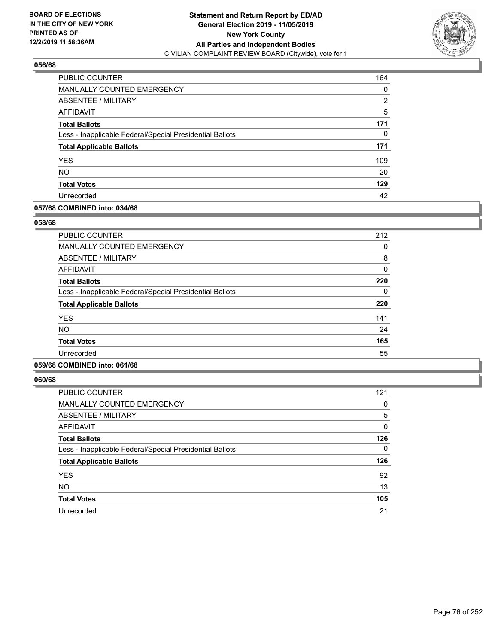

| PUBLIC COUNTER                                           | 164 |
|----------------------------------------------------------|-----|
| MANUALLY COUNTED EMERGENCY                               | 0   |
| ABSENTEE / MILITARY                                      | 2   |
| AFFIDAVIT                                                | 5   |
| <b>Total Ballots</b>                                     | 171 |
| Less - Inapplicable Federal/Special Presidential Ballots | 0   |
| <b>Total Applicable Ballots</b>                          | 171 |
| <b>YES</b>                                               | 109 |
| <b>NO</b>                                                | 20  |
| <b>Total Votes</b>                                       | 129 |
| Unrecorded                                               | 42  |

# **057/68 COMBINED into: 034/68**

### **058/68**

| <b>PUBLIC COUNTER</b>                                    | 212 |
|----------------------------------------------------------|-----|
| MANUALLY COUNTED EMERGENCY                               | 0   |
| ABSENTEE / MILITARY                                      | 8   |
| AFFIDAVIT                                                | 0   |
| <b>Total Ballots</b>                                     | 220 |
| Less - Inapplicable Federal/Special Presidential Ballots | 0   |
| <b>Total Applicable Ballots</b>                          | 220 |
| <b>YES</b>                                               | 141 |
| <b>NO</b>                                                | 24  |
| <b>Total Votes</b>                                       | 165 |
| Unrecorded                                               | 55  |
|                                                          |     |

# **059/68 COMBINED into: 061/68**

| <b>PUBLIC COUNTER</b>                                    | 121 |
|----------------------------------------------------------|-----|
| <b>MANUALLY COUNTED EMERGENCY</b>                        | 0   |
| ABSENTEE / MILITARY                                      | 5   |
| AFFIDAVIT                                                | 0   |
| <b>Total Ballots</b>                                     | 126 |
| Less - Inapplicable Federal/Special Presidential Ballots | 0   |
| <b>Total Applicable Ballots</b>                          | 126 |
| <b>YES</b>                                               | 92  |
| <b>NO</b>                                                | 13  |
| <b>Total Votes</b>                                       | 105 |
| Unrecorded                                               | 21  |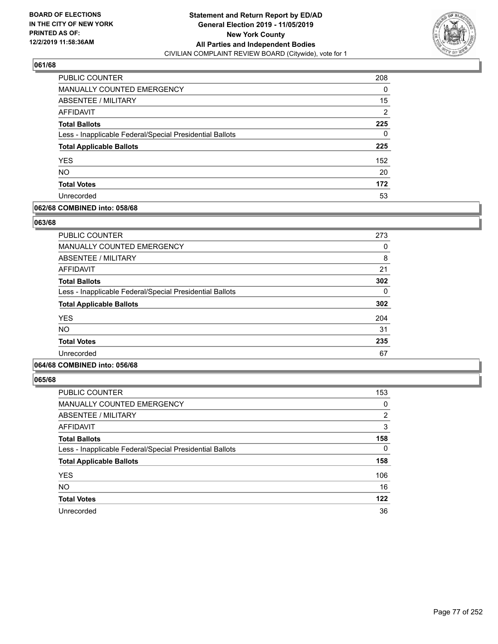

| <b>PUBLIC COUNTER</b>                                    | 208 |
|----------------------------------------------------------|-----|
| MANUALLY COUNTED EMERGENCY                               | 0   |
| ABSENTEE / MILITARY                                      | 15  |
| AFFIDAVIT                                                | 2   |
| <b>Total Ballots</b>                                     | 225 |
| Less - Inapplicable Federal/Special Presidential Ballots | 0   |
| <b>Total Applicable Ballots</b>                          | 225 |
| <b>YES</b>                                               | 152 |
| <b>NO</b>                                                | 20  |
| <b>Total Votes</b>                                       | 172 |
| Unrecorded                                               | 53  |

# **062/68 COMBINED into: 058/68**

#### **063/68**

| <b>PUBLIC COUNTER</b>                                    | 273 |
|----------------------------------------------------------|-----|
| <b>MANUALLY COUNTED EMERGENCY</b>                        | 0   |
| <b>ABSENTEE / MILITARY</b>                               | 8   |
| <b>AFFIDAVIT</b>                                         | 21  |
| <b>Total Ballots</b>                                     | 302 |
| Less - Inapplicable Federal/Special Presidential Ballots | 0   |
| <b>Total Applicable Ballots</b>                          | 302 |
| <b>YES</b>                                               | 204 |
| <b>NO</b>                                                | 31  |
| <b>Total Votes</b>                                       | 235 |
| Unrecorded                                               | 67  |
|                                                          |     |

# **064/68 COMBINED into: 056/68**

| <b>PUBLIC COUNTER</b>                                    | 153            |
|----------------------------------------------------------|----------------|
| <b>MANUALLY COUNTED EMERGENCY</b>                        | 0              |
| ABSENTEE / MILITARY                                      | $\overline{2}$ |
| <b>AFFIDAVIT</b>                                         | 3              |
| <b>Total Ballots</b>                                     | 158            |
| Less - Inapplicable Federal/Special Presidential Ballots | $\Omega$       |
| <b>Total Applicable Ballots</b>                          | 158            |
| <b>YES</b>                                               | 106            |
| <b>NO</b>                                                | 16             |
| <b>Total Votes</b>                                       | 122            |
| Unrecorded                                               | 36             |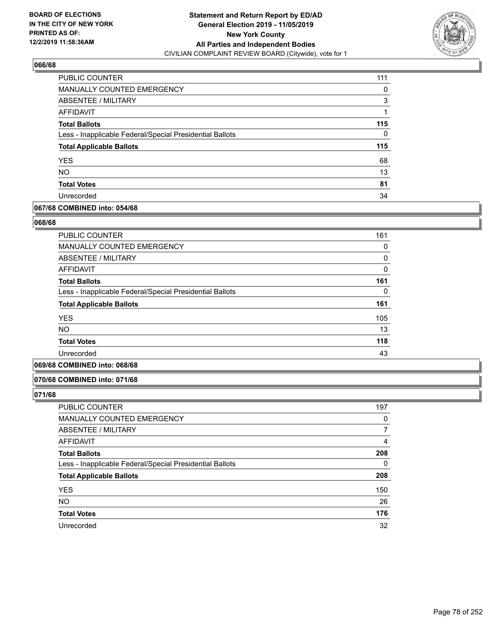

| PUBLIC COUNTER                                           | 111 |
|----------------------------------------------------------|-----|
| MANUALLY COUNTED EMERGENCY                               | 0   |
| <b>ABSENTEE / MILITARY</b>                               | 3   |
| AFFIDAVIT                                                |     |
| <b>Total Ballots</b>                                     | 115 |
| Less - Inapplicable Federal/Special Presidential Ballots | 0   |
| <b>Total Applicable Ballots</b>                          | 115 |
| <b>YES</b>                                               | 68  |
| <b>NO</b>                                                | 13  |
| <b>Total Votes</b>                                       | 81  |
| Unrecorded                                               | 34  |

### **067/68 COMBINED into: 054/68**

#### **068/68**

| <b>PUBLIC COUNTER</b>                                    | 161 |
|----------------------------------------------------------|-----|
| <b>MANUALLY COUNTED EMERGENCY</b>                        | 0   |
| ABSENTEE / MILITARY                                      | 0   |
| <b>AFFIDAVIT</b>                                         | 0   |
| <b>Total Ballots</b>                                     | 161 |
| Less - Inapplicable Federal/Special Presidential Ballots | 0   |
| <b>Total Applicable Ballots</b>                          | 161 |
| <b>YES</b>                                               | 105 |
| NO.                                                      | 13  |
| <b>Total Votes</b>                                       | 118 |
| Unrecorded                                               | 43  |
|                                                          |     |

# **069/68 COMBINED into: 068/68**

#### **070/68 COMBINED into: 071/68**

| <b>PUBLIC COUNTER</b>                                    | 197      |
|----------------------------------------------------------|----------|
| MANUALLY COUNTED EMERGENCY                               | 0        |
| ABSENTEE / MILITARY                                      | 7        |
| AFFIDAVIT                                                | 4        |
| <b>Total Ballots</b>                                     | 208      |
| Less - Inapplicable Federal/Special Presidential Ballots | $\Omega$ |
| <b>Total Applicable Ballots</b>                          | 208      |
| <b>YES</b>                                               | 150      |
| <b>NO</b>                                                | 26       |
| <b>Total Votes</b>                                       | 176      |
| Unrecorded                                               | 32       |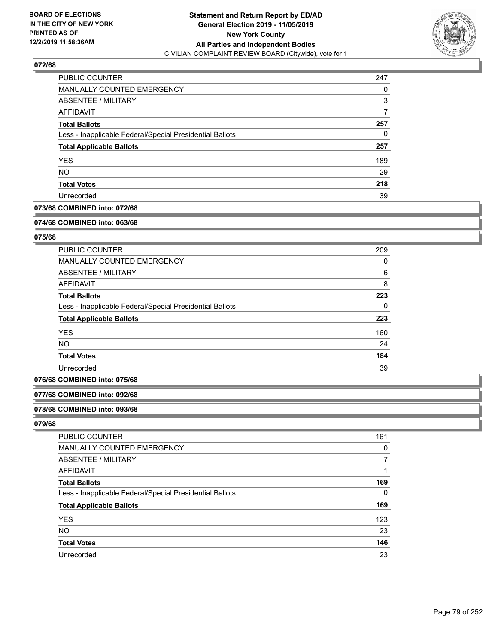

| PUBLIC COUNTER                                           | 247 |
|----------------------------------------------------------|-----|
| <b>MANUALLY COUNTED EMERGENCY</b>                        | 0   |
| ABSENTEE / MILITARY                                      | 3   |
| AFFIDAVIT                                                |     |
| <b>Total Ballots</b>                                     | 257 |
| Less - Inapplicable Federal/Special Presidential Ballots | 0   |
| <b>Total Applicable Ballots</b>                          | 257 |
| <b>YES</b>                                               | 189 |
| <b>NO</b>                                                | 29  |
| <b>Total Votes</b>                                       | 218 |
| Unrecorded                                               | 39  |

# **073/68 COMBINED into: 072/68**

#### **074/68 COMBINED into: 063/68**

# **075/68**

| <b>PUBLIC COUNTER</b>                                    | 209 |
|----------------------------------------------------------|-----|
| <b>MANUALLY COUNTED EMERGENCY</b>                        | 0   |
| ABSENTEE / MILITARY                                      | 6   |
| AFFIDAVIT                                                | 8   |
| <b>Total Ballots</b>                                     | 223 |
| Less - Inapplicable Federal/Special Presidential Ballots | 0   |
| <b>Total Applicable Ballots</b>                          | 223 |
| <b>YES</b>                                               | 160 |
| <b>NO</b>                                                | 24  |
| <b>Total Votes</b>                                       | 184 |
| Unrecorded                                               | 39  |

# **076/68 COMBINED into: 075/68**

#### **077/68 COMBINED into: 092/68**

#### **078/68 COMBINED into: 093/68**

| PUBLIC COUNTER                                           | 161 |
|----------------------------------------------------------|-----|
| MANUALLY COUNTED EMERGENCY                               | 0   |
| <b>ABSENTEE / MILITARY</b>                               |     |
| AFFIDAVIT                                                |     |
| <b>Total Ballots</b>                                     | 169 |
| Less - Inapplicable Federal/Special Presidential Ballots | 0   |
| <b>Total Applicable Ballots</b>                          | 169 |
| <b>YES</b>                                               | 123 |
| <b>NO</b>                                                | 23  |
| <b>Total Votes</b>                                       | 146 |
| Unrecorded                                               | 23  |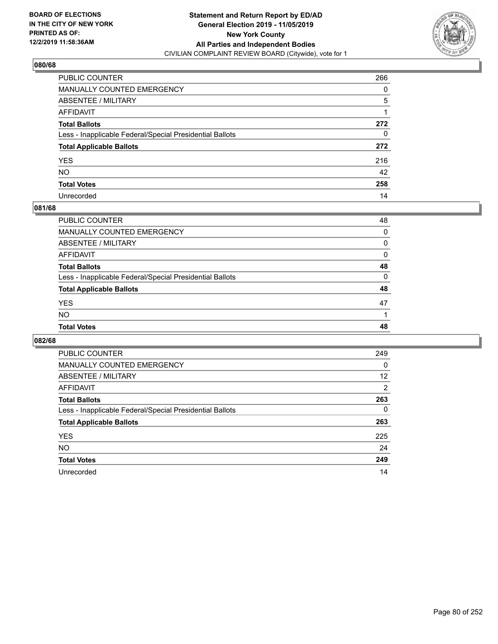

| PUBLIC COUNTER                                           | 266 |
|----------------------------------------------------------|-----|
| MANUALLY COUNTED EMERGENCY                               | 0   |
| ABSENTEE / MILITARY                                      | 5   |
| AFFIDAVIT                                                |     |
| Total Ballots                                            | 272 |
| Less - Inapplicable Federal/Special Presidential Ballots | 0   |
| <b>Total Applicable Ballots</b>                          | 272 |
| YES                                                      | 216 |
| NO.                                                      | 42  |
| <b>Total Votes</b>                                       | 258 |
| Unrecorded                                               | 14  |

### **081/68**

| <b>Total Votes</b>                                       | 48       |
|----------------------------------------------------------|----------|
| <b>NO</b>                                                |          |
| <b>YES</b>                                               | 47       |
| <b>Total Applicable Ballots</b>                          | 48       |
| Less - Inapplicable Federal/Special Presidential Ballots | $\Omega$ |
| <b>Total Ballots</b>                                     | 48       |
| AFFIDAVIT                                                | 0        |
| ABSENTEE / MILITARY                                      | $\Omega$ |
| MANUALLY COUNTED EMERGENCY                               | 0        |
| PUBLIC COUNTER                                           | 48       |

| PUBLIC COUNTER                                           | 249 |
|----------------------------------------------------------|-----|
| <b>MANUALLY COUNTED EMERGENCY</b>                        | 0   |
| ABSENTEE / MILITARY                                      | 12  |
| AFFIDAVIT                                                | 2   |
| <b>Total Ballots</b>                                     | 263 |
| Less - Inapplicable Federal/Special Presidential Ballots | 0   |
| <b>Total Applicable Ballots</b>                          | 263 |
| <b>YES</b>                                               | 225 |
| <b>NO</b>                                                | 24  |
| <b>Total Votes</b>                                       | 249 |
| Unrecorded                                               | 14  |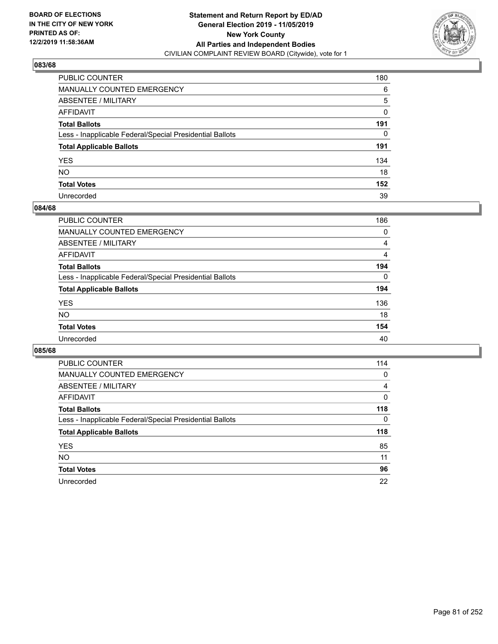

| PUBLIC COUNTER                                           | 180 |
|----------------------------------------------------------|-----|
| MANUALLY COUNTED EMERGENCY                               | 6   |
| ABSENTEE / MILITARY                                      | 5   |
| AFFIDAVIT                                                | 0   |
| Total Ballots                                            | 191 |
| Less - Inapplicable Federal/Special Presidential Ballots | 0   |
| <b>Total Applicable Ballots</b>                          | 191 |
| YES                                                      | 134 |
| NO.                                                      | 18  |
| <b>Total Votes</b>                                       | 152 |
| Unrecorded                                               | 39  |

### **084/68**

| <b>PUBLIC COUNTER</b>                                    | 186            |
|----------------------------------------------------------|----------------|
| <b>MANUALLY COUNTED EMERGENCY</b>                        | 0              |
| ABSENTEE / MILITARY                                      | 4              |
| AFFIDAVIT                                                | $\overline{4}$ |
| <b>Total Ballots</b>                                     | 194            |
| Less - Inapplicable Federal/Special Presidential Ballots | $\Omega$       |
| <b>Total Applicable Ballots</b>                          | 194            |
| <b>YES</b>                                               | 136            |
| <b>NO</b>                                                | 18             |
| <b>Total Votes</b>                                       | 154            |
| Unrecorded                                               | 40             |

| <b>PUBLIC COUNTER</b>                                    | 114 |
|----------------------------------------------------------|-----|
| <b>MANUALLY COUNTED EMERGENCY</b>                        | 0   |
| ABSENTEE / MILITARY                                      | 4   |
| AFFIDAVIT                                                | 0   |
| <b>Total Ballots</b>                                     | 118 |
| Less - Inapplicable Federal/Special Presidential Ballots | 0   |
| <b>Total Applicable Ballots</b>                          | 118 |
| <b>YES</b>                                               | 85  |
| NO.                                                      | 11  |
| <b>Total Votes</b>                                       | 96  |
| Unrecorded                                               | 22  |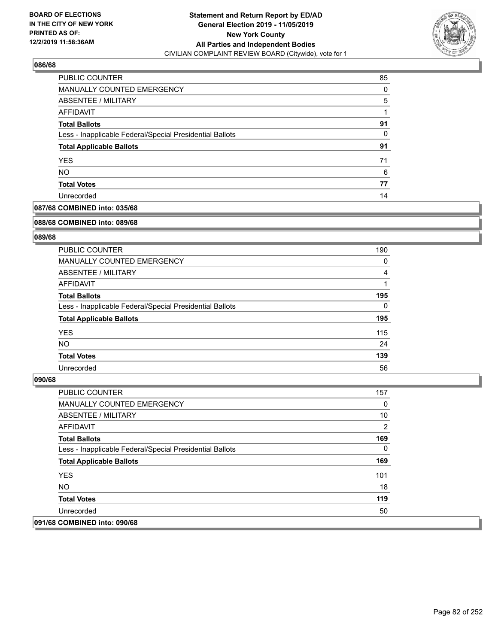

| <b>PUBLIC COUNTER</b>                                    | 85 |
|----------------------------------------------------------|----|
| MANUALLY COUNTED EMERGENCY                               | 0  |
| ABSENTEE / MILITARY                                      | 5  |
| AFFIDAVIT                                                |    |
| <b>Total Ballots</b>                                     | 91 |
| Less - Inapplicable Federal/Special Presidential Ballots | 0  |
| <b>Total Applicable Ballots</b>                          | 91 |
| <b>YES</b>                                               | 71 |
| <b>NO</b>                                                | 6  |
| <b>Total Votes</b>                                       | 77 |
| Unrecorded                                               | 14 |

# **087/68 COMBINED into: 035/68**

#### **088/68 COMBINED into: 089/68**

# **089/68**

| <b>PUBLIC COUNTER</b>                                    | 190      |
|----------------------------------------------------------|----------|
| <b>MANUALLY COUNTED EMERGENCY</b>                        | 0        |
| ABSENTEE / MILITARY                                      | 4        |
| AFFIDAVIT                                                |          |
| <b>Total Ballots</b>                                     | 195      |
| Less - Inapplicable Federal/Special Presidential Ballots | $\Omega$ |
| <b>Total Applicable Ballots</b>                          | 195      |
| <b>YES</b>                                               | 115      |
| NO.                                                      | 24       |
| <b>Total Votes</b>                                       | 139      |
| Unrecorded                                               | 56       |

| <b>PUBLIC COUNTER</b>                                    | 157      |
|----------------------------------------------------------|----------|
| <b>MANUALLY COUNTED EMERGENCY</b>                        | 0        |
| ABSENTEE / MILITARY                                      | 10       |
| AFFIDAVIT                                                | 2        |
| <b>Total Ballots</b>                                     | 169      |
| Less - Inapplicable Federal/Special Presidential Ballots | $\Omega$ |
| <b>Total Applicable Ballots</b>                          | 169      |
| <b>YES</b>                                               | 101      |
| NO.                                                      | 18       |
| <b>Total Votes</b>                                       | 119      |
| Unrecorded                                               | 50       |
| 091/68 COMBINED into: 090/68                             |          |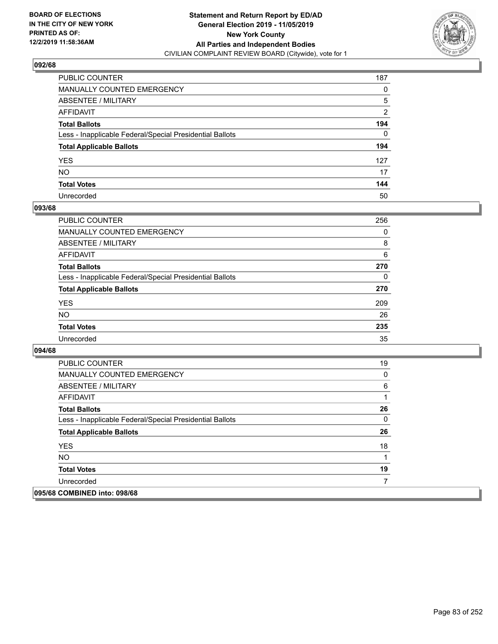

| PUBLIC COUNTER                                           | 187 |
|----------------------------------------------------------|-----|
| MANUALLY COUNTED EMERGENCY                               | 0   |
| ABSENTEE / MILITARY                                      | 5   |
| AFFIDAVIT                                                | 2   |
| Total Ballots                                            | 194 |
| Less - Inapplicable Federal/Special Presidential Ballots | 0   |
| <b>Total Applicable Ballots</b>                          | 194 |
| YES                                                      | 127 |
| NO.                                                      | 17  |
| <b>Total Votes</b>                                       | 144 |
| Unrecorded                                               | 50  |

### **093/68**

| <b>PUBLIC COUNTER</b>                                    | 256      |
|----------------------------------------------------------|----------|
| <b>MANUALLY COUNTED EMERGENCY</b>                        | $\Omega$ |
| <b>ABSENTEE / MILITARY</b>                               | 8        |
| <b>AFFIDAVIT</b>                                         | 6        |
| <b>Total Ballots</b>                                     | 270      |
| Less - Inapplicable Federal/Special Presidential Ballots | $\Omega$ |
| <b>Total Applicable Ballots</b>                          | 270      |
| <b>YES</b>                                               | 209      |
| <b>NO</b>                                                | 26       |
| <b>Total Votes</b>                                       | 235      |
| Unrecorded                                               | 35       |

| <b>PUBLIC COUNTER</b>                                    | 19 |
|----------------------------------------------------------|----|
| <b>MANUALLY COUNTED EMERGENCY</b>                        | 0  |
| ABSENTEE / MILITARY                                      | 6  |
| AFFIDAVIT                                                |    |
| <b>Total Ballots</b>                                     | 26 |
| Less - Inapplicable Federal/Special Presidential Ballots | 0  |
| <b>Total Applicable Ballots</b>                          | 26 |
| <b>YES</b>                                               | 18 |
| <b>NO</b>                                                | 1  |
| <b>Total Votes</b>                                       | 19 |
| Unrecorded                                               |    |
| 095/68 COMBINED into: 098/68                             |    |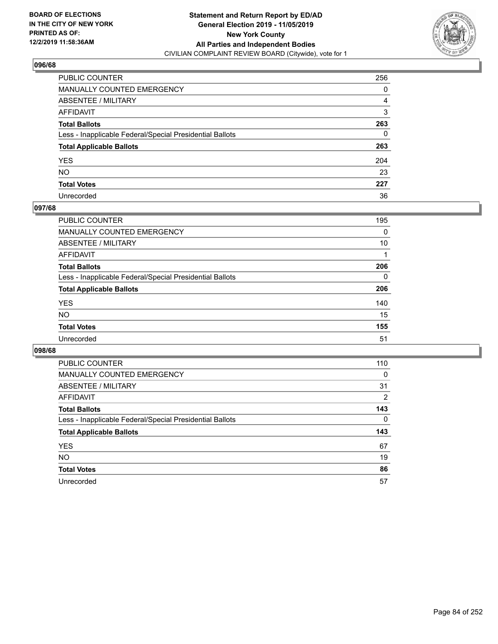

| PUBLIC COUNTER                                           | 256 |
|----------------------------------------------------------|-----|
| MANUALLY COUNTED EMERGENCY                               | 0   |
| ABSENTEE / MILITARY                                      | 4   |
| AFFIDAVIT                                                | 3   |
| Total Ballots                                            | 263 |
| Less - Inapplicable Federal/Special Presidential Ballots | 0   |
| <b>Total Applicable Ballots</b>                          | 263 |
| YES                                                      | 204 |
| NO.                                                      | 23  |
| <b>Total Votes</b>                                       | 227 |
| Unrecorded                                               | 36  |

### **097/68**

| <b>PUBLIC COUNTER</b>                                    | 195      |
|----------------------------------------------------------|----------|
| <b>MANUALLY COUNTED EMERGENCY</b>                        | 0        |
| ABSENTEE / MILITARY                                      | 10       |
| AFFIDAVIT                                                |          |
| <b>Total Ballots</b>                                     | 206      |
| Less - Inapplicable Federal/Special Presidential Ballots | $\Omega$ |
| <b>Total Applicable Ballots</b>                          | 206      |
| <b>YES</b>                                               | 140      |
| <b>NO</b>                                                | 15       |
| <b>Total Votes</b>                                       | 155      |
| Unrecorded                                               | 51       |

| <b>PUBLIC COUNTER</b>                                    | 110      |
|----------------------------------------------------------|----------|
| MANUALLY COUNTED EMERGENCY                               | 0        |
| ABSENTEE / MILITARY                                      | 31       |
| AFFIDAVIT                                                | 2        |
| <b>Total Ballots</b>                                     | 143      |
| Less - Inapplicable Federal/Special Presidential Ballots | $\Omega$ |
| <b>Total Applicable Ballots</b>                          | 143      |
| <b>YES</b>                                               | 67       |
| <b>NO</b>                                                | 19       |
| <b>Total Votes</b>                                       | 86       |
| Unrecorded                                               | 57       |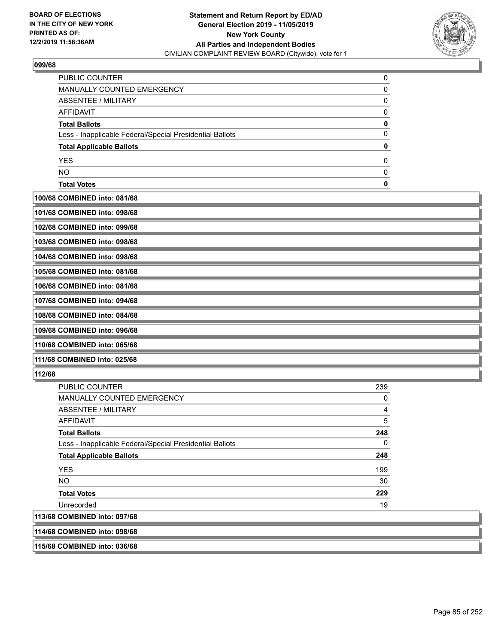

| PUBLIC COUNTER                                           |  |
|----------------------------------------------------------|--|
| MANUALLY COUNTED EMERGENCY                               |  |
| <b>ABSENTEE / MILITARY</b>                               |  |
| AFFIDAVIT                                                |  |
| <b>Total Ballots</b>                                     |  |
| Less - Inapplicable Federal/Special Presidential Ballots |  |
| <b>Total Applicable Ballots</b>                          |  |
| <b>YES</b>                                               |  |
| <b>NO</b>                                                |  |
| <b>Total Votes</b>                                       |  |

# **100/68 COMBINED into: 081/68**

| 101/68 COMBINED into: 098/68 |  |
|------------------------------|--|
| 102/68 COMBINED into: 099/68 |  |
| 103/68 COMBINED into: 098/68 |  |
| 104/68 COMBINED into: 098/68 |  |
| 105/68 COMBINED into: 081/68 |  |
| 106/68 COMBINED into: 081/68 |  |
| 107/68 COMBINED into: 094/68 |  |
| 108/68 COMBINED into: 084/68 |  |
| 109/68 COMBINED into: 096/68 |  |
| 110/68 COMBINED into: 065/68 |  |
| 111/68 COMBINED into: 025/68 |  |
| 112/68                       |  |

# PUBLIC COUNTER 239 MANUALLY COUNTED EMERGENCY **O** ABSENTEE / MILITARY 4 AFFIDAVIT 5 **Total Ballots 248 248**  Less - Inapplicable Federal/Special Presidential Ballots 0 **Total Applicable Ballots 248**   $YES$  199  $N$ O $30$ **Total Votes 229 229**  Unrecorded 2000 19 and 2000 19 and 2000 19 and 2000 19 and 2000 19 and 2000 19 and 2000 19 and 2000 19 and 200 **113/68 COMBINED into: 097/68**

# **114/68 COMBINED into: 098/68**

**115/68 COMBINED into: 036/68**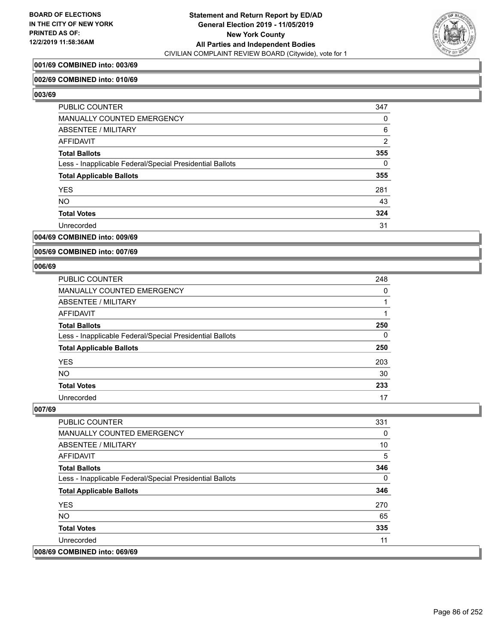

# **001/69 COMBINED into: 003/69**

### **002/69 COMBINED into: 010/69**

**003/69** 

| PUBLIC COUNTER                                           | 347            |
|----------------------------------------------------------|----------------|
| <b>MANUALLY COUNTED EMERGENCY</b>                        | 0              |
| ABSENTEE / MILITARY                                      | 6              |
| <b>AFFIDAVIT</b>                                         | $\overline{2}$ |
| <b>Total Ballots</b>                                     | 355            |
| Less - Inapplicable Federal/Special Presidential Ballots | $\Omega$       |
| <b>Total Applicable Ballots</b>                          | 355            |
| <b>YES</b>                                               | 281            |
| <b>NO</b>                                                | 43             |
| <b>Total Votes</b>                                       | 324            |
| Unrecorded                                               | 31             |

### **004/69 COMBINED into: 009/69**

**005/69 COMBINED into: 007/69**

#### **006/69**

| <b>PUBLIC COUNTER</b>                                    | 248 |
|----------------------------------------------------------|-----|
| <b>MANUALLY COUNTED EMERGENCY</b>                        | 0   |
| ABSENTEE / MILITARY                                      |     |
| AFFIDAVIT                                                |     |
| <b>Total Ballots</b>                                     | 250 |
| Less - Inapplicable Federal/Special Presidential Ballots | 0   |
| <b>Total Applicable Ballots</b>                          | 250 |
| <b>YES</b>                                               | 203 |
| <b>NO</b>                                                | 30  |
| <b>Total Votes</b>                                       | 233 |
| Unrecorded                                               | 17  |

| <b>PUBLIC COUNTER</b>                                    | 331 |
|----------------------------------------------------------|-----|
| <b>MANUALLY COUNTED EMERGENCY</b>                        | 0   |
| ABSENTEE / MILITARY                                      | 10  |
| AFFIDAVIT                                                | 5   |
| <b>Total Ballots</b>                                     | 346 |
| Less - Inapplicable Federal/Special Presidential Ballots | 0   |
| <b>Total Applicable Ballots</b>                          | 346 |
| <b>YES</b>                                               | 270 |
| <b>NO</b>                                                | 65  |
| <b>Total Votes</b>                                       | 335 |
| Unrecorded                                               | 11  |
| 008/69 COMBINED into: 069/69                             |     |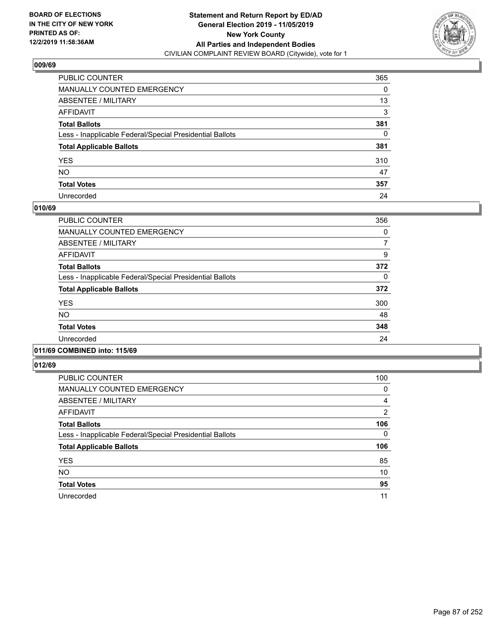

| PUBLIC COUNTER                                           | 365 |
|----------------------------------------------------------|-----|
| MANUALLY COUNTED EMERGENCY                               | 0   |
| ABSENTEE / MILITARY                                      | 13  |
| AFFIDAVIT                                                | 3   |
| Total Ballots                                            | 381 |
| Less - Inapplicable Federal/Special Presidential Ballots | 0   |
| <b>Total Applicable Ballots</b>                          | 381 |
| YES                                                      | 310 |
| NO.                                                      | 47  |
| <b>Total Votes</b>                                       | 357 |
| Unrecorded                                               | 24  |

### **010/69**

| PUBLIC COUNTER                                           | 356      |
|----------------------------------------------------------|----------|
| <b>MANUALLY COUNTED EMERGENCY</b>                        | $\Omega$ |
| ABSENTEE / MILITARY                                      | 7        |
| <b>AFFIDAVIT</b>                                         | 9        |
| <b>Total Ballots</b>                                     | 372      |
| Less - Inapplicable Federal/Special Presidential Ballots | $\Omega$ |
| <b>Total Applicable Ballots</b>                          | 372      |
| <b>YES</b>                                               | 300      |
| <b>NO</b>                                                | 48       |
| <b>Total Votes</b>                                       | 348      |
| Unrecorded                                               | 24       |
|                                                          |          |

# **011/69 COMBINED into: 115/69**

| <b>PUBLIC COUNTER</b>                                    | 100      |
|----------------------------------------------------------|----------|
| <b>MANUALLY COUNTED EMERGENCY</b>                        | 0        |
| ABSENTEE / MILITARY                                      | 4        |
| AFFIDAVIT                                                | 2        |
| <b>Total Ballots</b>                                     | 106      |
| Less - Inapplicable Federal/Special Presidential Ballots | $\Omega$ |
| <b>Total Applicable Ballots</b>                          | 106      |
| <b>YES</b>                                               | 85       |
| <b>NO</b>                                                | 10       |
| <b>Total Votes</b>                                       | 95       |
| Unrecorded                                               | 11       |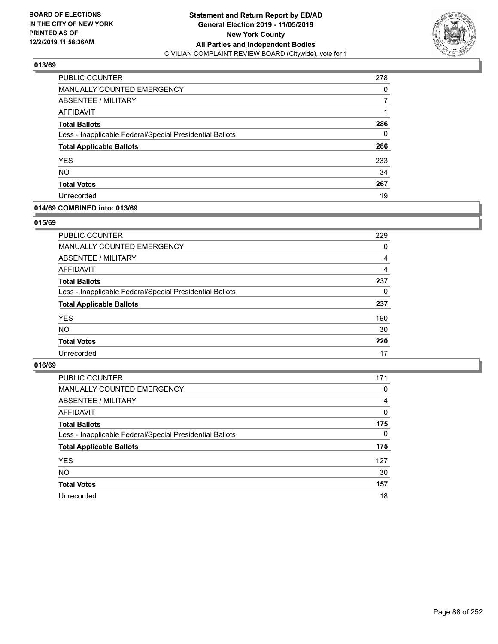

| PUBLIC COUNTER                                           | 278 |
|----------------------------------------------------------|-----|
| <b>MANUALLY COUNTED EMERGENCY</b>                        | 0   |
| ABSENTEE / MILITARY                                      |     |
| AFFIDAVIT                                                |     |
| <b>Total Ballots</b>                                     | 286 |
| Less - Inapplicable Federal/Special Presidential Ballots | 0   |
| <b>Total Applicable Ballots</b>                          | 286 |
| <b>YES</b>                                               | 233 |
| <b>NO</b>                                                | 34  |
| <b>Total Votes</b>                                       | 267 |
| Unrecorded                                               | 19  |

### **014/69 COMBINED into: 013/69**

#### **015/69**

| <b>PUBLIC COUNTER</b>                                    | 229      |
|----------------------------------------------------------|----------|
| <b>MANUALLY COUNTED EMERGENCY</b>                        | $\Omega$ |
| ABSENTEE / MILITARY                                      | 4        |
| AFFIDAVIT                                                | 4        |
| <b>Total Ballots</b>                                     | 237      |
| Less - Inapplicable Federal/Special Presidential Ballots | 0        |
| <b>Total Applicable Ballots</b>                          | 237      |
| <b>YES</b>                                               | 190      |
| <b>NO</b>                                                | 30       |
| <b>Total Votes</b>                                       | 220      |
| Unrecorded                                               | 17       |
|                                                          |          |

| <b>PUBLIC COUNTER</b>                                    | 171      |
|----------------------------------------------------------|----------|
| <b>MANUALLY COUNTED EMERGENCY</b>                        | $\Omega$ |
| ABSENTEE / MILITARY                                      | 4        |
| AFFIDAVIT                                                | $\Omega$ |
| <b>Total Ballots</b>                                     | 175      |
| Less - Inapplicable Federal/Special Presidential Ballots | $\Omega$ |
| <b>Total Applicable Ballots</b>                          | 175      |
| <b>YES</b>                                               | 127      |
| <b>NO</b>                                                | 30       |
| <b>Total Votes</b>                                       | 157      |
| Unrecorded                                               | 18       |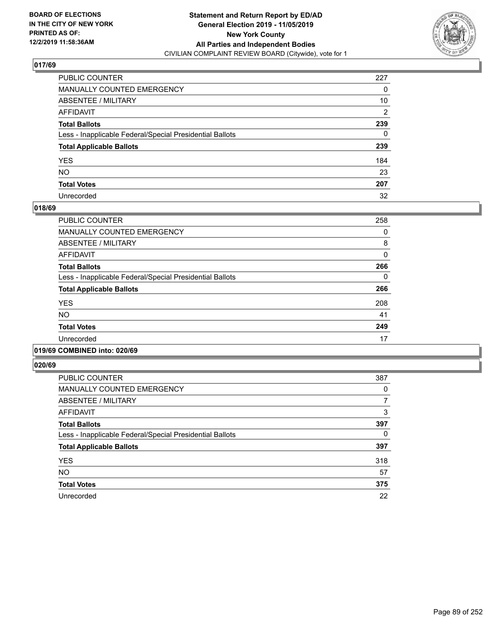

| PUBLIC COUNTER                                           | 227            |
|----------------------------------------------------------|----------------|
| MANUALLY COUNTED EMERGENCY                               | 0              |
| ABSENTEE / MILITARY                                      | 10             |
| AFFIDAVIT                                                | $\overline{2}$ |
| Total Ballots                                            | 239            |
| Less - Inapplicable Federal/Special Presidential Ballots | $\Omega$       |
| <b>Total Applicable Ballots</b>                          | 239            |
| YES                                                      | 184            |
| NO.                                                      | 23             |
| <b>Total Votes</b>                                       | 207            |
| Unrecorded                                               | 32             |

### **018/69**

| PUBLIC COUNTER                                           | 258      |
|----------------------------------------------------------|----------|
| <b>MANUALLY COUNTED EMERGENCY</b>                        | 0        |
| ABSENTEE / MILITARY                                      | 8        |
| <b>AFFIDAVIT</b>                                         | $\Omega$ |
| <b>Total Ballots</b>                                     | 266      |
| Less - Inapplicable Federal/Special Presidential Ballots | 0        |
| <b>Total Applicable Ballots</b>                          | 266      |
| <b>YES</b>                                               | 208      |
| <b>NO</b>                                                | 41       |
| <b>Total Votes</b>                                       | 249      |
| Unrecorded                                               | 17       |
|                                                          |          |

### **019/69 COMBINED into: 020/69**

| <b>PUBLIC COUNTER</b>                                    | 387 |
|----------------------------------------------------------|-----|
| <b>MANUALLY COUNTED EMERGENCY</b>                        | 0   |
| ABSENTEE / MILITARY                                      | 7   |
| AFFIDAVIT                                                | 3   |
| <b>Total Ballots</b>                                     | 397 |
| Less - Inapplicable Federal/Special Presidential Ballots | 0   |
| <b>Total Applicable Ballots</b>                          | 397 |
| <b>YES</b>                                               | 318 |
| <b>NO</b>                                                | 57  |
| <b>Total Votes</b>                                       | 375 |
| Unrecorded                                               | 22  |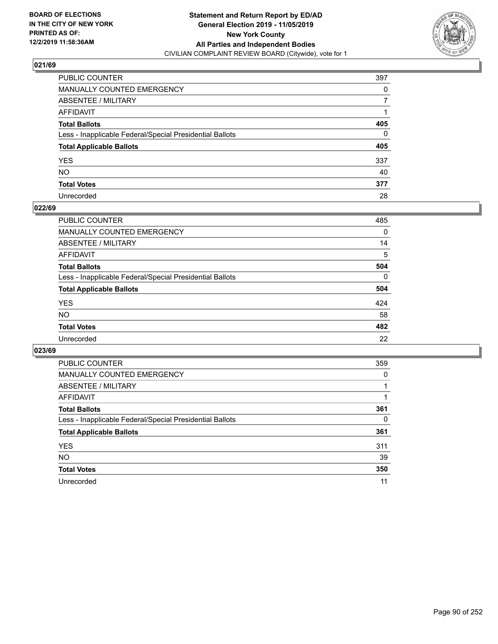

| PUBLIC COUNTER                                           | 397          |
|----------------------------------------------------------|--------------|
| MANUALLY COUNTED EMERGENCY                               | $\Omega$     |
| ABSENTEE / MILITARY                                      | 7            |
| AFFIDAVIT                                                |              |
| Total Ballots                                            | 405          |
| Less - Inapplicable Federal/Special Presidential Ballots | $\mathbf{0}$ |
| <b>Total Applicable Ballots</b>                          | 405          |
| YES                                                      | 337          |
| NO.                                                      | 40           |
| <b>Total Votes</b>                                       | 377          |
| Unrecorded                                               | 28           |

### **022/69**

| <b>PUBLIC COUNTER</b>                                    | 485      |
|----------------------------------------------------------|----------|
| <b>MANUALLY COUNTED EMERGENCY</b>                        | 0        |
| ABSENTEE / MILITARY                                      | 14       |
| AFFIDAVIT                                                | 5        |
| <b>Total Ballots</b>                                     | 504      |
| Less - Inapplicable Federal/Special Presidential Ballots | $\Omega$ |
| <b>Total Applicable Ballots</b>                          | 504      |
| <b>YES</b>                                               | 424      |
| <b>NO</b>                                                | 58       |
| <b>Total Votes</b>                                       | 482      |
| Unrecorded                                               | 22       |

| <b>PUBLIC COUNTER</b>                                    | 359 |
|----------------------------------------------------------|-----|
| MANUALLY COUNTED EMERGENCY                               | 0   |
| ABSENTEE / MILITARY                                      |     |
| AFFIDAVIT                                                |     |
| <b>Total Ballots</b>                                     | 361 |
| Less - Inapplicable Federal/Special Presidential Ballots | 0   |
| <b>Total Applicable Ballots</b>                          | 361 |
| <b>YES</b>                                               | 311 |
| <b>NO</b>                                                | 39  |
| <b>Total Votes</b>                                       | 350 |
| Unrecorded                                               | 11  |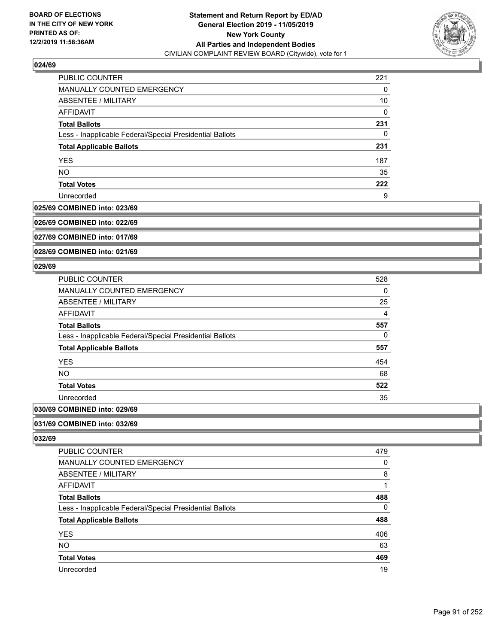

| PUBLIC COUNTER                                           | 221      |
|----------------------------------------------------------|----------|
| MANUALLY COUNTED EMERGENCY                               | 0        |
| ABSENTEE / MILITARY                                      | 10       |
| AFFIDAVIT                                                | $\Omega$ |
| <b>Total Ballots</b>                                     | 231      |
| Less - Inapplicable Federal/Special Presidential Ballots | 0        |
| <b>Total Applicable Ballots</b>                          | 231      |
| <b>YES</b>                                               | 187      |
| <b>NO</b>                                                | 35       |
| <b>Total Votes</b>                                       | 222      |
| Unrecorded                                               | 9        |

### **025/69 COMBINED into: 023/69**

**026/69 COMBINED into: 022/69**

**027/69 COMBINED into: 017/69**

**028/69 COMBINED into: 021/69**

### **029/69**

| PUBLIC COUNTER                                           | 528            |
|----------------------------------------------------------|----------------|
| MANUALLY COUNTED EMERGENCY                               | 0              |
| ABSENTEE / MILITARY                                      | 25             |
| <b>AFFIDAVIT</b>                                         | $\overline{4}$ |
| <b>Total Ballots</b>                                     | 557            |
| Less - Inapplicable Federal/Special Presidential Ballots | 0              |
| <b>Total Applicable Ballots</b>                          | 557            |
| <b>YES</b>                                               | 454            |
| NO.                                                      | 68             |
| <b>Total Votes</b>                                       | 522            |
| Unrecorded                                               | 35             |
|                                                          |                |

# **030/69 COMBINED into: 029/69**

**031/69 COMBINED into: 032/69**

| <b>PUBLIC COUNTER</b>                                    | 479 |
|----------------------------------------------------------|-----|
| MANUALLY COUNTED EMERGENCY                               | 0   |
| ABSENTEE / MILITARY                                      | 8   |
| AFFIDAVIT                                                |     |
| <b>Total Ballots</b>                                     | 488 |
| Less - Inapplicable Federal/Special Presidential Ballots | 0   |
| <b>Total Applicable Ballots</b>                          | 488 |
| <b>YES</b>                                               | 406 |
| <b>NO</b>                                                | 63  |
| <b>Total Votes</b>                                       | 469 |
| Unrecorded                                               | 19  |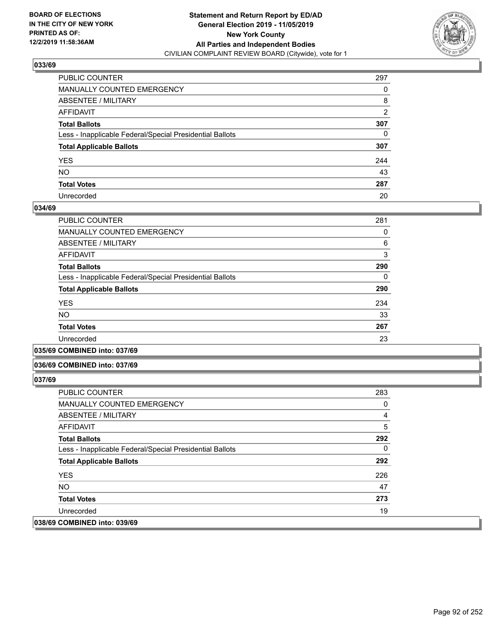

| PUBLIC COUNTER                                           | 297 |
|----------------------------------------------------------|-----|
| MANUALLY COUNTED EMERGENCY                               | 0   |
| ABSENTEE / MILITARY                                      | 8   |
| AFFIDAVIT                                                | 2   |
| Total Ballots                                            | 307 |
| Less - Inapplicable Federal/Special Presidential Ballots | 0   |
| <b>Total Applicable Ballots</b>                          | 307 |
| YES                                                      | 244 |
| NO.                                                      | 43  |
| <b>Total Votes</b>                                       | 287 |
| Unrecorded                                               | 20  |

### **034/69**

| PUBLIC COUNTER                                           | 281 |
|----------------------------------------------------------|-----|
| <b>MANUALLY COUNTED EMERGENCY</b>                        | 0   |
| ABSENTEE / MILITARY                                      | 6   |
| <b>AFFIDAVIT</b>                                         | 3   |
| <b>Total Ballots</b>                                     | 290 |
| Less - Inapplicable Federal/Special Presidential Ballots | 0   |
| <b>Total Applicable Ballots</b>                          | 290 |
| <b>YES</b>                                               | 234 |
| <b>NO</b>                                                | 33  |
| <b>Total Votes</b>                                       | 267 |
| Unrecorded                                               | 23  |
|                                                          |     |

**035/69 COMBINED into: 037/69**

#### **036/69 COMBINED into: 037/69**

| <b>PUBLIC COUNTER</b>                                    | 283      |
|----------------------------------------------------------|----------|
| <b>MANUALLY COUNTED EMERGENCY</b>                        | 0        |
| ABSENTEE / MILITARY                                      | 4        |
| AFFIDAVIT                                                | 5        |
| <b>Total Ballots</b>                                     | 292      |
| Less - Inapplicable Federal/Special Presidential Ballots | $\Omega$ |
| <b>Total Applicable Ballots</b>                          | 292      |
| <b>YES</b>                                               | 226      |
| NO.                                                      | 47       |
| <b>Total Votes</b>                                       | 273      |
| Unrecorded                                               | 19       |
| 038/69 COMBINED into: 039/69                             |          |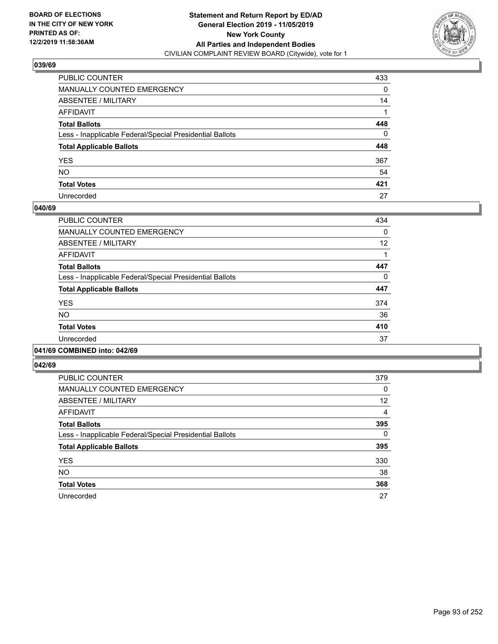

| PUBLIC COUNTER                                           | 433 |
|----------------------------------------------------------|-----|
| MANUALLY COUNTED EMERGENCY                               | 0   |
| ABSENTEE / MILITARY                                      | 14  |
| AFFIDAVIT                                                |     |
| Total Ballots                                            | 448 |
| Less - Inapplicable Federal/Special Presidential Ballots | 0   |
| <b>Total Applicable Ballots</b>                          | 448 |
| YES                                                      | 367 |
| NO.                                                      | 54  |
| <b>Total Votes</b>                                       | 421 |
| Unrecorded                                               | 27  |

### **040/69**

| <b>PUBLIC COUNTER</b>                                    | 434 |
|----------------------------------------------------------|-----|
| <b>MANUALLY COUNTED EMERGENCY</b>                        | 0   |
| ABSENTEE / MILITARY                                      | 12  |
| <b>AFFIDAVIT</b>                                         |     |
| <b>Total Ballots</b>                                     | 447 |
| Less - Inapplicable Federal/Special Presidential Ballots | 0   |
| <b>Total Applicable Ballots</b>                          | 447 |
| <b>YES</b>                                               | 374 |
| <b>NO</b>                                                | 36  |
| <b>Total Votes</b>                                       | 410 |
| Unrecorded                                               | 37  |
|                                                          |     |

#### **041/69 COMBINED into: 042/69**

| <b>PUBLIC COUNTER</b>                                    | 379      |
|----------------------------------------------------------|----------|
| <b>MANUALLY COUNTED EMERGENCY</b>                        | 0        |
| ABSENTEE / MILITARY                                      | 12       |
| <b>AFFIDAVIT</b>                                         | 4        |
| <b>Total Ballots</b>                                     | 395      |
| Less - Inapplicable Federal/Special Presidential Ballots | $\Omega$ |
| <b>Total Applicable Ballots</b>                          | 395      |
| <b>YES</b>                                               | 330      |
| <b>NO</b>                                                | 38       |
| <b>Total Votes</b>                                       | 368      |
| Unrecorded                                               | 27       |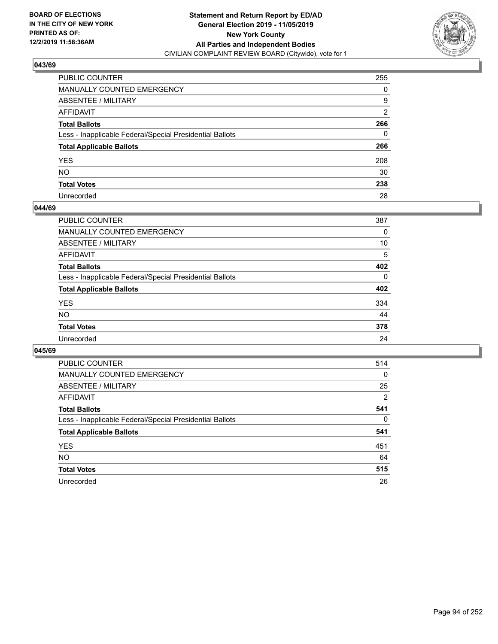

| PUBLIC COUNTER                                           | 255 |
|----------------------------------------------------------|-----|
| MANUALLY COUNTED EMERGENCY                               | 0   |
| ABSENTEE / MILITARY                                      | 9   |
| AFFIDAVIT                                                | 2   |
| Total Ballots                                            | 266 |
| Less - Inapplicable Federal/Special Presidential Ballots | 0   |
| <b>Total Applicable Ballots</b>                          | 266 |
| YES                                                      | 208 |
| NO.                                                      | 30  |
| <b>Total Votes</b>                                       | 238 |
| Unrecorded                                               | 28  |

### **044/69**

| <b>PUBLIC COUNTER</b>                                    | 387      |
|----------------------------------------------------------|----------|
| MANUALLY COUNTED EMERGENCY                               | 0        |
| ABSENTEE / MILITARY                                      | 10       |
| AFFIDAVIT                                                | 5        |
| <b>Total Ballots</b>                                     | 402      |
| Less - Inapplicable Federal/Special Presidential Ballots | $\Omega$ |
| <b>Total Applicable Ballots</b>                          | 402      |
| <b>YES</b>                                               | 334      |
| <b>NO</b>                                                | 44       |
| <b>Total Votes</b>                                       | 378      |
| Unrecorded                                               | 24       |

| <b>PUBLIC COUNTER</b>                                    | 514            |
|----------------------------------------------------------|----------------|
| <b>MANUALLY COUNTED EMERGENCY</b>                        | 0              |
| ABSENTEE / MILITARY                                      | 25             |
| AFFIDAVIT                                                | $\overline{2}$ |
| <b>Total Ballots</b>                                     | 541            |
| Less - Inapplicable Federal/Special Presidential Ballots | $\Omega$       |
| <b>Total Applicable Ballots</b>                          | 541            |
| <b>YES</b>                                               | 451            |
| NO.                                                      | 64             |
| <b>Total Votes</b>                                       | 515            |
| Unrecorded                                               | 26             |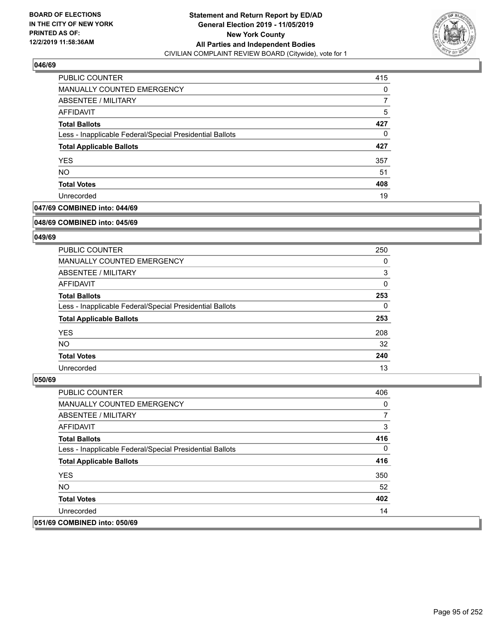

| <b>PUBLIC COUNTER</b>                                    | 415      |
|----------------------------------------------------------|----------|
| MANUALLY COUNTED EMERGENCY                               | $\Omega$ |
| <b>ABSENTEE / MILITARY</b>                               |          |
| AFFIDAVIT                                                | 5        |
| <b>Total Ballots</b>                                     | 427      |
| Less - Inapplicable Federal/Special Presidential Ballots | 0        |
| <b>Total Applicable Ballots</b>                          | 427      |
| <b>YES</b>                                               | 357      |
| <b>NO</b>                                                | 51       |
| <b>Total Votes</b>                                       | 408      |
| Unrecorded                                               | 19       |

# **047/69 COMBINED into: 044/69**

#### **048/69 COMBINED into: 045/69**

# **049/69**

| <b>PUBLIC COUNTER</b>                                    | 250          |
|----------------------------------------------------------|--------------|
| <b>MANUALLY COUNTED EMERGENCY</b>                        | 0            |
| ABSENTEE / MILITARY                                      | 3            |
| AFFIDAVIT                                                | $\mathbf{0}$ |
| <b>Total Ballots</b>                                     | 253          |
| Less - Inapplicable Federal/Special Presidential Ballots | $\Omega$     |
| <b>Total Applicable Ballots</b>                          | 253          |
| <b>YES</b>                                               | 208          |
| NO.                                                      | 32           |
| <b>Total Votes</b>                                       | 240          |
| Unrecorded                                               | 13           |

| <b>PUBLIC COUNTER</b>                                    | 406      |
|----------------------------------------------------------|----------|
| <b>MANUALLY COUNTED EMERGENCY</b>                        | 0        |
| ABSENTEE / MILITARY                                      | 7        |
| AFFIDAVIT                                                | 3        |
| <b>Total Ballots</b>                                     | 416      |
| Less - Inapplicable Federal/Special Presidential Ballots | $\Omega$ |
| <b>Total Applicable Ballots</b>                          | 416      |
| <b>YES</b>                                               | 350      |
| NO.                                                      | 52       |
| <b>Total Votes</b>                                       | 402      |
| Unrecorded                                               | 14       |
| 051/69 COMBINED into: 050/69                             |          |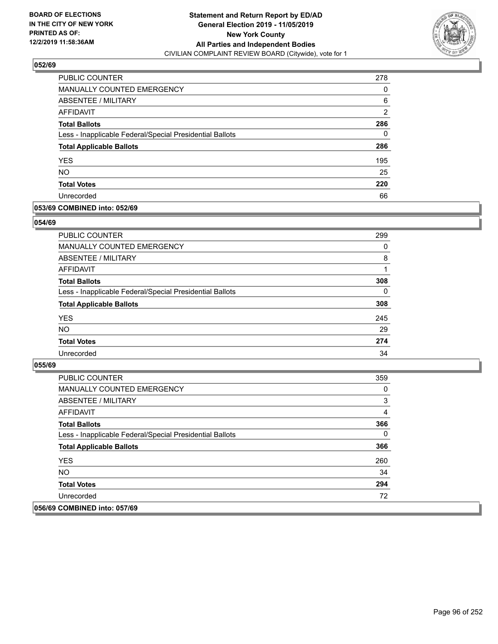

| PUBLIC COUNTER                                           | 278            |
|----------------------------------------------------------|----------------|
| <b>MANUALLY COUNTED EMERGENCY</b>                        | 0              |
| ABSENTEE / MILITARY                                      | 6              |
| AFFIDAVIT                                                | $\overline{2}$ |
| <b>Total Ballots</b>                                     | 286            |
| Less - Inapplicable Federal/Special Presidential Ballots | 0              |
| <b>Total Applicable Ballots</b>                          | 286            |
| <b>YES</b>                                               | 195            |
| <b>NO</b>                                                | 25             |
| <b>Total Votes</b>                                       | 220            |
| Unrecorded                                               | 66             |

### **053/69 COMBINED into: 052/69**

### **054/69**

| PUBLIC COUNTER                                           | 299      |
|----------------------------------------------------------|----------|
| <b>MANUALLY COUNTED EMERGENCY</b>                        | 0        |
| ABSENTEE / MILITARY                                      | 8        |
| AFFIDAVIT                                                |          |
| <b>Total Ballots</b>                                     | 308      |
| Less - Inapplicable Federal/Special Presidential Ballots | $\Omega$ |
| <b>Total Applicable Ballots</b>                          | 308      |
| <b>YES</b>                                               | 245      |
| <b>NO</b>                                                | 29       |
| <b>Total Votes</b>                                       | 274      |
| Unrecorded                                               | 34       |

| <b>PUBLIC COUNTER</b>                                    | 359 |
|----------------------------------------------------------|-----|
| <b>MANUALLY COUNTED EMERGENCY</b>                        | 0   |
| ABSENTEE / MILITARY                                      | 3   |
| AFFIDAVIT                                                | 4   |
| <b>Total Ballots</b>                                     | 366 |
| Less - Inapplicable Federal/Special Presidential Ballots | 0   |
| <b>Total Applicable Ballots</b>                          | 366 |
| <b>YES</b>                                               | 260 |
| NO.                                                      | 34  |
| <b>Total Votes</b>                                       | 294 |
| Unrecorded                                               | 72  |
| 056/69 COMBINED into: 057/69                             |     |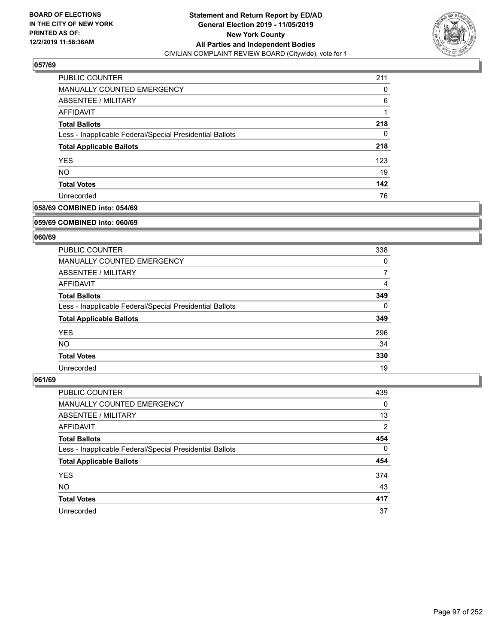

| PUBLIC COUNTER                                           | 211 |
|----------------------------------------------------------|-----|
| MANUALLY COUNTED EMERGENCY                               | 0   |
| ABSENTEE / MILITARY                                      | 6   |
| AFFIDAVIT                                                |     |
| <b>Total Ballots</b>                                     | 218 |
| Less - Inapplicable Federal/Special Presidential Ballots | 0   |
| <b>Total Applicable Ballots</b>                          | 218 |
| <b>YES</b>                                               | 123 |
| <b>NO</b>                                                | 19  |
| <b>Total Votes</b>                                       | 142 |
| Unrecorded                                               | 76  |

# **058/69 COMBINED into: 054/69**

#### **059/69 COMBINED into: 060/69**

# **060/69**

| <b>PUBLIC COUNTER</b>                                    | 338      |
|----------------------------------------------------------|----------|
| <b>MANUALLY COUNTED EMERGENCY</b>                        | 0        |
| ABSENTEE / MILITARY                                      | 7        |
| <b>AFFIDAVIT</b>                                         | 4        |
| <b>Total Ballots</b>                                     | 349      |
| Less - Inapplicable Federal/Special Presidential Ballots | $\Omega$ |
| <b>Total Applicable Ballots</b>                          | 349      |
| <b>YES</b>                                               | 296      |
| NO.                                                      | 34       |
| <b>Total Votes</b>                                       | 330      |
| Unrecorded                                               | 19       |

| PUBLIC COUNTER                                           | 439      |
|----------------------------------------------------------|----------|
| MANUALLY COUNTED EMERGENCY                               | 0        |
| ABSENTEE / MILITARY                                      | 13       |
| AFFIDAVIT                                                | 2        |
| <b>Total Ballots</b>                                     | 454      |
| Less - Inapplicable Federal/Special Presidential Ballots | $\Omega$ |
| <b>Total Applicable Ballots</b>                          | 454      |
| <b>YES</b>                                               | 374      |
| <b>NO</b>                                                | 43       |
| <b>Total Votes</b>                                       | 417      |
| Unrecorded                                               | 37       |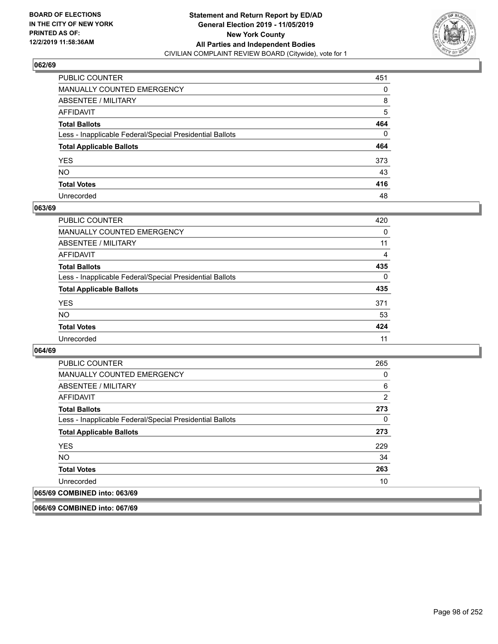

| PUBLIC COUNTER                                           | 451      |
|----------------------------------------------------------|----------|
| MANUALLY COUNTED EMERGENCY                               | 0        |
| ABSENTEE / MILITARY                                      | 8        |
| AFFIDAVIT                                                | 5        |
| Total Ballots                                            | 464      |
| Less - Inapplicable Federal/Special Presidential Ballots | $\Omega$ |
| <b>Total Applicable Ballots</b>                          | 464      |
| YES                                                      | 373      |
| NO.                                                      | 43       |
| <b>Total Votes</b>                                       | 416      |
| Unrecorded                                               | 48       |

### **063/69**

| <b>PUBLIC COUNTER</b>                                    | 420            |
|----------------------------------------------------------|----------------|
| <b>MANUALLY COUNTED EMERGENCY</b>                        | $\Omega$       |
| ABSENTEE / MILITARY                                      | 11             |
| AFFIDAVIT                                                | $\overline{4}$ |
| <b>Total Ballots</b>                                     | 435            |
| Less - Inapplicable Federal/Special Presidential Ballots | $\Omega$       |
| <b>Total Applicable Ballots</b>                          | 435            |
| <b>YES</b>                                               | 371            |
| <b>NO</b>                                                | 53             |
| <b>Total Votes</b>                                       | 424            |
| Unrecorded                                               | 11             |

### **064/69**

| <b>PUBLIC COUNTER</b>                                    | 265            |
|----------------------------------------------------------|----------------|
| <b>MANUALLY COUNTED EMERGENCY</b>                        | 0              |
| ABSENTEE / MILITARY                                      | 6              |
| AFFIDAVIT                                                | $\overline{2}$ |
| <b>Total Ballots</b>                                     | 273            |
| Less - Inapplicable Federal/Special Presidential Ballots | $\Omega$       |
| <b>Total Applicable Ballots</b>                          | 273            |
| <b>YES</b>                                               | 229            |
| <b>NO</b>                                                | 34             |
| <b>Total Votes</b>                                       | 263            |
| Unrecorded                                               | 10             |
| 065/69 COMBINED into: 063/69                             |                |

**066/69 COMBINED into: 067/69**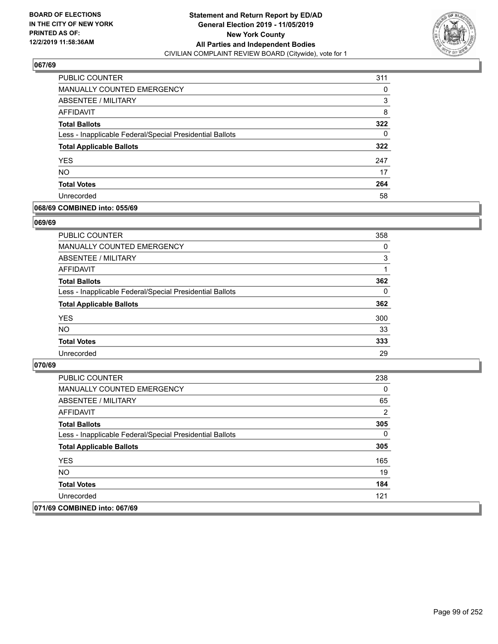

| PUBLIC COUNTER                                           | 311 |
|----------------------------------------------------------|-----|
| MANUALLY COUNTED EMERGENCY                               | 0   |
| ABSENTEE / MILITARY                                      | 3   |
| AFFIDAVIT                                                | 8   |
| <b>Total Ballots</b>                                     | 322 |
| Less - Inapplicable Federal/Special Presidential Ballots | 0   |
| <b>Total Applicable Ballots</b>                          | 322 |
| <b>YES</b>                                               | 247 |
| <b>NO</b>                                                | 17  |
| <b>Total Votes</b>                                       | 264 |
| Unrecorded                                               | 58  |

### **068/69 COMBINED into: 055/69**

#### **069/69**

| <b>PUBLIC COUNTER</b>                                    | 358      |
|----------------------------------------------------------|----------|
| MANUALLY COUNTED EMERGENCY                               | $\Omega$ |
| <b>ABSENTEE / MILITARY</b>                               | 3        |
| AFFIDAVIT                                                |          |
| <b>Total Ballots</b>                                     | 362      |
| Less - Inapplicable Federal/Special Presidential Ballots | $\Omega$ |
| <b>Total Applicable Ballots</b>                          | 362      |
| <b>YES</b>                                               | 300      |
| <b>NO</b>                                                | 33       |
| <b>Total Votes</b>                                       | 333      |
| Unrecorded                                               | 29       |
|                                                          |          |

| <b>PUBLIC COUNTER</b>                                    | 238 |
|----------------------------------------------------------|-----|
| <b>MANUALLY COUNTED EMERGENCY</b>                        | 0   |
| ABSENTEE / MILITARY                                      | 65  |
| AFFIDAVIT                                                | 2   |
| <b>Total Ballots</b>                                     | 305 |
| Less - Inapplicable Federal/Special Presidential Ballots | 0   |
| <b>Total Applicable Ballots</b>                          | 305 |
| <b>YES</b>                                               | 165 |
| NO.                                                      | 19  |
| <b>Total Votes</b>                                       | 184 |
| Unrecorded                                               | 121 |
| 071/69 COMBINED into: 067/69                             |     |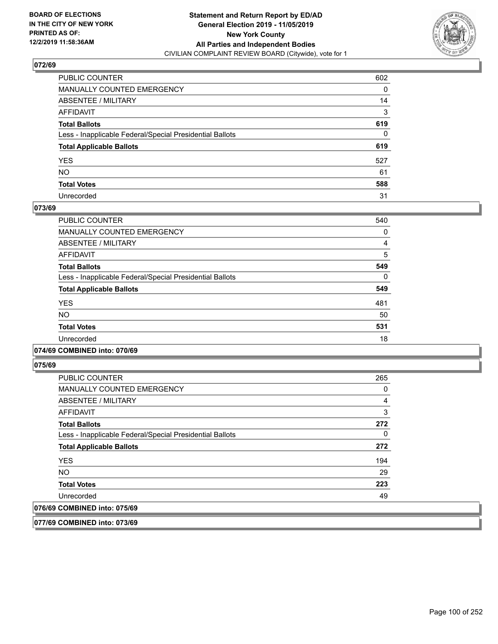

| PUBLIC COUNTER                                           | 602          |
|----------------------------------------------------------|--------------|
| MANUALLY COUNTED EMERGENCY                               | 0            |
| ABSENTEE / MILITARY                                      | 14           |
| AFFIDAVIT                                                | 3            |
| <b>Total Ballots</b>                                     | 619          |
| Less - Inapplicable Federal/Special Presidential Ballots | $\mathbf{0}$ |
| <b>Total Applicable Ballots</b>                          | 619          |
| YES                                                      | 527          |
| NO.                                                      | 61           |
| <b>Total Votes</b>                                       | 588          |
| Unrecorded                                               | 31           |

### **073/69**

| <b>PUBLIC COUNTER</b>                                    | 540      |
|----------------------------------------------------------|----------|
| <b>MANUALLY COUNTED EMERGENCY</b>                        | 0        |
| ABSENTEE / MILITARY                                      | 4        |
| AFFIDAVIT                                                | 5        |
| <b>Total Ballots</b>                                     | 549      |
| Less - Inapplicable Federal/Special Presidential Ballots | $\Omega$ |
| <b>Total Applicable Ballots</b>                          | 549      |
| <b>YES</b>                                               | 481      |
| <b>NO</b>                                                | 50       |
| <b>Total Votes</b>                                       | 531      |
| Unrecorded                                               | 18       |

### **074/69 COMBINED into: 070/69**

**075/69** 

| <b>PUBLIC COUNTER</b>                                    | 265 |
|----------------------------------------------------------|-----|
| <b>MANUALLY COUNTED EMERGENCY</b>                        | 0   |
| ABSENTEE / MILITARY                                      | 4   |
| AFFIDAVIT                                                | 3   |
| <b>Total Ballots</b>                                     | 272 |
| Less - Inapplicable Federal/Special Presidential Ballots | 0   |
| <b>Total Applicable Ballots</b>                          | 272 |
| <b>YES</b>                                               | 194 |
| <b>NO</b>                                                | 29  |
| <b>Total Votes</b>                                       | 223 |
| Unrecorded                                               | 49  |
| 076/69 COMBINED into: 075/69                             |     |

**077/69 COMBINED into: 073/69**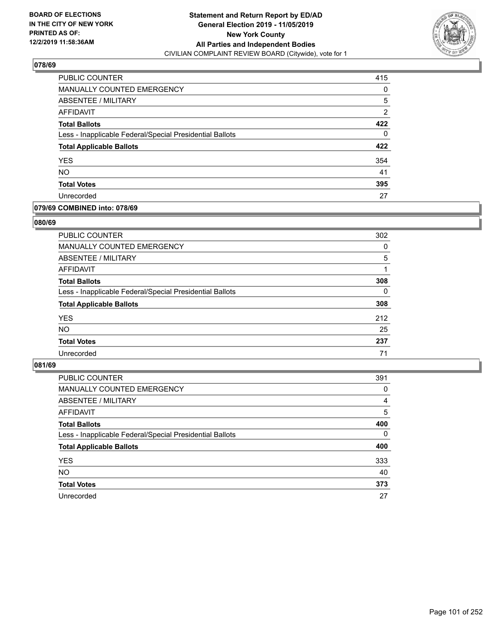

| PUBLIC COUNTER                                           | 415            |
|----------------------------------------------------------|----------------|
| <b>MANUALLY COUNTED EMERGENCY</b>                        | 0              |
| ABSENTEE / MILITARY                                      | 5              |
| AFFIDAVIT                                                | $\overline{2}$ |
| <b>Total Ballots</b>                                     | 422            |
| Less - Inapplicable Federal/Special Presidential Ballots | 0              |
| <b>Total Applicable Ballots</b>                          | 422            |
| <b>YES</b>                                               | 354            |
| <b>NO</b>                                                | 41             |
| <b>Total Votes</b>                                       | 395            |
| Unrecorded                                               | 27             |

# **079/69 COMBINED into: 078/69**

### **080/69**

| PUBLIC COUNTER                                           | 302      |
|----------------------------------------------------------|----------|
| MANUALLY COUNTED EMERGENCY                               | 0        |
| ABSENTEE / MILITARY                                      | 5        |
| AFFIDAVIT                                                |          |
| <b>Total Ballots</b>                                     | 308      |
| Less - Inapplicable Federal/Special Presidential Ballots | $\Omega$ |
| <b>Total Applicable Ballots</b>                          | 308      |
| <b>YES</b>                                               | 212      |
| <b>NO</b>                                                | 25       |
| <b>Total Votes</b>                                       | 237      |
| Unrecorded                                               | 71       |
|                                                          |          |

| <b>PUBLIC COUNTER</b>                                    | 391      |
|----------------------------------------------------------|----------|
| MANUALLY COUNTED EMERGENCY                               | 0        |
| ABSENTEE / MILITARY                                      | 4        |
| AFFIDAVIT                                                | 5        |
| <b>Total Ballots</b>                                     | 400      |
| Less - Inapplicable Federal/Special Presidential Ballots | $\Omega$ |
| <b>Total Applicable Ballots</b>                          | 400      |
| <b>YES</b>                                               | 333      |
| <b>NO</b>                                                | 40       |
| <b>Total Votes</b>                                       | 373      |
| Unrecorded                                               | 27       |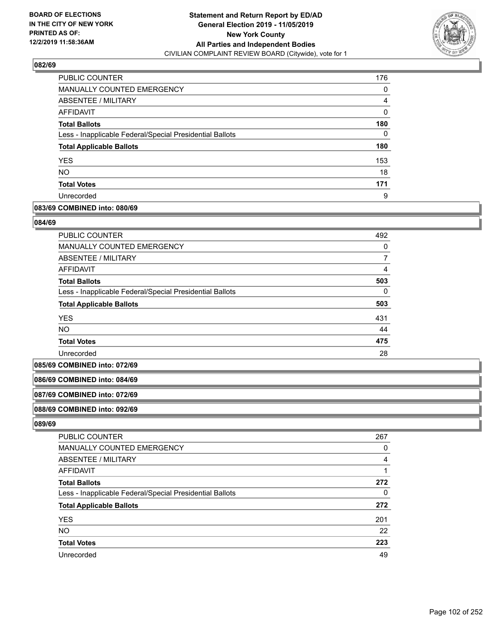

| <b>PUBLIC COUNTER</b>                                    | 176      |
|----------------------------------------------------------|----------|
| <b>MANUALLY COUNTED EMERGENCY</b>                        | 0        |
| ABSENTEE / MILITARY                                      | 4        |
| AFFIDAVIT                                                | $\Omega$ |
| <b>Total Ballots</b>                                     | 180      |
| Less - Inapplicable Federal/Special Presidential Ballots | 0        |
| <b>Total Applicable Ballots</b>                          | 180      |
| <b>YES</b>                                               | 153      |
| <b>NO</b>                                                | 18       |
| <b>Total Votes</b>                                       | 171      |
| Unrecorded                                               | 9        |

# **083/69 COMBINED into: 080/69**

#### **084/69**

| <b>PUBLIC COUNTER</b>                                    | 492      |
|----------------------------------------------------------|----------|
| MANUALLY COUNTED EMERGENCY                               | 0        |
| ABSENTEE / MILITARY                                      |          |
| AFFIDAVIT                                                | 4        |
| <b>Total Ballots</b>                                     | 503      |
| Less - Inapplicable Federal/Special Presidential Ballots | $\Omega$ |
| <b>Total Applicable Ballots</b>                          | 503      |
| <b>YES</b>                                               | 431      |
| <b>NO</b>                                                | 44       |
| <b>Total Votes</b>                                       | 475      |
| Unrecorded                                               | 28       |

#### **085/69 COMBINED into: 072/69**

#### **086/69 COMBINED into: 084/69**

#### **087/69 COMBINED into: 072/69**

#### **088/69 COMBINED into: 092/69**

| <b>PUBLIC COUNTER</b>                                    | 267 |
|----------------------------------------------------------|-----|
| MANUALLY COUNTED EMERGENCY                               | 0   |
| ABSENTEE / MILITARY                                      | 4   |
| AFFIDAVIT                                                |     |
| <b>Total Ballots</b>                                     | 272 |
| Less - Inapplicable Federal/Special Presidential Ballots | 0   |
| <b>Total Applicable Ballots</b>                          | 272 |
| <b>YES</b>                                               | 201 |
| <b>NO</b>                                                | 22  |
| <b>Total Votes</b>                                       | 223 |
| Unrecorded                                               | 49  |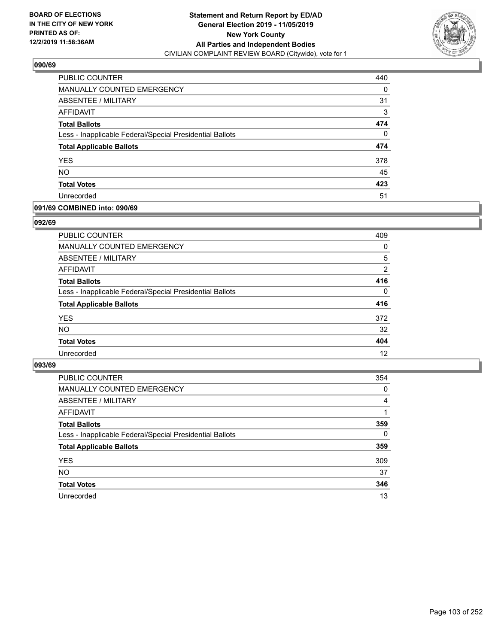

| PUBLIC COUNTER                                           | 440 |
|----------------------------------------------------------|-----|
| <b>MANUALLY COUNTED EMERGENCY</b>                        | 0   |
| ABSENTEE / MILITARY                                      | 31  |
| AFFIDAVIT                                                | 3   |
| <b>Total Ballots</b>                                     | 474 |
| Less - Inapplicable Federal/Special Presidential Ballots | 0   |
| <b>Total Applicable Ballots</b>                          | 474 |
| <b>YES</b>                                               | 378 |
| <b>NO</b>                                                | 45  |
| <b>Total Votes</b>                                       | 423 |
| Unrecorded                                               | 51  |

### **091/69 COMBINED into: 090/69**

### **092/69**

| <b>PUBLIC COUNTER</b>                                    | 409      |
|----------------------------------------------------------|----------|
| MANUALLY COUNTED EMERGENCY                               | $\Omega$ |
| <b>ABSENTEE / MILITARY</b>                               | 5        |
| AFFIDAVIT                                                | 2        |
| <b>Total Ballots</b>                                     | 416      |
| Less - Inapplicable Federal/Special Presidential Ballots | $\Omega$ |
| <b>Total Applicable Ballots</b>                          | 416      |
| <b>YES</b>                                               | 372      |
| <b>NO</b>                                                | 32       |
| <b>Total Votes</b>                                       | 404      |
| Unrecorded                                               | 12       |
|                                                          |          |

| PUBLIC COUNTER                                           | 354 |
|----------------------------------------------------------|-----|
| MANUALLY COUNTED EMERGENCY                               | 0   |
| ABSENTEE / MILITARY                                      | 4   |
| AFFIDAVIT                                                |     |
| <b>Total Ballots</b>                                     | 359 |
| Less - Inapplicable Federal/Special Presidential Ballots | 0   |
| <b>Total Applicable Ballots</b>                          | 359 |
| <b>YES</b>                                               | 309 |
| <b>NO</b>                                                | 37  |
| <b>Total Votes</b>                                       | 346 |
| Unrecorded                                               | 13  |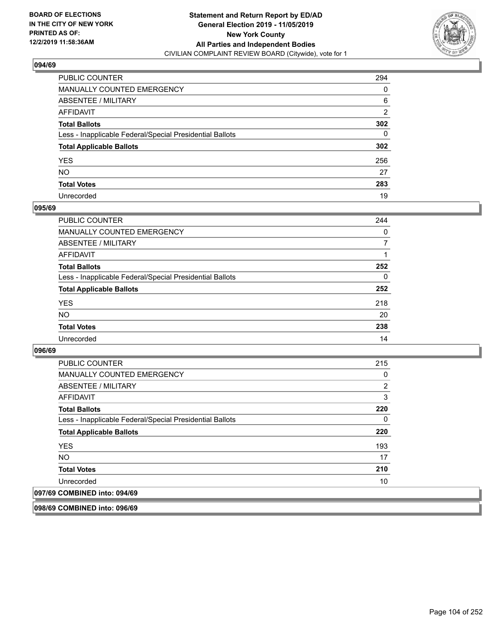

| PUBLIC COUNTER                                           | 294 |
|----------------------------------------------------------|-----|
| MANUALLY COUNTED EMERGENCY                               | 0   |
| ABSENTEE / MILITARY                                      | 6   |
| AFFIDAVIT                                                | 2   |
| Total Ballots                                            | 302 |
| Less - Inapplicable Federal/Special Presidential Ballots | 0   |
| <b>Total Applicable Ballots</b>                          | 302 |
| YES                                                      | 256 |
| NO.                                                      | 27  |
| <b>Total Votes</b>                                       | 283 |
| Unrecorded                                               | 19  |

### **095/69**

| <b>PUBLIC COUNTER</b>                                    | 244      |
|----------------------------------------------------------|----------|
| <b>MANUALLY COUNTED EMERGENCY</b>                        | $\Omega$ |
| ABSENTEE / MILITARY                                      | 7        |
| AFFIDAVIT                                                |          |
| <b>Total Ballots</b>                                     | 252      |
| Less - Inapplicable Federal/Special Presidential Ballots | $\Omega$ |
| <b>Total Applicable Ballots</b>                          | 252      |
| <b>YES</b>                                               | 218      |
| <b>NO</b>                                                | 20       |
| <b>Total Votes</b>                                       | 238      |
| Unrecorded                                               | 14       |

### **096/69**

| <b>PUBLIC COUNTER</b>                                    | 215 |
|----------------------------------------------------------|-----|
| <b>MANUALLY COUNTED EMERGENCY</b>                        | 0   |
| ABSENTEE / MILITARY                                      | 2   |
| <b>AFFIDAVIT</b>                                         | 3   |
| <b>Total Ballots</b>                                     | 220 |
| Less - Inapplicable Federal/Special Presidential Ballots | 0   |
| <b>Total Applicable Ballots</b>                          | 220 |
| <b>YES</b>                                               | 193 |
| <b>NO</b>                                                | 17  |
| <b>Total Votes</b>                                       | 210 |
| Unrecorded                                               | 10  |
| 097/69 COMBINED into: 094/69                             |     |

**098/69 COMBINED into: 096/69**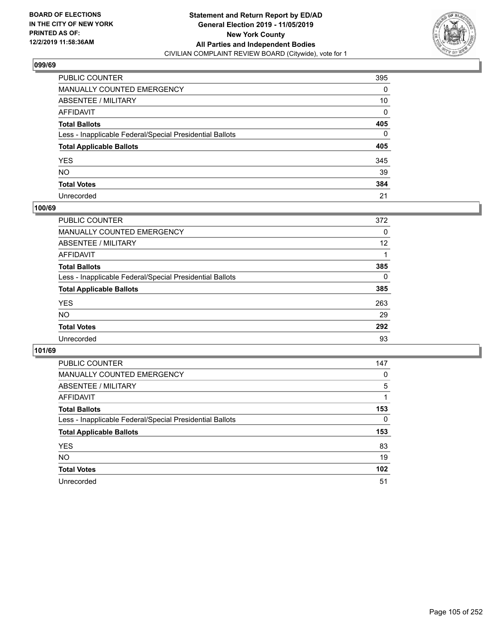

| PUBLIC COUNTER                                           | 395 |
|----------------------------------------------------------|-----|
| MANUALLY COUNTED EMERGENCY                               | 0   |
| ABSENTEE / MILITARY                                      | 10  |
| AFFIDAVIT                                                | 0   |
| Total Ballots                                            | 405 |
| Less - Inapplicable Federal/Special Presidential Ballots | 0   |
| <b>Total Applicable Ballots</b>                          | 405 |
| YES                                                      | 345 |
| NO.                                                      | 39  |
| <b>Total Votes</b>                                       | 384 |
| Unrecorded                                               | 21  |

### **100/69**

| <b>PUBLIC COUNTER</b>                                    | 372      |
|----------------------------------------------------------|----------|
| <b>MANUALLY COUNTED EMERGENCY</b>                        | $\Omega$ |
| ABSENTEE / MILITARY                                      | 12       |
| AFFIDAVIT                                                |          |
| <b>Total Ballots</b>                                     | 385      |
| Less - Inapplicable Federal/Special Presidential Ballots | $\Omega$ |
| <b>Total Applicable Ballots</b>                          | 385      |
| <b>YES</b>                                               | 263      |
| <b>NO</b>                                                | 29       |
| <b>Total Votes</b>                                       | 292      |
| Unrecorded                                               | 93       |

| <b>PUBLIC COUNTER</b>                                    | 147 |
|----------------------------------------------------------|-----|
| MANUALLY COUNTED EMERGENCY                               | 0   |
| ABSENTEE / MILITARY                                      | 5   |
| AFFIDAVIT                                                |     |
| <b>Total Ballots</b>                                     | 153 |
| Less - Inapplicable Federal/Special Presidential Ballots | 0   |
| <b>Total Applicable Ballots</b>                          | 153 |
| <b>YES</b>                                               | 83  |
| <b>NO</b>                                                | 19  |
| <b>Total Votes</b>                                       | 102 |
| Unrecorded                                               | 51  |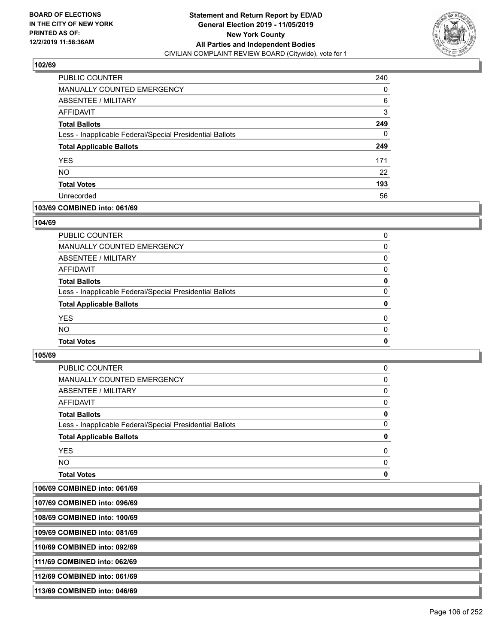

| <b>PUBLIC COUNTER</b>                                    | 240 |
|----------------------------------------------------------|-----|
| MANUALLY COUNTED EMERGENCY                               | 0   |
| ABSENTEE / MILITARY                                      | 6   |
| AFFIDAVIT                                                | 3   |
| <b>Total Ballots</b>                                     | 249 |
| Less - Inapplicable Federal/Special Presidential Ballots | 0   |
| <b>Total Applicable Ballots</b>                          | 249 |
| <b>YES</b>                                               | 171 |
| <b>NO</b>                                                | 22  |
| <b>Total Votes</b>                                       | 193 |
| Unrecorded                                               | 56  |

# **103/69 COMBINED into: 061/69**

### **104/69**

| PUBLIC COUNTER                                           | 0        |
|----------------------------------------------------------|----------|
| <b>MANUALLY COUNTED EMERGENCY</b>                        | 0        |
| ABSENTEE / MILITARY                                      | $\Omega$ |
| <b>AFFIDAVIT</b>                                         | 0        |
| <b>Total Ballots</b>                                     | 0        |
| Less - Inapplicable Federal/Special Presidential Ballots | $\Omega$ |
| <b>Total Applicable Ballots</b>                          | 0        |
| <b>YES</b>                                               | 0        |
| <b>NO</b>                                                | 0        |
| <b>Total Votes</b>                                       | 0        |
|                                                          |          |

# **105/69**

| <b>Total Votes</b>                                       | 0        |
|----------------------------------------------------------|----------|
| <b>NO</b>                                                | $\Omega$ |
| <b>YES</b>                                               | 0        |
| <b>Total Applicable Ballots</b>                          | 0        |
| Less - Inapplicable Federal/Special Presidential Ballots | 0        |
| <b>Total Ballots</b>                                     | 0        |
| AFFIDAVIT                                                | 0        |
| ABSENTEE / MILITARY                                      | $\Omega$ |
| MANUALLY COUNTED EMERGENCY                               | 0        |
| PUBLIC COUNTER                                           | 0        |

**106/69 COMBINED into: 061/69**

| 107/69 COMBINED into: 096/69  |  |
|-------------------------------|--|
| 108/69 COMBINED into: 100/69  |  |
| 109/69 COMBINED into: 081/69  |  |
| 110/69 COMBINED into: 092/69  |  |
| 1111/69 COMBINED into: 062/69 |  |
| 112/69 COMBINED into: 061/69  |  |
| 113/69 COMBINED into: 046/69  |  |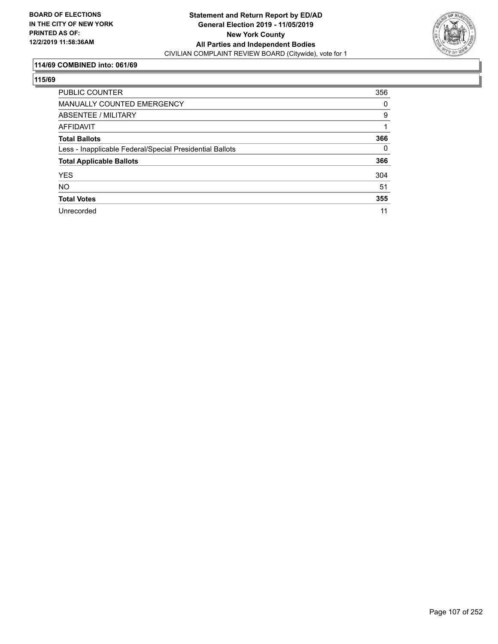

# **114/69 COMBINED into: 061/69**

| <b>PUBLIC COUNTER</b>                                    | 356      |
|----------------------------------------------------------|----------|
| <b>MANUALLY COUNTED EMERGENCY</b>                        | 0        |
| ABSENTEE / MILITARY                                      | 9        |
| AFFIDAVIT                                                |          |
| <b>Total Ballots</b>                                     | 366      |
| Less - Inapplicable Federal/Special Presidential Ballots | $\Omega$ |
| <b>Total Applicable Ballots</b>                          | 366      |
| <b>YES</b>                                               | 304      |
| <b>NO</b>                                                | 51       |
| <b>Total Votes</b>                                       | 355      |
| Unrecorded                                               | 11       |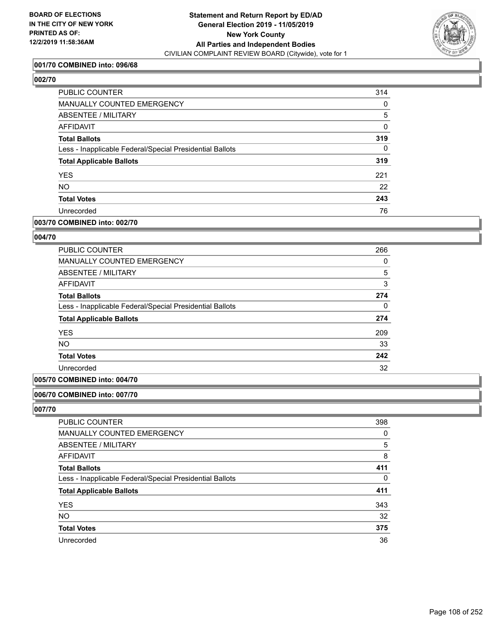

# **001/70 COMBINED into: 096/68**

# **002/70**

| PUBLIC COUNTER                                           | 314      |
|----------------------------------------------------------|----------|
| <b>MANUALLY COUNTED EMERGENCY</b>                        | 0        |
| ABSENTEE / MILITARY                                      | 5        |
| AFFIDAVIT                                                | 0        |
| <b>Total Ballots</b>                                     | 319      |
| Less - Inapplicable Federal/Special Presidential Ballots | $\Omega$ |
| <b>Total Applicable Ballots</b>                          | 319      |
| <b>YES</b>                                               | 221      |
| <b>NO</b>                                                | 22       |
| <b>Total Votes</b>                                       | 243      |
| Unrecorded                                               | 76       |
|                                                          |          |

# **003/70 COMBINED into: 002/70**

# **004/70**

| <b>PUBLIC COUNTER</b>                                    | 266      |
|----------------------------------------------------------|----------|
| <b>MANUALLY COUNTED EMERGENCY</b>                        | 0        |
| ABSENTEE / MILITARY                                      | 5        |
| <b>AFFIDAVIT</b>                                         | 3        |
| <b>Total Ballots</b>                                     | 274      |
| Less - Inapplicable Federal/Special Presidential Ballots | $\Omega$ |
| <b>Total Applicable Ballots</b>                          | 274      |
| <b>YES</b>                                               | 209      |
| <b>NO</b>                                                | 33       |
| <b>Total Votes</b>                                       | 242      |
| Unrecorded                                               | 32       |

### **005/70 COMBINED into: 004/70**

# **006/70 COMBINED into: 007/70**

| PUBLIC COUNTER                                           | 398      |
|----------------------------------------------------------|----------|
| MANUALLY COUNTED EMERGENCY                               | 0        |
| ABSENTEE / MILITARY                                      | 5        |
| AFFIDAVIT                                                | 8        |
| <b>Total Ballots</b>                                     | 411      |
| Less - Inapplicable Federal/Special Presidential Ballots | $\Omega$ |
| <b>Total Applicable Ballots</b>                          | 411      |
| <b>YES</b>                                               | 343      |
| <b>NO</b>                                                | 32       |
| <b>Total Votes</b>                                       | 375      |
| Unrecorded                                               | 36       |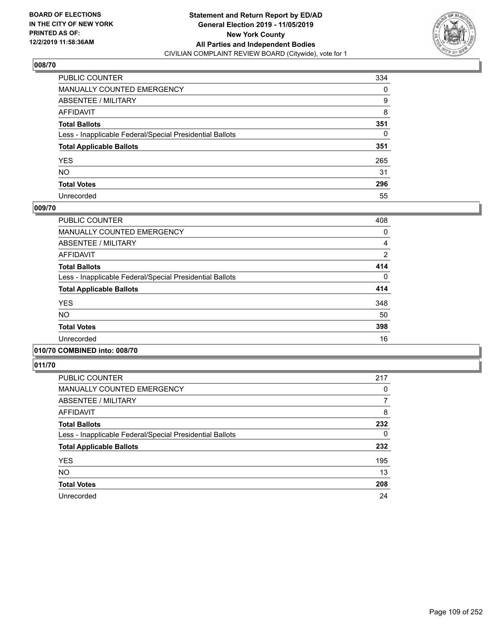

| PUBLIC COUNTER                                           | 334 |
|----------------------------------------------------------|-----|
| MANUALLY COUNTED EMERGENCY                               | 0   |
| ABSENTEE / MILITARY                                      | 9   |
| AFFIDAVIT                                                | 8   |
| Total Ballots                                            | 351 |
| Less - Inapplicable Federal/Special Presidential Ballots | 0   |
| <b>Total Applicable Ballots</b>                          | 351 |
| YES                                                      | 265 |
| NO.                                                      | 31  |
| <b>Total Votes</b>                                       | 296 |
| Unrecorded                                               | 55  |

#### **009/70**

| <b>PUBLIC COUNTER</b>                                    | 408      |
|----------------------------------------------------------|----------|
| <b>MANUALLY COUNTED EMERGENCY</b>                        | 0        |
| ABSENTEE / MILITARY                                      | 4        |
| <b>AFFIDAVIT</b>                                         | 2        |
| <b>Total Ballots</b>                                     | 414      |
| Less - Inapplicable Federal/Special Presidential Ballots | $\Omega$ |
| <b>Total Applicable Ballots</b>                          | 414      |
| <b>YES</b>                                               | 348      |
| <b>NO</b>                                                | 50       |
| <b>Total Votes</b>                                       | 398      |
| Unrecorded                                               | 16       |
|                                                          |          |

# **010/70 COMBINED into: 008/70**

| <b>PUBLIC COUNTER</b>                                    | 217      |
|----------------------------------------------------------|----------|
| <b>MANUALLY COUNTED EMERGENCY</b>                        | 0        |
| ABSENTEE / MILITARY                                      | 7        |
| <b>AFFIDAVIT</b>                                         | 8        |
| <b>Total Ballots</b>                                     | 232      |
| Less - Inapplicable Federal/Special Presidential Ballots | $\Omega$ |
| <b>Total Applicable Ballots</b>                          | 232      |
| <b>YES</b>                                               | 195      |
| <b>NO</b>                                                | 13       |
| <b>Total Votes</b>                                       | 208      |
| Unrecorded                                               | 24       |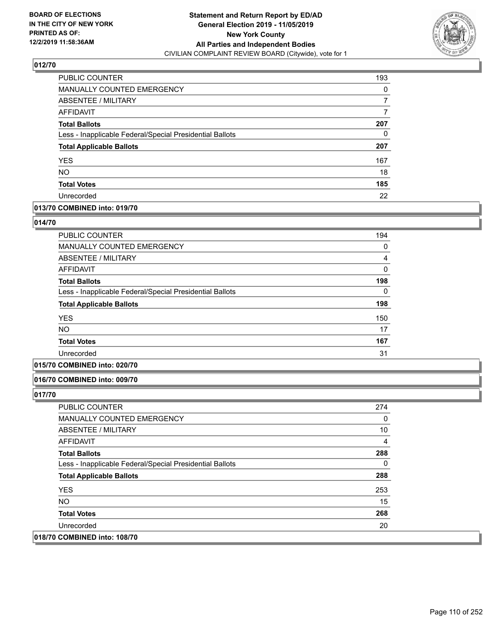

| PUBLIC COUNTER                                           | 193 |
|----------------------------------------------------------|-----|
| <b>MANUALLY COUNTED EMERGENCY</b>                        | 0   |
| ABSENTEE / MILITARY                                      | 7   |
| <b>AFFIDAVIT</b>                                         |     |
| <b>Total Ballots</b>                                     | 207 |
| Less - Inapplicable Federal/Special Presidential Ballots | 0   |
| <b>Total Applicable Ballots</b>                          | 207 |
| <b>YES</b>                                               | 167 |
| <b>NO</b>                                                | 18  |
| <b>Total Votes</b>                                       | 185 |
| Unrecorded                                               | 22  |

## **013/70 COMBINED into: 019/70**

#### **014/70**

| <b>PUBLIC COUNTER</b>                                    | 194 |
|----------------------------------------------------------|-----|
| <b>MANUALLY COUNTED EMERGENCY</b>                        | 0   |
| ABSENTEE / MILITARY                                      | 4   |
| AFFIDAVIT                                                | 0   |
| <b>Total Ballots</b>                                     | 198 |
| Less - Inapplicable Federal/Special Presidential Ballots | 0   |
| <b>Total Applicable Ballots</b>                          | 198 |
| <b>YES</b>                                               | 150 |
| NO.                                                      | 17  |
| <b>Total Votes</b>                                       | 167 |
| Unrecorded                                               | 31  |

# **015/70 COMBINED into: 020/70**

#### **016/70 COMBINED into: 009/70**

| <b>PUBLIC COUNTER</b>                                    | 274 |
|----------------------------------------------------------|-----|
| <b>MANUALLY COUNTED EMERGENCY</b>                        | 0   |
| ABSENTEE / MILITARY                                      | 10  |
| AFFIDAVIT                                                | 4   |
| <b>Total Ballots</b>                                     | 288 |
| Less - Inapplicable Federal/Special Presidential Ballots | 0   |
| <b>Total Applicable Ballots</b>                          | 288 |
| <b>YES</b>                                               | 253 |
| NO.                                                      | 15  |
| <b>Total Votes</b>                                       | 268 |
| Unrecorded                                               | 20  |
| 018/70 COMBINED into: 108/70                             |     |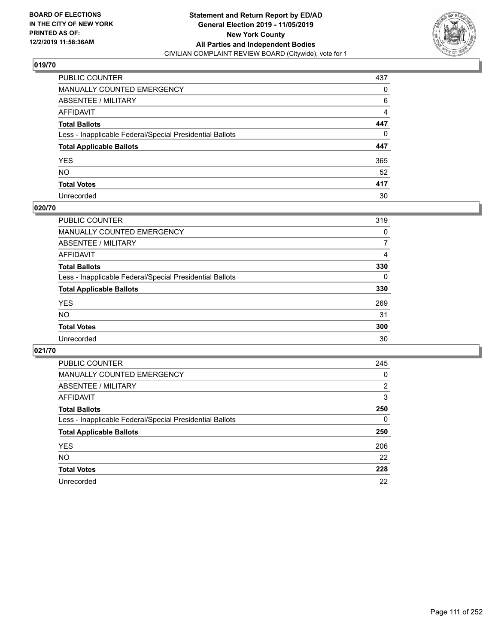

| PUBLIC COUNTER                                           | 437            |
|----------------------------------------------------------|----------------|
| MANUALLY COUNTED EMERGENCY                               | 0              |
| ABSENTEE / MILITARY                                      | 6              |
| AFFIDAVIT                                                | $\overline{4}$ |
| Total Ballots                                            | 447            |
| Less - Inapplicable Federal/Special Presidential Ballots | 0              |
| <b>Total Applicable Ballots</b>                          | 447            |
| YES                                                      | 365            |
| NO.                                                      | 52             |
| <b>Total Votes</b>                                       | 417            |
| Unrecorded                                               | 30             |

## **020/70**

| PUBLIC COUNTER                                           | 319      |
|----------------------------------------------------------|----------|
| MANUALLY COUNTED EMERGENCY                               | 0        |
| ABSENTEE / MILITARY                                      |          |
| AFFIDAVIT                                                | 4        |
| <b>Total Ballots</b>                                     | 330      |
| Less - Inapplicable Federal/Special Presidential Ballots | $\Omega$ |
| <b>Total Applicable Ballots</b>                          | 330      |
| <b>YES</b>                                               | 269      |
| <b>NO</b>                                                | 31       |
| <b>Total Votes</b>                                       | 300      |
| Unrecorded                                               | 30       |

| PUBLIC COUNTER                                           | 245      |
|----------------------------------------------------------|----------|
| MANUALLY COUNTED EMERGENCY                               | 0        |
| ABSENTEE / MILITARY                                      | 2        |
| AFFIDAVIT                                                | 3        |
| <b>Total Ballots</b>                                     | 250      |
| Less - Inapplicable Federal/Special Presidential Ballots | $\Omega$ |
| <b>Total Applicable Ballots</b>                          | 250      |
| <b>YES</b>                                               | 206      |
| <b>NO</b>                                                | 22       |
| <b>Total Votes</b>                                       | 228      |
| Unrecorded                                               | 22       |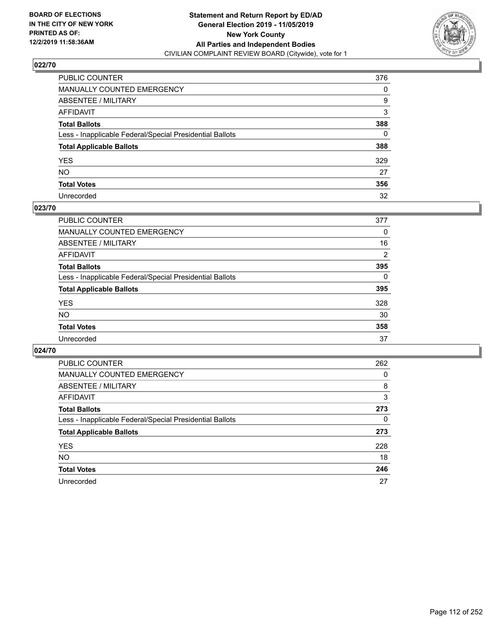

| PUBLIC COUNTER                                           | 376 |
|----------------------------------------------------------|-----|
| MANUALLY COUNTED EMERGENCY                               | 0   |
| ABSENTEE / MILITARY                                      | 9   |
| AFFIDAVIT                                                | 3   |
| Total Ballots                                            | 388 |
| Less - Inapplicable Federal/Special Presidential Ballots | 0   |
| <b>Total Applicable Ballots</b>                          | 388 |
| YES                                                      | 329 |
| NO.                                                      | 27  |
| <b>Total Votes</b>                                       | 356 |
| Unrecorded                                               | 32  |

#### **023/70**

| <b>PUBLIC COUNTER</b>                                    | 377      |
|----------------------------------------------------------|----------|
| MANUALLY COUNTED EMERGENCY                               | 0        |
| ABSENTEE / MILITARY                                      | 16       |
| AFFIDAVIT                                                | 2        |
| <b>Total Ballots</b>                                     | 395      |
| Less - Inapplicable Federal/Special Presidential Ballots | $\Omega$ |
| <b>Total Applicable Ballots</b>                          | 395      |
| <b>YES</b>                                               | 328      |
| <b>NO</b>                                                | 30       |
| <b>Total Votes</b>                                       | 358      |
| Unrecorded                                               | 37       |

| <b>PUBLIC COUNTER</b>                                    | 262 |
|----------------------------------------------------------|-----|
| MANUALLY COUNTED EMERGENCY                               | 0   |
| ABSENTEE / MILITARY                                      | 8   |
| AFFIDAVIT                                                | 3   |
| <b>Total Ballots</b>                                     | 273 |
| Less - Inapplicable Federal/Special Presidential Ballots | 0   |
| <b>Total Applicable Ballots</b>                          | 273 |
| <b>YES</b>                                               | 228 |
| NO.                                                      | 18  |
| <b>Total Votes</b>                                       | 246 |
| Unrecorded                                               | 27  |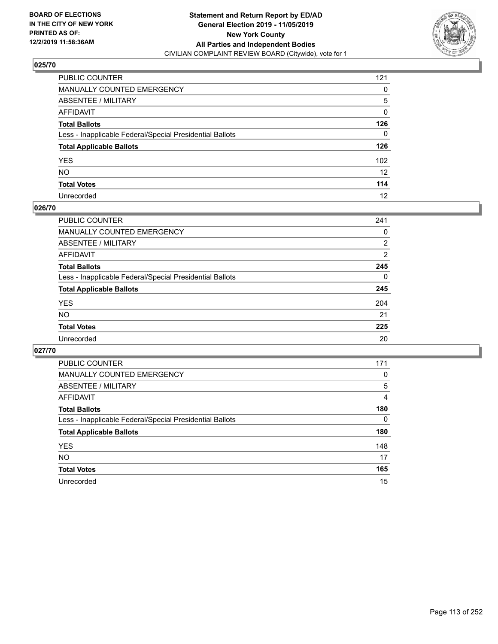

| PUBLIC COUNTER                                           | 121               |
|----------------------------------------------------------|-------------------|
| MANUALLY COUNTED EMERGENCY                               | 0                 |
| ABSENTEE / MILITARY                                      | 5                 |
| AFFIDAVIT                                                | 0                 |
| Total Ballots                                            | 126               |
| Less - Inapplicable Federal/Special Presidential Ballots | $\mathbf{0}$      |
| <b>Total Applicable Ballots</b>                          | 126               |
| YES                                                      | 102               |
| NO.                                                      | $12 \overline{ }$ |
| <b>Total Votes</b>                                       | 114               |
| Unrecorded                                               | 12                |

#### **026/70**

| PUBLIC COUNTER                                           | 241      |
|----------------------------------------------------------|----------|
| MANUALLY COUNTED EMERGENCY                               | 0        |
| ABSENTEE / MILITARY                                      | 2        |
| AFFIDAVIT                                                | 2        |
| <b>Total Ballots</b>                                     | 245      |
| Less - Inapplicable Federal/Special Presidential Ballots | $\Omega$ |
| <b>Total Applicable Ballots</b>                          | 245      |
| <b>YES</b>                                               | 204      |
| <b>NO</b>                                                | 21       |
| <b>Total Votes</b>                                       | 225      |
| Unrecorded                                               | 20       |

| PUBLIC COUNTER                                           | 171      |
|----------------------------------------------------------|----------|
| <b>MANUALLY COUNTED EMERGENCY</b>                        | $\Omega$ |
| ABSENTEE / MILITARY                                      | 5        |
| AFFIDAVIT                                                | 4        |
| <b>Total Ballots</b>                                     | 180      |
| Less - Inapplicable Federal/Special Presidential Ballots | $\Omega$ |
| <b>Total Applicable Ballots</b>                          | 180      |
| <b>YES</b>                                               | 148      |
| <b>NO</b>                                                | 17       |
| <b>Total Votes</b>                                       | 165      |
| Unrecorded                                               | 15       |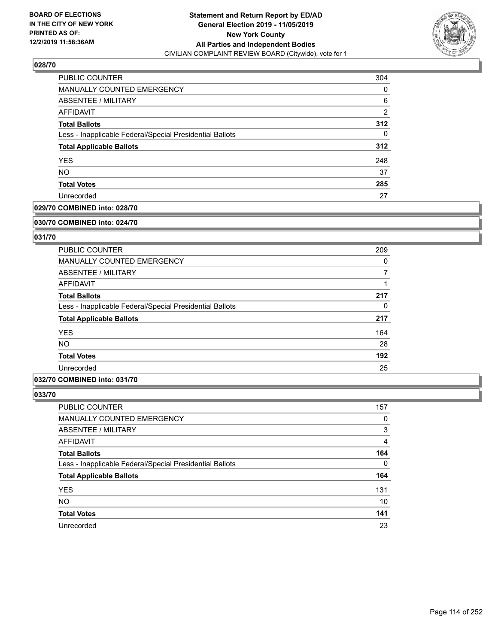

| <b>PUBLIC COUNTER</b>                                    | 304            |
|----------------------------------------------------------|----------------|
| MANUALLY COUNTED EMERGENCY                               | 0              |
| ABSENTEE / MILITARY                                      | 6              |
| AFFIDAVIT                                                | $\overline{2}$ |
| <b>Total Ballots</b>                                     | 312            |
| Less - Inapplicable Federal/Special Presidential Ballots | 0              |
| <b>Total Applicable Ballots</b>                          | 312            |
| <b>YES</b>                                               | 248            |
| <b>NO</b>                                                | 37             |
| <b>Total Votes</b>                                       | 285            |
| Unrecorded                                               | 27             |

## **029/70 COMBINED into: 028/70**

#### **030/70 COMBINED into: 024/70**

## **031/70**

| <b>PUBLIC COUNTER</b>                                    | 209      |
|----------------------------------------------------------|----------|
| <b>MANUALLY COUNTED EMERGENCY</b>                        | $\Omega$ |
| ABSENTEE / MILITARY                                      | 7        |
| AFFIDAVIT                                                |          |
| <b>Total Ballots</b>                                     | 217      |
| Less - Inapplicable Federal/Special Presidential Ballots | 0        |
| <b>Total Applicable Ballots</b>                          | 217      |
| <b>YES</b>                                               | 164      |
| NO.                                                      | 28       |
| <b>Total Votes</b>                                       | 192      |
| Unrecorded                                               | 25       |

#### **032/70 COMBINED into: 031/70**

| PUBLIC COUNTER                                           | 157      |
|----------------------------------------------------------|----------|
| MANUALLY COUNTED EMERGENCY                               | 0        |
| ABSENTEE / MILITARY                                      | 3        |
| AFFIDAVIT                                                | 4        |
| <b>Total Ballots</b>                                     | 164      |
| Less - Inapplicable Federal/Special Presidential Ballots | $\Omega$ |
| <b>Total Applicable Ballots</b>                          | 164      |
| <b>YES</b>                                               | 131      |
| <b>NO</b>                                                | 10       |
| <b>Total Votes</b>                                       | 141      |
| Unrecorded                                               | 23       |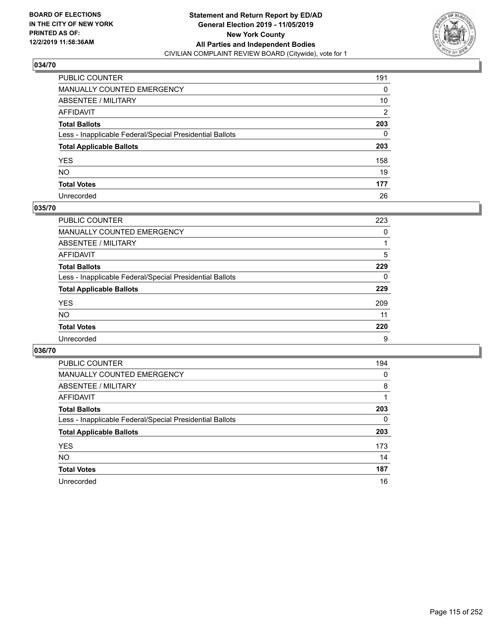

| PUBLIC COUNTER                                           | 191            |
|----------------------------------------------------------|----------------|
| MANUALLY COUNTED EMERGENCY                               | 0              |
| ABSENTEE / MILITARY                                      | 10             |
| AFFIDAVIT                                                | $\overline{2}$ |
| Total Ballots                                            | 203            |
| Less - Inapplicable Federal/Special Presidential Ballots | 0              |
| <b>Total Applicable Ballots</b>                          | 203            |
| YES                                                      | 158            |
| NO.                                                      | 19             |
| <b>Total Votes</b>                                       | 177            |
| Unrecorded                                               | 26             |

#### **035/70**

| <b>PUBLIC COUNTER</b>                                    | 223      |
|----------------------------------------------------------|----------|
| MANUALLY COUNTED EMERGENCY                               | 0        |
| ABSENTEE / MILITARY                                      |          |
| AFFIDAVIT                                                | 5        |
| <b>Total Ballots</b>                                     | 229      |
| Less - Inapplicable Federal/Special Presidential Ballots | $\Omega$ |
| <b>Total Applicable Ballots</b>                          | 229      |
| <b>YES</b>                                               | 209      |
| <b>NO</b>                                                | 11       |
| <b>Total Votes</b>                                       | 220      |
| Unrecorded                                               | 9        |

| <b>PUBLIC COUNTER</b>                                    | 194 |
|----------------------------------------------------------|-----|
| MANUALLY COUNTED EMERGENCY                               | 0   |
| ABSENTEE / MILITARY                                      | 8   |
| AFFIDAVIT                                                |     |
| <b>Total Ballots</b>                                     | 203 |
| Less - Inapplicable Federal/Special Presidential Ballots | 0   |
| <b>Total Applicable Ballots</b>                          | 203 |
| <b>YES</b>                                               | 173 |
| <b>NO</b>                                                | 14  |
| <b>Total Votes</b>                                       | 187 |
| Unrecorded                                               | 16  |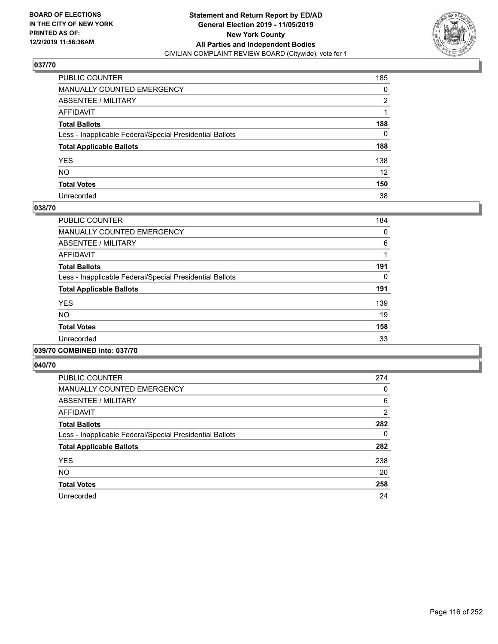

| PUBLIC COUNTER                                           | 185             |
|----------------------------------------------------------|-----------------|
| MANUALLY COUNTED EMERGENCY                               | 0               |
| ABSENTEE / MILITARY                                      | 2               |
| AFFIDAVIT                                                |                 |
| Total Ballots                                            | 188             |
| Less - Inapplicable Federal/Special Presidential Ballots | 0               |
| <b>Total Applicable Ballots</b>                          | 188             |
| YES                                                      | 138             |
| NO.                                                      | 12 <sup>2</sup> |
| <b>Total Votes</b>                                       | 150             |
| Unrecorded                                               | 38              |

#### **038/70**

| <b>PUBLIC COUNTER</b>                                    | 184 |
|----------------------------------------------------------|-----|
| <b>MANUALLY COUNTED EMERGENCY</b>                        | 0   |
| ABSENTEE / MILITARY                                      | 6   |
| <b>AFFIDAVIT</b>                                         |     |
| <b>Total Ballots</b>                                     | 191 |
| Less - Inapplicable Federal/Special Presidential Ballots | 0   |
| <b>Total Applicable Ballots</b>                          | 191 |
| <b>YES</b>                                               | 139 |
| <b>NO</b>                                                | 19  |
| <b>Total Votes</b>                                       | 158 |
| Unrecorded                                               | 33  |
|                                                          |     |

#### **039/70 COMBINED into: 037/70**

| <b>PUBLIC COUNTER</b>                                    | 274            |
|----------------------------------------------------------|----------------|
| <b>MANUALLY COUNTED EMERGENCY</b>                        | 0              |
| ABSENTEE / MILITARY                                      | 6              |
| <b>AFFIDAVIT</b>                                         | $\overline{2}$ |
| <b>Total Ballots</b>                                     | 282            |
| Less - Inapplicable Federal/Special Presidential Ballots | 0              |
| <b>Total Applicable Ballots</b>                          | 282            |
| <b>YES</b>                                               | 238            |
| <b>NO</b>                                                | 20             |
| <b>Total Votes</b>                                       | 258            |
| Unrecorded                                               | 24             |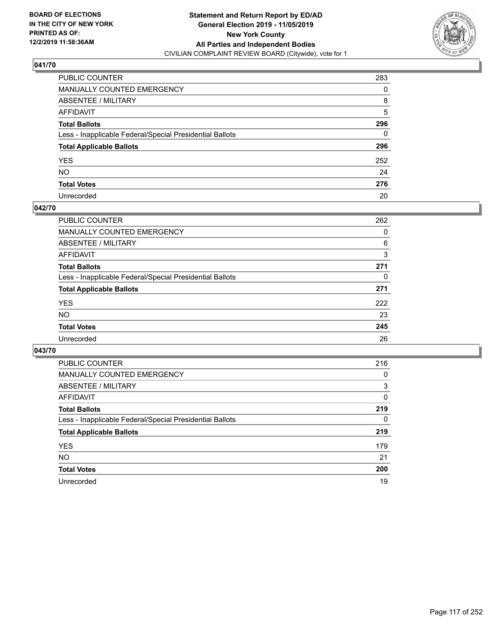

| PUBLIC COUNTER                                           | 283          |
|----------------------------------------------------------|--------------|
| MANUALLY COUNTED EMERGENCY                               | $\Omega$     |
| ABSENTEE / MILITARY                                      | 8            |
| AFFIDAVIT                                                | 5            |
| Total Ballots                                            | 296          |
| Less - Inapplicable Federal/Special Presidential Ballots | $\mathbf{0}$ |
| <b>Total Applicable Ballots</b>                          | 296          |
| YES                                                      | 252          |
| NO.                                                      | 24           |
| <b>Total Votes</b>                                       | 276          |
| Unrecorded                                               | 20           |

#### **042/70**

| <b>PUBLIC COUNTER</b>                                    | 262 |
|----------------------------------------------------------|-----|
| <b>MANUALLY COUNTED EMERGENCY</b>                        | 0   |
| ABSENTEE / MILITARY                                      | 6   |
| AFFIDAVIT                                                | 3   |
| <b>Total Ballots</b>                                     | 271 |
| Less - Inapplicable Federal/Special Presidential Ballots | 0   |
| <b>Total Applicable Ballots</b>                          | 271 |
| <b>YES</b>                                               | 222 |
| NO.                                                      | 23  |
| <b>Total Votes</b>                                       | 245 |
| Unrecorded                                               | 26  |

| <b>PUBLIC COUNTER</b>                                    | 216 |
|----------------------------------------------------------|-----|
| MANUALLY COUNTED EMERGENCY                               | 0   |
| ABSENTEE / MILITARY                                      | 3   |
| AFFIDAVIT                                                | 0   |
| <b>Total Ballots</b>                                     | 219 |
| Less - Inapplicable Federal/Special Presidential Ballots | 0   |
| <b>Total Applicable Ballots</b>                          | 219 |
| <b>YES</b>                                               | 179 |
| NO.                                                      | 21  |
| <b>Total Votes</b>                                       | 200 |
| Unrecorded                                               | 19  |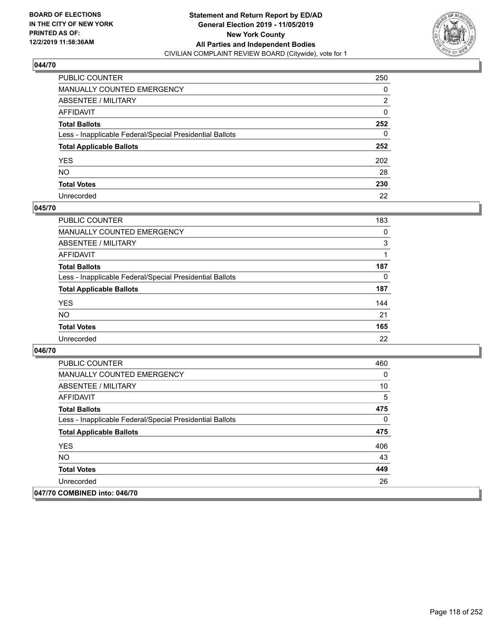

| PUBLIC COUNTER                                           | 250 |
|----------------------------------------------------------|-----|
| MANUALLY COUNTED EMERGENCY                               | 0   |
| ABSENTEE / MILITARY                                      | 2   |
| AFFIDAVIT                                                | 0   |
| Total Ballots                                            | 252 |
| Less - Inapplicable Federal/Special Presidential Ballots | 0   |
| <b>Total Applicable Ballots</b>                          | 252 |
| YES                                                      | 202 |
| NO.                                                      | 28  |
| <b>Total Votes</b>                                       | 230 |
| Unrecorded                                               | 22  |

#### **045/70**

| <b>PUBLIC COUNTER</b>                                    | 183      |
|----------------------------------------------------------|----------|
| MANUALLY COUNTED EMERGENCY                               | $\Omega$ |
| ABSENTEE / MILITARY                                      | 3        |
| AFFIDAVIT                                                |          |
| <b>Total Ballots</b>                                     | 187      |
| Less - Inapplicable Federal/Special Presidential Ballots | 0        |
| <b>Total Applicable Ballots</b>                          | 187      |
| <b>YES</b>                                               | 144      |
| <b>NO</b>                                                | 21       |
| <b>Total Votes</b>                                       | 165      |
| Unrecorded                                               | 22       |

| <b>PUBLIC COUNTER</b>                                    | 460 |
|----------------------------------------------------------|-----|
| <b>MANUALLY COUNTED EMERGENCY</b>                        | 0   |
| ABSENTEE / MILITARY                                      | 10  |
| AFFIDAVIT                                                | 5   |
| <b>Total Ballots</b>                                     | 475 |
| Less - Inapplicable Federal/Special Presidential Ballots | 0   |
| <b>Total Applicable Ballots</b>                          | 475 |
| <b>YES</b>                                               | 406 |
| NO.                                                      | 43  |
| <b>Total Votes</b>                                       | 449 |
| Unrecorded                                               | 26  |
| 047/70 COMBINED into: 046/70                             |     |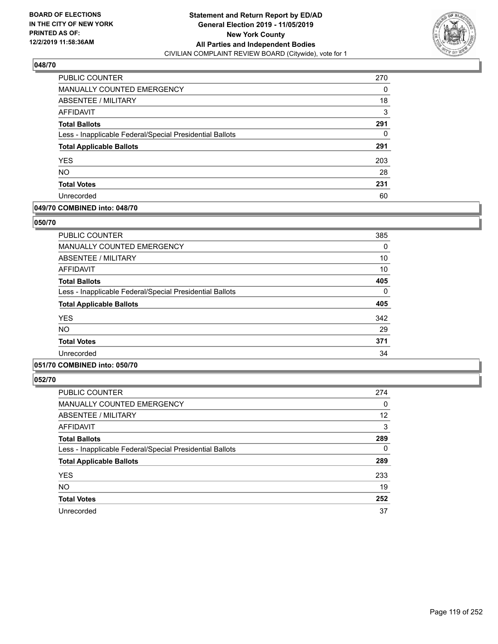

| PUBLIC COUNTER                                           | 270 |
|----------------------------------------------------------|-----|
| MANUALLY COUNTED EMERGENCY                               | 0   |
| ABSENTEE / MILITARY                                      | 18  |
| AFFIDAVIT                                                | 3   |
| <b>Total Ballots</b>                                     | 291 |
| Less - Inapplicable Federal/Special Presidential Ballots | 0   |
| <b>Total Applicable Ballots</b>                          | 291 |
| <b>YES</b>                                               | 203 |
| <b>NO</b>                                                | 28  |
| <b>Total Votes</b>                                       | 231 |
| Unrecorded                                               | 60  |

#### **049/70 COMBINED into: 048/70**

#### **050/70**

| <b>PUBLIC COUNTER</b>                                    | 385 |
|----------------------------------------------------------|-----|
| <b>MANUALLY COUNTED EMERGENCY</b>                        | 0   |
| ABSENTEE / MILITARY                                      | 10  |
| <b>AFFIDAVIT</b>                                         | 10  |
| <b>Total Ballots</b>                                     | 405 |
| Less - Inapplicable Federal/Special Presidential Ballots | 0   |
| <b>Total Applicable Ballots</b>                          | 405 |
| <b>YES</b>                                               | 342 |
| NO.                                                      | 29  |
| <b>Total Votes</b>                                       | 371 |
| Unrecorded                                               | 34  |

# **051/70 COMBINED into: 050/70**

| <b>PUBLIC COUNTER</b>                                    | 274      |
|----------------------------------------------------------|----------|
| <b>MANUALLY COUNTED EMERGENCY</b>                        | 0        |
| ABSENTEE / MILITARY                                      | 12       |
| <b>AFFIDAVIT</b>                                         | 3        |
| <b>Total Ballots</b>                                     | 289      |
| Less - Inapplicable Federal/Special Presidential Ballots | $\Omega$ |
| <b>Total Applicable Ballots</b>                          | 289      |
| <b>YES</b>                                               | 233      |
| <b>NO</b>                                                | 19       |
| <b>Total Votes</b>                                       | 252      |
| Unrecorded                                               | 37       |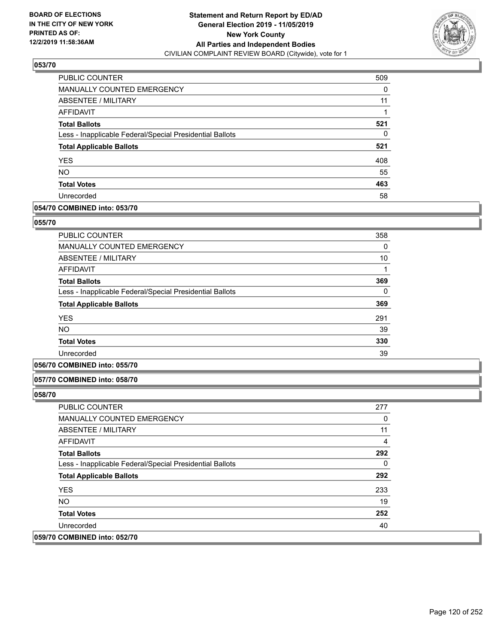

| PUBLIC COUNTER                                           | 509 |
|----------------------------------------------------------|-----|
| <b>MANUALLY COUNTED EMERGENCY</b>                        | 0   |
| ABSENTEE / MILITARY                                      | 11  |
| AFFIDAVIT                                                |     |
| <b>Total Ballots</b>                                     | 521 |
| Less - Inapplicable Federal/Special Presidential Ballots | 0   |
| <b>Total Applicable Ballots</b>                          | 521 |
| <b>YES</b>                                               | 408 |
| <b>NO</b>                                                | 55  |
| <b>Total Votes</b>                                       | 463 |
| Unrecorded                                               | 58  |

## **054/70 COMBINED into: 053/70**

#### **055/70**

| <b>PUBLIC COUNTER</b>                                    | 358 |
|----------------------------------------------------------|-----|
| <b>MANUALLY COUNTED EMERGENCY</b>                        | 0   |
| ABSENTEE / MILITARY                                      | 10  |
| <b>AFFIDAVIT</b>                                         |     |
| <b>Total Ballots</b>                                     | 369 |
| Less - Inapplicable Federal/Special Presidential Ballots | 0   |
| <b>Total Applicable Ballots</b>                          | 369 |
| <b>YES</b>                                               | 291 |
| <b>NO</b>                                                | 39  |
| <b>Total Votes</b>                                       | 330 |
| Unrecorded                                               | 39  |

## **056/70 COMBINED into: 055/70**

#### **057/70 COMBINED into: 058/70**

| <b>PUBLIC COUNTER</b>                                    | 277 |
|----------------------------------------------------------|-----|
| <b>MANUALLY COUNTED EMERGENCY</b>                        | 0   |
| ABSENTEE / MILITARY                                      | 11  |
| AFFIDAVIT                                                | 4   |
| <b>Total Ballots</b>                                     | 292 |
| Less - Inapplicable Federal/Special Presidential Ballots | 0   |
| <b>Total Applicable Ballots</b>                          | 292 |
| <b>YES</b>                                               | 233 |
| NO.                                                      | 19  |
| <b>Total Votes</b>                                       | 252 |
| Unrecorded                                               | 40  |
| 059/70 COMBINED into: 052/70                             |     |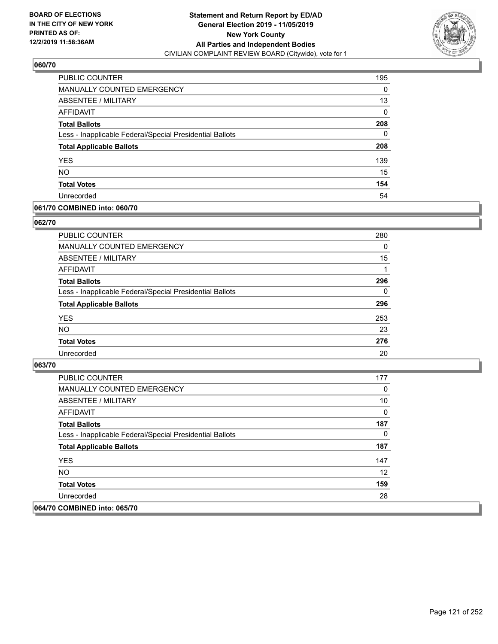

| PUBLIC COUNTER                                           | 195      |
|----------------------------------------------------------|----------|
| <b>MANUALLY COUNTED EMERGENCY</b>                        | 0        |
| ABSENTEE / MILITARY                                      | 13       |
| AFFIDAVIT                                                | $\Omega$ |
| <b>Total Ballots</b>                                     | 208      |
| Less - Inapplicable Federal/Special Presidential Ballots | 0        |
| <b>Total Applicable Ballots</b>                          | 208      |
| <b>YES</b>                                               | 139      |
| <b>NO</b>                                                | 15       |
| <b>Total Votes</b>                                       | 154      |
| Unrecorded                                               | 54       |

#### **061/70 COMBINED into: 060/70**

#### **062/70**

| <b>PUBLIC COUNTER</b>                                    | 280      |
|----------------------------------------------------------|----------|
| <b>MANUALLY COUNTED EMERGENCY</b>                        | $\Omega$ |
| ABSENTEE / MILITARY                                      | 15       |
| AFFIDAVIT                                                |          |
| <b>Total Ballots</b>                                     | 296      |
| Less - Inapplicable Federal/Special Presidential Ballots | $\Omega$ |
| <b>Total Applicable Ballots</b>                          | 296      |
| <b>YES</b>                                               | 253      |
| <b>NO</b>                                                | 23       |
| <b>Total Votes</b>                                       | 276      |
| Unrecorded                                               | 20       |

| <b>PUBLIC COUNTER</b>                                    | 177 |
|----------------------------------------------------------|-----|
| <b>MANUALLY COUNTED EMERGENCY</b>                        | 0   |
| ABSENTEE / MILITARY                                      | 10  |
| AFFIDAVIT                                                | 0   |
| <b>Total Ballots</b>                                     | 187 |
| Less - Inapplicable Federal/Special Presidential Ballots | 0   |
| <b>Total Applicable Ballots</b>                          | 187 |
| <b>YES</b>                                               | 147 |
| NO.                                                      | 12  |
| <b>Total Votes</b>                                       | 159 |
| Unrecorded                                               | 28  |
| 064/70 COMBINED into: 065/70                             |     |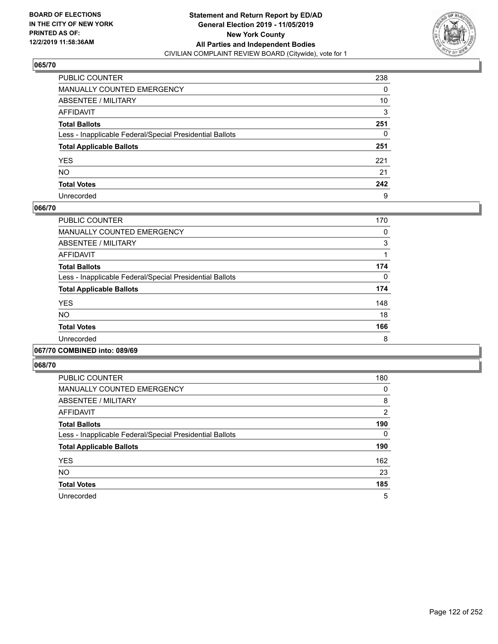

| PUBLIC COUNTER                                           | 238 |
|----------------------------------------------------------|-----|
| MANUALLY COUNTED EMERGENCY                               | 0   |
| ABSENTEE / MILITARY                                      | 10  |
| AFFIDAVIT                                                | 3   |
| Total Ballots                                            | 251 |
| Less - Inapplicable Federal/Special Presidential Ballots | 0   |
| <b>Total Applicable Ballots</b>                          | 251 |
| YES                                                      | 221 |
| NO.                                                      | 21  |
| <b>Total Votes</b>                                       | 242 |
| Unrecorded                                               | 9   |

#### **066/70**

| PUBLIC COUNTER                                           | 170 |
|----------------------------------------------------------|-----|
| <b>MANUALLY COUNTED EMERGENCY</b>                        | 0   |
| ABSENTEE / MILITARY                                      | 3   |
| <b>AFFIDAVIT</b>                                         |     |
| <b>Total Ballots</b>                                     | 174 |
| Less - Inapplicable Federal/Special Presidential Ballots | 0   |
| <b>Total Applicable Ballots</b>                          | 174 |
| <b>YES</b>                                               | 148 |
| <b>NO</b>                                                | 18  |
| <b>Total Votes</b>                                       | 166 |
| Unrecorded                                               | 8   |
|                                                          |     |

#### **067/70 COMBINED into: 089/69**

| <b>PUBLIC COUNTER</b>                                    | 180           |
|----------------------------------------------------------|---------------|
| <b>MANUALLY COUNTED EMERGENCY</b>                        | 0             |
| ABSENTEE / MILITARY                                      | 8             |
| AFFIDAVIT                                                | $\mathcal{P}$ |
| <b>Total Ballots</b>                                     | 190           |
| Less - Inapplicable Federal/Special Presidential Ballots | 0             |
| <b>Total Applicable Ballots</b>                          | 190           |
| <b>YES</b>                                               | 162           |
| <b>NO</b>                                                | 23            |
| <b>Total Votes</b>                                       | 185           |
| Unrecorded                                               | 5             |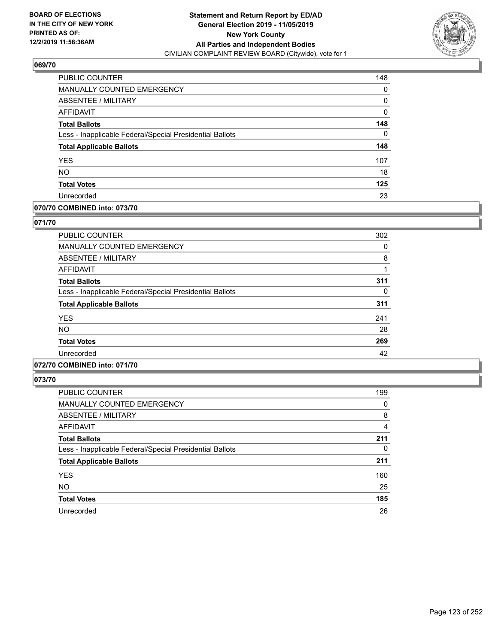

| <b>PUBLIC COUNTER</b>                                    | 148 |
|----------------------------------------------------------|-----|
| MANUALLY COUNTED EMERGENCY                               | 0   |
| ABSENTEE / MILITARY                                      | 0   |
| AFFIDAVIT                                                | 0   |
| <b>Total Ballots</b>                                     | 148 |
| Less - Inapplicable Federal/Special Presidential Ballots | 0   |
| <b>Total Applicable Ballots</b>                          | 148 |
| <b>YES</b>                                               | 107 |
| <b>NO</b>                                                | 18  |
| <b>Total Votes</b>                                       | 125 |
| Unrecorded                                               | 23  |

# **070/70 COMBINED into: 073/70**

#### **071/70**

| <b>PUBLIC COUNTER</b>                                    | 302 |
|----------------------------------------------------------|-----|
| <b>MANUALLY COUNTED EMERGENCY</b>                        | 0   |
| ABSENTEE / MILITARY                                      | 8   |
| AFFIDAVIT                                                |     |
| <b>Total Ballots</b>                                     | 311 |
| Less - Inapplicable Federal/Special Presidential Ballots | 0   |
| <b>Total Applicable Ballots</b>                          | 311 |
| <b>YES</b>                                               | 241 |
| <b>NO</b>                                                | 28  |
| <b>Total Votes</b>                                       | 269 |
| Unrecorded                                               | 42  |
|                                                          |     |

## **072/70 COMBINED into: 071/70**

| <b>PUBLIC COUNTER</b>                                    | 199      |
|----------------------------------------------------------|----------|
| <b>MANUALLY COUNTED EMERGENCY</b>                        | 0        |
| <b>ABSENTEE / MILITARY</b>                               | 8        |
| AFFIDAVIT                                                | 4        |
| <b>Total Ballots</b>                                     | 211      |
| Less - Inapplicable Federal/Special Presidential Ballots | $\Omega$ |
| <b>Total Applicable Ballots</b>                          | 211      |
| <b>YES</b>                                               | 160      |
| <b>NO</b>                                                | 25       |
| <b>Total Votes</b>                                       | 185      |
| Unrecorded                                               | 26       |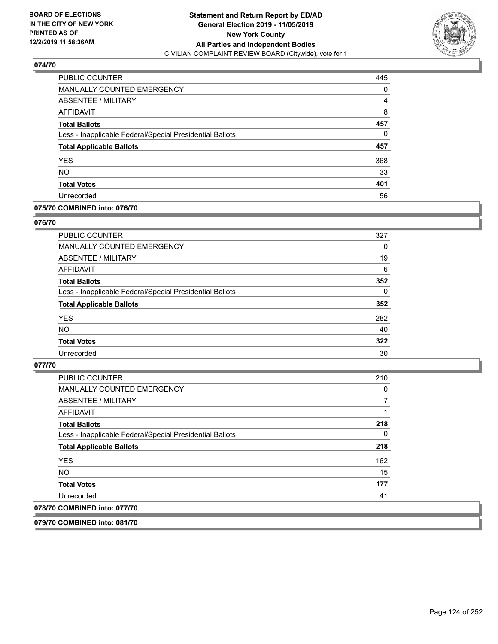

| PUBLIC COUNTER                                           | 445 |
|----------------------------------------------------------|-----|
| <b>MANUALLY COUNTED EMERGENCY</b>                        | 0   |
| ABSENTEE / MILITARY                                      | 4   |
| <b>AFFIDAVIT</b>                                         | 8   |
| <b>Total Ballots</b>                                     | 457 |
| Less - Inapplicable Federal/Special Presidential Ballots | 0   |
| <b>Total Applicable Ballots</b>                          | 457 |
| <b>YES</b>                                               | 368 |
| <b>NO</b>                                                | 33  |
| <b>Total Votes</b>                                       | 401 |
| Unrecorded                                               | 56  |

## **075/70 COMBINED into: 076/70**

#### **076/70**

| PUBLIC COUNTER                                           | 327      |
|----------------------------------------------------------|----------|
| <b>MANUALLY COUNTED EMERGENCY</b>                        | 0        |
| ABSENTEE / MILITARY                                      | 19       |
| AFFIDAVIT                                                | 6        |
| <b>Total Ballots</b>                                     | 352      |
| Less - Inapplicable Federal/Special Presidential Ballots | $\Omega$ |
| <b>Total Applicable Ballots</b>                          | 352      |
| <b>YES</b>                                               | 282      |
| <b>NO</b>                                                | 40       |
| <b>Total Votes</b>                                       | 322      |
| Unrecorded                                               | 30       |

#### **077/70**

| <b>PUBLIC COUNTER</b>                                    | 210 |
|----------------------------------------------------------|-----|
| MANUALLY COUNTED EMERGENCY                               | 0   |
| <b>ABSENTEE / MILITARY</b>                               |     |
| AFFIDAVIT                                                |     |
| <b>Total Ballots</b>                                     | 218 |
| Less - Inapplicable Federal/Special Presidential Ballots | 0   |
| <b>Total Applicable Ballots</b>                          | 218 |
| <b>YES</b>                                               | 162 |
| NO                                                       | 15  |
| <b>Total Votes</b>                                       | 177 |
| Unrecorded                                               | 41  |
| 078/70 COMBINED into: 077/70                             |     |
|                                                          |     |

**079/70 COMBINED into: 081/70**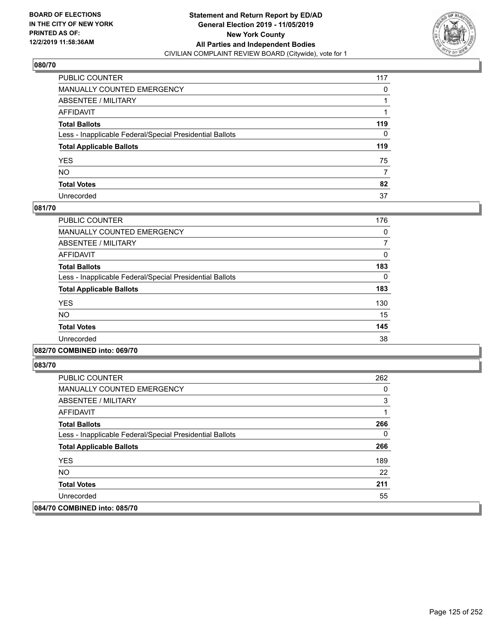

| PUBLIC COUNTER                                           | 117 |
|----------------------------------------------------------|-----|
| MANUALLY COUNTED EMERGENCY                               | 0   |
| ABSENTEE / MILITARY                                      |     |
| AFFIDAVIT                                                |     |
| Total Ballots                                            | 119 |
| Less - Inapplicable Federal/Special Presidential Ballots | 0   |
| <b>Total Applicable Ballots</b>                          | 119 |
| YES                                                      | 75  |
| NO.                                                      | 7   |
| <b>Total Votes</b>                                       | 82  |
| Unrecorded                                               | 37  |

#### **081/70**

| PUBLIC COUNTER                                           | 176      |
|----------------------------------------------------------|----------|
| <b>MANUALLY COUNTED EMERGENCY</b>                        | 0        |
| ABSENTEE / MILITARY                                      |          |
| <b>AFFIDAVIT</b>                                         | 0        |
| <b>Total Ballots</b>                                     | 183      |
| Less - Inapplicable Federal/Special Presidential Ballots | $\Omega$ |
| <b>Total Applicable Ballots</b>                          | 183      |
| <b>YES</b>                                               | 130      |
| <b>NO</b>                                                | 15       |
| <b>Total Votes</b>                                       | 145      |
| Unrecorded                                               | 38       |
|                                                          |          |

#### **082/70 COMBINED into: 069/70**

| <b>PUBLIC COUNTER</b>                                    | 262 |
|----------------------------------------------------------|-----|
| <b>MANUALLY COUNTED EMERGENCY</b>                        | 0   |
| ABSENTEE / MILITARY                                      | 3   |
| AFFIDAVIT                                                |     |
| <b>Total Ballots</b>                                     | 266 |
| Less - Inapplicable Federal/Special Presidential Ballots | 0   |
| <b>Total Applicable Ballots</b>                          | 266 |
| <b>YES</b>                                               | 189 |
| NO.                                                      | 22  |
| <b>Total Votes</b>                                       | 211 |
| Unrecorded                                               | 55  |
| 084/70 COMBINED into: 085/70                             |     |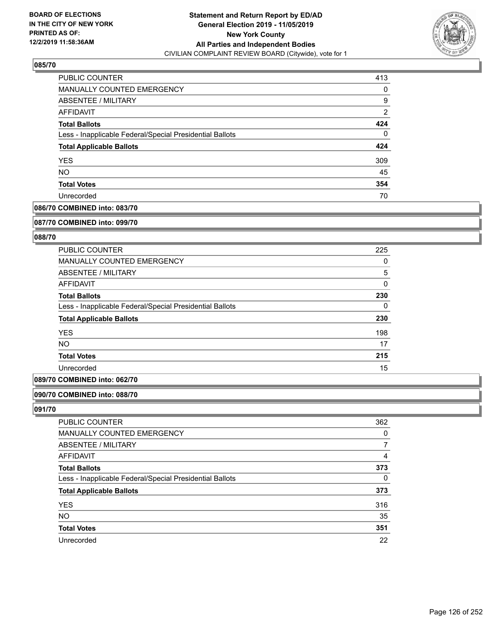

| PUBLIC COUNTER                                           | 413 |
|----------------------------------------------------------|-----|
| MANUALLY COUNTED EMERGENCY                               | 0   |
| ABSENTEE / MILITARY                                      | 9   |
| AFFIDAVIT                                                | 2   |
| <b>Total Ballots</b>                                     | 424 |
| Less - Inapplicable Federal/Special Presidential Ballots | 0   |
| <b>Total Applicable Ballots</b>                          | 424 |
| <b>YES</b>                                               | 309 |
| <b>NO</b>                                                | 45  |
| <b>Total Votes</b>                                       | 354 |
| Unrecorded                                               | 70  |

## **086/70 COMBINED into: 083/70**

#### **087/70 COMBINED into: 099/70**

## **088/70**

| <b>PUBLIC COUNTER</b>                                    | 225      |
|----------------------------------------------------------|----------|
| <b>MANUALLY COUNTED EMERGENCY</b>                        | 0        |
| ABSENTEE / MILITARY                                      | 5        |
| AFFIDAVIT                                                | 0        |
| <b>Total Ballots</b>                                     | 230      |
| Less - Inapplicable Federal/Special Presidential Ballots | $\Omega$ |
| <b>Total Applicable Ballots</b>                          | 230      |
| <b>YES</b>                                               | 198      |
| <b>NO</b>                                                | 17       |
| <b>Total Votes</b>                                       | 215      |
| Unrecorded                                               | 15       |

## **089/70 COMBINED into: 062/70**

### **090/70 COMBINED into: 088/70**

| PUBLIC COUNTER                                           | 362      |
|----------------------------------------------------------|----------|
| <b>MANUALLY COUNTED EMERGENCY</b>                        | 0        |
| ABSENTEE / MILITARY                                      |          |
| AFFIDAVIT                                                | 4        |
| <b>Total Ballots</b>                                     | 373      |
| Less - Inapplicable Federal/Special Presidential Ballots | $\Omega$ |
| <b>Total Applicable Ballots</b>                          | 373      |
| <b>YES</b>                                               | 316      |
| <b>NO</b>                                                | 35       |
| <b>Total Votes</b>                                       | 351      |
| Unrecorded                                               | 22       |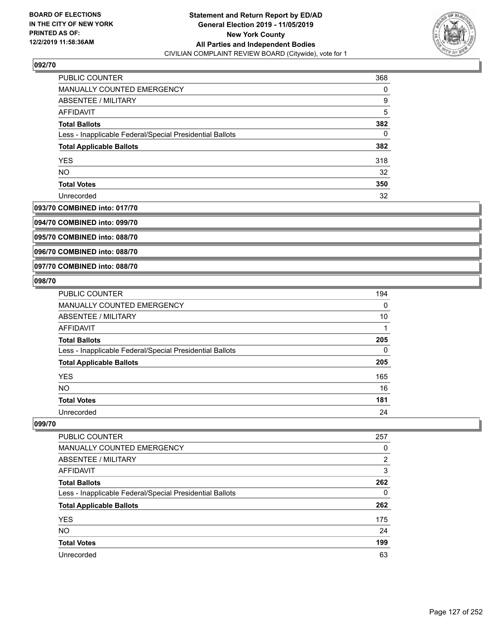

| <b>PUBLIC COUNTER</b>                                    | 368 |
|----------------------------------------------------------|-----|
| <b>MANUALLY COUNTED EMERGENCY</b>                        | 0   |
| ABSENTEE / MILITARY                                      | 9   |
| AFFIDAVIT                                                | 5   |
| <b>Total Ballots</b>                                     | 382 |
| Less - Inapplicable Federal/Special Presidential Ballots | 0   |
| <b>Total Applicable Ballots</b>                          | 382 |
| <b>YES</b>                                               | 318 |
| <b>NO</b>                                                | 32  |
| <b>Total Votes</b>                                       | 350 |
| Unrecorded                                               | 32  |

#### **093/70 COMBINED into: 017/70**

**094/70 COMBINED into: 099/70**

**095/70 COMBINED into: 088/70**

**096/70 COMBINED into: 088/70**

#### **097/70 COMBINED into: 088/70**

#### **098/70**

| <b>PUBLIC COUNTER</b>                                    | 194      |
|----------------------------------------------------------|----------|
| MANUALLY COUNTED EMERGENCY                               | $\Omega$ |
| ABSENTEE / MILITARY                                      | 10       |
| <b>AFFIDAVIT</b>                                         |          |
| <b>Total Ballots</b>                                     | 205      |
| Less - Inapplicable Federal/Special Presidential Ballots | 0        |
| <b>Total Applicable Ballots</b>                          | 205      |
| <b>YES</b>                                               | 165      |
| <b>NO</b>                                                | 16       |
| <b>Total Votes</b>                                       | 181      |
| Unrecorded                                               | 24       |

| <b>PUBLIC COUNTER</b>                                    | 257           |
|----------------------------------------------------------|---------------|
| <b>MANUALLY COUNTED EMERGENCY</b>                        | 0             |
| ABSENTEE / MILITARY                                      | $\mathcal{P}$ |
| AFFIDAVIT                                                | 3             |
| <b>Total Ballots</b>                                     | 262           |
| Less - Inapplicable Federal/Special Presidential Ballots | 0             |
| <b>Total Applicable Ballots</b>                          | 262           |
| <b>YES</b>                                               | 175           |
| <b>NO</b>                                                | 24            |
| <b>Total Votes</b>                                       | 199           |
| Unrecorded                                               | 63            |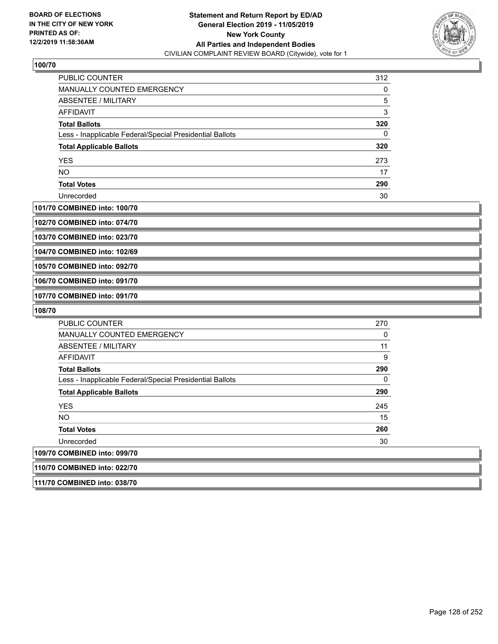

| <b>PUBLIC COUNTER</b>                                    | 312 |
|----------------------------------------------------------|-----|
| MANUALLY COUNTED EMERGENCY                               | 0   |
| ABSENTEE / MILITARY                                      | 5   |
| AFFIDAVIT                                                | 3   |
| <b>Total Ballots</b>                                     | 320 |
| Less - Inapplicable Federal/Special Presidential Ballots | 0   |
| <b>Total Applicable Ballots</b>                          | 320 |
| <b>YES</b>                                               | 273 |
| <b>NO</b>                                                | 17  |
| <b>Total Votes</b>                                       | 290 |
| Unrecorded                                               | 30  |

#### **101/70 COMBINED into: 100/70**

**102/70 COMBINED into: 074/70**

**103/70 COMBINED into: 023/70**

**104/70 COMBINED into: 102/69**

**105/70 COMBINED into: 092/70**

**106/70 COMBINED into: 091/70**

**107/70 COMBINED into: 091/70**

**108/70** 

| <b>PUBLIC COUNTER</b>                                    | 270 |
|----------------------------------------------------------|-----|
| <b>MANUALLY COUNTED EMERGENCY</b>                        | 0   |
| ABSENTEE / MILITARY                                      | 11  |
| <b>AFFIDAVIT</b>                                         | 9   |
| <b>Total Ballots</b>                                     | 290 |
| Less - Inapplicable Federal/Special Presidential Ballots | 0   |
| <b>Total Applicable Ballots</b>                          | 290 |
| <b>YES</b>                                               | 245 |
| <b>NO</b>                                                | 15  |
| <b>Total Votes</b>                                       | 260 |
| Unrecorded                                               | 30  |
| 109/70 COMBINED into: 099/70                             |     |
| 110/70 COMBINED into: 022/70                             |     |

**111/70 COMBINED into: 038/70**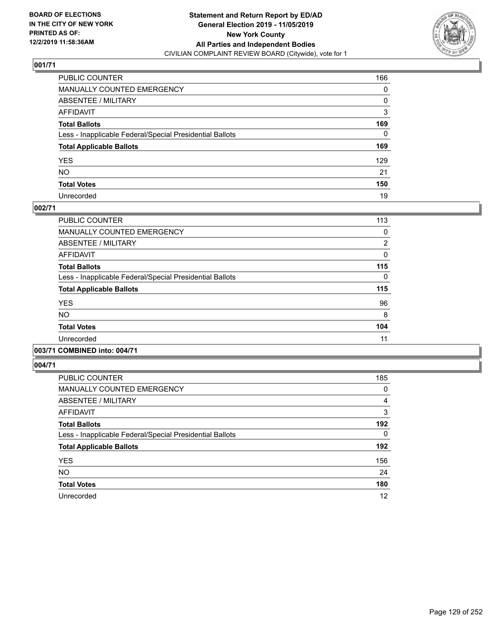

| PUBLIC COUNTER                                           | 166      |
|----------------------------------------------------------|----------|
| MANUALLY COUNTED EMERGENCY                               | 0        |
| ABSENTEE / MILITARY                                      | 0        |
| AFFIDAVIT                                                | 3        |
| Total Ballots                                            | 169      |
| Less - Inapplicable Federal/Special Presidential Ballots | $\Omega$ |
| <b>Total Applicable Ballots</b>                          | 169      |
| YES                                                      | 129      |
| NO.                                                      | 21       |
| <b>Total Votes</b>                                       | 150      |
| Unrecorded                                               | 19       |

#### **002/71**

| PUBLIC COUNTER                                           | 113            |
|----------------------------------------------------------|----------------|
| <b>MANUALLY COUNTED EMERGENCY</b>                        | 0              |
| ABSENTEE / MILITARY                                      | $\overline{2}$ |
| <b>AFFIDAVIT</b>                                         | $\Omega$       |
| <b>Total Ballots</b>                                     | 115            |
| Less - Inapplicable Federal/Special Presidential Ballots | $\Omega$       |
| <b>Total Applicable Ballots</b>                          | 115            |
| <b>YES</b>                                               | 96             |
| <b>NO</b>                                                | 8              |
| <b>Total Votes</b>                                       | 104            |
| Unrecorded                                               | 11             |
| .                                                        |                |

#### **003/71 COMBINED into: 004/71**

| <b>PUBLIC COUNTER</b>                                    | 185            |
|----------------------------------------------------------|----------------|
| <b>MANUALLY COUNTED EMERGENCY</b>                        | 0              |
| ABSENTEE / MILITARY                                      | $\overline{4}$ |
| <b>AFFIDAVIT</b>                                         | 3              |
| <b>Total Ballots</b>                                     | 192            |
| Less - Inapplicable Federal/Special Presidential Ballots | 0              |
| <b>Total Applicable Ballots</b>                          | 192            |
| <b>YES</b>                                               | 156            |
| <b>NO</b>                                                | 24             |
| <b>Total Votes</b>                                       | 180            |
| Unrecorded                                               | 12             |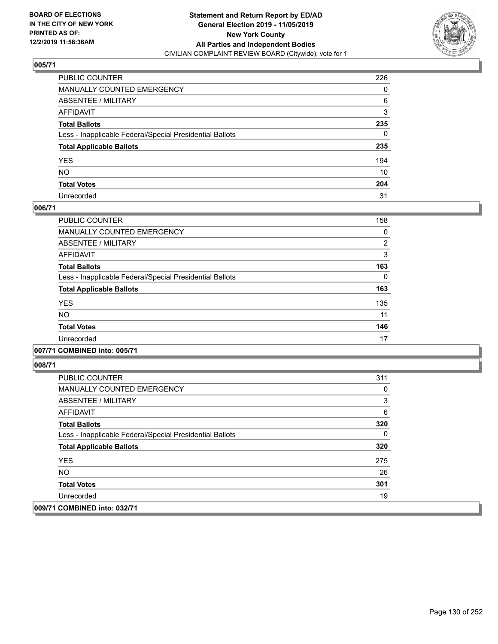

| PUBLIC COUNTER                                           | 226      |
|----------------------------------------------------------|----------|
| MANUALLY COUNTED EMERGENCY                               | 0        |
| ABSENTEE / MILITARY                                      | 6        |
| AFFIDAVIT                                                | 3        |
| Total Ballots                                            | 235      |
| Less - Inapplicable Federal/Special Presidential Ballots | $\Omega$ |
| <b>Total Applicable Ballots</b>                          | 235      |
| YES                                                      | 194      |
| NO.                                                      | 10       |
| <b>Total Votes</b>                                       | 204      |
| Unrecorded                                               | 31       |

#### **006/71**

| PUBLIC COUNTER                                           | 158 |
|----------------------------------------------------------|-----|
| <b>MANUALLY COUNTED EMERGENCY</b>                        | 0   |
| ABSENTEE / MILITARY                                      | 2   |
| <b>AFFIDAVIT</b>                                         | 3   |
| <b>Total Ballots</b>                                     | 163 |
| Less - Inapplicable Federal/Special Presidential Ballots | 0   |
| <b>Total Applicable Ballots</b>                          | 163 |
| <b>YES</b>                                               | 135 |
| <b>NO</b>                                                | 11  |
| <b>Total Votes</b>                                       | 146 |
| Unrecorded                                               | 17  |
|                                                          |     |

## **007/71 COMBINED into: 005/71**

| PUBLIC COUNTER                                           | 311 |
|----------------------------------------------------------|-----|
| <b>MANUALLY COUNTED EMERGENCY</b>                        | 0   |
| ABSENTEE / MILITARY                                      | 3   |
| AFFIDAVIT                                                | 6   |
| <b>Total Ballots</b>                                     | 320 |
| Less - Inapplicable Federal/Special Presidential Ballots | 0   |
| <b>Total Applicable Ballots</b>                          | 320 |
| <b>YES</b>                                               | 275 |
| NO.                                                      | 26  |
| <b>Total Votes</b>                                       | 301 |
| Unrecorded                                               | 19  |
| 009/71 COMBINED into: 032/71                             |     |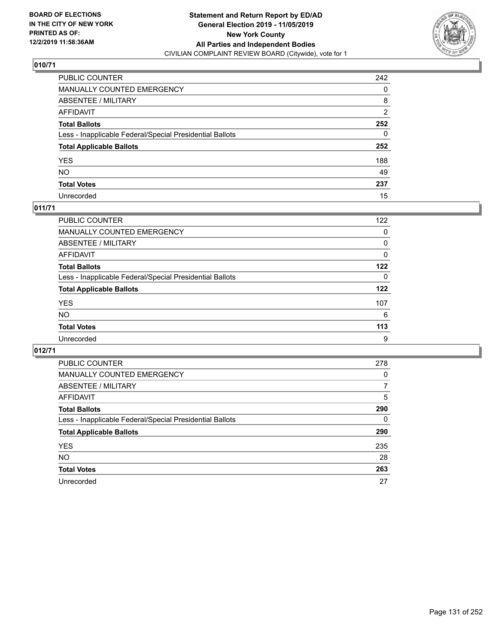

| PUBLIC COUNTER                                           | 242 |
|----------------------------------------------------------|-----|
| MANUALLY COUNTED EMERGENCY                               | 0   |
| ABSENTEE / MILITARY                                      | 8   |
| AFFIDAVIT                                                | 2   |
| Total Ballots                                            | 252 |
| Less - Inapplicable Federal/Special Presidential Ballots | 0   |
| <b>Total Applicable Ballots</b>                          | 252 |
| YES                                                      | 188 |
| NO.                                                      | 49  |
| <b>Total Votes</b>                                       | 237 |
| Unrecorded                                               | 15  |

# **011/71**

| PUBLIC COUNTER                                           | 122      |
|----------------------------------------------------------|----------|
| MANUALLY COUNTED EMERGENCY                               | 0        |
| ABSENTEE / MILITARY                                      | $\Omega$ |
| AFFIDAVIT                                                | $\Omega$ |
| <b>Total Ballots</b>                                     | 122      |
| Less - Inapplicable Federal/Special Presidential Ballots | $\Omega$ |
| <b>Total Applicable Ballots</b>                          | 122      |
| <b>YES</b>                                               | 107      |
| <b>NO</b>                                                | 6        |
| <b>Total Votes</b>                                       | 113      |
| Unrecorded                                               | 9        |

| PUBLIC COUNTER                                           | 278 |
|----------------------------------------------------------|-----|
| MANUALLY COUNTED EMERGENCY                               | 0   |
| ABSENTEE / MILITARY                                      | 7   |
| AFFIDAVIT                                                | 5   |
| <b>Total Ballots</b>                                     | 290 |
| Less - Inapplicable Federal/Special Presidential Ballots | 0   |
| <b>Total Applicable Ballots</b>                          | 290 |
| <b>YES</b>                                               | 235 |
| NO.                                                      | 28  |
| <b>Total Votes</b>                                       | 263 |
| Unrecorded                                               | 27  |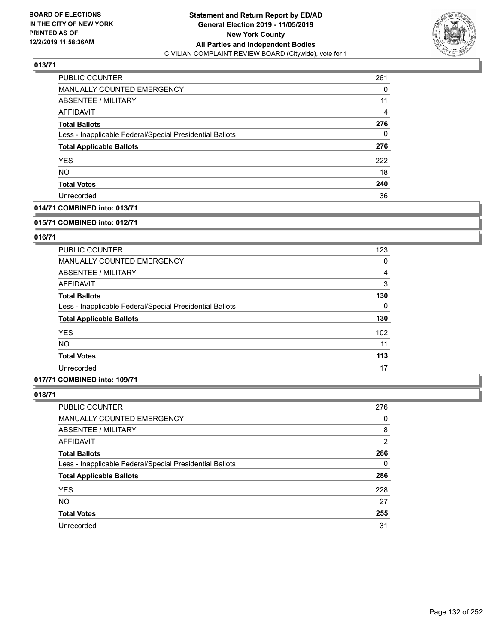

| PUBLIC COUNTER                                           | 261 |
|----------------------------------------------------------|-----|
| MANUALLY COUNTED EMERGENCY                               | 0   |
| <b>ABSENTEE / MILITARY</b>                               | 11  |
| AFFIDAVIT                                                | 4   |
| <b>Total Ballots</b>                                     | 276 |
| Less - Inapplicable Federal/Special Presidential Ballots | 0   |
| <b>Total Applicable Ballots</b>                          | 276 |
| <b>YES</b>                                               | 222 |
| <b>NO</b>                                                | 18  |
| <b>Total Votes</b>                                       | 240 |
| Unrecorded                                               | 36  |

## **014/71 COMBINED into: 013/71**

#### **015/71 COMBINED into: 012/71**

## **016/71**

| PUBLIC COUNTER                                           | 123              |
|----------------------------------------------------------|------------------|
| <b>MANUALLY COUNTED EMERGENCY</b>                        | 0                |
| ABSENTEE / MILITARY                                      | 4                |
| AFFIDAVIT                                                | 3                |
| <b>Total Ballots</b>                                     | 130              |
| Less - Inapplicable Federal/Special Presidential Ballots | $\Omega$         |
| <b>Total Applicable Ballots</b>                          | 130              |
| <b>YES</b>                                               | 102 <sub>2</sub> |
| <b>NO</b>                                                | 11               |
| <b>Total Votes</b>                                       | 113              |
| Unrecorded                                               | 17               |

#### **017/71 COMBINED into: 109/71**

| <b>PUBLIC COUNTER</b>                                    | 276 |
|----------------------------------------------------------|-----|
| MANUALLY COUNTED EMERGENCY                               | 0   |
| ABSENTEE / MILITARY                                      | 8   |
| AFFIDAVIT                                                | 2   |
| <b>Total Ballots</b>                                     | 286 |
| Less - Inapplicable Federal/Special Presidential Ballots | 0   |
| <b>Total Applicable Ballots</b>                          | 286 |
| <b>YES</b>                                               | 228 |
| <b>NO</b>                                                | 27  |
| <b>Total Votes</b>                                       | 255 |
| Unrecorded                                               | 31  |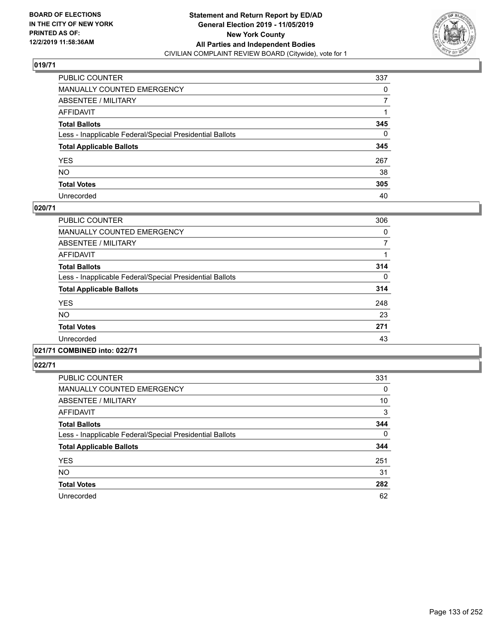

| PUBLIC COUNTER                                           | 337      |
|----------------------------------------------------------|----------|
| MANUALLY COUNTED EMERGENCY                               | 0        |
| ABSENTEE / MILITARY                                      | 7        |
| AFFIDAVIT                                                |          |
| Total Ballots                                            | 345      |
| Less - Inapplicable Federal/Special Presidential Ballots | $\Omega$ |
| <b>Total Applicable Ballots</b>                          | 345      |
| YES                                                      | 267      |
| NO.                                                      | 38       |
| <b>Total Votes</b>                                       | 305      |
| Unrecorded                                               | 40       |

#### **020/71**

| <b>PUBLIC COUNTER</b>                                    | 306      |
|----------------------------------------------------------|----------|
| <b>MANUALLY COUNTED EMERGENCY</b>                        | $\Omega$ |
| ABSENTEE / MILITARY                                      | 7        |
| <b>AFFIDAVIT</b>                                         |          |
| <b>Total Ballots</b>                                     | 314      |
| Less - Inapplicable Federal/Special Presidential Ballots | $\Omega$ |
| <b>Total Applicable Ballots</b>                          | 314      |
| <b>YES</b>                                               | 248      |
| <b>NO</b>                                                | 23       |
| <b>Total Votes</b>                                       | 271      |
| Unrecorded                                               | 43       |
|                                                          |          |

# **021/71 COMBINED into: 022/71**

| <b>PUBLIC COUNTER</b>                                    | 331          |
|----------------------------------------------------------|--------------|
| <b>MANUALLY COUNTED EMERGENCY</b>                        | 0            |
| ABSENTEE / MILITARY                                      | 10           |
| AFFIDAVIT                                                | 3            |
| <b>Total Ballots</b>                                     | 344          |
| Less - Inapplicable Federal/Special Presidential Ballots | $\mathbf{0}$ |
| <b>Total Applicable Ballots</b>                          | 344          |
| <b>YES</b>                                               | 251          |
| <b>NO</b>                                                | 31           |
| <b>Total Votes</b>                                       | 282          |
| Unrecorded                                               | 62           |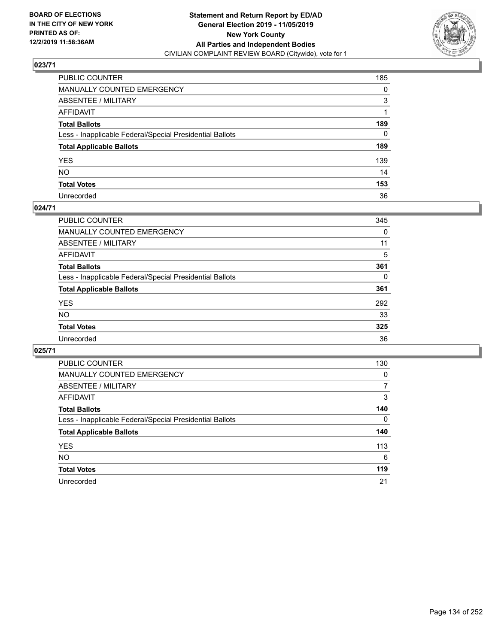

| PUBLIC COUNTER                                           | 185          |
|----------------------------------------------------------|--------------|
| MANUALLY COUNTED EMERGENCY                               | 0            |
| ABSENTEE / MILITARY                                      | 3            |
| AFFIDAVIT                                                |              |
| Total Ballots                                            | 189          |
| Less - Inapplicable Federal/Special Presidential Ballots | $\mathbf{0}$ |
| <b>Total Applicable Ballots</b>                          | 189          |
| YES                                                      | 139          |
| NO.                                                      | 14           |
| <b>Total Votes</b>                                       | 153          |
| Unrecorded                                               | 36           |

#### **024/71**

| <b>PUBLIC COUNTER</b>                                    | 345 |
|----------------------------------------------------------|-----|
| MANUALLY COUNTED EMERGENCY                               | 0   |
| ABSENTEE / MILITARY                                      | 11  |
| AFFIDAVIT                                                | 5   |
| <b>Total Ballots</b>                                     | 361 |
| Less - Inapplicable Federal/Special Presidential Ballots | 0   |
| <b>Total Applicable Ballots</b>                          | 361 |
| <b>YES</b>                                               | 292 |
| <b>NO</b>                                                | 33  |
| <b>Total Votes</b>                                       | 325 |
| Unrecorded                                               | 36  |

| PUBLIC COUNTER                                           | 130      |
|----------------------------------------------------------|----------|
| <b>MANUALLY COUNTED EMERGENCY</b>                        | $\Omega$ |
| ABSENTEE / MILITARY                                      | 7        |
| AFFIDAVIT                                                | 3        |
| <b>Total Ballots</b>                                     | 140      |
| Less - Inapplicable Federal/Special Presidential Ballots | 0        |
| <b>Total Applicable Ballots</b>                          | 140      |
| <b>YES</b>                                               | 113      |
| <b>NO</b>                                                | 6        |
| <b>Total Votes</b>                                       | 119      |
| Unrecorded                                               | 21       |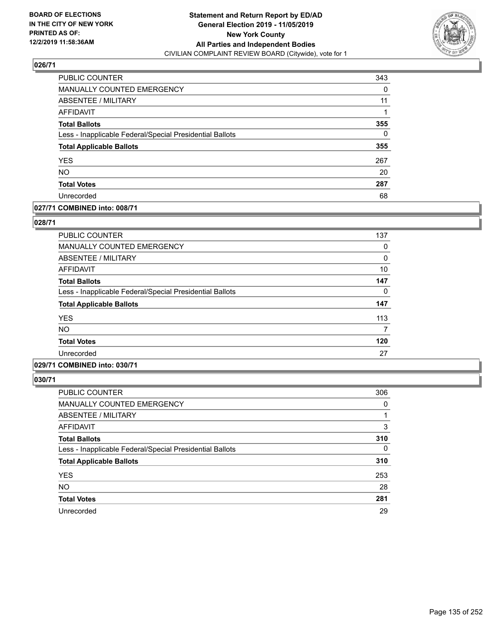

| PUBLIC COUNTER                                           | 343      |
|----------------------------------------------------------|----------|
| <b>MANUALLY COUNTED EMERGENCY</b>                        | $\Omega$ |
| <b>ABSENTEE / MILITARY</b>                               | 11       |
| AFFIDAVIT                                                |          |
| <b>Total Ballots</b>                                     | 355      |
| Less - Inapplicable Federal/Special Presidential Ballots | $\Omega$ |
| <b>Total Applicable Ballots</b>                          | 355      |
| <b>YES</b>                                               | 267      |
| <b>NO</b>                                                | 20       |
| <b>Total Votes</b>                                       | 287      |
| Unrecorded                                               | 68       |

## **027/71 COMBINED into: 008/71**

#### **028/71**

| PUBLIC COUNTER                                           | 137 |
|----------------------------------------------------------|-----|
| <b>MANUALLY COUNTED EMERGENCY</b>                        | 0   |
| ABSENTEE / MILITARY                                      | 0   |
| AFFIDAVIT                                                | 10  |
| <b>Total Ballots</b>                                     | 147 |
| Less - Inapplicable Federal/Special Presidential Ballots | 0   |
| <b>Total Applicable Ballots</b>                          | 147 |
| <b>YES</b>                                               | 113 |
| <b>NO</b>                                                | 7   |
| <b>Total Votes</b>                                       | 120 |
| Unrecorded                                               | 27  |
|                                                          |     |

# **029/71 COMBINED into: 030/71**

| <b>PUBLIC COUNTER</b>                                    | 306 |
|----------------------------------------------------------|-----|
| MANUALLY COUNTED EMERGENCY                               | 0   |
| ABSENTEE / MILITARY                                      |     |
| AFFIDAVIT                                                | 3   |
| <b>Total Ballots</b>                                     | 310 |
| Less - Inapplicable Federal/Special Presidential Ballots | 0   |
| <b>Total Applicable Ballots</b>                          | 310 |
| <b>YES</b>                                               | 253 |
| <b>NO</b>                                                | 28  |
| <b>Total Votes</b>                                       | 281 |
| Unrecorded                                               | 29  |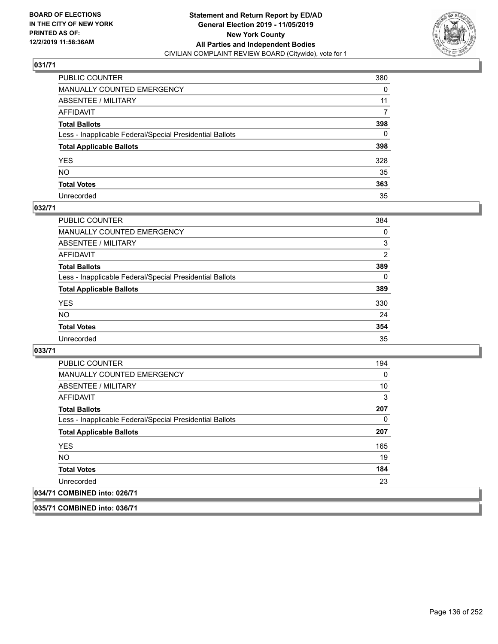

| PUBLIC COUNTER                                           | 380      |
|----------------------------------------------------------|----------|
| MANUALLY COUNTED EMERGENCY                               | 0        |
| ABSENTEE / MILITARY                                      | 11       |
| AFFIDAVIT                                                | 7        |
| Total Ballots                                            | 398      |
| Less - Inapplicable Federal/Special Presidential Ballots | $\Omega$ |
| <b>Total Applicable Ballots</b>                          | 398      |
| YES                                                      | 328      |
| NO.                                                      | 35       |
| <b>Total Votes</b>                                       | 363      |
| Unrecorded                                               | 35       |

#### **032/71**

| PUBLIC COUNTER                                           | 384      |
|----------------------------------------------------------|----------|
| MANUALLY COUNTED EMERGENCY                               | 0        |
| ABSENTEE / MILITARY                                      | 3        |
| AFFIDAVIT                                                | 2        |
| <b>Total Ballots</b>                                     | 389      |
| Less - Inapplicable Federal/Special Presidential Ballots | $\Omega$ |
| <b>Total Applicable Ballots</b>                          | 389      |
| <b>YES</b>                                               | 330      |
| <b>NO</b>                                                | 24       |
| <b>Total Votes</b>                                       | 354      |
| Unrecorded                                               | 35       |

**033/71** 

 $|034/7|$ 

| <b>PUBLIC COUNTER</b>                                    | 194 |
|----------------------------------------------------------|-----|
| <b>MANUALLY COUNTED EMERGENCY</b>                        | 0   |
| ABSENTEE / MILITARY                                      | 10  |
| AFFIDAVIT                                                | 3   |
| <b>Total Ballots</b>                                     | 207 |
| Less - Inapplicable Federal/Special Presidential Ballots | 0   |
| <b>Total Applicable Ballots</b>                          | 207 |
| <b>YES</b>                                               | 165 |
| NO.                                                      | 19  |
| <b>Total Votes</b>                                       | 184 |
| Unrecorded                                               | 23  |
| 1 COMBINED into: 026/71                                  |     |

**035/71 COMBINED into: 036/71**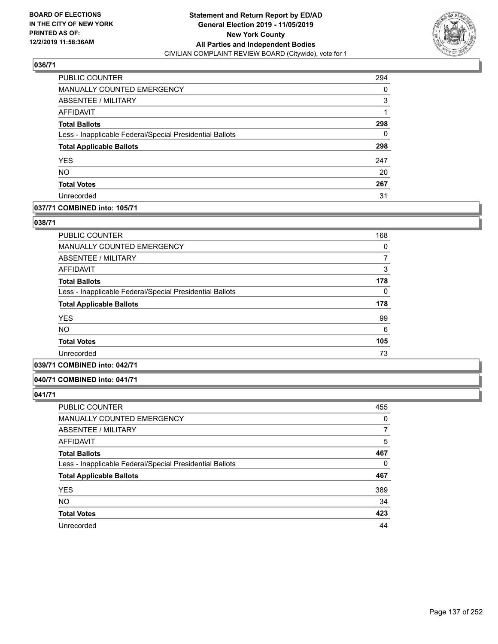

| <b>PUBLIC COUNTER</b>                                    | 294      |
|----------------------------------------------------------|----------|
| <b>MANUALLY COUNTED EMERGENCY</b>                        | $\Omega$ |
| ABSENTEE / MILITARY                                      | 3        |
| <b>AFFIDAVIT</b>                                         | 1        |
| <b>Total Ballots</b>                                     | 298      |
| Less - Inapplicable Federal/Special Presidential Ballots | 0        |
| <b>Total Applicable Ballots</b>                          | 298      |
| <b>YES</b>                                               | 247      |
| <b>NO</b>                                                | 20       |
| <b>Total Votes</b>                                       | 267      |
| Unrecorded                                               | 31       |

#### **037/71 COMBINED into: 105/71**

#### **038/71**

| <b>PUBLIC COUNTER</b>                                    | 168 |
|----------------------------------------------------------|-----|
| <b>MANUALLY COUNTED EMERGENCY</b>                        | 0   |
| ABSENTEE / MILITARY                                      |     |
| <b>AFFIDAVIT</b>                                         | 3   |
| <b>Total Ballots</b>                                     | 178 |
| Less - Inapplicable Federal/Special Presidential Ballots | 0   |
| <b>Total Applicable Ballots</b>                          | 178 |
| <b>YES</b>                                               | 99  |
| <b>NO</b>                                                | 6   |
| <b>Total Votes</b>                                       | 105 |
| Unrecorded                                               | 73  |
| -- - - - -                                               |     |

# **039/71 COMBINED into: 042/71**

#### **040/71 COMBINED into: 041/71**

| <b>PUBLIC COUNTER</b>                                    | 455      |
|----------------------------------------------------------|----------|
| MANUALLY COUNTED EMERGENCY                               | 0        |
| ABSENTEE / MILITARY                                      | 7        |
| AFFIDAVIT                                                | 5        |
| <b>Total Ballots</b>                                     | 467      |
| Less - Inapplicable Federal/Special Presidential Ballots | $\Omega$ |
| <b>Total Applicable Ballots</b>                          | 467      |
| <b>YES</b>                                               | 389      |
| <b>NO</b>                                                | 34       |
| <b>Total Votes</b>                                       | 423      |
| Unrecorded                                               | 44       |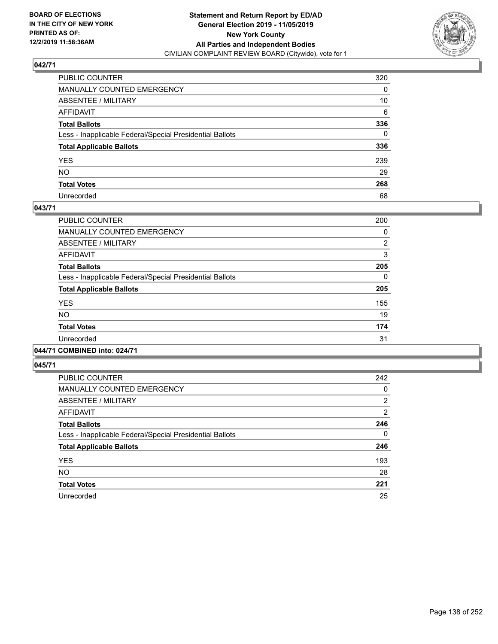

| PUBLIC COUNTER                                           | 320          |
|----------------------------------------------------------|--------------|
| MANUALLY COUNTED EMERGENCY                               | 0            |
| ABSENTEE / MILITARY                                      | 10           |
| AFFIDAVIT                                                | 6            |
| Total Ballots                                            | 336          |
| Less - Inapplicable Federal/Special Presidential Ballots | $\mathbf{0}$ |
| <b>Total Applicable Ballots</b>                          | 336          |
| YES                                                      | 239          |
| NO.                                                      | 29           |
| <b>Total Votes</b>                                       | 268          |
| Unrecorded                                               | 68           |

#### **043/71**

| PUBLIC COUNTER                                           | 200            |
|----------------------------------------------------------|----------------|
| <b>MANUALLY COUNTED EMERGENCY</b>                        | 0              |
| ABSENTEE / MILITARY                                      | $\overline{2}$ |
| <b>AFFIDAVIT</b>                                         | 3              |
| <b>Total Ballots</b>                                     | 205            |
| Less - Inapplicable Federal/Special Presidential Ballots | $\Omega$       |
| <b>Total Applicable Ballots</b>                          | 205            |
| <b>YES</b>                                               | 155            |
| <b>NO</b>                                                | 19             |
| <b>Total Votes</b>                                       | 174            |
| Unrecorded                                               | 31             |
| .                                                        |                |

#### **044/71 COMBINED into: 024/71**

| PUBLIC COUNTER                                           | 242      |
|----------------------------------------------------------|----------|
| <b>MANUALLY COUNTED EMERGENCY</b>                        | 0        |
| ABSENTEE / MILITARY                                      | 2        |
| <b>AFFIDAVIT</b>                                         | 2        |
| <b>Total Ballots</b>                                     | 246      |
| Less - Inapplicable Federal/Special Presidential Ballots | $\Omega$ |
| <b>Total Applicable Ballots</b>                          | 246      |
| <b>YES</b>                                               | 193      |
| NO.                                                      | 28       |
| <b>Total Votes</b>                                       | 221      |
| Unrecorded                                               | 25       |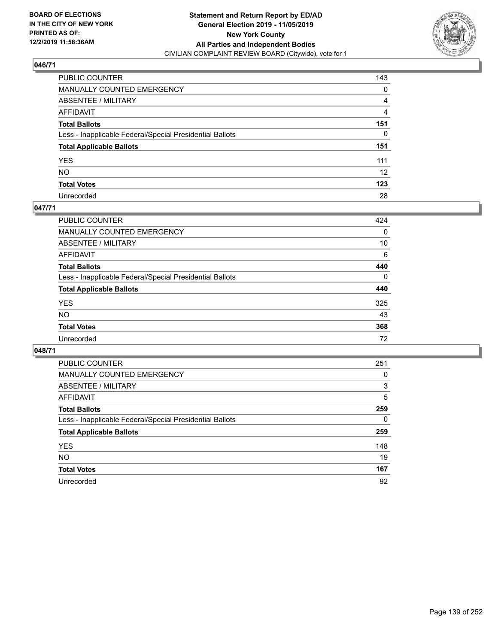

| PUBLIC COUNTER                                           | 143               |
|----------------------------------------------------------|-------------------|
| MANUALLY COUNTED EMERGENCY                               | 0                 |
| ABSENTEE / MILITARY                                      | 4                 |
| AFFIDAVIT                                                | 4                 |
| Total Ballots                                            | 151               |
| Less - Inapplicable Federal/Special Presidential Ballots | $\mathbf{0}$      |
| <b>Total Applicable Ballots</b>                          | 151               |
| YES                                                      | 111               |
| NO.                                                      | $12 \overline{ }$ |
| <b>Total Votes</b>                                       | 123               |
| Unrecorded                                               | 28                |

## **047/71**

| <b>PUBLIC COUNTER</b>                                    | 424      |
|----------------------------------------------------------|----------|
| <b>MANUALLY COUNTED EMERGENCY</b>                        | 0        |
| ABSENTEE / MILITARY                                      | 10       |
| AFFIDAVIT                                                | 6        |
| <b>Total Ballots</b>                                     | 440      |
| Less - Inapplicable Federal/Special Presidential Ballots | $\Omega$ |
| <b>Total Applicable Ballots</b>                          | 440      |
| <b>YES</b>                                               | 325      |
| <b>NO</b>                                                | 43       |
| <b>Total Votes</b>                                       | 368      |
| Unrecorded                                               | 72       |

| PUBLIC COUNTER                                           | 251 |
|----------------------------------------------------------|-----|
| MANUALLY COUNTED EMERGENCY                               | 0   |
| ABSENTEE / MILITARY                                      | 3   |
| AFFIDAVIT                                                | 5   |
| <b>Total Ballots</b>                                     | 259 |
| Less - Inapplicable Federal/Special Presidential Ballots | 0   |
| <b>Total Applicable Ballots</b>                          | 259 |
| <b>YES</b>                                               | 148 |
| NO.                                                      | 19  |
| <b>Total Votes</b>                                       | 167 |
| Unrecorded                                               | 92  |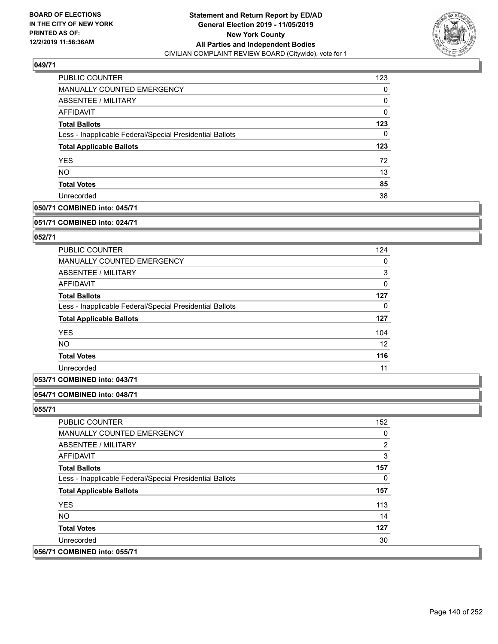

| PUBLIC COUNTER                                           | 123 |
|----------------------------------------------------------|-----|
| <b>MANUALLY COUNTED EMERGENCY</b>                        | 0   |
| ABSENTEE / MILITARY                                      | 0   |
| AFFIDAVIT                                                | 0   |
| <b>Total Ballots</b>                                     | 123 |
| Less - Inapplicable Federal/Special Presidential Ballots | 0   |
| <b>Total Applicable Ballots</b>                          | 123 |
| <b>YES</b>                                               | 72  |
| <b>NO</b>                                                | 13  |
| <b>Total Votes</b>                                       | 85  |
| Unrecorded                                               | 38  |

## **050/71 COMBINED into: 045/71**

#### **051/71 COMBINED into: 024/71**

## **052/71**

| <b>PUBLIC COUNTER</b>                                    | 124 |
|----------------------------------------------------------|-----|
| <b>MANUALLY COUNTED EMERGENCY</b>                        | 0   |
| ABSENTEE / MILITARY                                      | 3   |
| AFFIDAVIT                                                | 0   |
| <b>Total Ballots</b>                                     | 127 |
| Less - Inapplicable Federal/Special Presidential Ballots | 0   |
| <b>Total Applicable Ballots</b>                          | 127 |
| <b>YES</b>                                               | 104 |
| <b>NO</b>                                                | 12  |
| <b>Total Votes</b>                                       | 116 |
| Unrecorded                                               | 11  |

## **053/71 COMBINED into: 043/71**

## **054/71 COMBINED into: 048/71**

| PUBLIC COUNTER                                           | 152            |
|----------------------------------------------------------|----------------|
| <b>MANUALLY COUNTED EMERGENCY</b>                        | 0              |
| ABSENTEE / MILITARY                                      | $\overline{2}$ |
| AFFIDAVIT                                                | 3              |
| <b>Total Ballots</b>                                     | 157            |
| Less - Inapplicable Federal/Special Presidential Ballots | 0              |
| <b>Total Applicable Ballots</b>                          | 157            |
| <b>YES</b>                                               | 113            |
| NO.                                                      | 14             |
| <b>Total Votes</b>                                       | 127            |
| Unrecorded                                               | 30             |
| 056/71 COMBINED into: 055/71                             |                |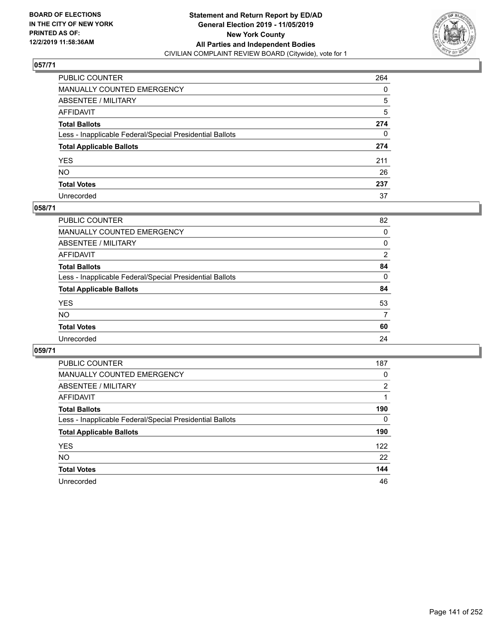

| PUBLIC COUNTER                                           | 264 |
|----------------------------------------------------------|-----|
| MANUALLY COUNTED EMERGENCY                               | 0   |
| ABSENTEE / MILITARY                                      | 5   |
| AFFIDAVIT                                                | 5   |
| Total Ballots                                            | 274 |
| Less - Inapplicable Federal/Special Presidential Ballots | 0   |
| <b>Total Applicable Ballots</b>                          | 274 |
| YES                                                      | 211 |
| NO.                                                      | 26  |
| <b>Total Votes</b>                                       | 237 |
| Unrecorded                                               | 37  |

#### **058/71**

| <b>PUBLIC COUNTER</b>                                    | 82             |
|----------------------------------------------------------|----------------|
| <b>MANUALLY COUNTED EMERGENCY</b>                        | $\Omega$       |
| ABSENTEE / MILITARY                                      | 0              |
| AFFIDAVIT                                                | $\overline{2}$ |
| <b>Total Ballots</b>                                     | 84             |
| Less - Inapplicable Federal/Special Presidential Ballots | $\Omega$       |
| <b>Total Applicable Ballots</b>                          | 84             |
| <b>YES</b>                                               | 53             |
| <b>NO</b>                                                | 7              |
| <b>Total Votes</b>                                       | 60             |
| Unrecorded                                               | 24             |
|                                                          |                |

| PUBLIC COUNTER                                           | 187 |
|----------------------------------------------------------|-----|
| MANUALLY COUNTED EMERGENCY                               | 0   |
| ABSENTEE / MILITARY                                      | 2   |
| AFFIDAVIT                                                |     |
| <b>Total Ballots</b>                                     | 190 |
| Less - Inapplicable Federal/Special Presidential Ballots | 0   |
| <b>Total Applicable Ballots</b>                          | 190 |
| <b>YES</b>                                               | 122 |
| NO.                                                      | 22  |
| <b>Total Votes</b>                                       | 144 |
| Unrecorded                                               | 46  |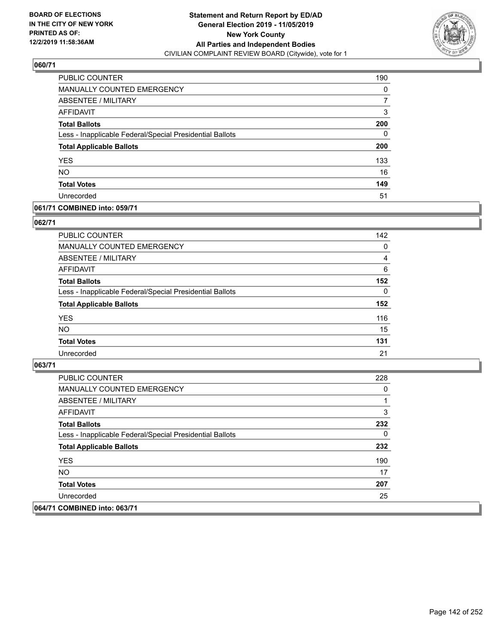

| <b>PUBLIC COUNTER</b>                                    | 190      |
|----------------------------------------------------------|----------|
| <b>MANUALLY COUNTED EMERGENCY</b>                        | $\Omega$ |
| ABSENTEE / MILITARY                                      |          |
| <b>AFFIDAVIT</b>                                         | 3        |
| <b>Total Ballots</b>                                     | 200      |
| Less - Inapplicable Federal/Special Presidential Ballots | 0        |
| <b>Total Applicable Ballots</b>                          | 200      |
| <b>YES</b>                                               | 133      |
| <b>NO</b>                                                | 16       |
| <b>Total Votes</b>                                       | 149      |
| Unrecorded                                               | 51       |

## **061/71 COMBINED into: 059/71**

#### **062/71**

| PUBLIC COUNTER                                           | 142      |
|----------------------------------------------------------|----------|
| MANUALLY COUNTED EMERGENCY                               | $\Omega$ |
| ABSENTEE / MILITARY                                      | 4        |
| AFFIDAVIT                                                | 6        |
| <b>Total Ballots</b>                                     | 152      |
| Less - Inapplicable Federal/Special Presidential Ballots | $\Omega$ |
| <b>Total Applicable Ballots</b>                          | 152      |
| <b>YES</b>                                               | 116      |
| <b>NO</b>                                                | 15       |
| <b>Total Votes</b>                                       | 131      |
| Unrecorded                                               | 21       |
|                                                          |          |

| PUBLIC COUNTER                                           | 228 |
|----------------------------------------------------------|-----|
| MANUALLY COUNTED EMERGENCY                               | 0   |
| ABSENTEE / MILITARY                                      |     |
| AFFIDAVIT                                                | 3   |
| <b>Total Ballots</b>                                     | 232 |
| Less - Inapplicable Federal/Special Presidential Ballots | 0   |
| <b>Total Applicable Ballots</b>                          | 232 |
| <b>YES</b>                                               | 190 |
| NO.                                                      | 17  |
| <b>Total Votes</b>                                       | 207 |
| Unrecorded                                               | 25  |
| 064/71 COMBINED into: 063/71                             |     |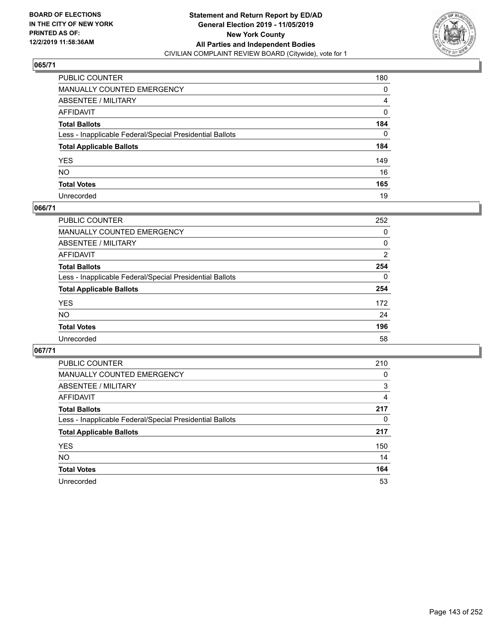

| PUBLIC COUNTER                                           | 180          |
|----------------------------------------------------------|--------------|
| MANUALLY COUNTED EMERGENCY                               | 0            |
| ABSENTEE / MILITARY                                      | 4            |
| AFFIDAVIT                                                | 0            |
| Total Ballots                                            | 184          |
| Less - Inapplicable Federal/Special Presidential Ballots | $\mathbf{0}$ |
| <b>Total Applicable Ballots</b>                          | 184          |
| YES                                                      | 149          |
| NO.                                                      | 16           |
| <b>Total Votes</b>                                       | 165          |
| Unrecorded                                               | 19           |

## **066/71**

| PUBLIC COUNTER                                           | 252      |
|----------------------------------------------------------|----------|
| <b>MANUALLY COUNTED EMERGENCY</b>                        | 0        |
| ABSENTEE / MILITARY                                      | 0        |
| AFFIDAVIT                                                | 2        |
| <b>Total Ballots</b>                                     | 254      |
| Less - Inapplicable Federal/Special Presidential Ballots | $\Omega$ |
| <b>Total Applicable Ballots</b>                          | 254      |
| <b>YES</b>                                               | 172      |
| <b>NO</b>                                                | 24       |
| <b>Total Votes</b>                                       | 196      |
| Unrecorded                                               | 58       |

| PUBLIC COUNTER                                           | 210 |
|----------------------------------------------------------|-----|
| MANUALLY COUNTED EMERGENCY                               | 0   |
| ABSENTEE / MILITARY                                      | 3   |
| AFFIDAVIT                                                | 4   |
| <b>Total Ballots</b>                                     | 217 |
| Less - Inapplicable Federal/Special Presidential Ballots | 0   |
| <b>Total Applicable Ballots</b>                          | 217 |
| <b>YES</b>                                               | 150 |
| <b>NO</b>                                                | 14  |
| <b>Total Votes</b>                                       | 164 |
| Unrecorded                                               | 53  |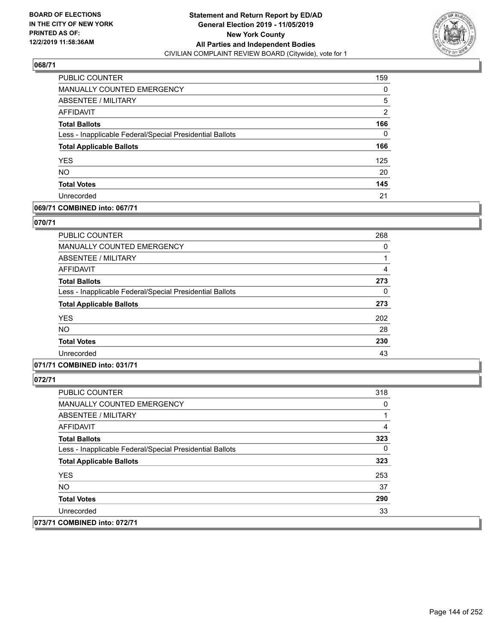

| <b>PUBLIC COUNTER</b>                                    | 159            |
|----------------------------------------------------------|----------------|
| <b>MANUALLY COUNTED EMERGENCY</b>                        | $\Omega$       |
| ABSENTEE / MILITARY                                      | 5              |
| <b>AFFIDAVIT</b>                                         | $\overline{2}$ |
| <b>Total Ballots</b>                                     | 166            |
| Less - Inapplicable Federal/Special Presidential Ballots | $\Omega$       |
| <b>Total Applicable Ballots</b>                          | 166            |
| <b>YES</b>                                               | 125            |
| <b>NO</b>                                                | 20             |
| <b>Total Votes</b>                                       | 145            |
| Unrecorded                                               | 21             |

## **069/71 COMBINED into: 067/71**

#### **070/71**

| <b>PUBLIC COUNTER</b>                                    | 268 |
|----------------------------------------------------------|-----|
| MANUALLY COUNTED EMERGENCY                               | 0   |
| ABSENTEE / MILITARY                                      |     |
| AFFIDAVIT                                                | 4   |
| <b>Total Ballots</b>                                     | 273 |
| Less - Inapplicable Federal/Special Presidential Ballots | 0   |
| <b>Total Applicable Ballots</b>                          | 273 |
| <b>YES</b>                                               | 202 |
| <b>NO</b>                                                | 28  |
| <b>Total Votes</b>                                       | 230 |
| Unrecorded                                               | 43  |
|                                                          |     |

# **071/71 COMBINED into: 031/71**

| PUBLIC COUNTER                                           | 318 |
|----------------------------------------------------------|-----|
| <b>MANUALLY COUNTED EMERGENCY</b>                        | 0   |
| ABSENTEE / MILITARY                                      |     |
| AFFIDAVIT                                                | 4   |
| <b>Total Ballots</b>                                     | 323 |
| Less - Inapplicable Federal/Special Presidential Ballots | 0   |
| <b>Total Applicable Ballots</b>                          | 323 |
| <b>YES</b>                                               | 253 |
| NO.                                                      | 37  |
| <b>Total Votes</b>                                       | 290 |
| Unrecorded                                               | 33  |
| 073/71 COMBINED into: 072/71                             |     |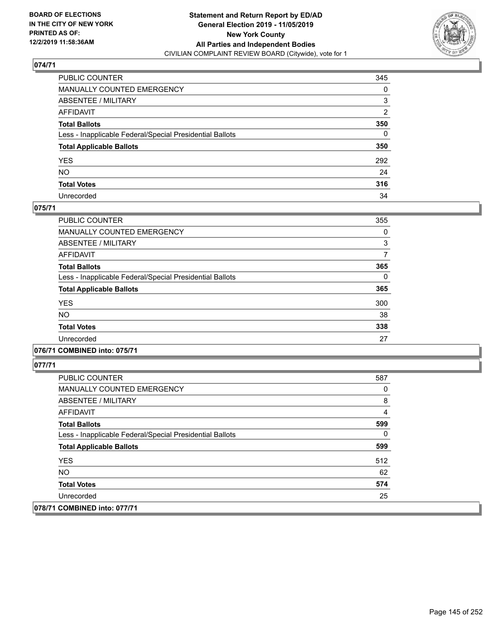

| PUBLIC COUNTER                                           | 345            |
|----------------------------------------------------------|----------------|
| MANUALLY COUNTED EMERGENCY                               | 0              |
| ABSENTEE / MILITARY                                      | 3              |
| AFFIDAVIT                                                | $\overline{2}$ |
| Total Ballots                                            | 350            |
| Less - Inapplicable Federal/Special Presidential Ballots | $\Omega$       |
| <b>Total Applicable Ballots</b>                          | 350            |
| YES                                                      | 292            |
| NO.                                                      | 24             |
| <b>Total Votes</b>                                       | 316            |
| Unrecorded                                               | 34             |

### **075/71**

| PUBLIC COUNTER                                           | 355 |
|----------------------------------------------------------|-----|
| <b>MANUALLY COUNTED EMERGENCY</b>                        | 0   |
| ABSENTEE / MILITARY                                      | 3   |
| <b>AFFIDAVIT</b>                                         | 7   |
| <b>Total Ballots</b>                                     | 365 |
| Less - Inapplicable Federal/Special Presidential Ballots | 0   |
| <b>Total Applicable Ballots</b>                          | 365 |
| <b>YES</b>                                               | 300 |
| <b>NO</b>                                                | 38  |
| <b>Total Votes</b>                                       | 338 |
| Unrecorded                                               | 27  |

## **076/71 COMBINED into: 075/71**

| <b>PUBLIC COUNTER</b>                                    | 587 |
|----------------------------------------------------------|-----|
| <b>MANUALLY COUNTED EMERGENCY</b>                        | 0   |
| ABSENTEE / MILITARY                                      | 8   |
| AFFIDAVIT                                                | 4   |
| <b>Total Ballots</b>                                     | 599 |
| Less - Inapplicable Federal/Special Presidential Ballots | 0   |
| <b>Total Applicable Ballots</b>                          | 599 |
| <b>YES</b>                                               | 512 |
| NO.                                                      | 62  |
| <b>Total Votes</b>                                       | 574 |
| Unrecorded                                               | 25  |
| 078/71 COMBINED into: 077/71                             |     |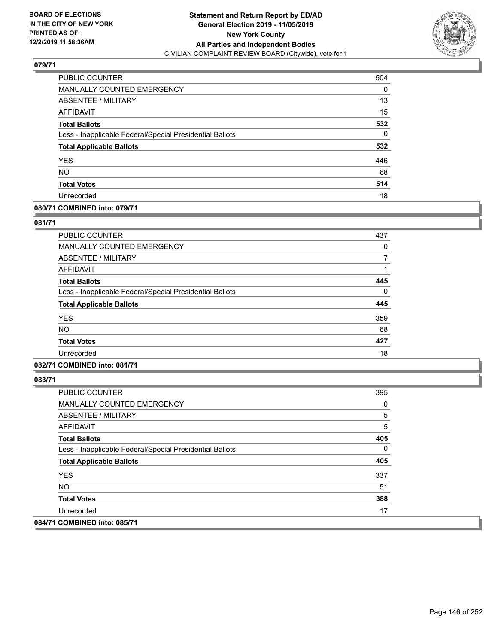

| PUBLIC COUNTER                                           | 504 |
|----------------------------------------------------------|-----|
| <b>MANUALLY COUNTED EMERGENCY</b>                        | 0   |
| ABSENTEE / MILITARY                                      | 13  |
| AFFIDAVIT                                                | 15  |
| <b>Total Ballots</b>                                     | 532 |
| Less - Inapplicable Federal/Special Presidential Ballots | 0   |
| <b>Total Applicable Ballots</b>                          | 532 |
| <b>YES</b>                                               | 446 |
| <b>NO</b>                                                | 68  |
| <b>Total Votes</b>                                       | 514 |
| Unrecorded                                               | 18  |

## **080/71 COMBINED into: 079/71**

### **081/71**

| PUBLIC COUNTER                                           | 437 |
|----------------------------------------------------------|-----|
| <b>MANUALLY COUNTED EMERGENCY</b>                        | 0   |
| <b>ABSENTEE / MILITARY</b>                               |     |
| <b>AFFIDAVIT</b>                                         |     |
| <b>Total Ballots</b>                                     | 445 |
| Less - Inapplicable Federal/Special Presidential Ballots | 0   |
| <b>Total Applicable Ballots</b>                          | 445 |
| <b>YES</b>                                               | 359 |
| <b>NO</b>                                                | 68  |
| <b>Total Votes</b>                                       | 427 |
| Unrecorded                                               | 18  |
|                                                          |     |

# **082/71 COMBINED into: 081/71**

| PUBLIC COUNTER                                           | 395 |
|----------------------------------------------------------|-----|
| <b>MANUALLY COUNTED EMERGENCY</b>                        | 0   |
| ABSENTEE / MILITARY                                      | 5   |
| <b>AFFIDAVIT</b>                                         | 5   |
| <b>Total Ballots</b>                                     | 405 |
| Less - Inapplicable Federal/Special Presidential Ballots | 0   |
| <b>Total Applicable Ballots</b>                          | 405 |
| <b>YES</b>                                               | 337 |
| NO.                                                      | 51  |
| <b>Total Votes</b>                                       | 388 |
| Unrecorded                                               | 17  |
| 084/71 COMBINED into: 085/71                             |     |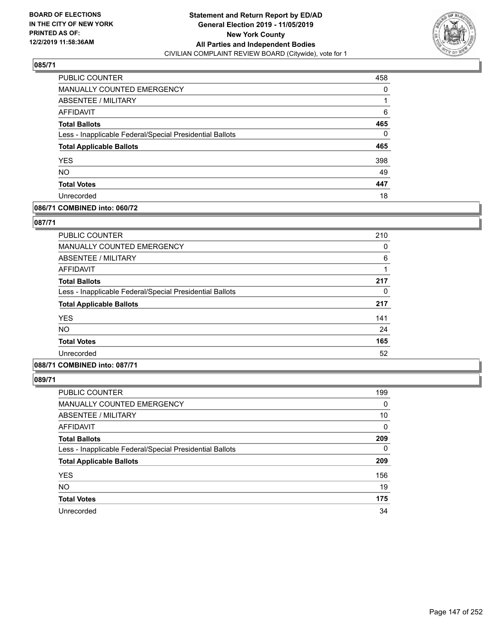

| <b>PUBLIC COUNTER</b>                                    | 458      |
|----------------------------------------------------------|----------|
| <b>MANUALLY COUNTED EMERGENCY</b>                        | 0        |
| ABSENTEE / MILITARY                                      |          |
| <b>AFFIDAVIT</b>                                         | 6        |
| <b>Total Ballots</b>                                     | 465      |
| Less - Inapplicable Federal/Special Presidential Ballots | $\Omega$ |
| <b>Total Applicable Ballots</b>                          | 465      |
| <b>YES</b>                                               | 398      |
| <b>NO</b>                                                | 49       |
| <b>Total Votes</b>                                       | 447      |
| Unrecorded                                               | 18       |

## **086/71 COMBINED into: 060/72**

### **087/71**

| <b>PUBLIC COUNTER</b>                                    | 210 |
|----------------------------------------------------------|-----|
| MANUALLY COUNTED EMERGENCY                               | 0   |
| ABSENTEE / MILITARY                                      | 6   |
| AFFIDAVIT                                                |     |
| <b>Total Ballots</b>                                     | 217 |
| Less - Inapplicable Federal/Special Presidential Ballots | 0   |
| <b>Total Applicable Ballots</b>                          | 217 |
| <b>YES</b>                                               | 141 |
| <b>NO</b>                                                | 24  |
| <b>Total Votes</b>                                       | 165 |
| Unrecorded                                               | 52  |
|                                                          |     |

# **088/71 COMBINED into: 087/71**

| PUBLIC COUNTER                                           | 199      |
|----------------------------------------------------------|----------|
| <b>MANUALLY COUNTED EMERGENCY</b>                        | 0        |
| ABSENTEE / MILITARY                                      | 10       |
| AFFIDAVIT                                                | 0        |
| <b>Total Ballots</b>                                     | 209      |
| Less - Inapplicable Federal/Special Presidential Ballots | $\Omega$ |
| <b>Total Applicable Ballots</b>                          | 209      |
| <b>YES</b>                                               | 156      |
| <b>NO</b>                                                | 19       |
| <b>Total Votes</b>                                       | 175      |
| Unrecorded                                               | 34       |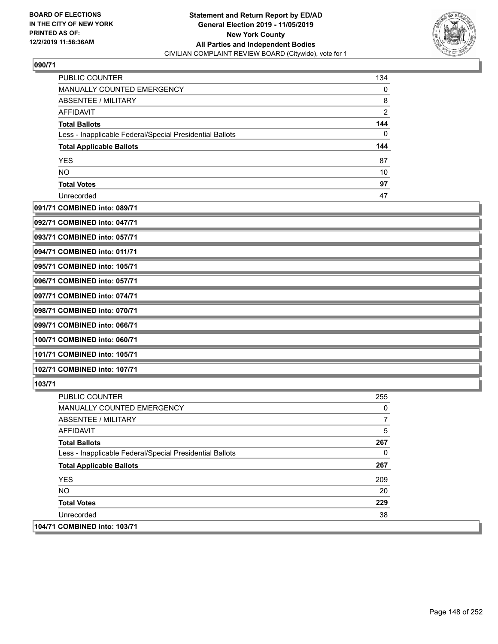

| <b>PUBLIC COUNTER</b>                                    | 134 |
|----------------------------------------------------------|-----|
| <b>MANUALLY COUNTED EMERGENCY</b>                        | 0   |
| ABSENTEE / MILITARY                                      | 8   |
| <b>AFFIDAVIT</b>                                         | 2   |
| <b>Total Ballots</b>                                     | 144 |
| Less - Inapplicable Federal/Special Presidential Ballots | 0   |
| <b>Total Applicable Ballots</b>                          | 144 |
| <b>YES</b>                                               | 87  |
| <b>NO</b>                                                | 10  |
| <b>Total Votes</b>                                       | 97  |
| Unrecorded                                               | 47  |

## **091/71 COMBINED into: 089/71**

| 092/71 COMBINED into: 047/71 |  |
|------------------------------|--|
| 093/71 COMBINED into: 057/71 |  |
| 094/71 COMBINED into: 011/71 |  |
| 095/71 COMBINED into: 105/71 |  |
| 096/71 COMBINED into: 057/71 |  |
| 097/71 COMBINED into: 074/71 |  |
| 098/71 COMBINED into: 070/71 |  |
| 099/71 COMBINED into: 066/71 |  |
| 100/71 COMBINED into: 060/71 |  |
| 101/71 COMBINED into: 105/71 |  |
| 102/71 COMBINED into: 107/71 |  |

| PUBLIC COUNTER                                           | 255 |
|----------------------------------------------------------|-----|
| <b>MANUALLY COUNTED EMERGENCY</b>                        | 0   |
| ABSENTEE / MILITARY                                      |     |
| AFFIDAVIT                                                | 5   |
| <b>Total Ballots</b>                                     | 267 |
| Less - Inapplicable Federal/Special Presidential Ballots | 0   |
| <b>Total Applicable Ballots</b>                          | 267 |
| <b>YES</b>                                               | 209 |
| NO.                                                      | 20  |
| <b>Total Votes</b>                                       | 229 |
| Unrecorded                                               | 38  |
| 104/71 COMBINED into: 103/71                             |     |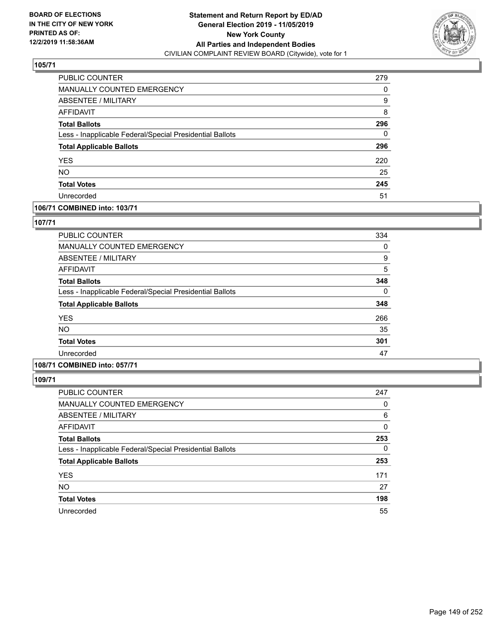

| PUBLIC COUNTER                                           | 279 |
|----------------------------------------------------------|-----|
| <b>MANUALLY COUNTED EMERGENCY</b>                        | 0   |
| ABSENTEE / MILITARY                                      | 9   |
| <b>AFFIDAVIT</b>                                         | 8   |
| <b>Total Ballots</b>                                     | 296 |
| Less - Inapplicable Federal/Special Presidential Ballots | 0   |
| <b>Total Applicable Ballots</b>                          | 296 |
| <b>YES</b>                                               | 220 |
| <b>NO</b>                                                | 25  |
| <b>Total Votes</b>                                       | 245 |
| Unrecorded                                               | 51  |

## **106/71 COMBINED into: 103/71**

### **107/71**

| PUBLIC COUNTER                                           | 334 |
|----------------------------------------------------------|-----|
| MANUALLY COUNTED EMERGENCY                               | 0   |
| ABSENTEE / MILITARY                                      | 9   |
| AFFIDAVIT                                                | 5   |
| <b>Total Ballots</b>                                     | 348 |
| Less - Inapplicable Federal/Special Presidential Ballots | 0   |
| <b>Total Applicable Ballots</b>                          | 348 |
| <b>YES</b>                                               | 266 |
| <b>NO</b>                                                | 35  |
| <b>Total Votes</b>                                       | 301 |
| Unrecorded                                               | 47  |

# **108/71 COMBINED into: 057/71**

| PUBLIC COUNTER                                           | 247      |
|----------------------------------------------------------|----------|
| <b>MANUALLY COUNTED EMERGENCY</b>                        | 0        |
| <b>ABSENTEE / MILITARY</b>                               | 6        |
| AFFIDAVIT                                                | 0        |
| <b>Total Ballots</b>                                     | 253      |
| Less - Inapplicable Federal/Special Presidential Ballots | $\Omega$ |
| <b>Total Applicable Ballots</b>                          | 253      |
| <b>YES</b>                                               | 171      |
| <b>NO</b>                                                | 27       |
| <b>Total Votes</b>                                       | 198      |
| Unrecorded                                               | 55       |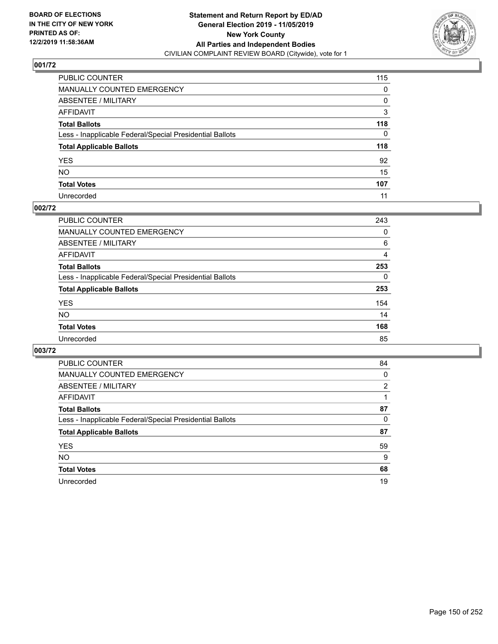

| PUBLIC COUNTER                                           | 115 |
|----------------------------------------------------------|-----|
| MANUALLY COUNTED EMERGENCY                               | 0   |
| ABSENTEE / MILITARY                                      | 0   |
| AFFIDAVIT                                                | 3   |
| Total Ballots                                            | 118 |
| Less - Inapplicable Federal/Special Presidential Ballots | 0   |
| <b>Total Applicable Ballots</b>                          | 118 |
| YES                                                      | 92  |
| NO.                                                      | 15  |
| <b>Total Votes</b>                                       | 107 |
| Unrecorded                                               | 11  |

## **002/72**

| <b>PUBLIC COUNTER</b>                                    | 243 |
|----------------------------------------------------------|-----|
| <b>MANUALLY COUNTED EMERGENCY</b>                        | 0   |
| ABSENTEE / MILITARY                                      | 6   |
| AFFIDAVIT                                                | 4   |
| <b>Total Ballots</b>                                     | 253 |
| Less - Inapplicable Federal/Special Presidential Ballots | 0   |
| <b>Total Applicable Ballots</b>                          | 253 |
| <b>YES</b>                                               | 154 |
| <b>NO</b>                                                | 14  |
| <b>Total Votes</b>                                       | 168 |
| Unrecorded                                               | 85  |

| PUBLIC COUNTER                                           | 84 |
|----------------------------------------------------------|----|
| <b>MANUALLY COUNTED EMERGENCY</b>                        | 0  |
| ABSENTEE / MILITARY                                      | 2  |
| AFFIDAVIT                                                |    |
| <b>Total Ballots</b>                                     | 87 |
| Less - Inapplicable Federal/Special Presidential Ballots | 0  |
| <b>Total Applicable Ballots</b>                          | 87 |
| <b>YES</b>                                               | 59 |
| NO.                                                      | 9  |
| <b>Total Votes</b>                                       | 68 |
| Unrecorded                                               | 19 |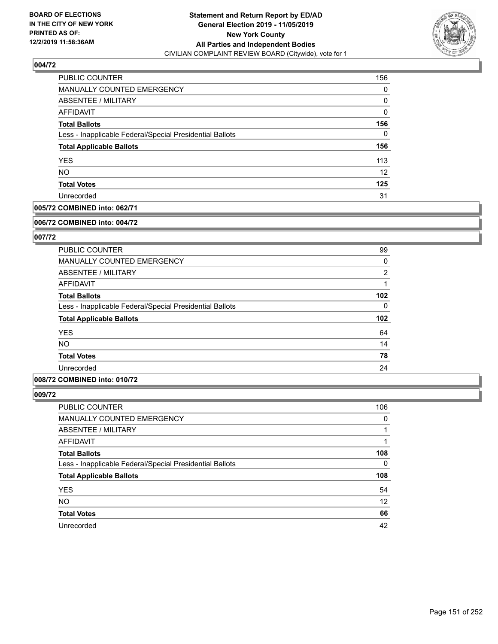

| PUBLIC COUNTER                                           | 156      |
|----------------------------------------------------------|----------|
| <b>MANUALLY COUNTED EMERGENCY</b>                        | 0        |
| ABSENTEE / MILITARY                                      | 0        |
| AFFIDAVIT                                                | $\Omega$ |
| <b>Total Ballots</b>                                     | 156      |
| Less - Inapplicable Federal/Special Presidential Ballots | 0        |
| <b>Total Applicable Ballots</b>                          | 156      |
| <b>YES</b>                                               | 113      |
| <b>NO</b>                                                | 12       |
| <b>Total Votes</b>                                       | 125      |
| Unrecorded                                               | 31       |

## **005/72 COMBINED into: 062/71**

#### **006/72 COMBINED into: 004/72**

## **007/72**

| PUBLIC COUNTER                                           | 99               |
|----------------------------------------------------------|------------------|
| <b>MANUALLY COUNTED EMERGENCY</b>                        | 0                |
| ABSENTEE / MILITARY                                      | $\overline{2}$   |
| AFFIDAVIT                                                |                  |
| <b>Total Ballots</b>                                     | 102              |
| Less - Inapplicable Federal/Special Presidential Ballots | $\Omega$         |
| <b>Total Applicable Ballots</b>                          | 102 <sub>2</sub> |
| <b>YES</b>                                               | 64               |
| <b>NO</b>                                                | 14               |
| <b>Total Votes</b>                                       | 78               |
| Unrecorded                                               | 24               |

## **008/72 COMBINED into: 010/72**

| <b>PUBLIC COUNTER</b>                                    | 106 |
|----------------------------------------------------------|-----|
| MANUALLY COUNTED EMERGENCY                               | 0   |
| ABSENTEE / MILITARY                                      |     |
| AFFIDAVIT                                                |     |
| <b>Total Ballots</b>                                     | 108 |
| Less - Inapplicable Federal/Special Presidential Ballots | 0   |
| <b>Total Applicable Ballots</b>                          | 108 |
| <b>YES</b>                                               | 54  |
| <b>NO</b>                                                | 12  |
| <b>Total Votes</b>                                       | 66  |
| Unrecorded                                               | 42  |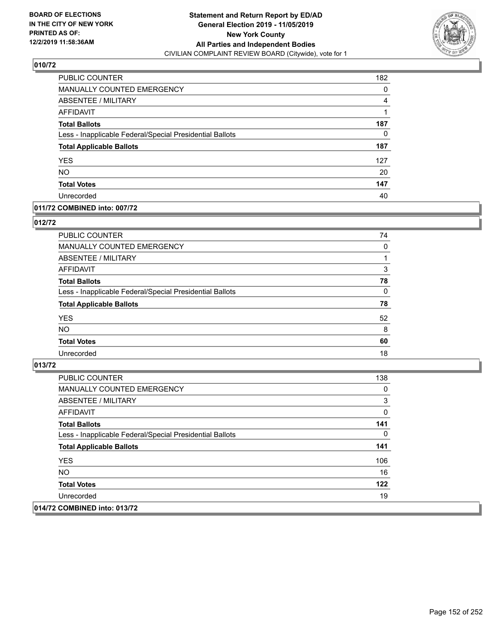

| PUBLIC COUNTER                                           | 182 |
|----------------------------------------------------------|-----|
| <b>MANUALLY COUNTED EMERGENCY</b>                        | 0   |
| ABSENTEE / MILITARY                                      | 4   |
| <b>AFFIDAVIT</b>                                         |     |
| <b>Total Ballots</b>                                     | 187 |
| Less - Inapplicable Federal/Special Presidential Ballots | 0   |
| <b>Total Applicable Ballots</b>                          | 187 |
| <b>YES</b>                                               | 127 |
| <b>NO</b>                                                | 20  |
| <b>Total Votes</b>                                       | 147 |
| Unrecorded                                               | 40  |

## **011/72 COMBINED into: 007/72**

### **012/72**

| PUBLIC COUNTER                                           | 74       |
|----------------------------------------------------------|----------|
| MANUALLY COUNTED EMERGENCY                               | 0        |
| <b>ABSENTEE / MILITARY</b>                               |          |
| AFFIDAVIT                                                | 3        |
| <b>Total Ballots</b>                                     | 78       |
| Less - Inapplicable Federal/Special Presidential Ballots | $\Omega$ |
| <b>Total Applicable Ballots</b>                          | 78       |
| <b>YES</b>                                               | 52       |
| <b>NO</b>                                                | 8        |
| <b>Total Votes</b>                                       | 60       |
| Unrecorded                                               | 18       |

| PUBLIC COUNTER                                           | 138 |
|----------------------------------------------------------|-----|
| <b>MANUALLY COUNTED EMERGENCY</b>                        | 0   |
| ABSENTEE / MILITARY                                      | 3   |
| AFFIDAVIT                                                | 0   |
| <b>Total Ballots</b>                                     | 141 |
| Less - Inapplicable Federal/Special Presidential Ballots | 0   |
| <b>Total Applicable Ballots</b>                          | 141 |
| <b>YES</b>                                               | 106 |
| NO.                                                      | 16  |
| <b>Total Votes</b>                                       | 122 |
| Unrecorded                                               | 19  |
| 014/72 COMBINED into: 013/72                             |     |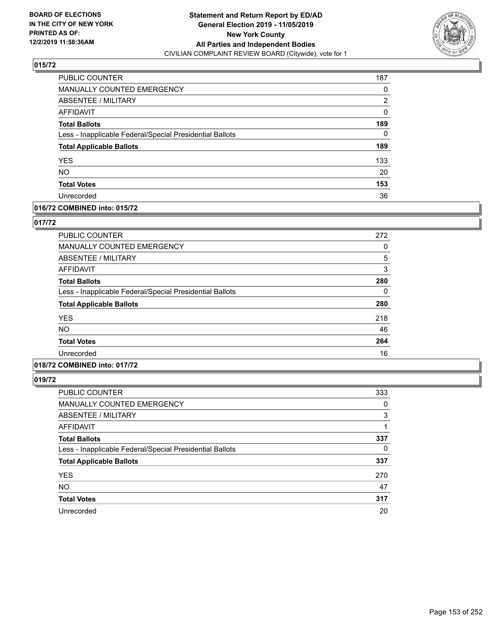

| PUBLIC COUNTER                                           | 187 |
|----------------------------------------------------------|-----|
| MANUALLY COUNTED EMERGENCY                               | 0   |
| <b>ABSENTEE / MILITARY</b>                               | 2   |
| <b>AFFIDAVIT</b>                                         | 0   |
| <b>Total Ballots</b>                                     | 189 |
| Less - Inapplicable Federal/Special Presidential Ballots | 0   |
| <b>Total Applicable Ballots</b>                          | 189 |
| <b>YES</b>                                               | 133 |
| <b>NO</b>                                                | 20  |
| <b>Total Votes</b>                                       | 153 |
| Unrecorded                                               | 36  |

### **016/72 COMBINED into: 015/72**

### **017/72**

| PUBLIC COUNTER                                           | 272 |
|----------------------------------------------------------|-----|
| MANUALLY COUNTED EMERGENCY                               | 0   |
| ABSENTEE / MILITARY                                      | 5   |
| AFFIDAVIT                                                | 3   |
| <b>Total Ballots</b>                                     | 280 |
| Less - Inapplicable Federal/Special Presidential Ballots | 0   |
| <b>Total Applicable Ballots</b>                          | 280 |
| <b>YES</b>                                               | 218 |
| NO.                                                      | 46  |
| <b>Total Votes</b>                                       | 264 |
| Unrecorded                                               | 16  |
|                                                          |     |

# **018/72 COMBINED into: 017/72**

| PUBLIC COUNTER                                           | 333 |
|----------------------------------------------------------|-----|
| <b>MANUALLY COUNTED EMERGENCY</b>                        | 0   |
| ABSENTEE / MILITARY                                      | 3   |
| AFFIDAVIT                                                |     |
| <b>Total Ballots</b>                                     | 337 |
| Less - Inapplicable Federal/Special Presidential Ballots | 0   |
| <b>Total Applicable Ballots</b>                          | 337 |
| <b>YES</b>                                               | 270 |
| <b>NO</b>                                                | 47  |
| <b>Total Votes</b>                                       | 317 |
| Unrecorded                                               | 20  |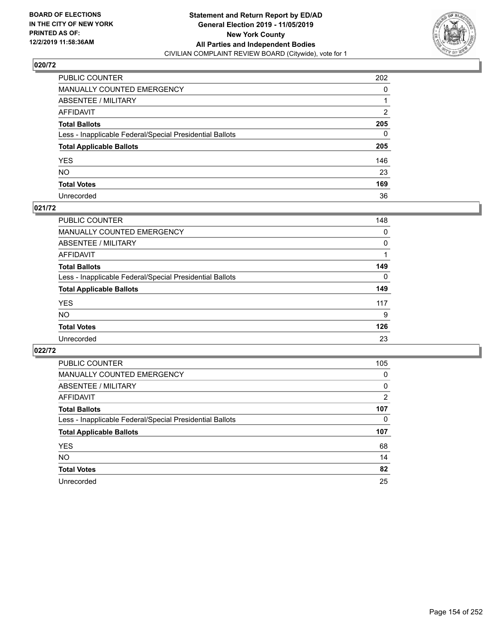

| PUBLIC COUNTER                                           | 202          |
|----------------------------------------------------------|--------------|
| MANUALLY COUNTED EMERGENCY                               | 0            |
| ABSENTEE / MILITARY                                      |              |
| AFFIDAVIT                                                | 2            |
| Total Ballots                                            | 205          |
| Less - Inapplicable Federal/Special Presidential Ballots | $\mathbf{0}$ |
| <b>Total Applicable Ballots</b>                          | 205          |
| YES                                                      | 146          |
| NO.                                                      | 23           |
| <b>Total Votes</b>                                       | 169          |
| Unrecorded                                               | 36           |

### **021/72**

| PUBLIC COUNTER                                           | 148      |
|----------------------------------------------------------|----------|
| <b>MANUALLY COUNTED EMERGENCY</b>                        | 0        |
| ABSENTEE / MILITARY                                      | $\Omega$ |
| AFFIDAVIT                                                |          |
| <b>Total Ballots</b>                                     | 149      |
| Less - Inapplicable Federal/Special Presidential Ballots | 0        |
| <b>Total Applicable Ballots</b>                          | 149      |
| <b>YES</b>                                               | 117      |
| <b>NO</b>                                                | 9        |
| <b>Total Votes</b>                                       | 126      |
| Unrecorded                                               | 23       |

| PUBLIC COUNTER                                           | 105      |
|----------------------------------------------------------|----------|
| <b>MANUALLY COUNTED EMERGENCY</b>                        | $\Omega$ |
| ABSENTEE / MILITARY                                      | 0        |
| <b>AFFIDAVIT</b>                                         | 2        |
| <b>Total Ballots</b>                                     | 107      |
| Less - Inapplicable Federal/Special Presidential Ballots | 0        |
| <b>Total Applicable Ballots</b>                          | 107      |
| <b>YES</b>                                               | 68       |
| <b>NO</b>                                                | 14       |
| <b>Total Votes</b>                                       | 82       |
| Unrecorded                                               | 25       |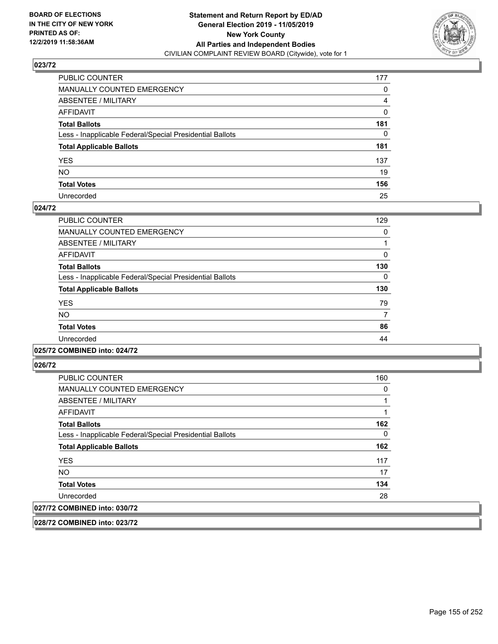

| PUBLIC COUNTER                                           | 177 |
|----------------------------------------------------------|-----|
| MANUALLY COUNTED EMERGENCY                               | 0   |
| ABSENTEE / MILITARY                                      | 4   |
| AFFIDAVIT                                                | 0   |
| Total Ballots                                            | 181 |
| Less - Inapplicable Federal/Special Presidential Ballots | 0   |
| <b>Total Applicable Ballots</b>                          | 181 |
| YES                                                      | 137 |
| NO.                                                      | 19  |
| <b>Total Votes</b>                                       | 156 |
| Unrecorded                                               | 25  |

### **024/72**

| PUBLIC COUNTER                                           | 129      |
|----------------------------------------------------------|----------|
| <b>MANUALLY COUNTED EMERGENCY</b>                        | 0        |
| ABSENTEE / MILITARY                                      |          |
| <b>AFFIDAVIT</b>                                         | $\Omega$ |
| <b>Total Ballots</b>                                     | 130      |
| Less - Inapplicable Federal/Special Presidential Ballots | $\Omega$ |
| <b>Total Applicable Ballots</b>                          | 130      |
| <b>YES</b>                                               | 79       |
| <b>NO</b>                                                | 7        |
| <b>Total Votes</b>                                       | 86       |
| Unrecorded                                               | 44       |
|                                                          |          |

#### **025/72 COMBINED into: 024/72**

**026/72** 

| <b>PUBLIC COUNTER</b>                                    | 160 |
|----------------------------------------------------------|-----|
| <b>MANUALLY COUNTED EMERGENCY</b>                        | 0   |
| ABSENTEE / MILITARY                                      |     |
| AFFIDAVIT                                                |     |
| <b>Total Ballots</b>                                     | 162 |
| Less - Inapplicable Federal/Special Presidential Ballots | 0   |
| <b>Total Applicable Ballots</b>                          | 162 |
| <b>YES</b>                                               | 117 |
| NO.                                                      | 17  |
| <b>Total Votes</b>                                       | 134 |
| Unrecorded                                               | 28  |
| 027/72 COMBINED into: 030/72                             |     |

**028/72 COMBINED into: 023/72**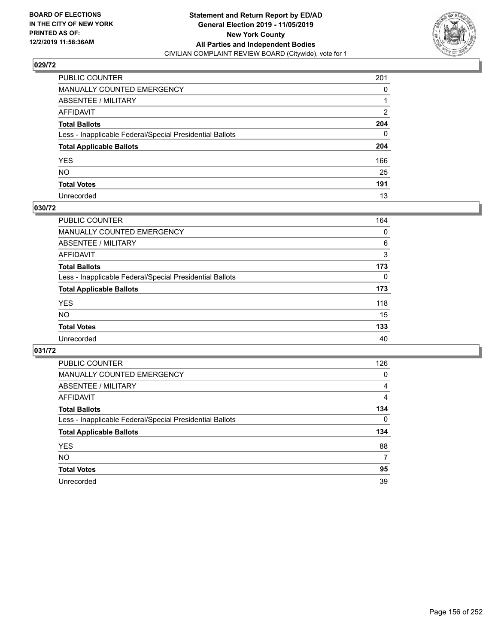

| PUBLIC COUNTER                                           | 201          |
|----------------------------------------------------------|--------------|
| MANUALLY COUNTED EMERGENCY                               | 0            |
| ABSENTEE / MILITARY                                      |              |
| AFFIDAVIT                                                | 2            |
| Total Ballots                                            | 204          |
| Less - Inapplicable Federal/Special Presidential Ballots | $\mathbf{0}$ |
| <b>Total Applicable Ballots</b>                          | 204          |
| YES                                                      | 166          |
| NO.                                                      | 25           |
| <b>Total Votes</b>                                       | 191          |
| Unrecorded                                               | 13           |

## **030/72**

| PUBLIC COUNTER                                           | 164      |
|----------------------------------------------------------|----------|
| MANUALLY COUNTED EMERGENCY                               | 0        |
| ABSENTEE / MILITARY                                      | 6        |
| AFFIDAVIT                                                | 3        |
| <b>Total Ballots</b>                                     | 173      |
| Less - Inapplicable Federal/Special Presidential Ballots | $\Omega$ |
| <b>Total Applicable Ballots</b>                          | 173      |
| <b>YES</b>                                               | 118      |
| <b>NO</b>                                                | 15       |
| <b>Total Votes</b>                                       | 133      |
| Unrecorded                                               | 40       |

| PUBLIC COUNTER                                           | 126      |
|----------------------------------------------------------|----------|
| <b>MANUALLY COUNTED EMERGENCY</b>                        | $\Omega$ |
| ABSENTEE / MILITARY                                      | 4        |
| <b>AFFIDAVIT</b>                                         | 4        |
| <b>Total Ballots</b>                                     | 134      |
| Less - Inapplicable Federal/Special Presidential Ballots | $\Omega$ |
| <b>Total Applicable Ballots</b>                          | 134      |
| <b>YES</b>                                               | 88       |
| <b>NO</b>                                                | 7        |
| <b>Total Votes</b>                                       | 95       |
| Unrecorded                                               | 39       |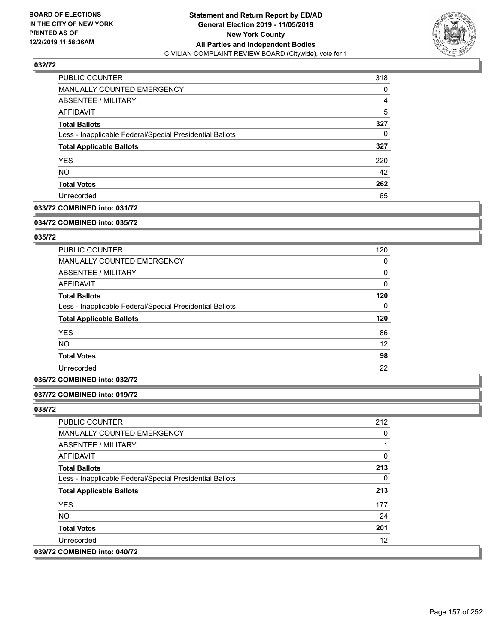

| <b>PUBLIC COUNTER</b>                                    | 318 |
|----------------------------------------------------------|-----|
| <b>MANUALLY COUNTED EMERGENCY</b>                        | 0   |
| ABSENTEE / MILITARY                                      | 4   |
| AFFIDAVIT                                                | 5   |
| <b>Total Ballots</b>                                     | 327 |
| Less - Inapplicable Federal/Special Presidential Ballots | 0   |
| <b>Total Applicable Ballots</b>                          | 327 |
| <b>YES</b>                                               | 220 |
| <b>NO</b>                                                | 42  |
| <b>Total Votes</b>                                       | 262 |
| Unrecorded                                               | 65  |

## **033/72 COMBINED into: 031/72**

#### **034/72 COMBINED into: 035/72**

## **035/72**

| <b>PUBLIC COUNTER</b>                                    | 120      |
|----------------------------------------------------------|----------|
| <b>MANUALLY COUNTED EMERGENCY</b>                        | 0        |
| ABSENTEE / MILITARY                                      | 0        |
| AFFIDAVIT                                                | $\Omega$ |
| <b>Total Ballots</b>                                     | 120      |
| Less - Inapplicable Federal/Special Presidential Ballots | $\Omega$ |
| <b>Total Applicable Ballots</b>                          | 120      |
| <b>YES</b>                                               | 86       |
| <b>NO</b>                                                | 12       |
| <b>Total Votes</b>                                       | 98       |
| Unrecorded                                               | 22       |

## **036/72 COMBINED into: 032/72**

#### **037/72 COMBINED into: 019/72**

| <b>PUBLIC COUNTER</b>                                    | 212 |
|----------------------------------------------------------|-----|
| <b>MANUALLY COUNTED EMERGENCY</b>                        | 0   |
| ABSENTEE / MILITARY                                      |     |
| AFFIDAVIT                                                | 0   |
| <b>Total Ballots</b>                                     | 213 |
| Less - Inapplicable Federal/Special Presidential Ballots | 0   |
| <b>Total Applicable Ballots</b>                          | 213 |
| <b>YES</b>                                               | 177 |
| NO.                                                      | 24  |
| <b>Total Votes</b>                                       | 201 |
| Unrecorded                                               | 12  |
| 039/72 COMBINED into: 040/72                             |     |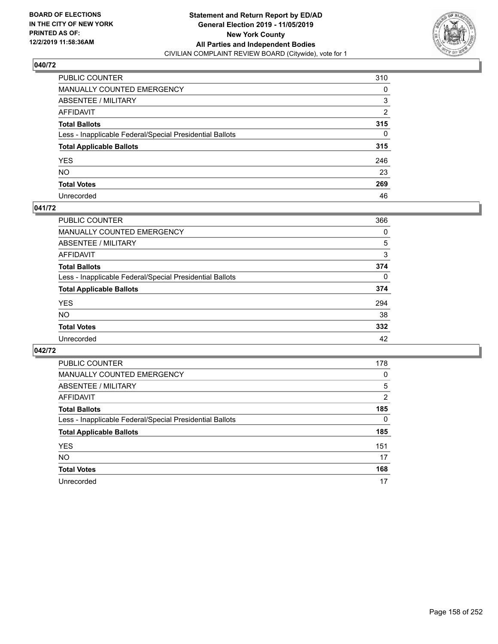

| PUBLIC COUNTER                                           | 310 |
|----------------------------------------------------------|-----|
| MANUALLY COUNTED EMERGENCY                               | 0   |
| ABSENTEE / MILITARY                                      | 3   |
| AFFIDAVIT                                                | 2   |
| Total Ballots                                            | 315 |
| Less - Inapplicable Federal/Special Presidential Ballots | 0   |
| <b>Total Applicable Ballots</b>                          | 315 |
| YES                                                      | 246 |
| NO.                                                      | 23  |
| <b>Total Votes</b>                                       | 269 |
| Unrecorded                                               | 46  |

### **041/72**

| <b>PUBLIC COUNTER</b>                                    | 366      |
|----------------------------------------------------------|----------|
| <b>MANUALLY COUNTED EMERGENCY</b>                        | 0        |
| ABSENTEE / MILITARY                                      | 5        |
| AFFIDAVIT                                                | 3        |
| <b>Total Ballots</b>                                     | 374      |
| Less - Inapplicable Federal/Special Presidential Ballots | $\Omega$ |
| <b>Total Applicable Ballots</b>                          | 374      |
| <b>YES</b>                                               | 294      |
| <b>NO</b>                                                | 38       |
| <b>Total Votes</b>                                       | 332      |
| Unrecorded                                               | 42       |

| <b>PUBLIC COUNTER</b>                                    | 178 |
|----------------------------------------------------------|-----|
| <b>MANUALLY COUNTED EMERGENCY</b>                        | 0   |
| <b>ABSENTEE / MILITARY</b>                               | 5   |
| <b>AFFIDAVIT</b>                                         | 2   |
| <b>Total Ballots</b>                                     | 185 |
| Less - Inapplicable Federal/Special Presidential Ballots | 0   |
| <b>Total Applicable Ballots</b>                          | 185 |
| <b>YES</b>                                               | 151 |
| <b>NO</b>                                                | 17  |
| <b>Total Votes</b>                                       | 168 |
| Unrecorded                                               | 17  |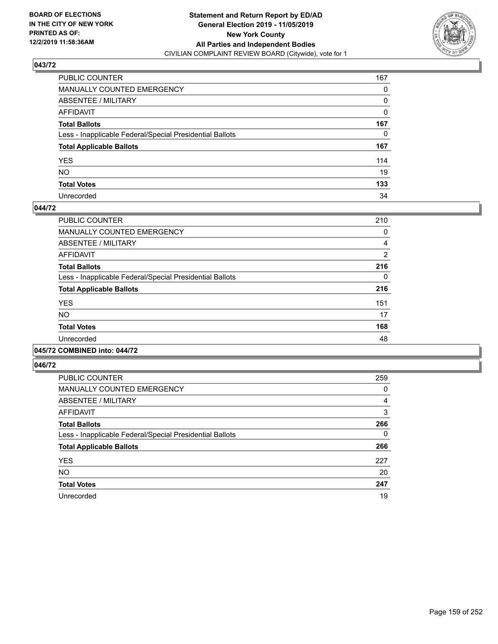

| PUBLIC COUNTER                                           | 167 |
|----------------------------------------------------------|-----|
| MANUALLY COUNTED EMERGENCY                               | 0   |
| ABSENTEE / MILITARY                                      | 0   |
| AFFIDAVIT                                                | 0   |
| Total Ballots                                            | 167 |
| Less - Inapplicable Federal/Special Presidential Ballots | 0   |
| <b>Total Applicable Ballots</b>                          | 167 |
| YES                                                      | 114 |
| NO.                                                      | 19  |
| <b>Total Votes</b>                                       | 133 |
| Unrecorded                                               | 34  |

### **044/72**

| PUBLIC COUNTER                                           | 210      |
|----------------------------------------------------------|----------|
| <b>MANUALLY COUNTED EMERGENCY</b>                        | 0        |
| ABSENTEE / MILITARY                                      | 4        |
| <b>AFFIDAVIT</b>                                         | 2        |
| <b>Total Ballots</b>                                     | 216      |
| Less - Inapplicable Federal/Special Presidential Ballots | $\Omega$ |
| <b>Total Applicable Ballots</b>                          | 216      |
| <b>YES</b>                                               | 151      |
| <b>NO</b>                                                | 17       |
| <b>Total Votes</b>                                       | 168      |
| Unrecorded                                               | 48       |
|                                                          |          |

#### **045/72 COMBINED into: 044/72**

| PUBLIC COUNTER                                           | 259      |
|----------------------------------------------------------|----------|
| MANUALLY COUNTED EMERGENCY                               | 0        |
| ABSENTEE / MILITARY                                      | 4        |
| AFFIDAVIT                                                | 3        |
| <b>Total Ballots</b>                                     | 266      |
| Less - Inapplicable Federal/Special Presidential Ballots | $\Omega$ |
| <b>Total Applicable Ballots</b>                          | 266      |
| <b>YES</b>                                               | 227      |
| <b>NO</b>                                                | 20       |
| <b>Total Votes</b>                                       | 247      |
| Unrecorded                                               | 19       |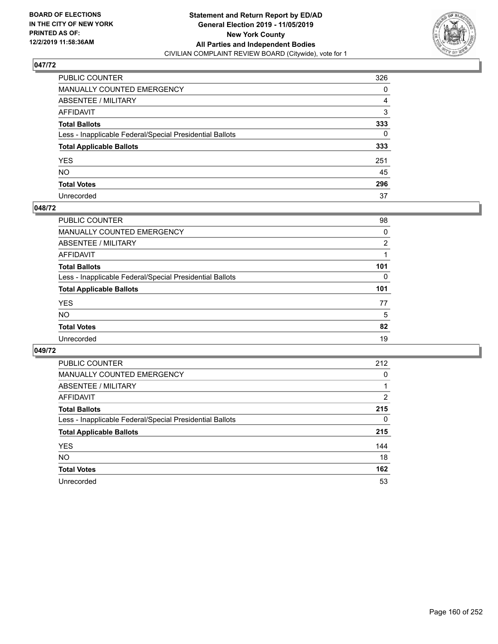

| PUBLIC COUNTER                                           | 326 |
|----------------------------------------------------------|-----|
| MANUALLY COUNTED EMERGENCY                               | 0   |
| ABSENTEE / MILITARY                                      | 4   |
| AFFIDAVIT                                                | 3   |
| Total Ballots                                            | 333 |
| Less - Inapplicable Federal/Special Presidential Ballots | 0   |
| <b>Total Applicable Ballots</b>                          | 333 |
| YES                                                      | 251 |
| NO.                                                      | 45  |
| <b>Total Votes</b>                                       | 296 |
| Unrecorded                                               | 37  |

### **048/72**

| PUBLIC COUNTER                                           | 98  |
|----------------------------------------------------------|-----|
| <b>MANUALLY COUNTED EMERGENCY</b>                        | 0   |
| ABSENTEE / MILITARY                                      | 2   |
| AFFIDAVIT                                                |     |
| <b>Total Ballots</b>                                     | 101 |
| Less - Inapplicable Federal/Special Presidential Ballots | 0   |
| <b>Total Applicable Ballots</b>                          | 101 |
| <b>YES</b>                                               | 77  |
| <b>NO</b>                                                | 5   |
| <b>Total Votes</b>                                       | 82  |
| Unrecorded                                               | 19  |

| PUBLIC COUNTER                                           | 212      |
|----------------------------------------------------------|----------|
| <b>MANUALLY COUNTED EMERGENCY</b>                        | 0        |
| ABSENTEE / MILITARY                                      |          |
| <b>AFFIDAVIT</b>                                         | 2        |
| <b>Total Ballots</b>                                     | 215      |
| Less - Inapplicable Federal/Special Presidential Ballots | $\Omega$ |
| <b>Total Applicable Ballots</b>                          | 215      |
| <b>YES</b>                                               | 144      |
| <b>NO</b>                                                | 18       |
| <b>Total Votes</b>                                       | 162      |
| Unrecorded                                               | 53       |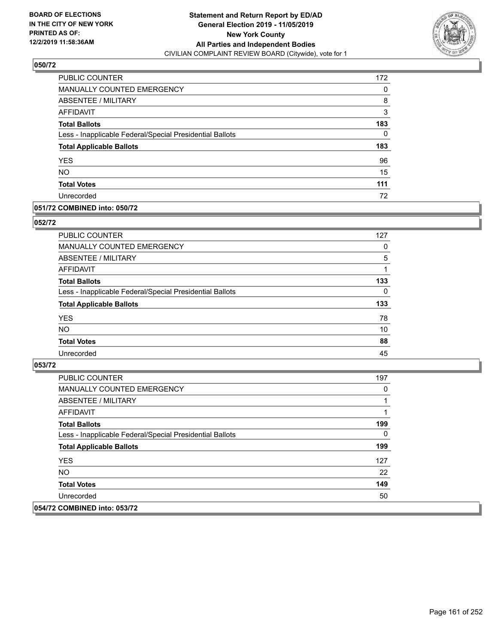

| PUBLIC COUNTER                                           | 172 |
|----------------------------------------------------------|-----|
| MANUALLY COUNTED EMERGENCY                               | 0   |
| <b>ABSENTEE / MILITARY</b>                               | 8   |
| <b>AFFIDAVIT</b>                                         | 3   |
| <b>Total Ballots</b>                                     | 183 |
| Less - Inapplicable Federal/Special Presidential Ballots | 0   |
| <b>Total Applicable Ballots</b>                          | 183 |
| <b>YES</b>                                               | 96  |
| <b>NO</b>                                                | 15  |
| <b>Total Votes</b>                                       | 111 |
| Unrecorded                                               | 72  |

### **051/72 COMBINED into: 050/72**

### **052/72**

| PUBLIC COUNTER                                           | 127      |
|----------------------------------------------------------|----------|
| MANUALLY COUNTED EMERGENCY                               | 0        |
| <b>ABSENTEE / MILITARY</b>                               | 5        |
| AFFIDAVIT                                                |          |
| <b>Total Ballots</b>                                     | 133      |
| Less - Inapplicable Federal/Special Presidential Ballots | $\Omega$ |
| <b>Total Applicable Ballots</b>                          | 133      |
| <b>YES</b>                                               | 78       |
| <b>NO</b>                                                | 10       |
| <b>Total Votes</b>                                       | 88       |
| Unrecorded                                               | 45       |

| <b>PUBLIC COUNTER</b>                                    | 197 |
|----------------------------------------------------------|-----|
| <b>MANUALLY COUNTED EMERGENCY</b>                        | 0   |
| <b>ABSENTEE / MILITARY</b>                               |     |
| AFFIDAVIT                                                |     |
| <b>Total Ballots</b>                                     | 199 |
| Less - Inapplicable Federal/Special Presidential Ballots | 0   |
| <b>Total Applicable Ballots</b>                          | 199 |
| <b>YES</b>                                               | 127 |
| NO.                                                      | 22  |
| <b>Total Votes</b>                                       | 149 |
| Unrecorded                                               | 50  |
| 054/72 COMBINED into: 053/72                             |     |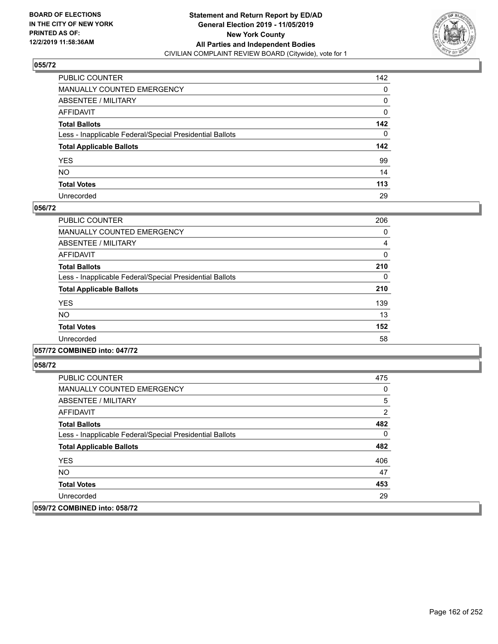

| PUBLIC COUNTER                                           | 142          |
|----------------------------------------------------------|--------------|
| MANUALLY COUNTED EMERGENCY                               | 0            |
| ABSENTEE / MILITARY                                      | 0            |
| AFFIDAVIT                                                | 0            |
| Total Ballots                                            | 142          |
| Less - Inapplicable Federal/Special Presidential Ballots | $\mathbf{0}$ |
| <b>Total Applicable Ballots</b>                          | 142          |
| YES                                                      | 99           |
| NO.                                                      | 14           |
| <b>Total Votes</b>                                       | 113          |
| Unrecorded                                               | 29           |

### **056/72**

| <b>PUBLIC COUNTER</b>                                    | 206      |
|----------------------------------------------------------|----------|
| <b>MANUALLY COUNTED EMERGENCY</b>                        | 0        |
| ABSENTEE / MILITARY                                      | 4        |
| <b>AFFIDAVIT</b>                                         | 0        |
| <b>Total Ballots</b>                                     | 210      |
| Less - Inapplicable Federal/Special Presidential Ballots | $\Omega$ |
| <b>Total Applicable Ballots</b>                          | 210      |
| <b>YES</b>                                               | 139      |
| <b>NO</b>                                                | 13       |
| <b>Total Votes</b>                                       | 152      |
| Unrecorded                                               | 58       |
|                                                          |          |

## **057/72 COMBINED into: 047/72**

| <b>PUBLIC COUNTER</b>                                    | 475 |
|----------------------------------------------------------|-----|
| <b>MANUALLY COUNTED EMERGENCY</b>                        | 0   |
| ABSENTEE / MILITARY                                      | 5   |
| AFFIDAVIT                                                | 2   |
| <b>Total Ballots</b>                                     | 482 |
| Less - Inapplicable Federal/Special Presidential Ballots | 0   |
| <b>Total Applicable Ballots</b>                          | 482 |
| <b>YES</b>                                               | 406 |
| NO.                                                      | 47  |
| <b>Total Votes</b>                                       | 453 |
| Unrecorded                                               | 29  |
| 059/72 COMBINED into: 058/72                             |     |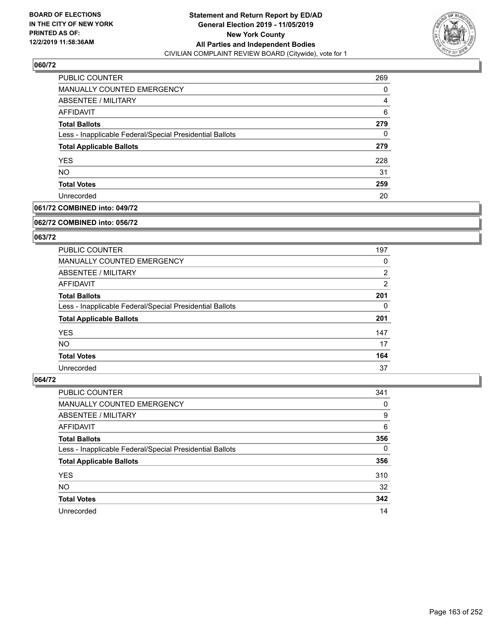

| <b>PUBLIC COUNTER</b>                                    | 269 |
|----------------------------------------------------------|-----|
| <b>MANUALLY COUNTED EMERGENCY</b>                        | 0   |
| <b>ABSENTEE / MILITARY</b>                               | 4   |
| AFFIDAVIT                                                | 6   |
| <b>Total Ballots</b>                                     | 279 |
| Less - Inapplicable Federal/Special Presidential Ballots | 0   |
| <b>Total Applicable Ballots</b>                          | 279 |
| <b>YES</b>                                               | 228 |
| <b>NO</b>                                                | 31  |
| <b>Total Votes</b>                                       | 259 |
| Unrecorded                                               | 20  |

## **061/72 COMBINED into: 049/72**

#### **062/72 COMBINED into: 056/72**

## **063/72**

| <b>PUBLIC COUNTER</b>                                    | 197            |
|----------------------------------------------------------|----------------|
| <b>MANUALLY COUNTED EMERGENCY</b>                        | 0              |
| ABSENTEE / MILITARY                                      | $\overline{2}$ |
| AFFIDAVIT                                                | $\overline{2}$ |
| <b>Total Ballots</b>                                     | 201            |
| Less - Inapplicable Federal/Special Presidential Ballots | 0              |
| <b>Total Applicable Ballots</b>                          | 201            |
| <b>YES</b>                                               | 147            |
| NO.                                                      | 17             |
| <b>Total Votes</b>                                       | 164            |
| Unrecorded                                               | 37             |

| <b>PUBLIC COUNTER</b>                                    | 341      |
|----------------------------------------------------------|----------|
| MANUALLY COUNTED EMERGENCY                               | 0        |
| ABSENTEE / MILITARY                                      | 9        |
| AFFIDAVIT                                                | 6        |
| <b>Total Ballots</b>                                     | 356      |
| Less - Inapplicable Federal/Special Presidential Ballots | $\Omega$ |
| <b>Total Applicable Ballots</b>                          | 356      |
| <b>YES</b>                                               | 310      |
| <b>NO</b>                                                | 32       |
| <b>Total Votes</b>                                       | 342      |
| Unrecorded                                               | 14       |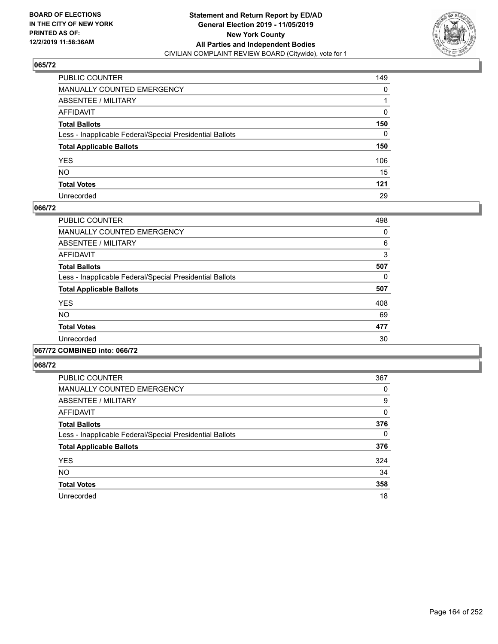

| PUBLIC COUNTER                                           | 149 |
|----------------------------------------------------------|-----|
| MANUALLY COUNTED EMERGENCY                               | 0   |
| ABSENTEE / MILITARY                                      |     |
| AFFIDAVIT                                                | 0   |
| Total Ballots                                            | 150 |
| Less - Inapplicable Federal/Special Presidential Ballots | 0   |
| <b>Total Applicable Ballots</b>                          | 150 |
| YES                                                      | 106 |
| NO.                                                      | 15  |
| <b>Total Votes</b>                                       | 121 |
| Unrecorded                                               | 29  |

### **066/72**

| <b>PUBLIC COUNTER</b>                                    | 498      |
|----------------------------------------------------------|----------|
| <b>MANUALLY COUNTED EMERGENCY</b>                        | $\Omega$ |
| ABSENTEE / MILITARY                                      | 6        |
| <b>AFFIDAVIT</b>                                         | 3        |
| <b>Total Ballots</b>                                     | 507      |
| Less - Inapplicable Federal/Special Presidential Ballots | 0        |
| <b>Total Applicable Ballots</b>                          | 507      |
| <b>YES</b>                                               | 408      |
| <b>NO</b>                                                | 69       |
| <b>Total Votes</b>                                       | 477      |
| Unrecorded                                               | 30       |
|                                                          |          |

#### **067/72 COMBINED into: 066/72**

| <b>PUBLIC COUNTER</b>                                    | 367 |
|----------------------------------------------------------|-----|
| <b>MANUALLY COUNTED EMERGENCY</b>                        | 0   |
| ABSENTEE / MILITARY                                      | 9   |
| <b>AFFIDAVIT</b>                                         | 0   |
| <b>Total Ballots</b>                                     | 376 |
| Less - Inapplicable Federal/Special Presidential Ballots | 0   |
| <b>Total Applicable Ballots</b>                          | 376 |
| <b>YES</b>                                               | 324 |
| <b>NO</b>                                                | 34  |
| <b>Total Votes</b>                                       | 358 |
| Unrecorded                                               | 18  |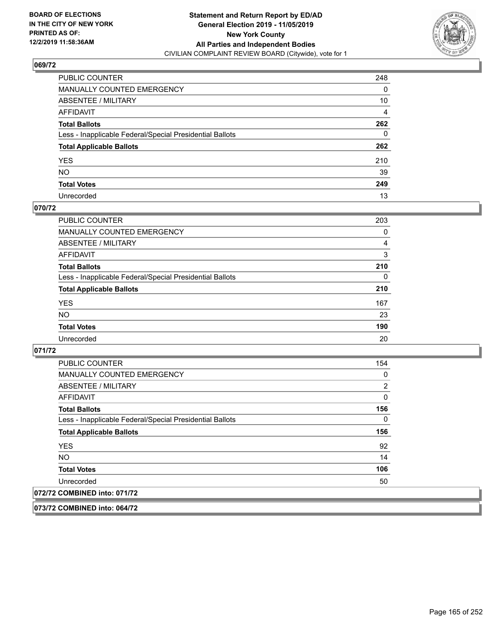

| PUBLIC COUNTER                                           | 248 |
|----------------------------------------------------------|-----|
| MANUALLY COUNTED EMERGENCY                               | 0   |
| ABSENTEE / MILITARY                                      | 10  |
| AFFIDAVIT                                                | 4   |
| Total Ballots                                            | 262 |
| Less - Inapplicable Federal/Special Presidential Ballots | 0   |
| <b>Total Applicable Ballots</b>                          | 262 |
| YES                                                      | 210 |
| NO.                                                      | 39  |
| <b>Total Votes</b>                                       | 249 |
| Unrecorded                                               | 13  |

### **070/72**

| <b>PUBLIC COUNTER</b>                                    | 203      |
|----------------------------------------------------------|----------|
| <b>MANUALLY COUNTED EMERGENCY</b>                        | 0        |
| ABSENTEE / MILITARY                                      | 4        |
| AFFIDAVIT                                                | 3        |
| <b>Total Ballots</b>                                     | 210      |
| Less - Inapplicable Federal/Special Presidential Ballots | $\Omega$ |
| <b>Total Applicable Ballots</b>                          | 210      |
| <b>YES</b>                                               | 167      |
| <b>NO</b>                                                | 23       |
| <b>Total Votes</b>                                       | 190      |
| Unrecorded                                               | 20       |

### **071/72**

| <b>PUBLIC COUNTER</b>                                    | 154 |
|----------------------------------------------------------|-----|
| <b>MANUALLY COUNTED EMERGENCY</b>                        | 0   |
| ABSENTEE / MILITARY                                      | 2   |
| AFFIDAVIT                                                | 0   |
| <b>Total Ballots</b>                                     | 156 |
| Less - Inapplicable Federal/Special Presidential Ballots | 0   |
| <b>Total Applicable Ballots</b>                          | 156 |
| <b>YES</b>                                               | 92  |
| <b>NO</b>                                                | 14  |
| <b>Total Votes</b>                                       | 106 |
| Unrecorded                                               | 50  |
| 072/72 COMBINED into: 071/72                             |     |

**073/72 COMBINED into: 064/72**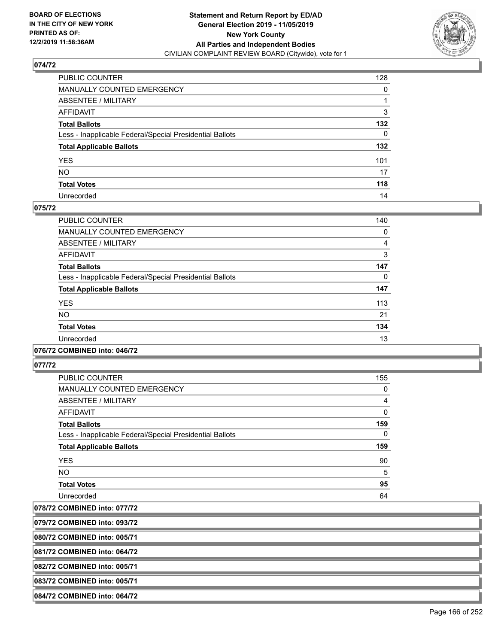

| PUBLIC COUNTER                                           | 128      |
|----------------------------------------------------------|----------|
| MANUALLY COUNTED EMERGENCY                               | 0        |
| ABSENTEE / MILITARY                                      |          |
| AFFIDAVIT                                                | 3        |
| Total Ballots                                            | 132      |
| Less - Inapplicable Federal/Special Presidential Ballots | $\Omega$ |
| <b>Total Applicable Ballots</b>                          | 132      |
| YES                                                      | 101      |
| NO.                                                      | 17       |
| <b>Total Votes</b>                                       | 118      |
| Unrecorded                                               | 14       |

#### **075/72**

| <b>PUBLIC COUNTER</b>                                    | 140 |
|----------------------------------------------------------|-----|
| <b>MANUALLY COUNTED EMERGENCY</b>                        | 0   |
| ABSENTEE / MILITARY                                      | 4   |
| <b>AFFIDAVIT</b>                                         | 3   |
| <b>Total Ballots</b>                                     | 147 |
| Less - Inapplicable Federal/Special Presidential Ballots | 0   |
| <b>Total Applicable Ballots</b>                          | 147 |
| <b>YES</b>                                               | 113 |
| <b>NO</b>                                                | 21  |
| <b>Total Votes</b>                                       | 134 |
| Unrecorded                                               | 13  |
|                                                          |     |

#### **076/72 COMBINED into: 046/72**

**077/72** 

| <b>PUBLIC COUNTER</b>                                    | 155          |
|----------------------------------------------------------|--------------|
| <b>MANUALLY COUNTED EMERGENCY</b>                        | 0            |
| ABSENTEE / MILITARY                                      | 4            |
| AFFIDAVIT                                                | $\mathbf{0}$ |
| <b>Total Ballots</b>                                     | 159          |
| Less - Inapplicable Federal/Special Presidential Ballots | 0            |
| <b>Total Applicable Ballots</b>                          | 159          |
| <b>YES</b>                                               | 90           |
| <b>NO</b>                                                | 5            |
| <b>Total Votes</b>                                       | 95           |
| Unrecorded                                               | 64           |

**078/72 COMBINED into: 077/72**

**079/72 COMBINED into: 093/72**

**080/72 COMBINED into: 005/71**

**081/72 COMBINED into: 064/72**

**082/72 COMBINED into: 005/71**

**083/72 COMBINED into: 005/71**

**084/72 COMBINED into: 064/72**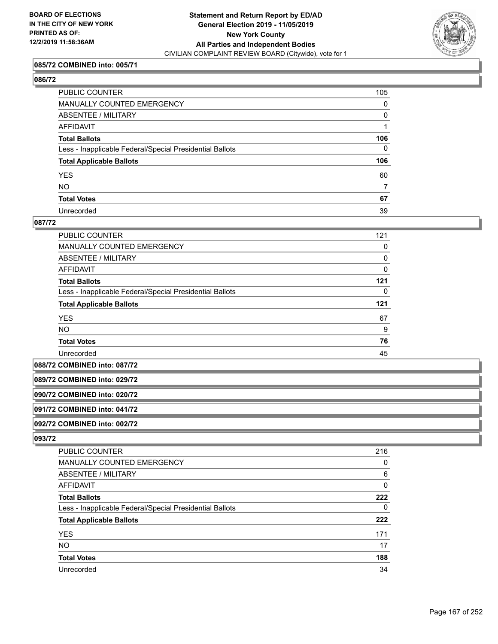

#### **085/72 COMBINED into: 005/71**

#### **086/72**

| PUBLIC COUNTER                                           | 105          |
|----------------------------------------------------------|--------------|
| MANUALLY COUNTED EMERGENCY                               | $\mathbf 0$  |
| ABSENTEE / MILITARY                                      | 0            |
| AFFIDAVIT                                                |              |
| Total Ballots                                            | 106          |
| Less - Inapplicable Federal/Special Presidential Ballots | $\mathbf{0}$ |
| <b>Total Applicable Ballots</b>                          | 106          |
| YES                                                      | 60           |
| NO.                                                      | 7            |
| <b>Total Votes</b>                                       | 67           |
| Unrecorded                                               | 39           |

#### **087/72**

| PUBLIC COUNTER                                           | 121 |
|----------------------------------------------------------|-----|
| MANUALLY COUNTED EMERGENCY                               | 0   |
| ABSENTEE / MILITARY                                      | 0   |
| AFFIDAVIT                                                | 0   |
| <b>Total Ballots</b>                                     | 121 |
| Less - Inapplicable Federal/Special Presidential Ballots | 0   |
| <b>Total Applicable Ballots</b>                          | 121 |
| <b>YES</b>                                               | 67  |
| <b>NO</b>                                                | 9   |
| <b>Total Votes</b>                                       | 76  |
| Unrecorded                                               | 45  |

**088/72 COMBINED into: 087/72**

#### **089/72 COMBINED into: 029/72**

**090/72 COMBINED into: 020/72**

## **091/72 COMBINED into: 041/72**

**092/72 COMBINED into: 002/72**

| <b>PUBLIC COUNTER</b>                                    | 216 |
|----------------------------------------------------------|-----|
| <b>MANUALLY COUNTED EMERGENCY</b>                        | 0   |
| ABSENTEE / MILITARY                                      | 6   |
| AFFIDAVIT                                                | 0   |
| <b>Total Ballots</b>                                     | 222 |
| Less - Inapplicable Federal/Special Presidential Ballots | 0   |
| <b>Total Applicable Ballots</b>                          | 222 |
| <b>YES</b>                                               | 171 |
| <b>NO</b>                                                | 17  |
| <b>Total Votes</b>                                       | 188 |
| Unrecorded                                               | 34  |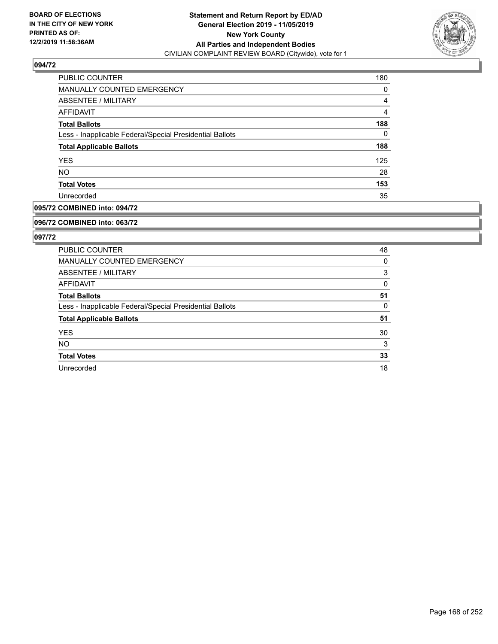

| PUBLIC COUNTER                                           | 180            |
|----------------------------------------------------------|----------------|
| <b>MANUALLY COUNTED EMERGENCY</b>                        | 0              |
| ABSENTEE / MILITARY                                      | $\overline{4}$ |
| AFFIDAVIT                                                | 4              |
| <b>Total Ballots</b>                                     | 188            |
| Less - Inapplicable Federal/Special Presidential Ballots | 0              |
| <b>Total Applicable Ballots</b>                          | 188            |
| <b>YES</b>                                               | 125            |
| <b>NO</b>                                                | 28             |
| <b>Total Votes</b>                                       | 153            |
| Unrecorded                                               | 35             |

### **095/72 COMBINED into: 094/72**

#### **096/72 COMBINED into: 063/72**

| <b>PUBLIC COUNTER</b>                                    | 48 |
|----------------------------------------------------------|----|
| <b>MANUALLY COUNTED EMERGENCY</b>                        | 0  |
| ABSENTEE / MILITARY                                      | 3  |
| AFFIDAVIT                                                | 0  |
| <b>Total Ballots</b>                                     | 51 |
| Less - Inapplicable Federal/Special Presidential Ballots | 0  |
| <b>Total Applicable Ballots</b>                          | 51 |
| <b>YES</b>                                               | 30 |
| <b>NO</b>                                                | 3  |
| <b>Total Votes</b>                                       | 33 |
| Unrecorded                                               | 18 |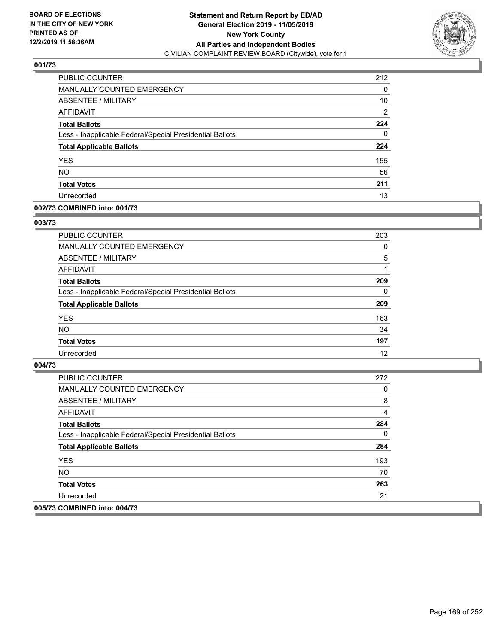

| <b>PUBLIC COUNTER</b>                                    | 212 |
|----------------------------------------------------------|-----|
| <b>MANUALLY COUNTED EMERGENCY</b>                        | 0   |
| ABSENTEE / MILITARY                                      | 10  |
| <b>AFFIDAVIT</b>                                         | 2   |
| <b>Total Ballots</b>                                     | 224 |
| Less - Inapplicable Federal/Special Presidential Ballots | 0   |
| <b>Total Applicable Ballots</b>                          | 224 |
| <b>YES</b>                                               | 155 |
| <b>NO</b>                                                | 56  |
| <b>Total Votes</b>                                       | 211 |
| Unrecorded                                               | 13  |

### **002/73 COMBINED into: 001/73**

#### **003/73**

| <b>PUBLIC COUNTER</b>                                    | 203      |
|----------------------------------------------------------|----------|
| MANUALLY COUNTED EMERGENCY                               | $\Omega$ |
| ABSENTEE / MILITARY                                      | 5        |
| AFFIDAVIT                                                |          |
| <b>Total Ballots</b>                                     | 209      |
| Less - Inapplicable Federal/Special Presidential Ballots | $\Omega$ |
| <b>Total Applicable Ballots</b>                          | 209      |
| <b>YES</b>                                               | 163      |
| <b>NO</b>                                                | 34       |
| <b>Total Votes</b>                                       | 197      |
| Unrecorded                                               | 12       |

| PUBLIC COUNTER                                           | 272 |
|----------------------------------------------------------|-----|
| <b>MANUALLY COUNTED EMERGENCY</b>                        | 0   |
| <b>ABSENTEE / MILITARY</b>                               | 8   |
| AFFIDAVIT                                                | 4   |
| <b>Total Ballots</b>                                     | 284 |
| Less - Inapplicable Federal/Special Presidential Ballots | 0   |
| <b>Total Applicable Ballots</b>                          | 284 |
| <b>YES</b>                                               | 193 |
| NO.                                                      | 70  |
| <b>Total Votes</b>                                       | 263 |
| Unrecorded                                               | 21  |
| 005/73 COMBINED into: 004/73                             |     |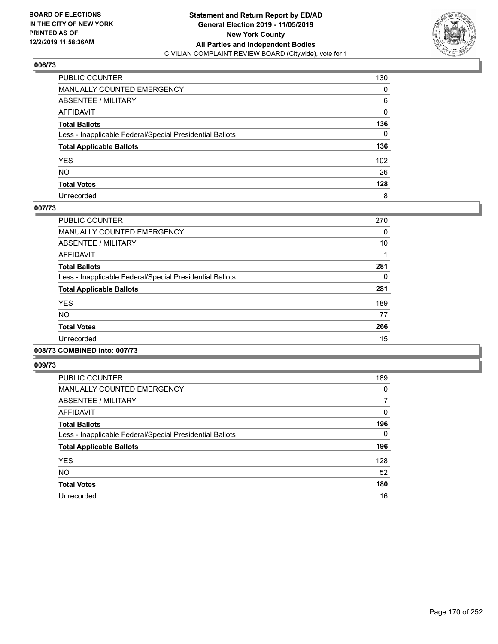

| PUBLIC COUNTER                                           | 130      |
|----------------------------------------------------------|----------|
| MANUALLY COUNTED EMERGENCY                               | 0        |
| ABSENTEE / MILITARY                                      | 6        |
| AFFIDAVIT                                                | 0        |
| Total Ballots                                            | 136      |
| Less - Inapplicable Federal/Special Presidential Ballots | $\Omega$ |
| <b>Total Applicable Ballots</b>                          | 136      |
| YES                                                      | 102      |
| NO.                                                      | 26       |
| <b>Total Votes</b>                                       | 128      |
| Unrecorded                                               | 8        |

### **007/73**

| PUBLIC COUNTER                                           | 270 |
|----------------------------------------------------------|-----|
| <b>MANUALLY COUNTED EMERGENCY</b>                        | 0   |
| ABSENTEE / MILITARY                                      | 10  |
| AFFIDAVIT                                                |     |
| <b>Total Ballots</b>                                     | 281 |
| Less - Inapplicable Federal/Special Presidential Ballots | 0   |
| <b>Total Applicable Ballots</b>                          | 281 |
| <b>YES</b>                                               | 189 |
| NO.                                                      | 77  |
| <b>Total Votes</b>                                       | 266 |
| Unrecorded                                               | 15  |
|                                                          |     |

#### **008/73 COMBINED into: 007/73**

| <b>PUBLIC COUNTER</b>                                    | 189      |
|----------------------------------------------------------|----------|
| <b>MANUALLY COUNTED EMERGENCY</b>                        | $\Omega$ |
| ABSENTEE / MILITARY                                      | 7        |
| AFFIDAVIT                                                | $\Omega$ |
| <b>Total Ballots</b>                                     | 196      |
| Less - Inapplicable Federal/Special Presidential Ballots | $\Omega$ |
| <b>Total Applicable Ballots</b>                          | 196      |
| <b>YES</b>                                               | 128      |
| <b>NO</b>                                                | 52       |
| <b>Total Votes</b>                                       | 180      |
| Unrecorded                                               | 16       |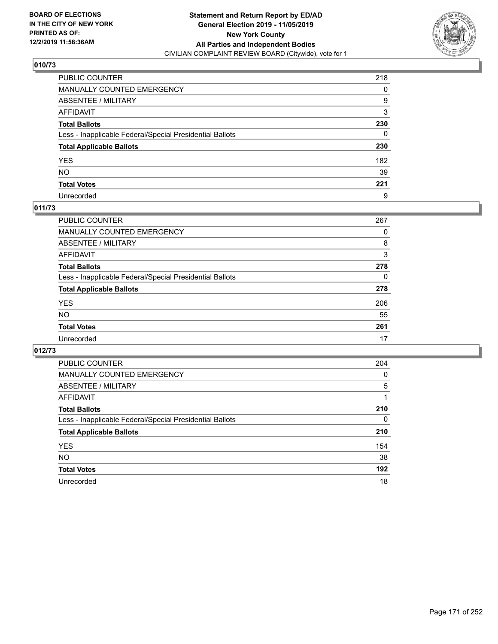

| PUBLIC COUNTER                                           | 218 |
|----------------------------------------------------------|-----|
| MANUALLY COUNTED EMERGENCY                               | 0   |
| ABSENTEE / MILITARY                                      | 9   |
| AFFIDAVIT                                                | 3   |
| Total Ballots                                            | 230 |
| Less - Inapplicable Federal/Special Presidential Ballots | 0   |
| <b>Total Applicable Ballots</b>                          | 230 |
| YES                                                      | 182 |
| NO.                                                      | 39  |
| <b>Total Votes</b>                                       | 221 |
| Unrecorded                                               | 9   |

### **011/73**

| <b>PUBLIC COUNTER</b>                                    | 267      |
|----------------------------------------------------------|----------|
| <b>MANUALLY COUNTED EMERGENCY</b>                        | 0        |
| ABSENTEE / MILITARY                                      | 8        |
| AFFIDAVIT                                                | 3        |
| <b>Total Ballots</b>                                     | 278      |
| Less - Inapplicable Federal/Special Presidential Ballots | $\Omega$ |
| <b>Total Applicable Ballots</b>                          | 278      |
| <b>YES</b>                                               | 206      |
| <b>NO</b>                                                | 55       |
| <b>Total Votes</b>                                       | 261      |
| Unrecorded                                               | 17       |

| <b>PUBLIC COUNTER</b>                                    | 204 |
|----------------------------------------------------------|-----|
| <b>MANUALLY COUNTED EMERGENCY</b>                        | 0   |
| ABSENTEE / MILITARY                                      | 5   |
| AFFIDAVIT                                                |     |
| <b>Total Ballots</b>                                     | 210 |
| Less - Inapplicable Federal/Special Presidential Ballots | 0   |
| <b>Total Applicable Ballots</b>                          | 210 |
| <b>YES</b>                                               | 154 |
| NO.                                                      | 38  |
| <b>Total Votes</b>                                       | 192 |
| Unrecorded                                               | 18  |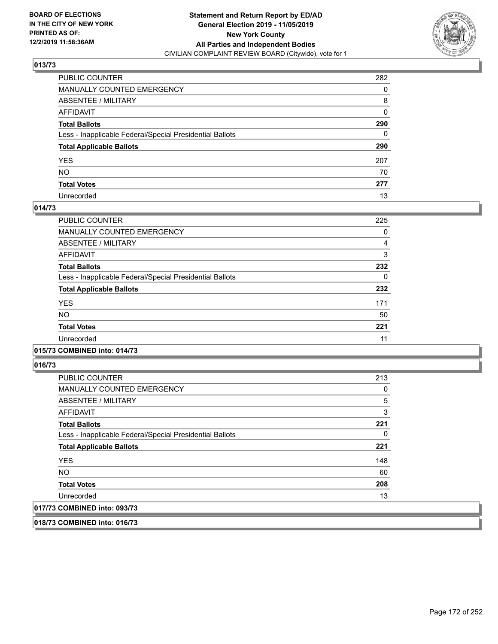

| PUBLIC COUNTER                                           | 282          |
|----------------------------------------------------------|--------------|
| MANUALLY COUNTED EMERGENCY                               | 0            |
| ABSENTEE / MILITARY                                      | 8            |
| AFFIDAVIT                                                | 0            |
| Total Ballots                                            | 290          |
| Less - Inapplicable Federal/Special Presidential Ballots | $\mathbf{0}$ |
| <b>Total Applicable Ballots</b>                          | 290          |
| YES                                                      | 207          |
| NO.                                                      | 70           |
| <b>Total Votes</b>                                       | 277          |
| Unrecorded                                               | 13           |

### **014/73**

| <b>PUBLIC COUNTER</b>                                    | 225 |
|----------------------------------------------------------|-----|
| <b>MANUALLY COUNTED EMERGENCY</b>                        | 0   |
| ABSENTEE / MILITARY                                      | 4   |
| <b>AFFIDAVIT</b>                                         | 3   |
| <b>Total Ballots</b>                                     | 232 |
| Less - Inapplicable Federal/Special Presidential Ballots | 0   |
| <b>Total Applicable Ballots</b>                          | 232 |
| <b>YES</b>                                               | 171 |
| NO                                                       | 50  |
| <b>Total Votes</b>                                       | 221 |
| Unrecorded                                               | 11  |
|                                                          |     |

#### **015/73 COMBINED into: 014/73**

**016/73** 

| <b>PUBLIC COUNTER</b>                                    | 213            |
|----------------------------------------------------------|----------------|
| <b>MANUALLY COUNTED EMERGENCY</b>                        | 0              |
| ABSENTEE / MILITARY                                      | $\overline{5}$ |
| AFFIDAVIT                                                | 3              |
| <b>Total Ballots</b>                                     | 221            |
| Less - Inapplicable Federal/Special Presidential Ballots | 0              |
| <b>Total Applicable Ballots</b>                          | 221            |
| <b>YES</b>                                               | 148            |
| <b>NO</b>                                                | 60             |
| <b>Total Votes</b>                                       | 208            |
| Unrecorded                                               | 13             |
| 017/73 COMBINED into: 093/73                             |                |

**018/73 COMBINED into: 016/73**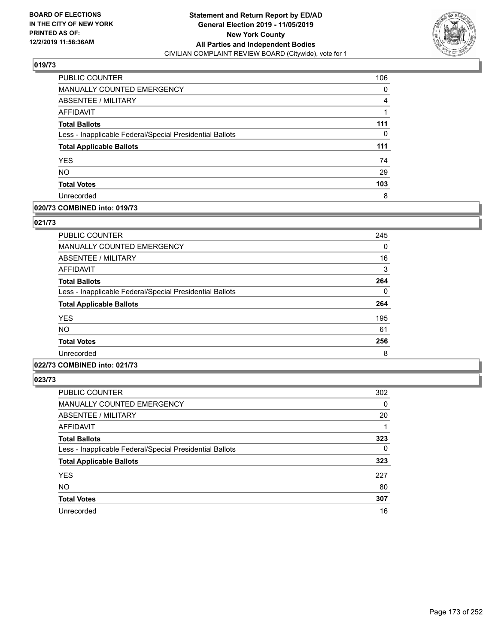

| PUBLIC COUNTER                                           | 106 |
|----------------------------------------------------------|-----|
| <b>MANUALLY COUNTED EMERGENCY</b>                        | 0   |
| ABSENTEE / MILITARY                                      | 4   |
| <b>AFFIDAVIT</b>                                         |     |
| <b>Total Ballots</b>                                     | 111 |
| Less - Inapplicable Federal/Special Presidential Ballots | 0   |
| <b>Total Applicable Ballots</b>                          | 111 |
| <b>YES</b>                                               | 74  |
| <b>NO</b>                                                | 29  |
| <b>Total Votes</b>                                       | 103 |
| Unrecorded                                               | 8   |

## **020/73 COMBINED into: 019/73**

### **021/73**

| <b>PUBLIC COUNTER</b>                                    | 245 |
|----------------------------------------------------------|-----|
| <b>MANUALLY COUNTED EMERGENCY</b>                        | 0   |
| ABSENTEE / MILITARY                                      | 16  |
| AFFIDAVIT                                                | 3   |
| <b>Total Ballots</b>                                     | 264 |
| Less - Inapplicable Federal/Special Presidential Ballots | 0   |
| <b>Total Applicable Ballots</b>                          | 264 |
| <b>YES</b>                                               | 195 |
| <b>NO</b>                                                | 61  |
| <b>Total Votes</b>                                       | 256 |
| Unrecorded                                               | 8   |
|                                                          |     |

## **022/73 COMBINED into: 021/73**

| <b>PUBLIC COUNTER</b>                                    | 302 |
|----------------------------------------------------------|-----|
| <b>MANUALLY COUNTED EMERGENCY</b>                        | 0   |
| ABSENTEE / MILITARY                                      | 20  |
| <b>AFFIDAVIT</b>                                         |     |
| <b>Total Ballots</b>                                     | 323 |
| Less - Inapplicable Federal/Special Presidential Ballots | 0   |
| <b>Total Applicable Ballots</b>                          | 323 |
| <b>YES</b>                                               | 227 |
| <b>NO</b>                                                | 80  |
| <b>Total Votes</b>                                       | 307 |
| Unrecorded                                               | 16  |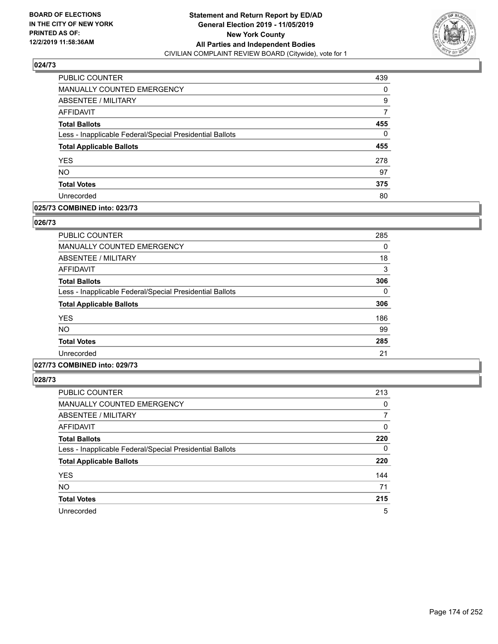

| <b>PUBLIC COUNTER</b>                                    | 439 |
|----------------------------------------------------------|-----|
| MANUALLY COUNTED EMERGENCY                               | 0   |
| ABSENTEE / MILITARY                                      | 9   |
| <b>AFFIDAVIT</b>                                         | 7   |
| <b>Total Ballots</b>                                     | 455 |
| Less - Inapplicable Federal/Special Presidential Ballots | 0   |
| <b>Total Applicable Ballots</b>                          | 455 |
| <b>YES</b>                                               | 278 |
| <b>NO</b>                                                | 97  |
| <b>Total Votes</b>                                       | 375 |
| Unrecorded                                               | 80  |

### **025/73 COMBINED into: 023/73**

### **026/73**

| PUBLIC COUNTER                                           | 285 |
|----------------------------------------------------------|-----|
| <b>MANUALLY COUNTED EMERGENCY</b>                        | 0   |
| ABSENTEE / MILITARY                                      | 18  |
| AFFIDAVIT                                                | 3   |
| <b>Total Ballots</b>                                     | 306 |
| Less - Inapplicable Federal/Special Presidential Ballots | 0   |
| <b>Total Applicable Ballots</b>                          | 306 |
| <b>YES</b>                                               | 186 |
| <b>NO</b>                                                | 99  |
| <b>Total Votes</b>                                       | 285 |
| Unrecorded                                               | 21  |

## **027/73 COMBINED into: 029/73**

| <b>PUBLIC COUNTER</b>                                    | 213 |
|----------------------------------------------------------|-----|
| <b>MANUALLY COUNTED EMERGENCY</b>                        | 0   |
| ABSENTEE / MILITARY                                      | 7   |
| AFFIDAVIT                                                | 0   |
| <b>Total Ballots</b>                                     | 220 |
| Less - Inapplicable Federal/Special Presidential Ballots | 0   |
| <b>Total Applicable Ballots</b>                          | 220 |
| <b>YES</b>                                               | 144 |
| <b>NO</b>                                                | 71  |
| <b>Total Votes</b>                                       | 215 |
| Unrecorded                                               | 5   |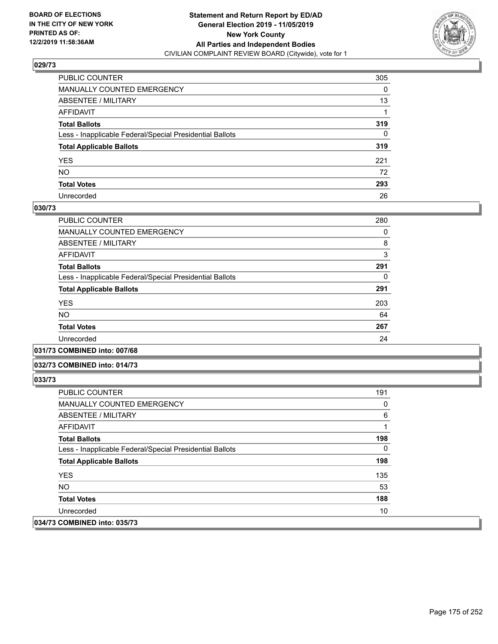

| PUBLIC COUNTER                                           | 305      |
|----------------------------------------------------------|----------|
| MANUALLY COUNTED EMERGENCY                               | 0        |
| ABSENTEE / MILITARY                                      | 13       |
| AFFIDAVIT                                                |          |
| Total Ballots                                            | 319      |
| Less - Inapplicable Federal/Special Presidential Ballots | $\Omega$ |
| <b>Total Applicable Ballots</b>                          | 319      |
| YES                                                      | 221      |
| NO.                                                      | 72       |
| <b>Total Votes</b>                                       | 293      |
| Unrecorded                                               | 26       |

### **030/73**

| <b>PUBLIC COUNTER</b>                                    | 280 |
|----------------------------------------------------------|-----|
| MANUALLY COUNTED EMERGENCY                               | 0   |
| ABSENTEE / MILITARY                                      | 8   |
| AFFIDAVIT                                                | 3   |
| <b>Total Ballots</b>                                     | 291 |
| Less - Inapplicable Federal/Special Presidential Ballots | 0   |
| <b>Total Applicable Ballots</b>                          | 291 |
| <b>YES</b>                                               | 203 |
| <b>NO</b>                                                | 64  |
| <b>Total Votes</b>                                       | 267 |
| Unrecorded                                               | 24  |
|                                                          |     |

**031/73 COMBINED into: 007/68**

#### **032/73 COMBINED into: 014/73**

| <b>PUBLIC COUNTER</b>                                    | 191 |
|----------------------------------------------------------|-----|
| <b>MANUALLY COUNTED EMERGENCY</b>                        | 0   |
| ABSENTEE / MILITARY                                      | 6   |
| AFFIDAVIT                                                |     |
| <b>Total Ballots</b>                                     | 198 |
| Less - Inapplicable Federal/Special Presidential Ballots | 0   |
| <b>Total Applicable Ballots</b>                          | 198 |
| <b>YES</b>                                               | 135 |
| NO.                                                      | 53  |
| <b>Total Votes</b>                                       | 188 |
| Unrecorded                                               | 10  |
| 034/73 COMBINED into: 035/73                             |     |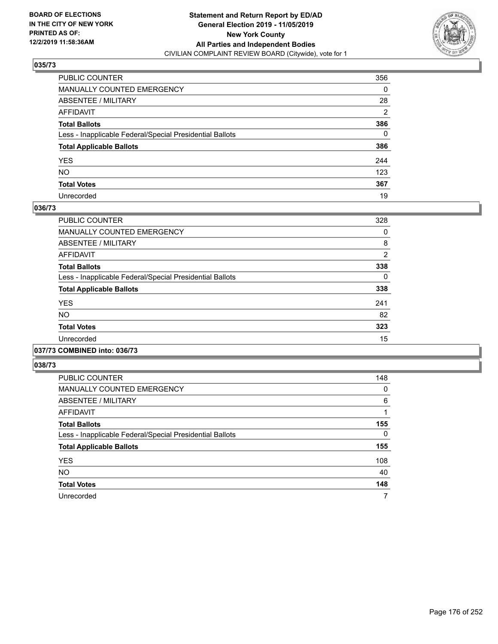

| PUBLIC COUNTER                                           | 356            |
|----------------------------------------------------------|----------------|
| MANUALLY COUNTED EMERGENCY                               | 0              |
| ABSENTEE / MILITARY                                      | 28             |
| AFFIDAVIT                                                | $\overline{2}$ |
| Total Ballots                                            | 386            |
| Less - Inapplicable Federal/Special Presidential Ballots | $\mathbf{0}$   |
| <b>Total Applicable Ballots</b>                          | 386            |
| YES                                                      | 244            |
| NO.                                                      | 123            |
| <b>Total Votes</b>                                       | 367            |
| Unrecorded                                               | 19             |

### **036/73**

| <b>PUBLIC COUNTER</b>                                    | 328            |
|----------------------------------------------------------|----------------|
| <b>MANUALLY COUNTED EMERGENCY</b>                        | 0              |
| ABSENTEE / MILITARY                                      | 8              |
| <b>AFFIDAVIT</b>                                         | $\overline{2}$ |
| <b>Total Ballots</b>                                     | 338            |
| Less - Inapplicable Federal/Special Presidential Ballots | 0              |
| <b>Total Applicable Ballots</b>                          | 338            |
| <b>YES</b>                                               | 241            |
| <b>NO</b>                                                | 82             |
| <b>Total Votes</b>                                       | 323            |
| Unrecorded                                               | 15             |
|                                                          |                |

#### **037/73 COMBINED into: 036/73**

| <b>PUBLIC COUNTER</b>                                    | 148 |
|----------------------------------------------------------|-----|
| <b>MANUALLY COUNTED EMERGENCY</b>                        | 0   |
| ABSENTEE / MILITARY                                      | 6   |
| <b>AFFIDAVIT</b>                                         |     |
| <b>Total Ballots</b>                                     | 155 |
| Less - Inapplicable Federal/Special Presidential Ballots | 0   |
| <b>Total Applicable Ballots</b>                          | 155 |
| <b>YES</b>                                               | 108 |
| NO.                                                      | 40  |
| <b>Total Votes</b>                                       | 148 |
| Unrecorded                                               | 7   |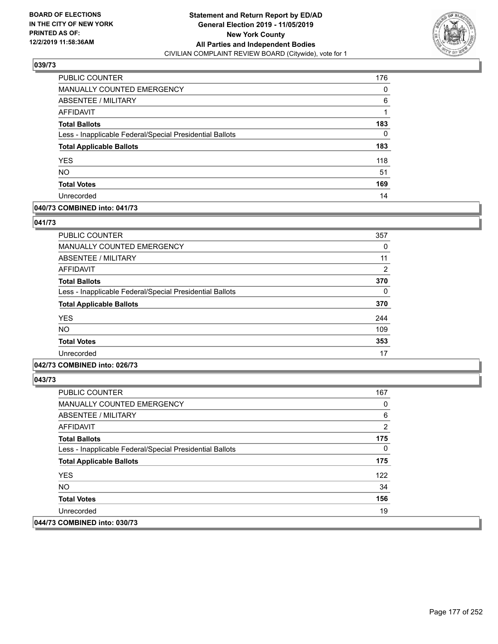

| PUBLIC COUNTER                                           | 176 |
|----------------------------------------------------------|-----|
| <b>MANUALLY COUNTED EMERGENCY</b>                        | 0   |
| ABSENTEE / MILITARY                                      | 6   |
| AFFIDAVIT                                                |     |
| <b>Total Ballots</b>                                     | 183 |
| Less - Inapplicable Federal/Special Presidential Ballots | 0   |
| <b>Total Applicable Ballots</b>                          | 183 |
| <b>YES</b>                                               | 118 |
| <b>NO</b>                                                | 51  |
| <b>Total Votes</b>                                       | 169 |
| Unrecorded                                               | 14  |

### **040/73 COMBINED into: 041/73**

### **041/73**

| PUBLIC COUNTER                                           | 357            |
|----------------------------------------------------------|----------------|
| <b>MANUALLY COUNTED EMERGENCY</b>                        | 0              |
| <b>ABSENTEE / MILITARY</b>                               | 11             |
| AFFIDAVIT                                                | $\overline{2}$ |
| <b>Total Ballots</b>                                     | 370            |
| Less - Inapplicable Federal/Special Presidential Ballots | $\Omega$       |
| <b>Total Applicable Ballots</b>                          | 370            |
| <b>YES</b>                                               | 244            |
| <b>NO</b>                                                | 109            |
| <b>Total Votes</b>                                       | 353            |
| Unrecorded                                               | 17             |

## **042/73 COMBINED into: 026/73**

| <b>PUBLIC COUNTER</b>                                    | 167 |
|----------------------------------------------------------|-----|
| <b>MANUALLY COUNTED EMERGENCY</b>                        | 0   |
| ABSENTEE / MILITARY                                      | 6   |
| AFFIDAVIT                                                | 2   |
| <b>Total Ballots</b>                                     | 175 |
| Less - Inapplicable Federal/Special Presidential Ballots | 0   |
| <b>Total Applicable Ballots</b>                          | 175 |
| <b>YES</b>                                               | 122 |
| NO.                                                      | 34  |
| <b>Total Votes</b>                                       | 156 |
| Unrecorded                                               | 19  |
| 044/73 COMBINED into: 030/73                             |     |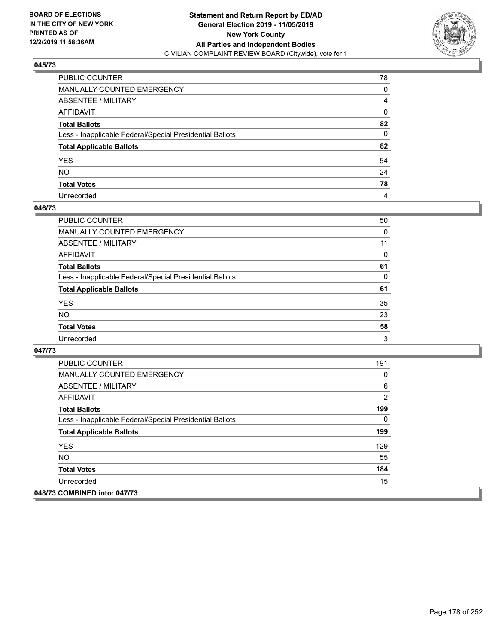

| PUBLIC COUNTER                                           | 78           |
|----------------------------------------------------------|--------------|
| MANUALLY COUNTED EMERGENCY                               | 0            |
| ABSENTEE / MILITARY                                      | 4            |
| AFFIDAVIT                                                | 0            |
| Total Ballots                                            | 82           |
| Less - Inapplicable Federal/Special Presidential Ballots | $\mathbf{0}$ |
| <b>Total Applicable Ballots</b>                          | 82           |
| YES                                                      | 54           |
| NO.                                                      | 24           |
| <b>Total Votes</b>                                       | 78           |
| Unrecorded                                               | 4            |

### **046/73**

| <b>PUBLIC COUNTER</b>                                    | 50       |
|----------------------------------------------------------|----------|
| <b>MANUALLY COUNTED EMERGENCY</b>                        | 0        |
| ABSENTEE / MILITARY                                      | 11       |
| AFFIDAVIT                                                | $\Omega$ |
| <b>Total Ballots</b>                                     | 61       |
| Less - Inapplicable Federal/Special Presidential Ballots | 0        |
| <b>Total Applicable Ballots</b>                          | 61       |
| <b>YES</b>                                               | 35       |
| <b>NO</b>                                                | 23       |
| <b>Total Votes</b>                                       | 58       |
| Unrecorded                                               | 3        |

| <b>PUBLIC COUNTER</b>                                    | 191 |
|----------------------------------------------------------|-----|
| <b>MANUALLY COUNTED EMERGENCY</b>                        | 0   |
| ABSENTEE / MILITARY                                      | 6   |
| <b>AFFIDAVIT</b>                                         | 2   |
| <b>Total Ballots</b>                                     | 199 |
| Less - Inapplicable Federal/Special Presidential Ballots | 0   |
| <b>Total Applicable Ballots</b>                          | 199 |
| <b>YES</b>                                               | 129 |
| NO.                                                      | 55  |
| <b>Total Votes</b>                                       | 184 |
| Unrecorded                                               | 15  |
| 048/73 COMBINED into: 047/73                             |     |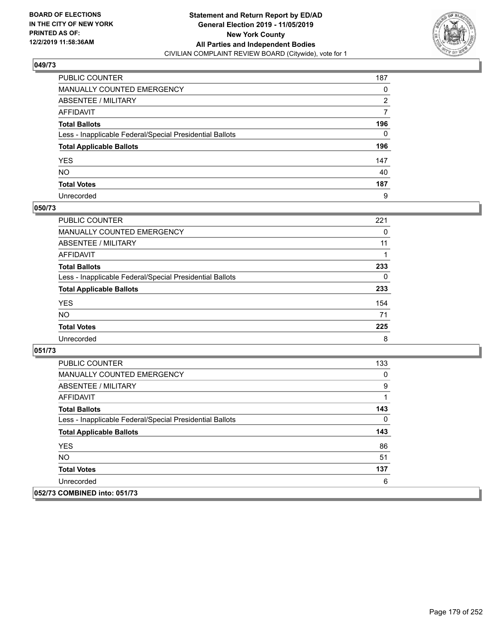

| PUBLIC COUNTER                                           | 187      |
|----------------------------------------------------------|----------|
| MANUALLY COUNTED EMERGENCY                               | 0        |
| ABSENTEE / MILITARY                                      | 2        |
| AFFIDAVIT                                                | 7        |
| Total Ballots                                            | 196      |
| Less - Inapplicable Federal/Special Presidential Ballots | $\Omega$ |
| <b>Total Applicable Ballots</b>                          | 196      |
| YES                                                      | 147      |
| NO.                                                      | 40       |
| <b>Total Votes</b>                                       | 187      |
| Unrecorded                                               | 9        |

### **050/73**

| <b>PUBLIC COUNTER</b>                                    | 221 |
|----------------------------------------------------------|-----|
| <b>MANUALLY COUNTED EMERGENCY</b>                        | 0   |
| ABSENTEE / MILITARY                                      | 11  |
| AFFIDAVIT                                                |     |
| <b>Total Ballots</b>                                     | 233 |
| Less - Inapplicable Federal/Special Presidential Ballots | 0   |
| <b>Total Applicable Ballots</b>                          | 233 |
| <b>YES</b>                                               | 154 |
| <b>NO</b>                                                | 71  |
| <b>Total Votes</b>                                       | 225 |
| Unrecorded                                               | 8   |

| <b>PUBLIC COUNTER</b>                                    | 133 |
|----------------------------------------------------------|-----|
| <b>MANUALLY COUNTED EMERGENCY</b>                        | 0   |
| ABSENTEE / MILITARY                                      | 9   |
| AFFIDAVIT                                                | 1   |
| <b>Total Ballots</b>                                     | 143 |
| Less - Inapplicable Federal/Special Presidential Ballots | 0   |
| <b>Total Applicable Ballots</b>                          | 143 |
| <b>YES</b>                                               | 86  |
| <b>NO</b>                                                | 51  |
| <b>Total Votes</b>                                       | 137 |
| Unrecorded                                               | 6   |
| 052/73 COMBINED into: 051/73                             |     |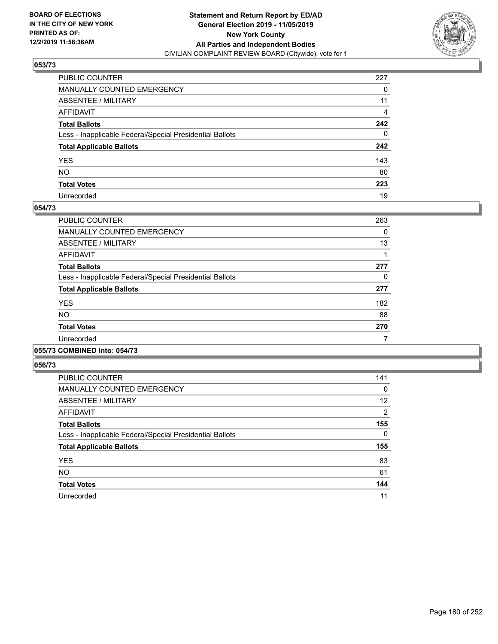

| PUBLIC COUNTER                                           | 227          |
|----------------------------------------------------------|--------------|
| MANUALLY COUNTED EMERGENCY                               | 0            |
| ABSENTEE / MILITARY                                      | 11           |
| AFFIDAVIT                                                | 4            |
| Total Ballots                                            | 242          |
| Less - Inapplicable Federal/Special Presidential Ballots | $\mathbf{0}$ |
| <b>Total Applicable Ballots</b>                          | 242          |
| YES                                                      | 143          |
| NO.                                                      | 80           |
| <b>Total Votes</b>                                       | 223          |
| Unrecorded                                               | 19           |

### **054/73**

| <b>PUBLIC COUNTER</b>                                    | 263 |
|----------------------------------------------------------|-----|
| <b>MANUALLY COUNTED EMERGENCY</b>                        | 0   |
| ABSENTEE / MILITARY                                      | 13  |
| <b>AFFIDAVIT</b>                                         |     |
| <b>Total Ballots</b>                                     | 277 |
| Less - Inapplicable Federal/Special Presidential Ballots | 0   |
| <b>Total Applicable Ballots</b>                          | 277 |
| <b>YES</b>                                               | 182 |
| NO                                                       | 88  |
| <b>Total Votes</b>                                       | 270 |
| Unrecorded                                               |     |
|                                                          |     |

#### **055/73 COMBINED into: 054/73**

| <b>PUBLIC COUNTER</b>                                    | 141 |
|----------------------------------------------------------|-----|
| <b>MANUALLY COUNTED EMERGENCY</b>                        | 0   |
| ABSENTEE / MILITARY                                      | 12  |
| AFFIDAVIT                                                | 2   |
| <b>Total Ballots</b>                                     | 155 |
| Less - Inapplicable Federal/Special Presidential Ballots | 0   |
| <b>Total Applicable Ballots</b>                          | 155 |
| <b>YES</b>                                               | 83  |
| <b>NO</b>                                                | 61  |
| <b>Total Votes</b>                                       | 144 |
| Unrecorded                                               | 11  |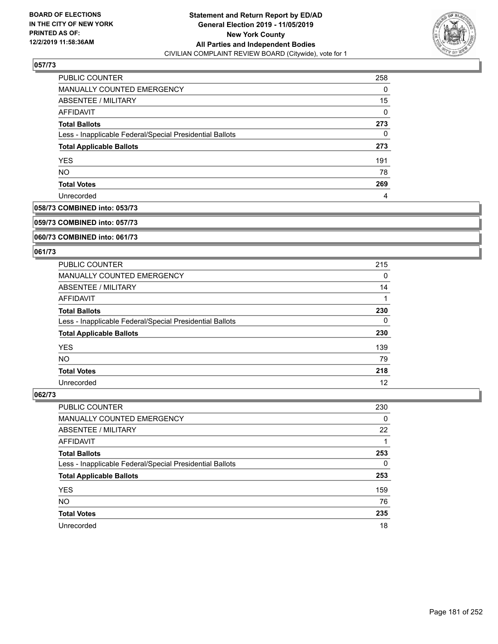

| PUBLIC COUNTER                                           | 258 |
|----------------------------------------------------------|-----|
| <b>MANUALLY COUNTED EMERGENCY</b>                        | 0   |
| ABSENTEE / MILITARY                                      | 15  |
| AFFIDAVIT                                                | 0   |
| <b>Total Ballots</b>                                     | 273 |
| Less - Inapplicable Federal/Special Presidential Ballots | 0   |
| <b>Total Applicable Ballots</b>                          | 273 |
| <b>YES</b>                                               | 191 |
| <b>NO</b>                                                | 78  |
| <b>Total Votes</b>                                       | 269 |
| Unrecorded                                               | 4   |

## **058/73 COMBINED into: 053/73**

#### **059/73 COMBINED into: 057/73**

## **060/73 COMBINED into: 061/73**

#### **061/73**

| <b>PUBLIC COUNTER</b>                                    | 215 |
|----------------------------------------------------------|-----|
| MANUALLY COUNTED EMERGENCY                               | 0   |
| ABSENTEE / MILITARY                                      | 14  |
| AFFIDAVIT                                                |     |
| <b>Total Ballots</b>                                     | 230 |
| Less - Inapplicable Federal/Special Presidential Ballots | 0   |
| <b>Total Applicable Ballots</b>                          | 230 |
| <b>YES</b>                                               | 139 |
| NO.                                                      | 79  |
| <b>Total Votes</b>                                       | 218 |
| Unrecorded                                               | 12  |

| <b>PUBLIC COUNTER</b>                                    | 230 |
|----------------------------------------------------------|-----|
| MANUALLY COUNTED EMERGENCY                               | 0   |
| ABSENTEE / MILITARY                                      | 22  |
| AFFIDAVIT                                                |     |
| <b>Total Ballots</b>                                     | 253 |
| Less - Inapplicable Federal/Special Presidential Ballots | 0   |
| <b>Total Applicable Ballots</b>                          | 253 |
| <b>YES</b>                                               | 159 |
| <b>NO</b>                                                | 76  |
| <b>Total Votes</b>                                       | 235 |
| Unrecorded                                               | 18  |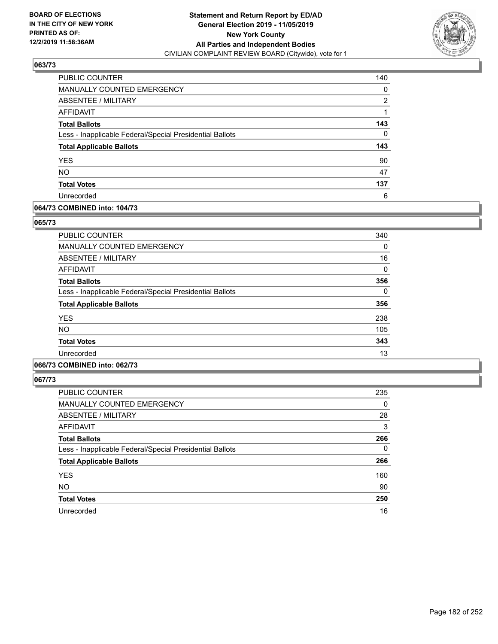

| PUBLIC COUNTER                                           | 140 |
|----------------------------------------------------------|-----|
| MANUALLY COUNTED EMERGENCY                               | 0   |
| ABSENTEE / MILITARY                                      | 2   |
| <b>AFFIDAVIT</b>                                         |     |
| <b>Total Ballots</b>                                     | 143 |
| Less - Inapplicable Federal/Special Presidential Ballots | 0   |
| <b>Total Applicable Ballots</b>                          | 143 |
| <b>YES</b>                                               | 90  |
| <b>NO</b>                                                | 47  |
| <b>Total Votes</b>                                       | 137 |
| Unrecorded                                               | 6   |

## **064/73 COMBINED into: 104/73**

#### **065/73**

| <b>PUBLIC COUNTER</b>                                    | 340 |
|----------------------------------------------------------|-----|
| <b>MANUALLY COUNTED EMERGENCY</b>                        | 0   |
| <b>ABSENTEE / MILITARY</b>                               | 16  |
| <b>AFFIDAVIT</b>                                         | 0   |
| <b>Total Ballots</b>                                     | 356 |
| Less - Inapplicable Federal/Special Presidential Ballots | 0   |
| <b>Total Applicable Ballots</b>                          | 356 |
| <b>YES</b>                                               | 238 |
| <b>NO</b>                                                | 105 |
| <b>Total Votes</b>                                       | 343 |
| Unrecorded                                               | 13  |
|                                                          |     |

## **066/73 COMBINED into: 062/73**

| <b>PUBLIC COUNTER</b>                                    | 235      |
|----------------------------------------------------------|----------|
| <b>MANUALLY COUNTED EMERGENCY</b>                        | $\Omega$ |
| ABSENTEE / MILITARY                                      | 28       |
| AFFIDAVIT                                                | 3        |
| <b>Total Ballots</b>                                     | 266      |
| Less - Inapplicable Federal/Special Presidential Ballots | $\Omega$ |
| <b>Total Applicable Ballots</b>                          | 266      |
| <b>YES</b>                                               | 160      |
| NO.                                                      | 90       |
| <b>Total Votes</b>                                       | 250      |
| Unrecorded                                               | 16       |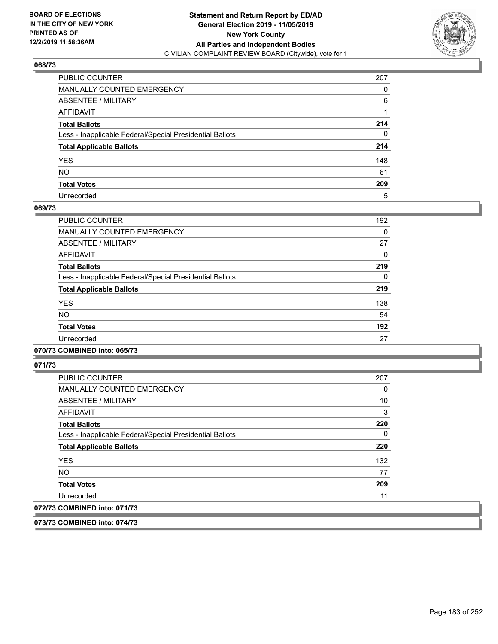

| PUBLIC COUNTER                                           | 207      |
|----------------------------------------------------------|----------|
| MANUALLY COUNTED EMERGENCY                               | 0        |
| ABSENTEE / MILITARY                                      | 6        |
| AFFIDAVIT                                                |          |
| Total Ballots                                            | 214      |
| Less - Inapplicable Federal/Special Presidential Ballots | $\Omega$ |
| <b>Total Applicable Ballots</b>                          | 214      |
| YES                                                      | 148      |
| NO.                                                      | 61       |
| <b>Total Votes</b>                                       | 209      |
| Unrecorded                                               | 5        |

## **069/73**

| <b>PUBLIC COUNTER</b>                                    | 192      |
|----------------------------------------------------------|----------|
| <b>MANUALLY COUNTED EMERGENCY</b>                        | $\Omega$ |
| ABSENTEE / MILITARY                                      | 27       |
| <b>AFFIDAVIT</b>                                         | 0        |
| <b>Total Ballots</b>                                     | 219      |
| Less - Inapplicable Federal/Special Presidential Ballots | $\Omega$ |
| <b>Total Applicable Ballots</b>                          | 219      |
| <b>YES</b>                                               | 138      |
| <b>NO</b>                                                | 54       |
| <b>Total Votes</b>                                       | 192      |
| Unrecorded                                               | 27       |
|                                                          |          |

## **070/73 COMBINED into: 065/73**

**071/73** 

| <b>PUBLIC COUNTER</b>                                    | 207 |
|----------------------------------------------------------|-----|
| <b>MANUALLY COUNTED EMERGENCY</b>                        | 0   |
| ABSENTEE / MILITARY                                      | 10  |
| AFFIDAVIT                                                | 3   |
| <b>Total Ballots</b>                                     | 220 |
| Less - Inapplicable Federal/Special Presidential Ballots | 0   |
| <b>Total Applicable Ballots</b>                          | 220 |
| <b>YES</b>                                               | 132 |
| <b>NO</b>                                                | 77  |
| <b>Total Votes</b>                                       | 209 |
| Unrecorded                                               | 11  |
| 072/73 COMBINED into: 071/73                             |     |

**073/73 COMBINED into: 074/73**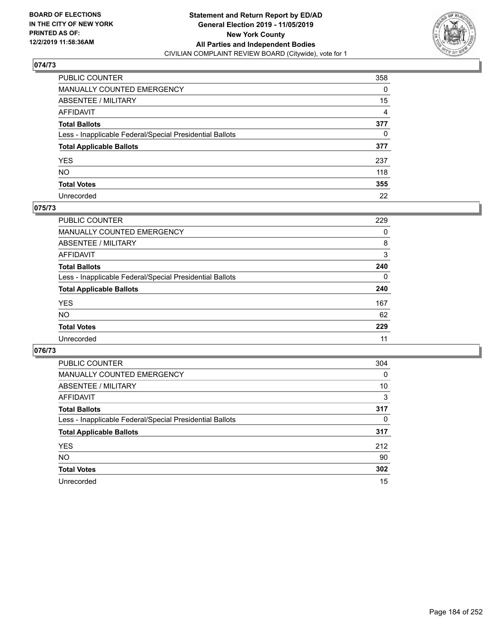

| PUBLIC COUNTER                                           | 358            |
|----------------------------------------------------------|----------------|
| MANUALLY COUNTED EMERGENCY                               | 0              |
| ABSENTEE / MILITARY                                      | 15             |
| AFFIDAVIT                                                | $\overline{4}$ |
| Total Ballots                                            | 377            |
| Less - Inapplicable Federal/Special Presidential Ballots | 0              |
| <b>Total Applicable Ballots</b>                          | 377            |
| YES                                                      | 237            |
| NO.                                                      | 118            |
| <b>Total Votes</b>                                       | 355            |
| Unrecorded                                               | 22             |

## **075/73**

| <b>PUBLIC COUNTER</b>                                    | 229      |
|----------------------------------------------------------|----------|
| <b>MANUALLY COUNTED EMERGENCY</b>                        | 0        |
| ABSENTEE / MILITARY                                      | 8        |
| AFFIDAVIT                                                | 3        |
| <b>Total Ballots</b>                                     | 240      |
| Less - Inapplicable Federal/Special Presidential Ballots | $\Omega$ |
| <b>Total Applicable Ballots</b>                          | 240      |
| <b>YES</b>                                               | 167      |
| <b>NO</b>                                                | 62       |
| <b>Total Votes</b>                                       | 229      |
| Unrecorded                                               | 11       |

| <b>PUBLIC COUNTER</b>                                    | 304 |
|----------------------------------------------------------|-----|
| <b>MANUALLY COUNTED EMERGENCY</b>                        | 0   |
| ABSENTEE / MILITARY                                      | 10  |
| AFFIDAVIT                                                | 3   |
| <b>Total Ballots</b>                                     | 317 |
| Less - Inapplicable Federal/Special Presidential Ballots | 0   |
| <b>Total Applicable Ballots</b>                          | 317 |
| <b>YES</b>                                               | 212 |
| NO.                                                      | 90  |
| <b>Total Votes</b>                                       | 302 |
| Unrecorded                                               | 15  |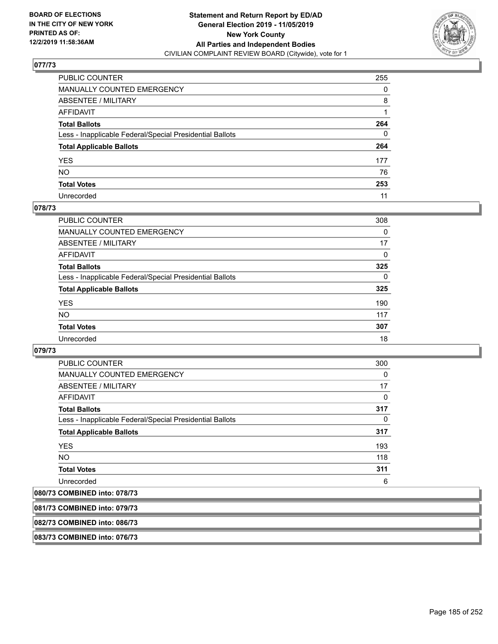

| PUBLIC COUNTER                                           | 255      |
|----------------------------------------------------------|----------|
| MANUALLY COUNTED EMERGENCY                               | 0        |
| ABSENTEE / MILITARY                                      | 8        |
| AFFIDAVIT                                                |          |
| Total Ballots                                            | 264      |
| Less - Inapplicable Federal/Special Presidential Ballots | $\Omega$ |
| <b>Total Applicable Ballots</b>                          | 264      |
| YES                                                      | 177      |
| NO.                                                      | 76       |
| <b>Total Votes</b>                                       | 253      |
| Unrecorded                                               | 11       |

## **078/73**

| <b>PUBLIC COUNTER</b>                                    | 308      |
|----------------------------------------------------------|----------|
| <b>MANUALLY COUNTED EMERGENCY</b>                        | 0        |
| <b>ABSENTEE / MILITARY</b>                               | 17       |
| AFFIDAVIT                                                | 0        |
| <b>Total Ballots</b>                                     | 325      |
| Less - Inapplicable Federal/Special Presidential Ballots | $\Omega$ |
| <b>Total Applicable Ballots</b>                          | 325      |
| <b>YES</b>                                               | 190      |
| <b>NO</b>                                                | 117      |
| <b>Total Votes</b>                                       | 307      |
| Unrecorded                                               | 18       |

## **079/73**

| <b>PUBLIC COUNTER</b>                                    | 300      |
|----------------------------------------------------------|----------|
| <b>MANUALLY COUNTED EMERGENCY</b>                        | $\Omega$ |
| ABSENTEE / MILITARY                                      | 17       |
| AFFIDAVIT                                                | 0        |
| <b>Total Ballots</b>                                     | 317      |
| Less - Inapplicable Federal/Special Presidential Ballots | $\Omega$ |
| <b>Total Applicable Ballots</b>                          | 317      |
| <b>YES</b>                                               | 193      |
| <b>NO</b>                                                | 118      |
| <b>Total Votes</b>                                       | 311      |
| Unrecorded                                               | 6        |

# **080/73 COMBINED into: 078/73**

| 081/73 COMBINED into: 079/73 |  |
|------------------------------|--|
| 082/73 COMBINED into: 086/73 |  |
| 083/73 COMBINED into: 076/73 |  |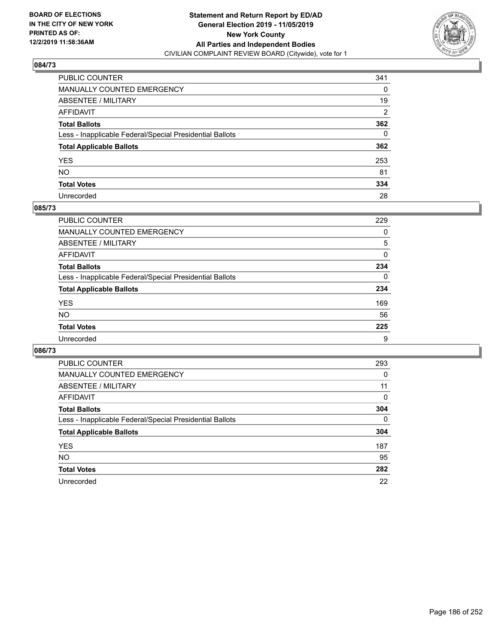

| PUBLIC COUNTER                                           | 341      |
|----------------------------------------------------------|----------|
| MANUALLY COUNTED EMERGENCY                               | 0        |
| ABSENTEE / MILITARY                                      | 19       |
| AFFIDAVIT                                                | 2        |
| Total Ballots                                            | 362      |
| Less - Inapplicable Federal/Special Presidential Ballots | $\Omega$ |
| <b>Total Applicable Ballots</b>                          | 362      |
| YES                                                      | 253      |
| NO.                                                      | 81       |
| <b>Total Votes</b>                                       | 334      |
| Unrecorded                                               | 28       |

## **085/73**

| PUBLIC COUNTER                                           | 229      |
|----------------------------------------------------------|----------|
| MANUALLY COUNTED EMERGENCY                               | 0        |
| ABSENTEE / MILITARY                                      | 5        |
| AFFIDAVIT                                                | $\Omega$ |
| <b>Total Ballots</b>                                     | 234      |
| Less - Inapplicable Federal/Special Presidential Ballots | $\Omega$ |
| <b>Total Applicable Ballots</b>                          | 234      |
| <b>YES</b>                                               | 169      |
| <b>NO</b>                                                | 56       |
| <b>Total Votes</b>                                       | 225      |
| Unrecorded                                               | 9        |

| PUBLIC COUNTER                                           | 293      |
|----------------------------------------------------------|----------|
| MANUALLY COUNTED EMERGENCY                               | 0        |
| ABSENTEE / MILITARY                                      | 11       |
| AFFIDAVIT                                                | $\Omega$ |
| <b>Total Ballots</b>                                     | 304      |
| Less - Inapplicable Federal/Special Presidential Ballots | $\Omega$ |
| <b>Total Applicable Ballots</b>                          | 304      |
| <b>YES</b>                                               | 187      |
| <b>NO</b>                                                | 95       |
| <b>Total Votes</b>                                       | 282      |
| Unrecorded                                               | 22       |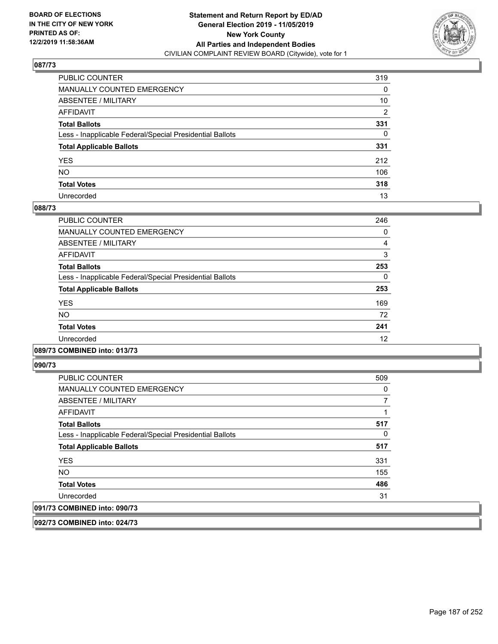

| PUBLIC COUNTER                                           | 319            |
|----------------------------------------------------------|----------------|
| MANUALLY COUNTED EMERGENCY                               | 0              |
| ABSENTEE / MILITARY                                      | 10             |
| AFFIDAVIT                                                | $\overline{2}$ |
| Total Ballots                                            | 331            |
| Less - Inapplicable Federal/Special Presidential Ballots | 0              |
| <b>Total Applicable Ballots</b>                          | 331            |
| YES                                                      | 212            |
| NO.                                                      | 106            |
| <b>Total Votes</b>                                       | 318            |
| Unrecorded                                               | 13             |

## **088/73**

| PUBLIC COUNTER                                           | 246      |
|----------------------------------------------------------|----------|
| <b>MANUALLY COUNTED EMERGENCY</b>                        | 0        |
| ABSENTEE / MILITARY                                      | 4        |
| <b>AFFIDAVIT</b>                                         | 3        |
| <b>Total Ballots</b>                                     | 253      |
| Less - Inapplicable Federal/Special Presidential Ballots | $\Omega$ |
| <b>Total Applicable Ballots</b>                          | 253      |
| <b>YES</b>                                               | 169      |
| <b>NO</b>                                                | 72       |
| <b>Total Votes</b>                                       | 241      |
| Unrecorded                                               | 12       |
|                                                          |          |

## **089/73 COMBINED into: 013/73**

**090/73** 

| <b>PUBLIC COUNTER</b>                                    | 509 |
|----------------------------------------------------------|-----|
| <b>MANUALLY COUNTED EMERGENCY</b>                        | 0   |
| ABSENTEE / MILITARY                                      |     |
| AFFIDAVIT                                                |     |
| <b>Total Ballots</b>                                     | 517 |
| Less - Inapplicable Federal/Special Presidential Ballots | 0   |
| <b>Total Applicable Ballots</b>                          | 517 |
| <b>YES</b>                                               | 331 |
| <b>NO</b>                                                | 155 |
| <b>Total Votes</b>                                       | 486 |
| Unrecorded                                               | 31  |
| 091/73 COMBINED into: 090/73                             |     |

**092/73 COMBINED into: 024/73**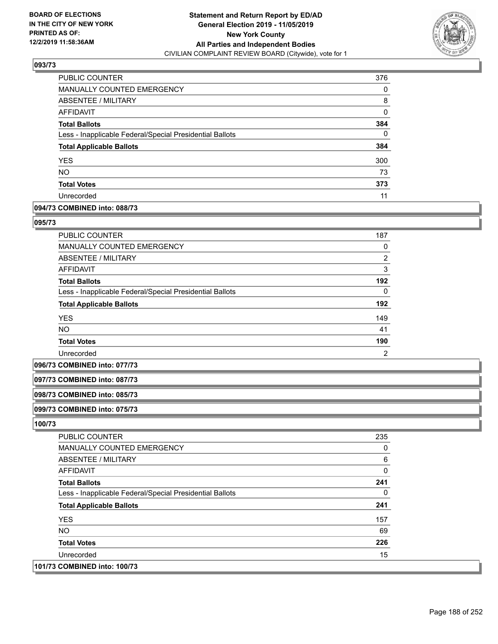

| <b>PUBLIC COUNTER</b>                                    | 376 |
|----------------------------------------------------------|-----|
| MANUALLY COUNTED EMERGENCY                               | 0   |
| ABSENTEE / MILITARY                                      | 8   |
| AFFIDAVIT                                                | 0   |
| <b>Total Ballots</b>                                     | 384 |
| Less - Inapplicable Federal/Special Presidential Ballots | 0   |
| <b>Total Applicable Ballots</b>                          | 384 |
| <b>YES</b>                                               | 300 |
| <b>NO</b>                                                | 73  |
| <b>Total Votes</b>                                       | 373 |
| Unrecorded                                               | 11  |

## **094/73 COMBINED into: 088/73**

## **095/73**

| PUBLIC COUNTER                                           | 187            |
|----------------------------------------------------------|----------------|
| <b>MANUALLY COUNTED EMERGENCY</b>                        | 0              |
| ABSENTEE / MILITARY                                      | $\overline{2}$ |
| AFFIDAVIT                                                | 3              |
| <b>Total Ballots</b>                                     | 192            |
| Less - Inapplicable Federal/Special Presidential Ballots | $\Omega$       |
| <b>Total Applicable Ballots</b>                          | 192            |
| <b>YES</b>                                               | 149            |
| <b>NO</b>                                                | 41             |
| <b>Total Votes</b>                                       | 190            |
| Unrecorded                                               | 2              |

#### **096/73 COMBINED into: 077/73**

### **097/73 COMBINED into: 087/73**

#### **098/73 COMBINED into: 085/73**

## **099/73 COMBINED into: 075/73**

| <b>PUBLIC COUNTER</b>                                    | 235 |
|----------------------------------------------------------|-----|
| MANUALLY COUNTED EMERGENCY                               | 0   |
| ABSENTEE / MILITARY                                      | 6   |
| AFFIDAVIT                                                | 0   |
| <b>Total Ballots</b>                                     | 241 |
| Less - Inapplicable Federal/Special Presidential Ballots | 0   |
| <b>Total Applicable Ballots</b>                          | 241 |
| <b>YES</b>                                               | 157 |
| <b>NO</b>                                                | 69  |
| <b>Total Votes</b>                                       | 226 |
| Unrecorded                                               | 15  |
| 101/73 COMBINED into: 100/73                             |     |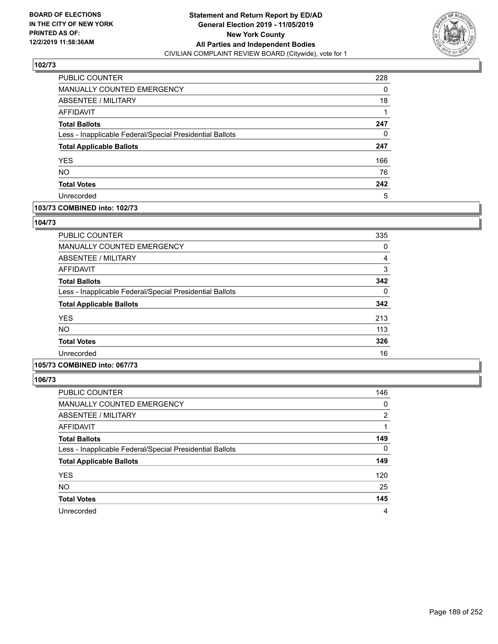

| PUBLIC COUNTER                                           | 228 |
|----------------------------------------------------------|-----|
| MANUALLY COUNTED EMERGENCY                               | 0   |
| ABSENTEE / MILITARY                                      | 18  |
| AFFIDAVIT                                                |     |
| <b>Total Ballots</b>                                     | 247 |
| Less - Inapplicable Federal/Special Presidential Ballots | 0   |
| <b>Total Applicable Ballots</b>                          | 247 |
| <b>YES</b>                                               | 166 |
| <b>NO</b>                                                | 76  |
| <b>Total Votes</b>                                       | 242 |
| Unrecorded                                               | 5   |

## **103/73 COMBINED into: 102/73**

## **104/73**

| <b>PUBLIC COUNTER</b>                                    | 335 |
|----------------------------------------------------------|-----|
| MANUALLY COUNTED EMERGENCY                               | 0   |
| ABSENTEE / MILITARY                                      | 4   |
| AFFIDAVIT                                                | 3   |
| <b>Total Ballots</b>                                     | 342 |
| Less - Inapplicable Federal/Special Presidential Ballots | 0   |
| <b>Total Applicable Ballots</b>                          | 342 |
| <b>YES</b>                                               | 213 |
| NO.                                                      | 113 |
| <b>Total Votes</b>                                       | 326 |
| Unrecorded                                               | 16  |
|                                                          |     |

# **105/73 COMBINED into: 067/73**

| PUBLIC COUNTER                                           | 146            |
|----------------------------------------------------------|----------------|
| MANUALLY COUNTED EMERGENCY                               | 0              |
| ABSENTEE / MILITARY                                      | $\overline{2}$ |
| AFFIDAVIT                                                |                |
| <b>Total Ballots</b>                                     | 149            |
| Less - Inapplicable Federal/Special Presidential Ballots | $\Omega$       |
| <b>Total Applicable Ballots</b>                          | 149            |
| <b>YES</b>                                               | 120            |
| <b>NO</b>                                                | 25             |
| <b>Total Votes</b>                                       | 145            |
| Unrecorded                                               | 4              |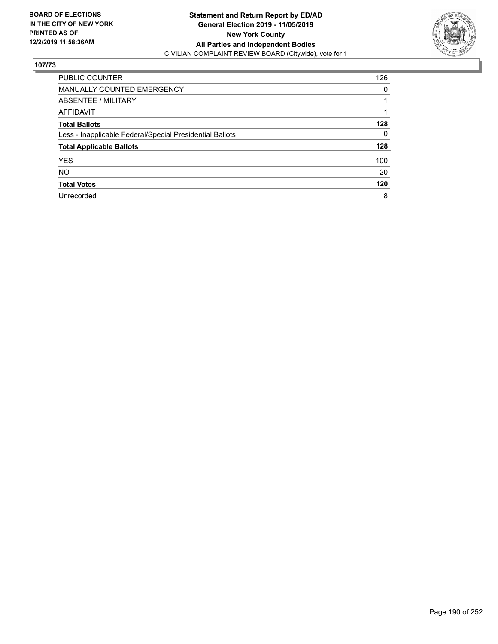

| <b>PUBLIC COUNTER</b>                                    | 126      |
|----------------------------------------------------------|----------|
| <b>MANUALLY COUNTED EMERGENCY</b>                        | $\Omega$ |
| ABSENTEE / MILITARY                                      |          |
| <b>AFFIDAVIT</b>                                         |          |
| <b>Total Ballots</b>                                     | 128      |
| Less - Inapplicable Federal/Special Presidential Ballots | $\Omega$ |
| <b>Total Applicable Ballots</b>                          | 128      |
| <b>YES</b>                                               | 100      |
| <b>NO</b>                                                | 20       |
| <b>Total Votes</b>                                       | 120      |
| Unrecorded                                               | 8        |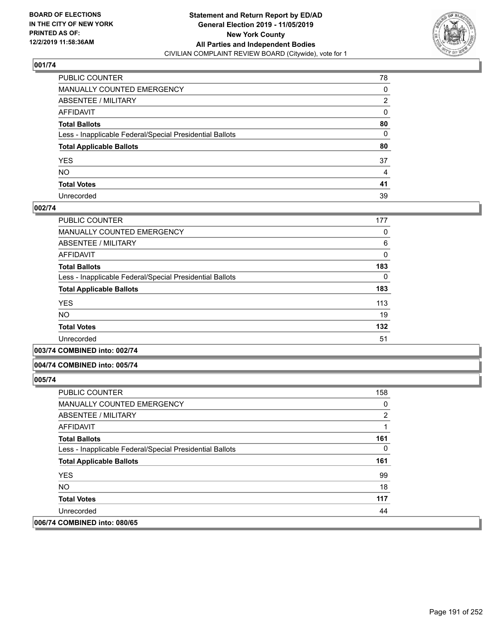

| PUBLIC COUNTER                                           | 78           |
|----------------------------------------------------------|--------------|
| MANUALLY COUNTED EMERGENCY                               | 0            |
| ABSENTEE / MILITARY                                      | 2            |
| AFFIDAVIT                                                | 0            |
| Total Ballots                                            | 80           |
| Less - Inapplicable Federal/Special Presidential Ballots | $\mathbf{0}$ |
| <b>Total Applicable Ballots</b>                          | 80           |
| YES                                                      | 37           |
| NO.                                                      | 4            |
| <b>Total Votes</b>                                       | 41           |
| Unrecorded                                               | 39           |

## **002/74**

| <b>PUBLIC COUNTER</b>                                    | 177 |
|----------------------------------------------------------|-----|
| MANUALLY COUNTED EMERGENCY                               | 0   |
| ABSENTEE / MILITARY                                      | 6   |
| AFFIDAVIT                                                | 0   |
| <b>Total Ballots</b>                                     | 183 |
| Less - Inapplicable Federal/Special Presidential Ballots | 0   |
| <b>Total Applicable Ballots</b>                          | 183 |
| <b>YES</b>                                               | 113 |
| <b>NO</b>                                                | 19  |
| <b>Total Votes</b>                                       | 132 |
| Unrecorded                                               | 51  |
|                                                          |     |

**003/74 COMBINED into: 002/74**

### **004/74 COMBINED into: 005/74**

| <b>PUBLIC COUNTER</b>                                    | 158           |
|----------------------------------------------------------|---------------|
| <b>MANUALLY COUNTED EMERGENCY</b>                        | 0             |
| ABSENTEE / MILITARY                                      | $\mathcal{P}$ |
| AFFIDAVIT                                                |               |
| <b>Total Ballots</b>                                     | 161           |
| Less - Inapplicable Federal/Special Presidential Ballots | 0             |
| <b>Total Applicable Ballots</b>                          | 161           |
| <b>YES</b>                                               | 99            |
| NO.                                                      | 18            |
| <b>Total Votes</b>                                       | 117           |
| Unrecorded                                               | 44            |
| 006/74 COMBINED into: 080/65                             |               |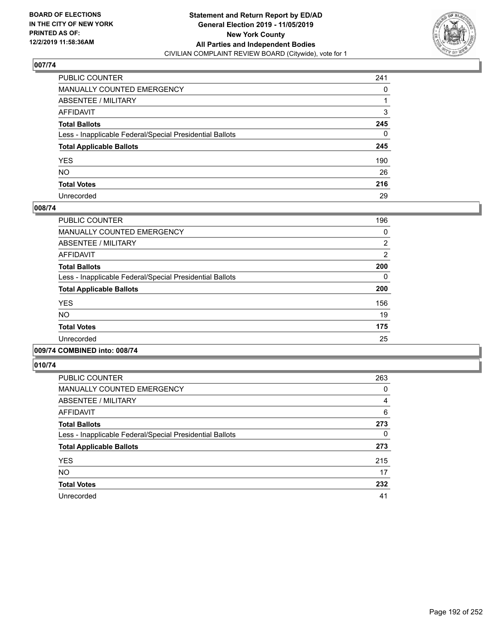

| PUBLIC COUNTER                                           | 241          |
|----------------------------------------------------------|--------------|
| MANUALLY COUNTED EMERGENCY                               | 0            |
| ABSENTEE / MILITARY                                      |              |
| AFFIDAVIT                                                | 3            |
| Total Ballots                                            | 245          |
| Less - Inapplicable Federal/Special Presidential Ballots | $\mathbf{0}$ |
| <b>Total Applicable Ballots</b>                          | 245          |
| YES                                                      | 190          |
| NO.                                                      | 26           |
| <b>Total Votes</b>                                       | 216          |
| Unrecorded                                               | 29           |

## **008/74**

| <b>PUBLIC COUNTER</b>                                    | 196            |
|----------------------------------------------------------|----------------|
| <b>MANUALLY COUNTED EMERGENCY</b>                        | 0              |
| ABSENTEE / MILITARY                                      | $\overline{2}$ |
| <b>AFFIDAVIT</b>                                         | $\overline{2}$ |
| <b>Total Ballots</b>                                     | 200            |
| Less - Inapplicable Federal/Special Presidential Ballots | 0              |
| <b>Total Applicable Ballots</b>                          | 200            |
| <b>YES</b>                                               | 156            |
| <b>NO</b>                                                | 19             |
| <b>Total Votes</b>                                       | 175            |
| Unrecorded                                               | 25             |
|                                                          |                |

## **009/74 COMBINED into: 008/74**

| <b>PUBLIC COUNTER</b>                                    | 263 |
|----------------------------------------------------------|-----|
| <b>MANUALLY COUNTED EMERGENCY</b>                        | 0   |
| ABSENTEE / MILITARY                                      | 4   |
| AFFIDAVIT                                                | 6   |
| <b>Total Ballots</b>                                     | 273 |
| Less - Inapplicable Federal/Special Presidential Ballots | 0   |
| <b>Total Applicable Ballots</b>                          | 273 |
| <b>YES</b>                                               | 215 |
| <b>NO</b>                                                | 17  |
| <b>Total Votes</b>                                       | 232 |
| Unrecorded                                               | 41  |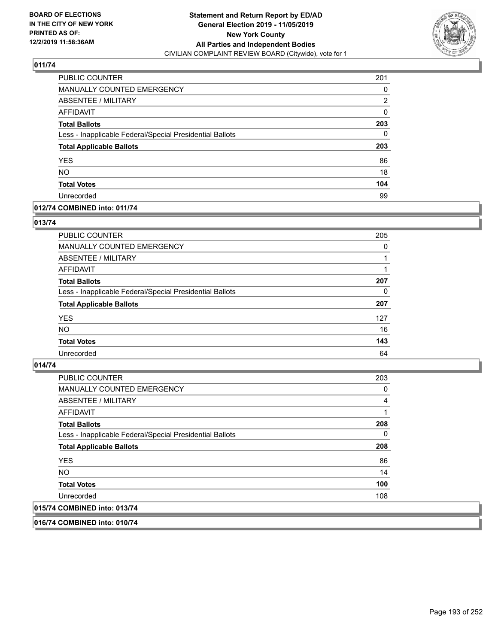

| PUBLIC COUNTER                                           | 201      |
|----------------------------------------------------------|----------|
| <b>MANUALLY COUNTED EMERGENCY</b>                        | 0        |
| ABSENTEE / MILITARY                                      | 2        |
| <b>AFFIDAVIT</b>                                         | $\Omega$ |
| <b>Total Ballots</b>                                     | 203      |
| Less - Inapplicable Federal/Special Presidential Ballots | 0        |
| <b>Total Applicable Ballots</b>                          | 203      |
| <b>YES</b>                                               | 86       |
| <b>NO</b>                                                | 18       |
| <b>Total Votes</b>                                       | 104      |
| Unrecorded                                               | 99       |

## **012/74 COMBINED into: 011/74**

## **013/74**

| PUBLIC COUNTER                                           | 205      |
|----------------------------------------------------------|----------|
| MANUALLY COUNTED EMERGENCY                               | $\Omega$ |
| ABSENTEE / MILITARY                                      |          |
| AFFIDAVIT                                                |          |
| <b>Total Ballots</b>                                     | 207      |
| Less - Inapplicable Federal/Special Presidential Ballots | 0        |
| <b>Total Applicable Ballots</b>                          | 207      |
| <b>YES</b>                                               | 127      |
| <b>NO</b>                                                | 16       |
| <b>Total Votes</b>                                       | 143      |
| Unrecorded                                               | 64       |
|                                                          |          |

## **014/74**

| PUBLIC COUNTER                                           | 203 |
|----------------------------------------------------------|-----|
| <b>MANUALLY COUNTED EMERGENCY</b>                        | 0   |
| ABSENTEE / MILITARY                                      | 4   |
| AFFIDAVIT                                                |     |
| <b>Total Ballots</b>                                     | 208 |
| Less - Inapplicable Federal/Special Presidential Ballots | 0   |
| <b>Total Applicable Ballots</b>                          | 208 |
| <b>YES</b>                                               | 86  |
| NO.                                                      | 14  |
| <b>Total Votes</b>                                       | 100 |
| Unrecorded                                               | 108 |
| 015/74 COMBINED into: 013/74                             |     |

**016/74 COMBINED into: 010/74**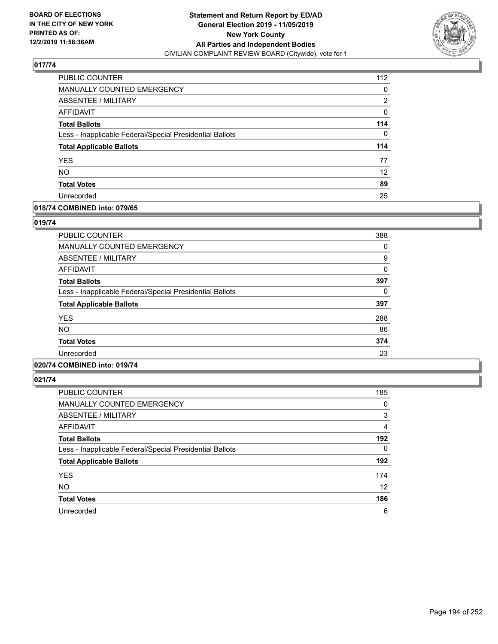

| PUBLIC COUNTER                                           | 112               |
|----------------------------------------------------------|-------------------|
| <b>MANUALLY COUNTED EMERGENCY</b>                        | 0                 |
| ABSENTEE / MILITARY                                      | $\overline{2}$    |
| <b>AFFIDAVIT</b>                                         | 0                 |
| <b>Total Ballots</b>                                     | 114               |
| Less - Inapplicable Federal/Special Presidential Ballots | 0                 |
| <b>Total Applicable Ballots</b>                          | 114               |
| <b>YES</b>                                               | 77                |
| <b>NO</b>                                                | $12 \overline{ }$ |
| <b>Total Votes</b>                                       | 89                |
| Unrecorded                                               | 25                |

## **018/74 COMBINED into: 079/65**

## **019/74**

| <b>PUBLIC COUNTER</b>                                    | 388 |
|----------------------------------------------------------|-----|
| MANUALLY COUNTED EMERGENCY                               | 0   |
| ABSENTEE / MILITARY                                      | 9   |
| AFFIDAVIT                                                | 0   |
| <b>Total Ballots</b>                                     | 397 |
| Less - Inapplicable Federal/Special Presidential Ballots | 0   |
| <b>Total Applicable Ballots</b>                          | 397 |
| <b>YES</b>                                               | 288 |
| <b>NO</b>                                                | 86  |
| <b>Total Votes</b>                                       | 374 |
| Unrecorded                                               | 23  |
|                                                          |     |

## **020/74 COMBINED into: 019/74**

| <b>PUBLIC COUNTER</b>                                    | 185      |
|----------------------------------------------------------|----------|
| <b>MANUALLY COUNTED EMERGENCY</b>                        | 0        |
| ABSENTEE / MILITARY                                      | 3        |
| AFFIDAVIT                                                | 4        |
| <b>Total Ballots</b>                                     | 192      |
| Less - Inapplicable Federal/Special Presidential Ballots | $\Omega$ |
| <b>Total Applicable Ballots</b>                          | 192      |
| <b>YES</b>                                               | 174      |
| <b>NO</b>                                                | 12       |
| <b>Total Votes</b>                                       | 186      |
| Unrecorded                                               | 6        |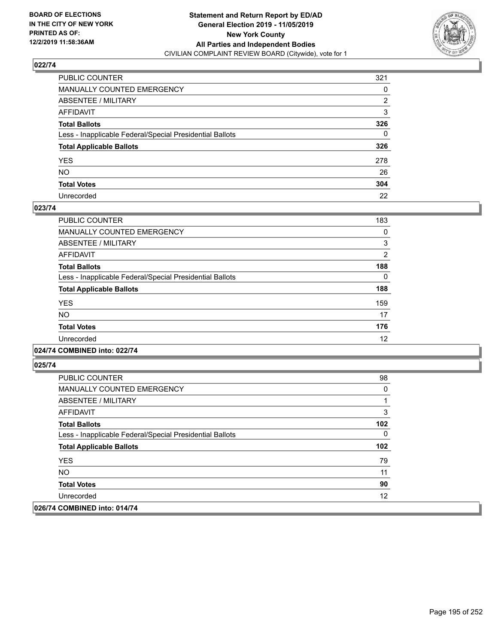

| PUBLIC COUNTER                                           | 321          |
|----------------------------------------------------------|--------------|
| MANUALLY COUNTED EMERGENCY                               | 0            |
| ABSENTEE / MILITARY                                      | 2            |
| AFFIDAVIT                                                | 3            |
| Total Ballots                                            | 326          |
| Less - Inapplicable Federal/Special Presidential Ballots | $\mathbf{0}$ |
| <b>Total Applicable Ballots</b>                          | 326          |
| YES                                                      | 278          |
| NO.                                                      | 26           |
| <b>Total Votes</b>                                       | 304          |
| Unrecorded                                               | 22           |

## **023/74**

| <b>PUBLIC COUNTER</b>                                    | 183      |
|----------------------------------------------------------|----------|
| <b>MANUALLY COUNTED EMERGENCY</b>                        | 0        |
| ABSENTEE / MILITARY                                      | 3        |
| <b>AFFIDAVIT</b>                                         | 2        |
| <b>Total Ballots</b>                                     | 188      |
| Less - Inapplicable Federal/Special Presidential Ballots | $\Omega$ |
| <b>Total Applicable Ballots</b>                          | 188      |
| <b>YES</b>                                               | 159      |
| <b>NO</b>                                                | 17       |
| <b>Total Votes</b>                                       | 176      |
| Unrecorded                                               | 12       |
|                                                          |          |

## **024/74 COMBINED into: 022/74**

| <b>PUBLIC COUNTER</b>                                    | 98  |
|----------------------------------------------------------|-----|
| <b>MANUALLY COUNTED EMERGENCY</b>                        | 0   |
| ABSENTEE / MILITARY                                      |     |
| AFFIDAVIT                                                | 3   |
| <b>Total Ballots</b>                                     | 102 |
| Less - Inapplicable Federal/Special Presidential Ballots | 0   |
| <b>Total Applicable Ballots</b>                          | 102 |
| <b>YES</b>                                               | 79  |
| NO.                                                      | 11  |
| <b>Total Votes</b>                                       | 90  |
| Unrecorded                                               | 12  |
| 026/74 COMBINED into: 014/74                             |     |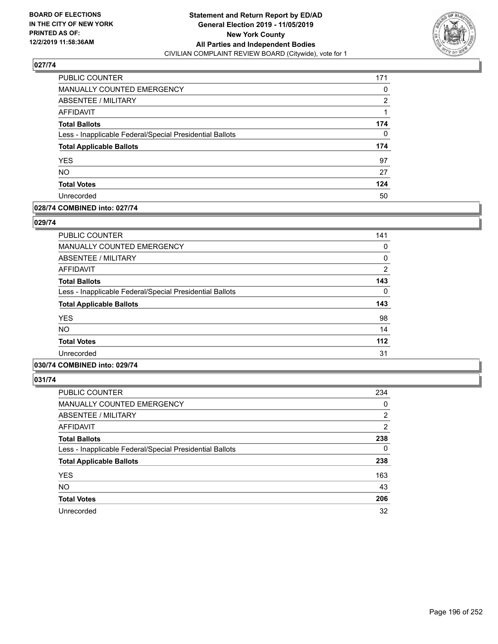

| PUBLIC COUNTER                                           | 171      |
|----------------------------------------------------------|----------|
| <b>MANUALLY COUNTED EMERGENCY</b>                        | $\Omega$ |
| <b>ABSENTEE / MILITARY</b>                               | 2        |
| <b>AFFIDAVIT</b>                                         |          |
| <b>Total Ballots</b>                                     | 174      |
| Less - Inapplicable Federal/Special Presidential Ballots | 0        |
| <b>Total Applicable Ballots</b>                          | 174      |
| <b>YES</b>                                               | 97       |
| <b>NO</b>                                                | 27       |
| <b>Total Votes</b>                                       | 124      |
| Unrecorded                                               | 50       |

## **028/74 COMBINED into: 027/74**

#### **029/74**

| <b>PUBLIC COUNTER</b>                                    | 141            |
|----------------------------------------------------------|----------------|
| <b>MANUALLY COUNTED EMERGENCY</b>                        | 0              |
| <b>ABSENTEE / MILITARY</b>                               | 0              |
| <b>AFFIDAVIT</b>                                         | $\overline{2}$ |
| <b>Total Ballots</b>                                     | 143            |
| Less - Inapplicable Federal/Special Presidential Ballots | 0              |
| <b>Total Applicable Ballots</b>                          | 143            |
| <b>YES</b>                                               | 98             |
| <b>NO</b>                                                | 14             |
| <b>Total Votes</b>                                       | 112            |
| Unrecorded                                               | 31             |
|                                                          |                |

# **030/74 COMBINED into: 029/74**

| <b>PUBLIC COUNTER</b>                                    | 234            |
|----------------------------------------------------------|----------------|
| <b>MANUALLY COUNTED EMERGENCY</b>                        | 0              |
| ABSENTEE / MILITARY                                      | $\overline{2}$ |
| <b>AFFIDAVIT</b>                                         | 2              |
| <b>Total Ballots</b>                                     | 238            |
| Less - Inapplicable Federal/Special Presidential Ballots | $\Omega$       |
| <b>Total Applicable Ballots</b>                          | 238            |
| <b>YES</b>                                               | 163            |
| <b>NO</b>                                                | 43             |
| <b>Total Votes</b>                                       | 206            |
| Unrecorded                                               | 32             |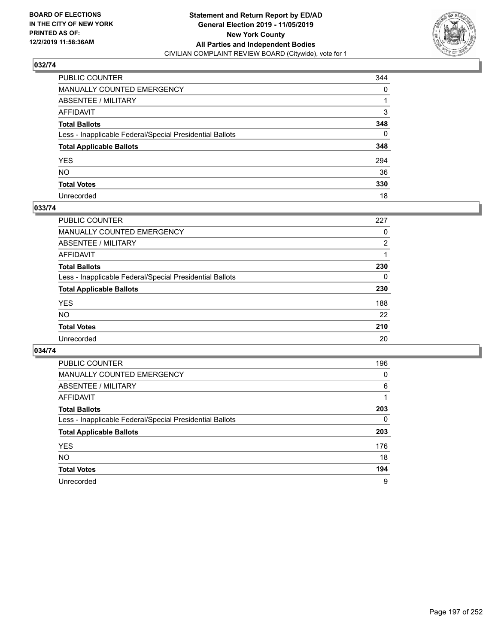

| PUBLIC COUNTER                                           | 344      |
|----------------------------------------------------------|----------|
| MANUALLY COUNTED EMERGENCY                               | 0        |
| ABSENTEE / MILITARY                                      |          |
| AFFIDAVIT                                                | 3        |
| Total Ballots                                            | 348      |
| Less - Inapplicable Federal/Special Presidential Ballots | $\Omega$ |
| <b>Total Applicable Ballots</b>                          | 348      |
| YES                                                      | 294      |
| NO.                                                      | 36       |
| <b>Total Votes</b>                                       | 330      |
| Unrecorded                                               | 18       |

## **033/74**

| PUBLIC COUNTER                                           | 227            |
|----------------------------------------------------------|----------------|
| MANUALLY COUNTED EMERGENCY                               | 0              |
| ABSENTEE / MILITARY                                      | $\overline{2}$ |
| AFFIDAVIT                                                |                |
| <b>Total Ballots</b>                                     | 230            |
| Less - Inapplicable Federal/Special Presidential Ballots | $\Omega$       |
| <b>Total Applicable Ballots</b>                          | 230            |
| <b>YES</b>                                               | 188            |
| <b>NO</b>                                                | 22             |
| <b>Total Votes</b>                                       | 210            |
| Unrecorded                                               | 20             |

| <b>PUBLIC COUNTER</b>                                    | 196      |
|----------------------------------------------------------|----------|
| <b>MANUALLY COUNTED EMERGENCY</b>                        | $\Omega$ |
| ABSENTEE / MILITARY                                      | 6        |
| AFFIDAVIT                                                |          |
| <b>Total Ballots</b>                                     | 203      |
| Less - Inapplicable Federal/Special Presidential Ballots | 0        |
| <b>Total Applicable Ballots</b>                          | 203      |
| <b>YES</b>                                               | 176      |
| NO.                                                      | 18       |
| <b>Total Votes</b>                                       | 194      |
| Unrecorded                                               | 9        |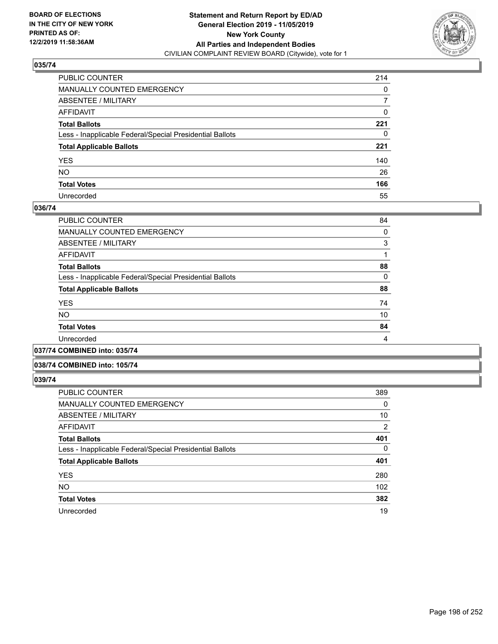

| PUBLIC COUNTER                                           | 214 |
|----------------------------------------------------------|-----|
| MANUALLY COUNTED EMERGENCY                               | 0   |
| ABSENTEE / MILITARY                                      | 7   |
| AFFIDAVIT                                                | 0   |
| Total Ballots                                            | 221 |
| Less - Inapplicable Federal/Special Presidential Ballots | 0   |
| <b>Total Applicable Ballots</b>                          | 221 |
| YES                                                      | 140 |
| NO.                                                      | 26  |
| <b>Total Votes</b>                                       | 166 |
| Unrecorded                                               | 55  |

## **036/74**

| <b>PUBLIC COUNTER</b>                                    | 84 |
|----------------------------------------------------------|----|
| <b>MANUALLY COUNTED EMERGENCY</b>                        | 0  |
| ABSENTEE / MILITARY                                      | 3  |
| AFFIDAVIT                                                |    |
| <b>Total Ballots</b>                                     | 88 |
| Less - Inapplicable Federal/Special Presidential Ballots | 0  |
| <b>Total Applicable Ballots</b>                          | 88 |
| <b>YES</b>                                               | 74 |
| <b>NO</b>                                                | 10 |
| <b>Total Votes</b>                                       | 84 |
| Unrecorded                                               | 4  |
| A                                                        |    |

# **037/74 COMBINED into: 035/74**

## **038/74 COMBINED into: 105/74**

| <b>PUBLIC COUNTER</b>                                    | 389            |
|----------------------------------------------------------|----------------|
| <b>MANUALLY COUNTED EMERGENCY</b>                        | 0              |
| ABSENTEE / MILITARY                                      | 10             |
| AFFIDAVIT                                                | $\overline{2}$ |
| <b>Total Ballots</b>                                     | 401            |
| Less - Inapplicable Federal/Special Presidential Ballots | $\Omega$       |
| <b>Total Applicable Ballots</b>                          | 401            |
| <b>YES</b>                                               | 280            |
| <b>NO</b>                                                | 102            |
| <b>Total Votes</b>                                       | 382            |
| Unrecorded                                               | 19             |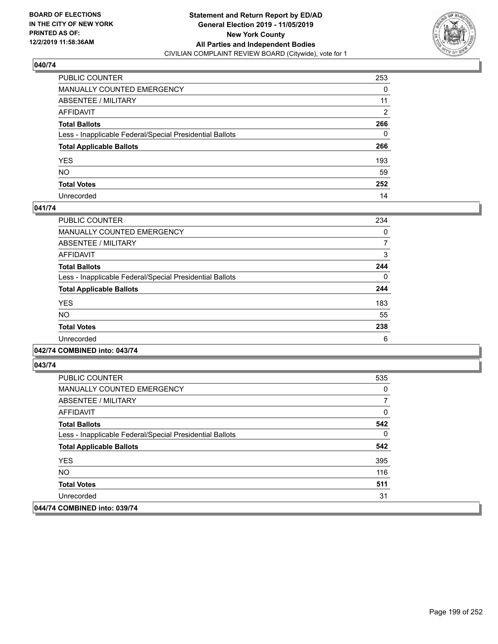

| PUBLIC COUNTER                                           | 253            |
|----------------------------------------------------------|----------------|
| MANUALLY COUNTED EMERGENCY                               | 0              |
| ABSENTEE / MILITARY                                      | 11             |
| AFFIDAVIT                                                | $\overline{2}$ |
| Total Ballots                                            | 266            |
| Less - Inapplicable Federal/Special Presidential Ballots | 0              |
| <b>Total Applicable Ballots</b>                          | 266            |
| YES                                                      | 193            |
| NO.                                                      | 59             |
| <b>Total Votes</b>                                       | 252            |
| Unrecorded                                               | 14             |

## **041/74**

| 234      |
|----------|
| 0        |
|          |
| 3        |
| 244      |
| $\Omega$ |
| 244      |
| 183      |
| 55       |
| 238      |
| 6        |
|          |

## **042/74 COMBINED into: 043/74**

| <b>PUBLIC COUNTER</b>                                    | 535 |
|----------------------------------------------------------|-----|
| <b>MANUALLY COUNTED EMERGENCY</b>                        | 0   |
| ABSENTEE / MILITARY                                      |     |
| AFFIDAVIT                                                | 0   |
| <b>Total Ballots</b>                                     | 542 |
| Less - Inapplicable Federal/Special Presidential Ballots | 0   |
| <b>Total Applicable Ballots</b>                          | 542 |
| <b>YES</b>                                               | 395 |
| NO.                                                      | 116 |
| <b>Total Votes</b>                                       | 511 |
| Unrecorded                                               | 31  |
| 044/74 COMBINED into: 039/74                             |     |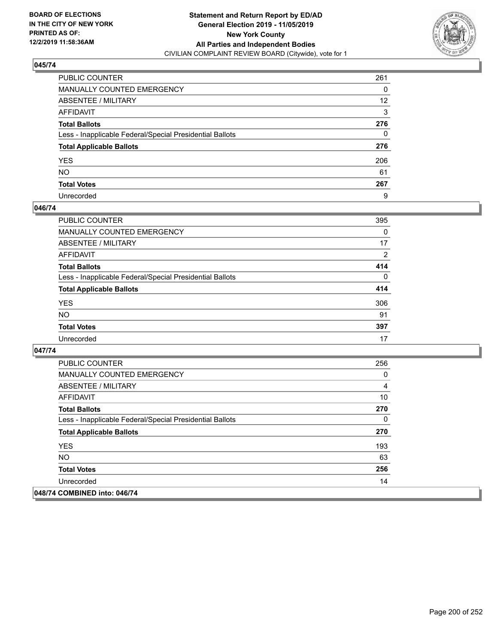

| PUBLIC COUNTER                                           | 261 |
|----------------------------------------------------------|-----|
| MANUALLY COUNTED EMERGENCY                               | 0   |
| ABSENTEE / MILITARY                                      | 12  |
| AFFIDAVIT                                                | 3   |
| Total Ballots                                            | 276 |
| Less - Inapplicable Federal/Special Presidential Ballots | 0   |
| <b>Total Applicable Ballots</b>                          | 276 |
| YES                                                      | 206 |
| NO.                                                      | 61  |
| <b>Total Votes</b>                                       | 267 |
| Unrecorded                                               | 9   |

## **046/74**

| <b>PUBLIC COUNTER</b>                                    | 395      |
|----------------------------------------------------------|----------|
| <b>MANUALLY COUNTED EMERGENCY</b>                        | 0        |
| <b>ABSENTEE / MILITARY</b>                               | 17       |
| <b>AFFIDAVIT</b>                                         | 2        |
| <b>Total Ballots</b>                                     | 414      |
| Less - Inapplicable Federal/Special Presidential Ballots | $\Omega$ |
| <b>Total Applicable Ballots</b>                          | 414      |
| <b>YES</b>                                               | 306      |
| <b>NO</b>                                                | 91       |
| <b>Total Votes</b>                                       | 397      |
| Unrecorded                                               | 17       |

| <b>PUBLIC COUNTER</b>                                    | 256 |
|----------------------------------------------------------|-----|
| <b>MANUALLY COUNTED EMERGENCY</b>                        | 0   |
| ABSENTEE / MILITARY                                      | 4   |
| AFFIDAVIT                                                | 10  |
| <b>Total Ballots</b>                                     | 270 |
| Less - Inapplicable Federal/Special Presidential Ballots | 0   |
| <b>Total Applicable Ballots</b>                          | 270 |
| <b>YES</b>                                               | 193 |
| <b>NO</b>                                                | 63  |
| <b>Total Votes</b>                                       | 256 |
| Unrecorded                                               | 14  |
| 048/74 COMBINED into: 046/74                             |     |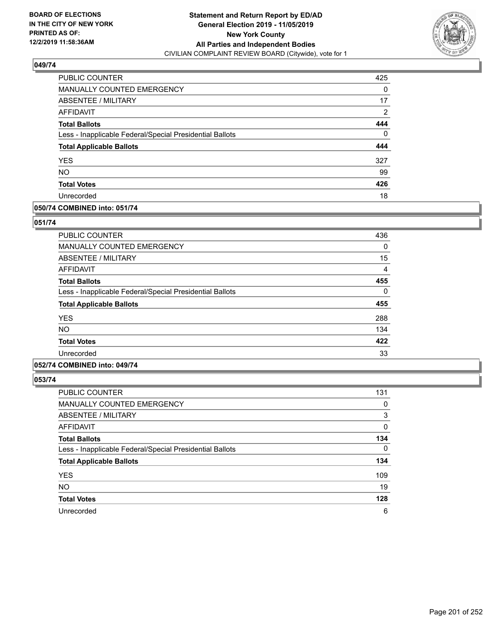

| PUBLIC COUNTER                                           | 425            |
|----------------------------------------------------------|----------------|
| MANUALLY COUNTED EMERGENCY                               | $\Omega$       |
| <b>ABSENTEE / MILITARY</b>                               | 17             |
| AFFIDAVIT                                                | $\overline{2}$ |
| <b>Total Ballots</b>                                     | 444            |
| Less - Inapplicable Federal/Special Presidential Ballots | 0              |
| <b>Total Applicable Ballots</b>                          | 444            |
| <b>YES</b>                                               | 327            |
| <b>NO</b>                                                | 99             |
| <b>Total Votes</b>                                       | 426            |
| Unrecorded                                               | 18             |

## **050/74 COMBINED into: 051/74**

## **051/74**

| PUBLIC COUNTER                                           | 436 |
|----------------------------------------------------------|-----|
| <b>MANUALLY COUNTED EMERGENCY</b>                        | 0   |
| ABSENTEE / MILITARY                                      | 15  |
| <b>AFFIDAVIT</b>                                         | 4   |
| <b>Total Ballots</b>                                     | 455 |
| Less - Inapplicable Federal/Special Presidential Ballots | 0   |
| <b>Total Applicable Ballots</b>                          | 455 |
| <b>YES</b>                                               | 288 |
| <b>NO</b>                                                | 134 |
| <b>Total Votes</b>                                       | 422 |
| Unrecorded                                               | 33  |
|                                                          |     |

## **052/74 COMBINED into: 049/74**

| <b>PUBLIC COUNTER</b>                                    | 131      |
|----------------------------------------------------------|----------|
| <b>MANUALLY COUNTED EMERGENCY</b>                        | 0        |
| <b>ABSENTEE / MILITARY</b>                               | 3        |
| <b>AFFIDAVIT</b>                                         | 0        |
| <b>Total Ballots</b>                                     | 134      |
| Less - Inapplicable Federal/Special Presidential Ballots | $\Omega$ |
| <b>Total Applicable Ballots</b>                          | 134      |
| <b>YES</b>                                               | 109      |
| <b>NO</b>                                                | 19       |
| <b>Total Votes</b>                                       | 128      |
| Unrecorded                                               | 6        |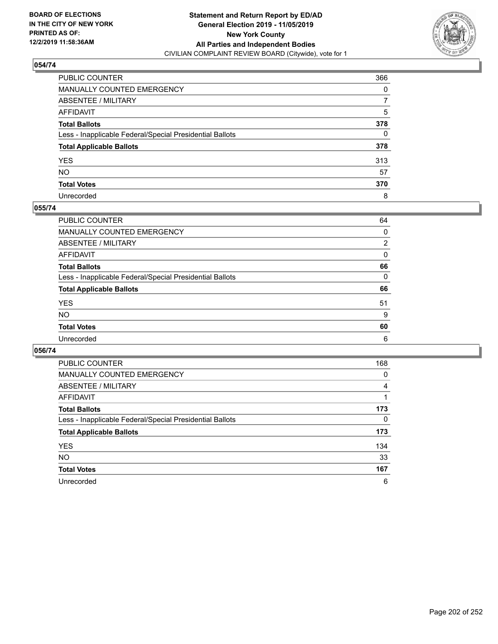

| PUBLIC COUNTER                                           | 366 |
|----------------------------------------------------------|-----|
| MANUALLY COUNTED EMERGENCY                               | 0   |
| ABSENTEE / MILITARY                                      | 7   |
| AFFIDAVIT                                                | 5   |
| Total Ballots                                            | 378 |
| Less - Inapplicable Federal/Special Presidential Ballots | 0   |
| <b>Total Applicable Ballots</b>                          | 378 |
| YES                                                      | 313 |
| NO.                                                      | 57  |
| <b>Total Votes</b>                                       | 370 |
| Unrecorded                                               | 8   |

## **055/74**

| PUBLIC COUNTER                                           | 64             |
|----------------------------------------------------------|----------------|
| MANUALLY COUNTED EMERGENCY                               | $\Omega$       |
| ABSENTEE / MILITARY                                      | $\overline{2}$ |
| AFFIDAVIT                                                | 0              |
| <b>Total Ballots</b>                                     | 66             |
| Less - Inapplicable Federal/Special Presidential Ballots | $\Omega$       |
| <b>Total Applicable Ballots</b>                          | 66             |
| <b>YES</b>                                               | 51             |
| <b>NO</b>                                                | 9              |
| <b>Total Votes</b>                                       | 60             |
| Unrecorded                                               | 6              |

| PUBLIC COUNTER                                           | 168 |
|----------------------------------------------------------|-----|
| <b>MANUALLY COUNTED EMERGENCY</b>                        | 0   |
| ABSENTEE / MILITARY                                      | 4   |
| AFFIDAVIT                                                |     |
| <b>Total Ballots</b>                                     | 173 |
| Less - Inapplicable Federal/Special Presidential Ballots | 0   |
| <b>Total Applicable Ballots</b>                          | 173 |
| <b>YES</b>                                               | 134 |
| <b>NO</b>                                                | 33  |
| <b>Total Votes</b>                                       | 167 |
| Unrecorded                                               | 6   |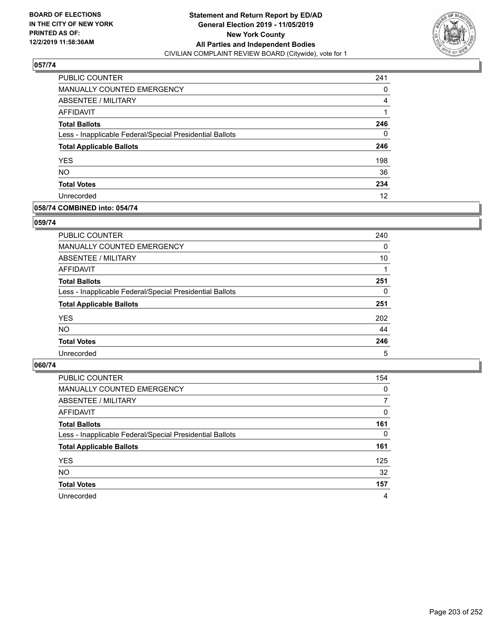

| <b>PUBLIC COUNTER</b>                                    | 241 |
|----------------------------------------------------------|-----|
| <b>MANUALLY COUNTED EMERGENCY</b>                        | 0   |
| <b>ABSENTEE / MILITARY</b>                               | 4   |
| <b>AFFIDAVIT</b>                                         |     |
| <b>Total Ballots</b>                                     | 246 |
| Less - Inapplicable Federal/Special Presidential Ballots | 0   |
| <b>Total Applicable Ballots</b>                          | 246 |
| <b>YES</b>                                               | 198 |
| <b>NO</b>                                                | 36  |
| <b>Total Votes</b>                                       | 234 |
| Unrecorded                                               | 12  |

## **058/74 COMBINED into: 054/74**

## **059/74**

| <b>PUBLIC COUNTER</b>                                    | 240 |
|----------------------------------------------------------|-----|
| <b>MANUALLY COUNTED EMERGENCY</b>                        | 0   |
| ABSENTEE / MILITARY                                      | 10  |
| AFFIDAVIT                                                |     |
| <b>Total Ballots</b>                                     | 251 |
| Less - Inapplicable Federal/Special Presidential Ballots | 0   |
| <b>Total Applicable Ballots</b>                          | 251 |
| <b>YES</b>                                               | 202 |
| <b>NO</b>                                                | 44  |
| <b>Total Votes</b>                                       | 246 |
| Unrecorded                                               | 5   |

| <b>PUBLIC COUNTER</b>                                    | 154      |
|----------------------------------------------------------|----------|
| <b>MANUALLY COUNTED EMERGENCY</b>                        | $\Omega$ |
| ABSENTEE / MILITARY                                      | 7        |
| AFFIDAVIT                                                | $\Omega$ |
| <b>Total Ballots</b>                                     | 161      |
| Less - Inapplicable Federal/Special Presidential Ballots | $\Omega$ |
| <b>Total Applicable Ballots</b>                          | 161      |
| <b>YES</b>                                               | 125      |
| <b>NO</b>                                                | 32       |
| <b>Total Votes</b>                                       | 157      |
| Unrecorded                                               | 4        |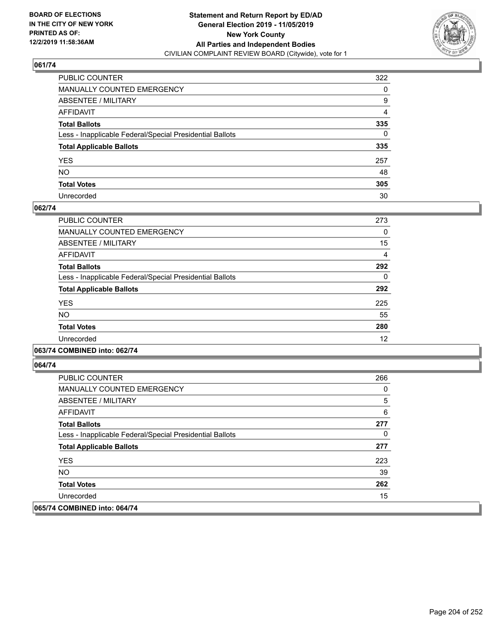

| PUBLIC COUNTER                                           | 322          |
|----------------------------------------------------------|--------------|
| MANUALLY COUNTED EMERGENCY                               | 0            |
| ABSENTEE / MILITARY                                      | 9            |
| AFFIDAVIT                                                | 4            |
| Total Ballots                                            | 335          |
| Less - Inapplicable Federal/Special Presidential Ballots | $\mathbf{0}$ |
| <b>Total Applicable Ballots</b>                          | 335          |
| YES                                                      | 257          |
| NO.                                                      | 48           |
| <b>Total Votes</b>                                       | 305          |
| Unrecorded                                               | 30           |

## **062/74**

| <b>PUBLIC COUNTER</b>                                    | 273 |
|----------------------------------------------------------|-----|
| <b>MANUALLY COUNTED EMERGENCY</b>                        | 0   |
| ABSENTEE / MILITARY                                      | 15  |
| <b>AFFIDAVIT</b>                                         | 4   |
| <b>Total Ballots</b>                                     | 292 |
| Less - Inapplicable Federal/Special Presidential Ballots | 0   |
| <b>Total Applicable Ballots</b>                          | 292 |
| <b>YES</b>                                               | 225 |
| <b>NO</b>                                                | 55  |
| <b>Total Votes</b>                                       | 280 |
| Unrecorded                                               | 12  |

## **063/74 COMBINED into: 062/74**

| <b>PUBLIC COUNTER</b>                                    | 266 |
|----------------------------------------------------------|-----|
| <b>MANUALLY COUNTED EMERGENCY</b>                        | 0   |
| ABSENTEE / MILITARY                                      | 5   |
| AFFIDAVIT                                                | 6   |
| <b>Total Ballots</b>                                     | 277 |
| Less - Inapplicable Federal/Special Presidential Ballots | 0   |
| <b>Total Applicable Ballots</b>                          | 277 |
| <b>YES</b>                                               | 223 |
| NO.                                                      | 39  |
| <b>Total Votes</b>                                       | 262 |
| Unrecorded                                               | 15  |
| 065/74 COMBINED into: 064/74                             |     |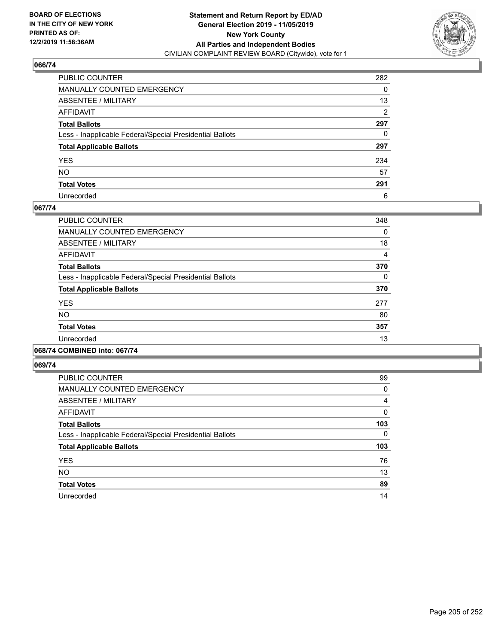

| PUBLIC COUNTER                                           | 282 |
|----------------------------------------------------------|-----|
| MANUALLY COUNTED EMERGENCY                               | 0   |
| ABSENTEE / MILITARY                                      | 13  |
| AFFIDAVIT                                                | 2   |
| Total Ballots                                            | 297 |
| Less - Inapplicable Federal/Special Presidential Ballots | 0   |
| <b>Total Applicable Ballots</b>                          | 297 |
| YES                                                      | 234 |
| NO.                                                      | 57  |
| <b>Total Votes</b>                                       | 291 |
| Unrecorded                                               | 6   |

## **067/74**

| <b>PUBLIC COUNTER</b>                                    | 348      |
|----------------------------------------------------------|----------|
| <b>MANUALLY COUNTED EMERGENCY</b>                        | 0        |
| ABSENTEE / MILITARY                                      | 18       |
| <b>AFFIDAVIT</b>                                         | 4        |
| <b>Total Ballots</b>                                     | 370      |
| Less - Inapplicable Federal/Special Presidential Ballots | $\Omega$ |
| <b>Total Applicable Ballots</b>                          | 370      |
| <b>YES</b>                                               | 277      |
| N <sub>O</sub>                                           | 80       |
| <b>Total Votes</b>                                       | 357      |
| Unrecorded                                               | 13       |
|                                                          |          |

## **068/74 COMBINED into: 067/74**

| <b>PUBLIC COUNTER</b>                                    | 99  |
|----------------------------------------------------------|-----|
| <b>MANUALLY COUNTED EMERGENCY</b>                        | 0   |
| <b>ABSENTEE / MILITARY</b>                               | 4   |
| AFFIDAVIT                                                | 0   |
| <b>Total Ballots</b>                                     | 103 |
| Less - Inapplicable Federal/Special Presidential Ballots | 0   |
|                                                          |     |
| <b>Total Applicable Ballots</b>                          | 103 |
| <b>YES</b>                                               | 76  |
| <b>NO</b>                                                | 13  |
| <b>Total Votes</b>                                       | 89  |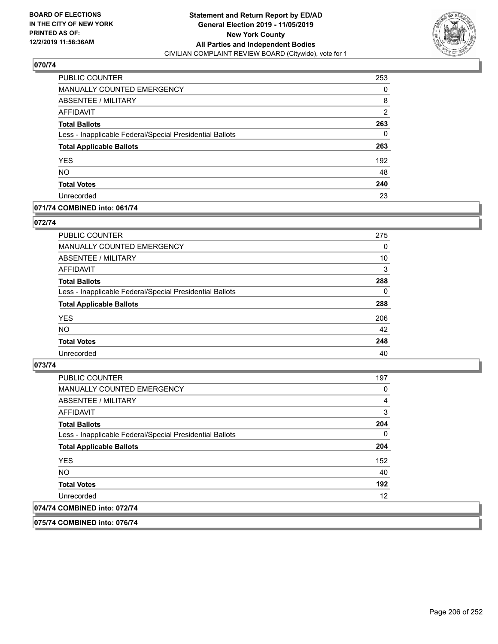

| PUBLIC COUNTER                                           | 253            |
|----------------------------------------------------------|----------------|
| <b>MANUALLY COUNTED EMERGENCY</b>                        | 0              |
| ABSENTEE / MILITARY                                      | 8              |
| <b>AFFIDAVIT</b>                                         | $\overline{2}$ |
| <b>Total Ballots</b>                                     | 263            |
| Less - Inapplicable Federal/Special Presidential Ballots | 0              |
| <b>Total Applicable Ballots</b>                          | 263            |
| <b>YES</b>                                               | 192            |
| <b>NO</b>                                                | 48             |
| <b>Total Votes</b>                                       | 240            |
| Unrecorded                                               | 23             |

## **071/74 COMBINED into: 061/74**

#### **072/74**

| <b>PUBLIC COUNTER</b>                                    | 275      |
|----------------------------------------------------------|----------|
| <b>MANUALLY COUNTED EMERGENCY</b>                        | 0        |
| ABSENTEE / MILITARY                                      | 10       |
| AFFIDAVIT                                                | 3        |
| <b>Total Ballots</b>                                     | 288      |
| Less - Inapplicable Federal/Special Presidential Ballots | $\Omega$ |
| <b>Total Applicable Ballots</b>                          | 288      |
| <b>YES</b>                                               | 206      |
| <b>NO</b>                                                | 42       |
| <b>Total Votes</b>                                       | 248      |
| Unrecorded                                               | 40       |

## **073/74**

| <b>PUBLIC COUNTER</b>                                    | 197 |
|----------------------------------------------------------|-----|
| <b>MANUALLY COUNTED EMERGENCY</b>                        | 0   |
| ABSENTEE / MILITARY                                      | 4   |
| AFFIDAVIT                                                | 3   |
| <b>Total Ballots</b>                                     | 204 |
| Less - Inapplicable Federal/Special Presidential Ballots | 0   |
| <b>Total Applicable Ballots</b>                          | 204 |
| <b>YES</b>                                               | 152 |
| NO.                                                      | 40  |
| <b>Total Votes</b>                                       | 192 |
| Unrecorded                                               | 12  |
| 074/74 COMBINED into: 072/74                             |     |

**075/74 COMBINED into: 076/74**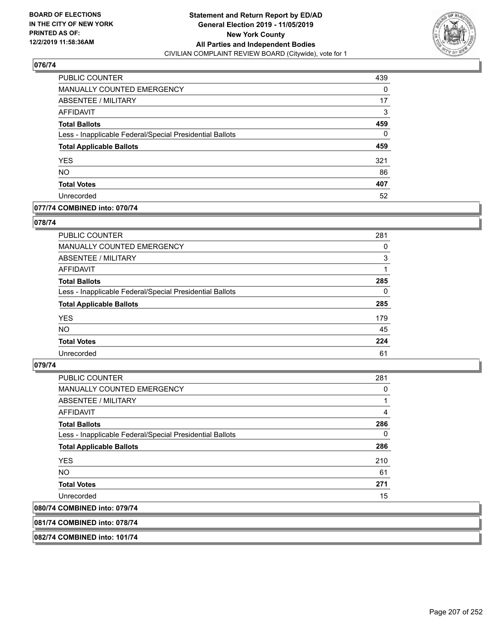

| PUBLIC COUNTER                                           | 439 |
|----------------------------------------------------------|-----|
| <b>MANUALLY COUNTED EMERGENCY</b>                        | 0   |
| ABSENTEE / MILITARY                                      | 17  |
| <b>AFFIDAVIT</b>                                         | 3   |
| <b>Total Ballots</b>                                     | 459 |
| Less - Inapplicable Federal/Special Presidential Ballots | 0   |
| <b>Total Applicable Ballots</b>                          | 459 |
| <b>YES</b>                                               | 321 |
| <b>NO</b>                                                | 86  |
| <b>Total Votes</b>                                       | 407 |
| Unrecorded                                               | 52  |

## **077/74 COMBINED into: 070/74**

#### **078/74**

| <b>PUBLIC COUNTER</b>                                    | 281 |
|----------------------------------------------------------|-----|
| <b>MANUALLY COUNTED EMERGENCY</b>                        | 0   |
| ABSENTEE / MILITARY                                      | 3   |
| AFFIDAVIT                                                |     |
| <b>Total Ballots</b>                                     | 285 |
| Less - Inapplicable Federal/Special Presidential Ballots | 0   |
| <b>Total Applicable Ballots</b>                          | 285 |
| <b>YES</b>                                               | 179 |
| <b>NO</b>                                                | 45  |
| <b>Total Votes</b>                                       | 224 |
| Unrecorded                                               | 61  |
|                                                          |     |

## **079/74**

| <b>PUBLIC COUNTER</b>                                    | 281      |
|----------------------------------------------------------|----------|
| <b>MANUALLY COUNTED EMERGENCY</b>                        | 0        |
| ABSENTEE / MILITARY                                      | 1        |
| AFFIDAVIT                                                | 4        |
| <b>Total Ballots</b>                                     | 286      |
| Less - Inapplicable Federal/Special Presidential Ballots | $\Omega$ |
| <b>Total Applicable Ballots</b>                          | 286      |
| <b>YES</b>                                               | 210      |
| <b>NO</b>                                                | 61       |
| <b>Total Votes</b>                                       | 271      |
| Unrecorded                                               | 15       |
| 080/74 COMBINED into: 079/74                             |          |

## **081/74 COMBINED into: 078/74**

**082/74 COMBINED into: 101/74**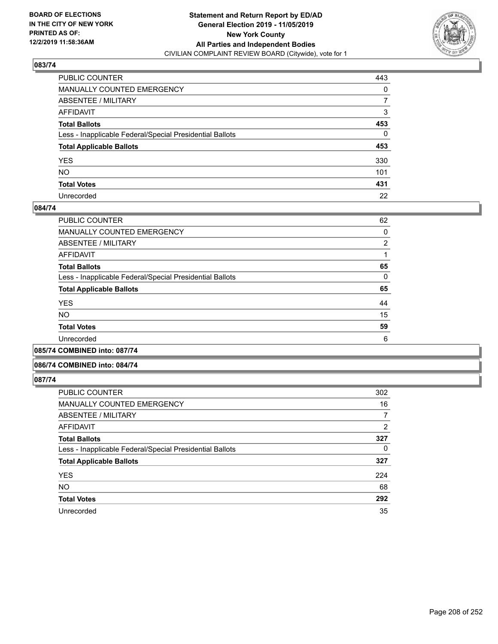

| PUBLIC COUNTER                                           | 443          |
|----------------------------------------------------------|--------------|
| MANUALLY COUNTED EMERGENCY                               | 0            |
| ABSENTEE / MILITARY                                      | 7            |
| AFFIDAVIT                                                | 3            |
| Total Ballots                                            | 453          |
| Less - Inapplicable Federal/Special Presidential Ballots | $\mathbf{0}$ |
| <b>Total Applicable Ballots</b>                          | 453          |
| YES                                                      | 330          |
| NO.                                                      | 101          |
| <b>Total Votes</b>                                       | 431          |
| Unrecorded                                               | 22           |

## **084/74**

| <b>PUBLIC COUNTER</b>                                    | 62             |
|----------------------------------------------------------|----------------|
| MANUALLY COUNTED EMERGENCY                               | 0              |
| ABSENTEE / MILITARY                                      | $\overline{2}$ |
| AFFIDAVIT                                                |                |
| <b>Total Ballots</b>                                     | 65             |
| Less - Inapplicable Federal/Special Presidential Ballots | 0              |
| <b>Total Applicable Ballots</b>                          | 65             |
| <b>YES</b>                                               | 44             |
| <b>NO</b>                                                | 15             |
| <b>Total Votes</b>                                       | 59             |
| Unrecorded                                               | 6              |
|                                                          |                |

**085/74 COMBINED into: 087/74**

### **086/74 COMBINED into: 084/74**

| <b>PUBLIC COUNTER</b>                                    | 302      |
|----------------------------------------------------------|----------|
| MANUALLY COUNTED EMERGENCY                               | 16       |
| ABSENTEE / MILITARY                                      | 7        |
| AFFIDAVIT                                                | 2        |
| <b>Total Ballots</b>                                     | 327      |
| Less - Inapplicable Federal/Special Presidential Ballots | $\Omega$ |
| <b>Total Applicable Ballots</b>                          | 327      |
| <b>YES</b>                                               | 224      |
| <b>NO</b>                                                | 68       |
| <b>Total Votes</b>                                       | 292      |
| Unrecorded                                               | 35       |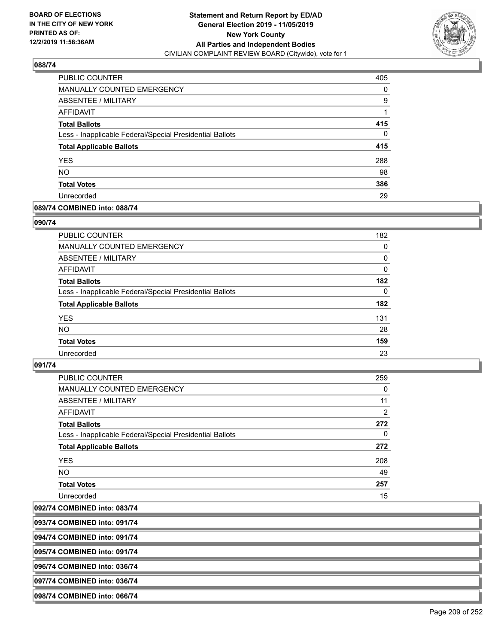

| PUBLIC COUNTER                                           | 405 |
|----------------------------------------------------------|-----|
| MANUALLY COUNTED EMERGENCY                               | 0   |
| ABSENTEE / MILITARY                                      | 9   |
| AFFIDAVIT                                                |     |
| <b>Total Ballots</b>                                     | 415 |
| Less - Inapplicable Federal/Special Presidential Ballots | 0   |
| <b>Total Applicable Ballots</b>                          | 415 |
| <b>YES</b>                                               | 288 |
| <b>NO</b>                                                | 98  |
| <b>Total Votes</b>                                       | 386 |
| Unrecorded                                               | 29  |

## **089/74 COMBINED into: 088/74**

## **090/74**

| PUBLIC COUNTER                                           | 182      |
|----------------------------------------------------------|----------|
| <b>MANUALLY COUNTED EMERGENCY</b>                        | 0        |
| ABSENTEE / MILITARY                                      | 0        |
| AFFIDAVIT                                                | 0        |
| <b>Total Ballots</b>                                     | 182      |
| Less - Inapplicable Federal/Special Presidential Ballots | $\Omega$ |
| <b>Total Applicable Ballots</b>                          | 182      |
| <b>YES</b>                                               | 131      |
| <b>NO</b>                                                | 28       |
| <b>Total Votes</b>                                       | 159      |
| Unrecorded                                               | 23       |

## **091/74**

| PUBLIC COUNTER                                           | 259      |
|----------------------------------------------------------|----------|
| <b>MANUALLY COUNTED EMERGENCY</b>                        | 0        |
| ABSENTEE / MILITARY                                      | 11       |
| <b>AFFIDAVIT</b>                                         | 2        |
| <b>Total Ballots</b>                                     | 272      |
| Less - Inapplicable Federal/Special Presidential Ballots | $\Omega$ |
| <b>Total Applicable Ballots</b>                          | 272      |
| <b>YES</b>                                               | 208      |
| NO.                                                      | 49       |
| <b>Total Votes</b>                                       | 257      |
| Unrecorded                                               | 15       |

**092/74 COMBINED into: 083/74**

**093/74 COMBINED into: 091/74**

**094/74 COMBINED into: 091/74**

**095/74 COMBINED into: 091/74**

**096/74 COMBINED into: 036/74**

**097/74 COMBINED into: 036/74**

**098/74 COMBINED into: 066/74**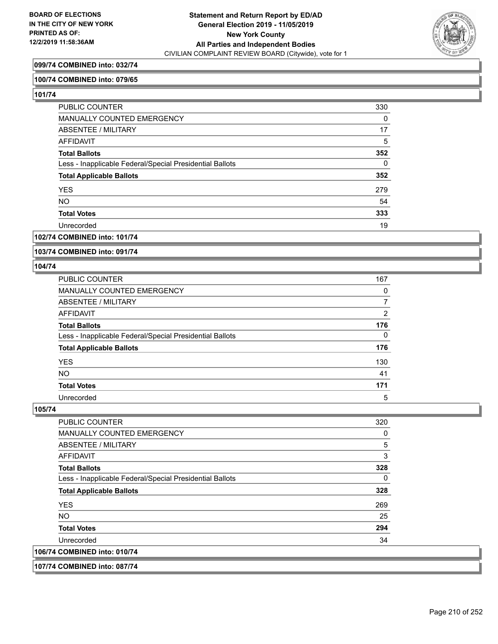

## **099/74 COMBINED into: 032/74**

## **100/74 COMBINED into: 079/65**

**101/74** 

| PUBLIC COUNTER                                           | 330      |
|----------------------------------------------------------|----------|
| MANUALLY COUNTED EMERGENCY                               | 0        |
| ABSENTEE / MILITARY                                      | 17       |
| AFFIDAVIT                                                | 5        |
| <b>Total Ballots</b>                                     | 352      |
| Less - Inapplicable Federal/Special Presidential Ballots | $\Omega$ |
| <b>Total Applicable Ballots</b>                          | 352      |
| <b>YES</b>                                               | 279      |
| <b>NO</b>                                                | 54       |
| <b>Total Votes</b>                                       | 333      |
| Unrecorded                                               | 19       |

## **102/74 COMBINED into: 101/74**

**103/74 COMBINED into: 091/74**

#### **104/74**

| PUBLIC COUNTER                                           | 167 |
|----------------------------------------------------------|-----|
| <b>MANUALLY COUNTED EMERGENCY</b>                        | 0   |
| ABSENTEE / MILITARY                                      |     |
| AFFIDAVIT                                                | 2   |
| <b>Total Ballots</b>                                     | 176 |
| Less - Inapplicable Federal/Special Presidential Ballots | 0   |
| <b>Total Applicable Ballots</b>                          | 176 |
| <b>YES</b>                                               | 130 |
| <b>NO</b>                                                | 41  |
| <b>Total Votes</b>                                       | 171 |
| Unrecorded                                               | 5   |

## **105/74**

| <b>PUBLIC COUNTER</b>                                    | 320 |
|----------------------------------------------------------|-----|
| <b>MANUALLY COUNTED EMERGENCY</b>                        | 0   |
| ABSENTEE / MILITARY                                      | 5   |
| <b>AFFIDAVIT</b>                                         | 3   |
| <b>Total Ballots</b>                                     | 328 |
| Less - Inapplicable Federal/Special Presidential Ballots | 0   |
| <b>Total Applicable Ballots</b>                          | 328 |
| <b>YES</b>                                               | 269 |
| NO.                                                      | 25  |
| <b>Total Votes</b>                                       | 294 |
| Unrecorded                                               | 34  |
| 106/74 COMBINED into: 010/74                             |     |

## **107/74 COMBINED into: 087/74**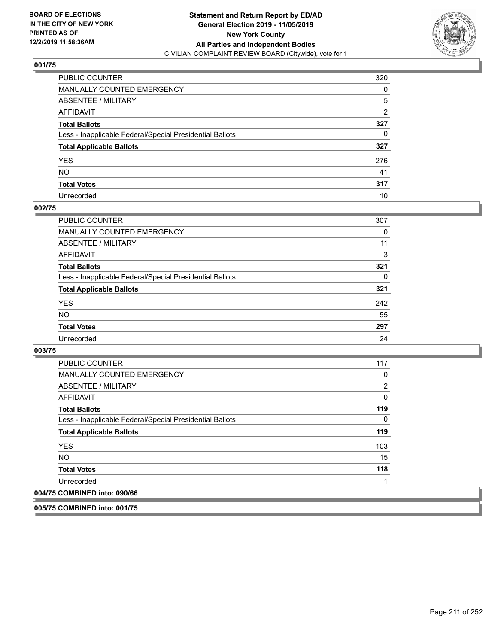

| PUBLIC COUNTER                                           | 320          |
|----------------------------------------------------------|--------------|
| MANUALLY COUNTED EMERGENCY                               | 0            |
| ABSENTEE / MILITARY                                      | 5            |
| AFFIDAVIT                                                | 2            |
| Total Ballots                                            | 327          |
| Less - Inapplicable Federal/Special Presidential Ballots | $\mathbf{0}$ |
| <b>Total Applicable Ballots</b>                          | 327          |
| YES                                                      | 276          |
| NO.                                                      | 41           |
| <b>Total Votes</b>                                       | 317          |
| Unrecorded                                               | 10           |

## **002/75**

| <b>PUBLIC COUNTER</b>                                    | 307 |
|----------------------------------------------------------|-----|
| <b>MANUALLY COUNTED EMERGENCY</b>                        | 0   |
| <b>ABSENTEE / MILITARY</b>                               | 11  |
| <b>AFFIDAVIT</b>                                         | 3   |
| <b>Total Ballots</b>                                     | 321 |
| Less - Inapplicable Federal/Special Presidential Ballots | 0   |
| <b>Total Applicable Ballots</b>                          | 321 |
| <b>YES</b>                                               | 242 |
| <b>NO</b>                                                | 55  |
| <b>Total Votes</b>                                       | 297 |
| Unrecorded                                               | 24  |

**003/75** 

| <b>PUBLIC COUNTER</b>                                    | 117 |
|----------------------------------------------------------|-----|
| <b>MANUALLY COUNTED EMERGENCY</b>                        | 0   |
| ABSENTEE / MILITARY                                      | 2   |
| AFFIDAVIT                                                | 0   |
| <b>Total Ballots</b>                                     | 119 |
| Less - Inapplicable Federal/Special Presidential Ballots | 0   |
| <b>Total Applicable Ballots</b>                          | 119 |
| <b>YES</b>                                               | 103 |
| NO.                                                      | 15  |
| <b>Total Votes</b>                                       | 118 |
| Unrecorded                                               |     |
| 004/75 COMBINED into: 090/66                             |     |

**005/75 COMBINED into: 001/75**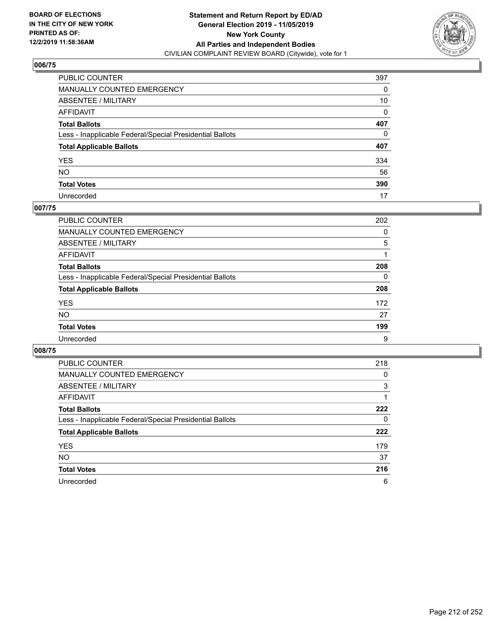

| PUBLIC COUNTER                                           | 397          |
|----------------------------------------------------------|--------------|
| MANUALLY COUNTED EMERGENCY                               | 0            |
| ABSENTEE / MILITARY                                      | 10           |
| AFFIDAVIT                                                | 0            |
| Total Ballots                                            | 407          |
| Less - Inapplicable Federal/Special Presidential Ballots | $\mathbf{0}$ |
| <b>Total Applicable Ballots</b>                          | 407          |
| YES                                                      | 334          |
| NO.                                                      | 56           |
| <b>Total Votes</b>                                       | 390          |
| Unrecorded                                               | 17           |

## **007/75**

| <b>PUBLIC COUNTER</b>                                    | 202      |
|----------------------------------------------------------|----------|
| <b>MANUALLY COUNTED EMERGENCY</b>                        | 0        |
| ABSENTEE / MILITARY                                      | 5        |
| AFFIDAVIT                                                |          |
| <b>Total Ballots</b>                                     | 208      |
| Less - Inapplicable Federal/Special Presidential Ballots | $\Omega$ |
| <b>Total Applicable Ballots</b>                          | 208      |
| <b>YES</b>                                               | 172      |
| <b>NO</b>                                                | 27       |
| <b>Total Votes</b>                                       | 199      |
| Unrecorded                                               | 9        |

| <b>PUBLIC COUNTER</b>                                    | 218 |
|----------------------------------------------------------|-----|
| <b>MANUALLY COUNTED EMERGENCY</b>                        | 0   |
| ABSENTEE / MILITARY                                      | 3   |
| AFFIDAVIT                                                |     |
| <b>Total Ballots</b>                                     | 222 |
| Less - Inapplicable Federal/Special Presidential Ballots | 0   |
| <b>Total Applicable Ballots</b>                          | 222 |
| <b>YES</b>                                               | 179 |
| <b>NO</b>                                                | 37  |
|                                                          |     |
| <b>Total Votes</b>                                       | 216 |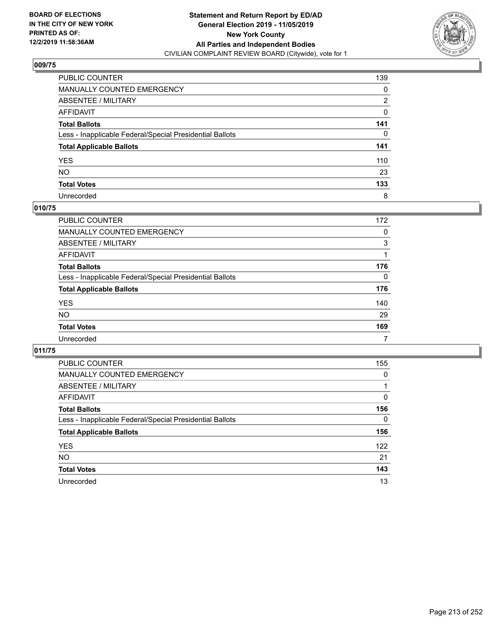

| PUBLIC COUNTER                                           | 139          |
|----------------------------------------------------------|--------------|
| MANUALLY COUNTED EMERGENCY                               | 0            |
| ABSENTEE / MILITARY                                      | 2            |
| AFFIDAVIT                                                | 0            |
| Total Ballots                                            | 141          |
| Less - Inapplicable Federal/Special Presidential Ballots | $\mathbf{0}$ |
| <b>Total Applicable Ballots</b>                          | 141          |
| YES                                                      | 110          |
| NO.                                                      | 23           |
| <b>Total Votes</b>                                       | 133          |
| Unrecorded                                               | 8            |

## **010/75**

| <b>PUBLIC COUNTER</b>                                    | 172      |
|----------------------------------------------------------|----------|
| <b>MANUALLY COUNTED EMERGENCY</b>                        | 0        |
| ABSENTEE / MILITARY                                      | 3        |
| AFFIDAVIT                                                |          |
| <b>Total Ballots</b>                                     | 176      |
| Less - Inapplicable Federal/Special Presidential Ballots | $\Omega$ |
| <b>Total Applicable Ballots</b>                          | 176      |
| <b>YES</b>                                               | 140      |
| <b>NO</b>                                                | 29       |
| <b>Total Votes</b>                                       | 169      |
| Unrecorded                                               |          |

| PUBLIC COUNTER                                           | 155 |
|----------------------------------------------------------|-----|
| <b>MANUALLY COUNTED EMERGENCY</b>                        | 0   |
| ABSENTEE / MILITARY                                      |     |
| <b>AFFIDAVIT</b>                                         | 0   |
| <b>Total Ballots</b>                                     | 156 |
| Less - Inapplicable Federal/Special Presidential Ballots | 0   |
| <b>Total Applicable Ballots</b>                          | 156 |
| <b>YES</b>                                               | 122 |
| <b>NO</b>                                                | 21  |
| <b>Total Votes</b>                                       | 143 |
| Unrecorded                                               | 13  |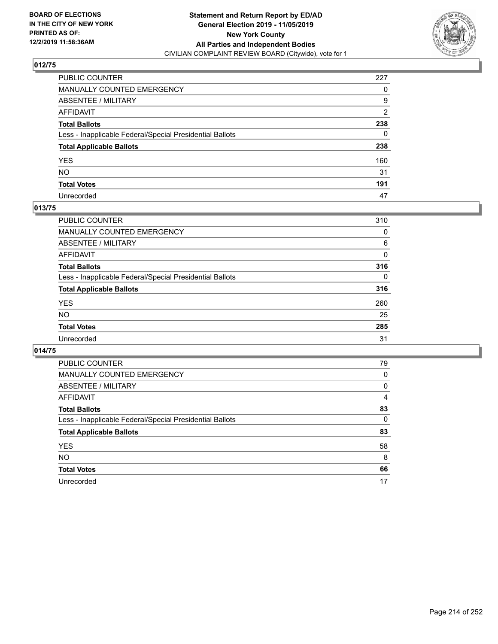

| PUBLIC COUNTER                                           | 227            |
|----------------------------------------------------------|----------------|
| MANUALLY COUNTED EMERGENCY                               | 0              |
| ABSENTEE / MILITARY                                      | 9              |
| AFFIDAVIT                                                | $\overline{2}$ |
| Total Ballots                                            | 238            |
| Less - Inapplicable Federal/Special Presidential Ballots | $\mathbf{0}$   |
| <b>Total Applicable Ballots</b>                          | 238            |
| YES                                                      | 160            |
| NO.                                                      | 31             |
| <b>Total Votes</b>                                       | 191            |
| Unrecorded                                               | 47             |

## **013/75**

| <b>PUBLIC COUNTER</b>                                    | 310      |
|----------------------------------------------------------|----------|
| <b>MANUALLY COUNTED EMERGENCY</b>                        | 0        |
| ABSENTEE / MILITARY                                      | 6        |
| AFFIDAVIT                                                | 0        |
| <b>Total Ballots</b>                                     | 316      |
| Less - Inapplicable Federal/Special Presidential Ballots | $\Omega$ |
| <b>Total Applicable Ballots</b>                          | 316      |
| <b>YES</b>                                               | 260      |
| <b>NO</b>                                                | 25       |
| <b>Total Votes</b>                                       | 285      |
| Unrecorded                                               | 31       |

| <b>PUBLIC COUNTER</b>                                    | 79       |
|----------------------------------------------------------|----------|
|                                                          |          |
| <b>MANUALLY COUNTED EMERGENCY</b>                        | $\Omega$ |
| <b>ABSENTEE / MILITARY</b>                               | 0        |
| <b>AFFIDAVIT</b>                                         | 4        |
| <b>Total Ballots</b>                                     | 83       |
| Less - Inapplicable Federal/Special Presidential Ballots | $\Omega$ |
| <b>Total Applicable Ballots</b>                          | 83       |
| <b>YES</b>                                               | 58       |
| <b>NO</b>                                                | 8        |
| <b>Total Votes</b>                                       | 66       |
| Unrecorded                                               | 17       |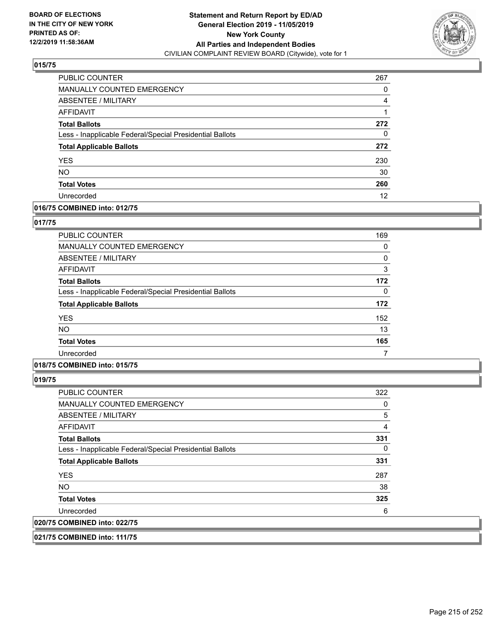

| PUBLIC COUNTER                                           | 267 |
|----------------------------------------------------------|-----|
| <b>MANUALLY COUNTED EMERGENCY</b>                        | 0   |
| ABSENTEE / MILITARY                                      | 4   |
| <b>AFFIDAVIT</b>                                         |     |
| <b>Total Ballots</b>                                     | 272 |
| Less - Inapplicable Federal/Special Presidential Ballots | 0   |
| <b>Total Applicable Ballots</b>                          | 272 |
| <b>YES</b>                                               | 230 |
| <b>NO</b>                                                | 30  |
| <b>Total Votes</b>                                       | 260 |
| Unrecorded                                               | 12  |

## **016/75 COMBINED into: 012/75**

## **017/75**

| <b>PUBLIC COUNTER</b>                                    | 169 |
|----------------------------------------------------------|-----|
| <b>MANUALLY COUNTED EMERGENCY</b>                        | 0   |
| ABSENTEE / MILITARY                                      | 0   |
| AFFIDAVIT                                                | 3   |
| <b>Total Ballots</b>                                     | 172 |
| Less - Inapplicable Federal/Special Presidential Ballots | 0   |
| <b>Total Applicable Ballots</b>                          | 172 |
| <b>YES</b>                                               | 152 |
| <b>NO</b>                                                | 13  |
| <b>Total Votes</b>                                       | 165 |
| Unrecorded                                               |     |

## **018/75 COMBINED into: 015/75**

**019/75** 

| <b>PUBLIC COUNTER</b>                                    | 322 |
|----------------------------------------------------------|-----|
| MANUALLY COUNTED EMERGENCY                               | 0   |
| ABSENTEE / MILITARY                                      | 5   |
| AFFIDAVIT                                                | 4   |
| <b>Total Ballots</b>                                     | 331 |
| Less - Inapplicable Federal/Special Presidential Ballots | 0   |
| <b>Total Applicable Ballots</b>                          | 331 |
| <b>YES</b>                                               | 287 |
| NO.                                                      | 38  |
| <b>Total Votes</b>                                       | 325 |
| Unrecorded                                               | 6   |
| 020/75 COMBINED into: 022/75                             |     |

**021/75 COMBINED into: 111/75**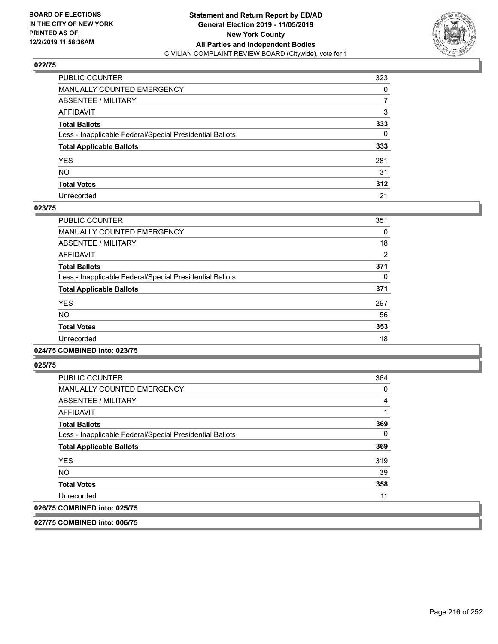

| PUBLIC COUNTER                                           | 323 |
|----------------------------------------------------------|-----|
| MANUALLY COUNTED EMERGENCY                               | 0   |
| ABSENTEE / MILITARY                                      | 7   |
| AFFIDAVIT                                                | 3   |
| Total Ballots                                            | 333 |
| Less - Inapplicable Federal/Special Presidential Ballots | 0   |
| <b>Total Applicable Ballots</b>                          | 333 |
| YES                                                      | 281 |
| NO.                                                      | 31  |
| <b>Total Votes</b>                                       | 312 |
| Unrecorded                                               | 21  |

## **023/75**

| <b>PUBLIC COUNTER</b>                                    | 351            |
|----------------------------------------------------------|----------------|
| <b>MANUALLY COUNTED EMERGENCY</b>                        | 0              |
| ABSENTEE / MILITARY                                      | 18             |
| AFFIDAVIT                                                | $\overline{2}$ |
| <b>Total Ballots</b>                                     | 371            |
| Less - Inapplicable Federal/Special Presidential Ballots | 0              |
| <b>Total Applicable Ballots</b>                          | 371            |
| <b>YES</b>                                               | 297            |
| <b>NO</b>                                                | 56             |
| <b>Total Votes</b>                                       | 353            |
| Unrecorded                                               | 18             |

#### **024/75 COMBINED into: 023/75**

**025/75** 

| <b>PUBLIC COUNTER</b>                                    | 364      |
|----------------------------------------------------------|----------|
| <b>MANUALLY COUNTED EMERGENCY</b>                        | 0        |
| ABSENTEE / MILITARY                                      | 4        |
| AFFIDAVIT                                                |          |
| <b>Total Ballots</b>                                     | 369      |
| Less - Inapplicable Federal/Special Presidential Ballots | $\Omega$ |
| <b>Total Applicable Ballots</b>                          | 369      |
| <b>YES</b>                                               | 319      |
| <b>NO</b>                                                | 39       |
| <b>Total Votes</b>                                       | 358      |
| Unrecorded                                               | 11       |
| 026/75 COMBINED into: 025/75                             |          |

**027/75 COMBINED into: 006/75**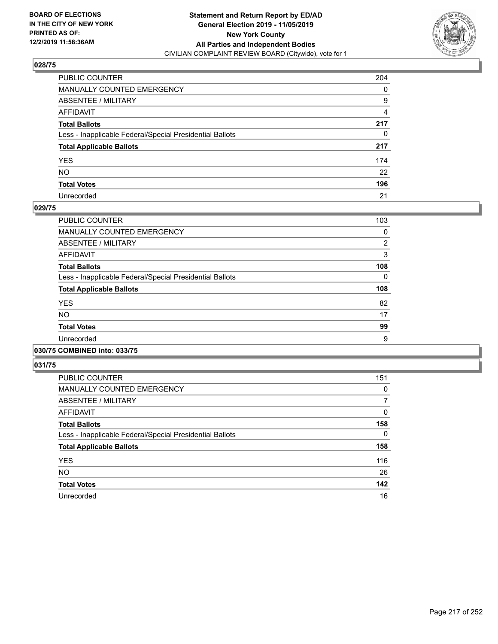

| PUBLIC COUNTER                                           | 204            |
|----------------------------------------------------------|----------------|
| MANUALLY COUNTED EMERGENCY                               | 0              |
| ABSENTEE / MILITARY                                      | 9              |
| AFFIDAVIT                                                | $\overline{4}$ |
| Total Ballots                                            | 217            |
| Less - Inapplicable Federal/Special Presidential Ballots | 0              |
| <b>Total Applicable Ballots</b>                          | 217            |
| YES                                                      | 174            |
| NO.                                                      | 22             |
| <b>Total Votes</b>                                       | 196            |
| Unrecorded                                               | 21             |

### **029/75**

| <b>PUBLIC COUNTER</b>                                    | 103            |
|----------------------------------------------------------|----------------|
| <b>MANUALLY COUNTED EMERGENCY</b>                        | 0              |
| ABSENTEE / MILITARY                                      | $\overline{2}$ |
| AFFIDAVIT                                                | 3              |
| <b>Total Ballots</b>                                     | 108            |
| Less - Inapplicable Federal/Special Presidential Ballots | $\Omega$       |
| <b>Total Applicable Ballots</b>                          | 108            |
| <b>YES</b>                                               | 82             |
| <b>NO</b>                                                | 17             |
| <b>Total Votes</b>                                       | 99             |
| Unrecorded                                               | 9              |
|                                                          |                |

#### **030/75 COMBINED into: 033/75**

| PUBLIC COUNTER                                           | 151      |
|----------------------------------------------------------|----------|
| <b>MANUALLY COUNTED EMERGENCY</b>                        | 0        |
| ABSENTEE / MILITARY                                      | 7        |
| AFFIDAVIT                                                | 0        |
| <b>Total Ballots</b>                                     | 158      |
| Less - Inapplicable Federal/Special Presidential Ballots | $\Omega$ |
| <b>Total Applicable Ballots</b>                          | 158      |
| <b>YES</b>                                               | 116      |
| <b>NO</b>                                                | 26       |
| <b>Total Votes</b>                                       | 142      |
| Unrecorded                                               | 16       |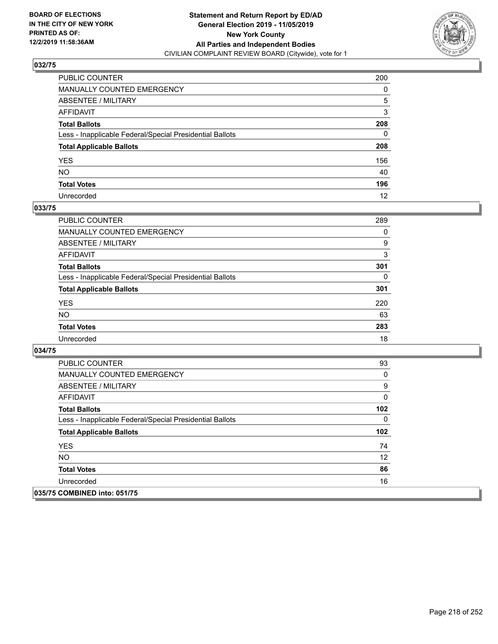

| PUBLIC COUNTER                                           | 200 |
|----------------------------------------------------------|-----|
| MANUALLY COUNTED EMERGENCY                               | 0   |
| ABSENTEE / MILITARY                                      | 5   |
| AFFIDAVIT                                                | 3   |
| Total Ballots                                            | 208 |
| Less - Inapplicable Federal/Special Presidential Ballots | 0   |
| <b>Total Applicable Ballots</b>                          | 208 |
| YES                                                      | 156 |
| NO.                                                      | 40  |
| <b>Total Votes</b>                                       | 196 |
| Unrecorded                                               | 12  |

### **033/75**

| PUBLIC COUNTER                                           | 289 |
|----------------------------------------------------------|-----|
| MANUALLY COUNTED EMERGENCY                               | 0   |
| ABSENTEE / MILITARY                                      | 9   |
| AFFIDAVIT                                                | 3   |
| <b>Total Ballots</b>                                     | 301 |
| Less - Inapplicable Federal/Special Presidential Ballots | 0   |
| <b>Total Applicable Ballots</b>                          | 301 |
| <b>YES</b>                                               | 220 |
| <b>NO</b>                                                | 63  |
| <b>Total Votes</b>                                       | 283 |
| Unrecorded                                               | 18  |

| <b>PUBLIC COUNTER</b>                                    | 93                |
|----------------------------------------------------------|-------------------|
| <b>MANUALLY COUNTED EMERGENCY</b>                        | 0                 |
| ABSENTEE / MILITARY                                      | 9                 |
| AFFIDAVIT                                                | 0                 |
| <b>Total Ballots</b>                                     | 102               |
| Less - Inapplicable Federal/Special Presidential Ballots | 0                 |
| <b>Total Applicable Ballots</b>                          | 102               |
| <b>YES</b>                                               | 74                |
| <b>NO</b>                                                | $12 \overline{ }$ |
| <b>Total Votes</b>                                       | 86                |
| Unrecorded                                               | 16                |
| 035/75 COMBINED into: 051/75                             |                   |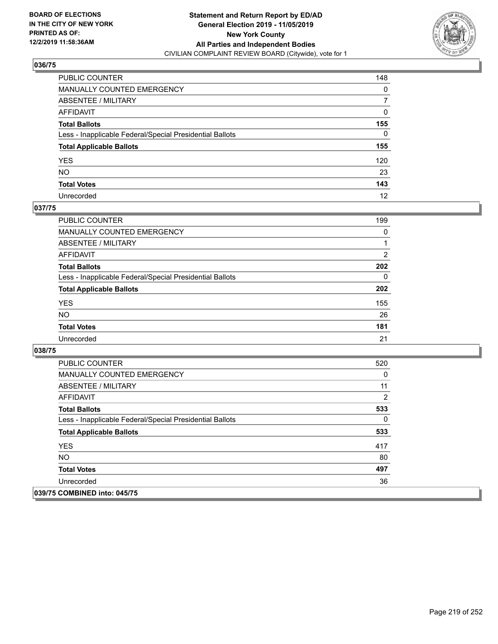

| PUBLIC COUNTER                                           | 148          |
|----------------------------------------------------------|--------------|
| MANUALLY COUNTED EMERGENCY                               | 0            |
| ABSENTEE / MILITARY                                      | 7            |
| AFFIDAVIT                                                | $\mathbf{0}$ |
| Total Ballots                                            | 155          |
| Less - Inapplicable Federal/Special Presidential Ballots | $\mathbf{0}$ |
| <b>Total Applicable Ballots</b>                          | 155          |
| YES                                                      | 120          |
| NO.                                                      | 23           |
| <b>Total Votes</b>                                       | 143          |
| Unrecorded                                               | 12           |

### **037/75**

| PUBLIC COUNTER                                           | 199            |
|----------------------------------------------------------|----------------|
| <b>MANUALLY COUNTED EMERGENCY</b>                        | $\Omega$       |
| ABSENTEE / MILITARY                                      |                |
| AFFIDAVIT                                                | $\overline{2}$ |
| <b>Total Ballots</b>                                     | 202            |
| Less - Inapplicable Federal/Special Presidential Ballots | $\Omega$       |
| <b>Total Applicable Ballots</b>                          | 202            |
| <b>YES</b>                                               | 155            |
| <b>NO</b>                                                | 26             |
| <b>Total Votes</b>                                       | 181            |
| Unrecorded                                               | 21             |

| <b>PUBLIC COUNTER</b>                                    | 520 |
|----------------------------------------------------------|-----|
| <b>MANUALLY COUNTED EMERGENCY</b>                        | 0   |
| ABSENTEE / MILITARY                                      | 11  |
| AFFIDAVIT                                                | 2   |
| <b>Total Ballots</b>                                     | 533 |
| Less - Inapplicable Federal/Special Presidential Ballots | 0   |
| <b>Total Applicable Ballots</b>                          | 533 |
| <b>YES</b>                                               | 417 |
| NO.                                                      | 80  |
| <b>Total Votes</b>                                       | 497 |
| Unrecorded                                               | 36  |
| 039/75 COMBINED into: 045/75                             |     |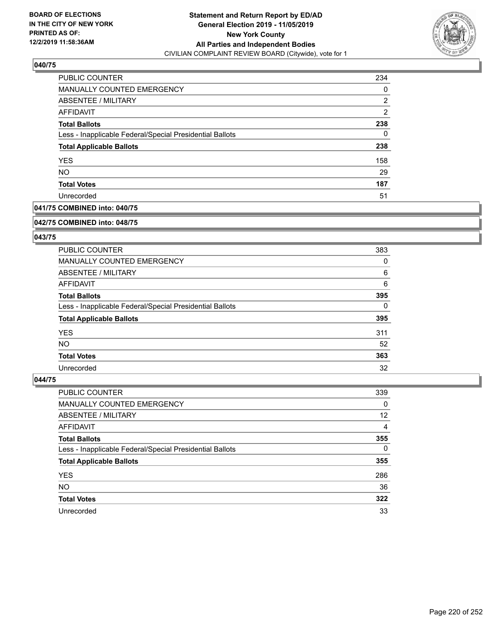

| PUBLIC COUNTER                                           | 234 |
|----------------------------------------------------------|-----|
| MANUALLY COUNTED EMERGENCY                               | 0   |
| <b>ABSENTEE / MILITARY</b>                               | 2   |
| AFFIDAVIT                                                | 2   |
| <b>Total Ballots</b>                                     | 238 |
| Less - Inapplicable Federal/Special Presidential Ballots | 0   |
| <b>Total Applicable Ballots</b>                          | 238 |
| <b>YES</b>                                               | 158 |
| <b>NO</b>                                                | 29  |
| <b>Total Votes</b>                                       | 187 |
| Unrecorded                                               | 51  |

### **041/75 COMBINED into: 040/75**

#### **042/75 COMBINED into: 048/75**

### **043/75**

| <b>PUBLIC COUNTER</b>                                    | 383      |
|----------------------------------------------------------|----------|
| MANUALLY COUNTED EMERGENCY                               | 0        |
| ABSENTEE / MILITARY                                      | 6        |
| AFFIDAVIT                                                | 6        |
| <b>Total Ballots</b>                                     | 395      |
| Less - Inapplicable Federal/Special Presidential Ballots | $\Omega$ |
| <b>Total Applicable Ballots</b>                          | 395      |
| <b>YES</b>                                               | 311      |
| NO.                                                      | 52       |
| <b>Total Votes</b>                                       | 363      |
| Unrecorded                                               | 32       |

| <b>PUBLIC COUNTER</b>                                    | 339      |
|----------------------------------------------------------|----------|
| MANUALLY COUNTED EMERGENCY                               | 0        |
| ABSENTEE / MILITARY                                      | 12       |
| AFFIDAVIT                                                | 4        |
| <b>Total Ballots</b>                                     | 355      |
| Less - Inapplicable Federal/Special Presidential Ballots | $\Omega$ |
| <b>Total Applicable Ballots</b>                          | 355      |
| <b>YES</b>                                               | 286      |
| <b>NO</b>                                                | 36       |
| <b>Total Votes</b>                                       | 322      |
| Unrecorded                                               | 33       |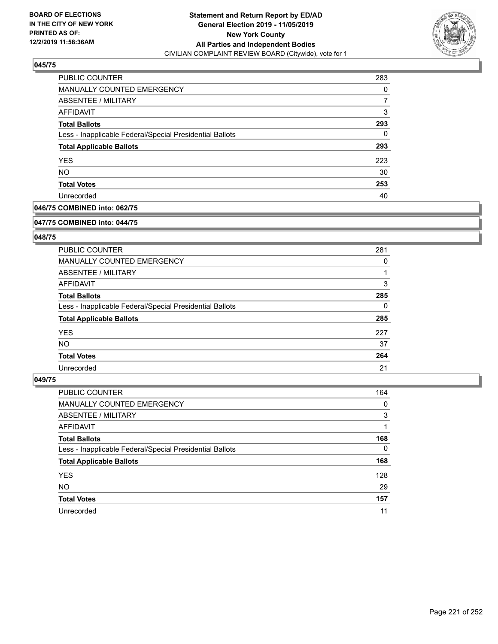

| PUBLIC COUNTER                                           | 283 |
|----------------------------------------------------------|-----|
| MANUALLY COUNTED EMERGENCY                               | 0   |
| <b>ABSENTEE / MILITARY</b>                               |     |
| AFFIDAVIT                                                | 3   |
| <b>Total Ballots</b>                                     | 293 |
| Less - Inapplicable Federal/Special Presidential Ballots | 0   |
| <b>Total Applicable Ballots</b>                          | 293 |
| <b>YES</b>                                               | 223 |
| <b>NO</b>                                                | 30  |
| <b>Total Votes</b>                                       | 253 |
| Unrecorded                                               | 40  |

### **046/75 COMBINED into: 062/75**

#### **047/75 COMBINED into: 044/75**

### **048/75**

| <b>PUBLIC COUNTER</b>                                    | 281 |
|----------------------------------------------------------|-----|
| <b>MANUALLY COUNTED EMERGENCY</b>                        | 0   |
| ABSENTEE / MILITARY                                      |     |
| AFFIDAVIT                                                | 3   |
| <b>Total Ballots</b>                                     | 285 |
| Less - Inapplicable Federal/Special Presidential Ballots | 0   |
| <b>Total Applicable Ballots</b>                          | 285 |
| <b>YES</b>                                               | 227 |
| NO.                                                      | 37  |
| <b>Total Votes</b>                                       | 264 |
| Unrecorded                                               | 21  |

| <b>PUBLIC COUNTER</b>                                    | 164      |
|----------------------------------------------------------|----------|
| MANUALLY COUNTED EMERGENCY                               | 0        |
| ABSENTEE / MILITARY                                      | 3        |
| AFFIDAVIT                                                |          |
| <b>Total Ballots</b>                                     | 168      |
| Less - Inapplicable Federal/Special Presidential Ballots | $\Omega$ |
| <b>Total Applicable Ballots</b>                          | 168      |
| <b>YES</b>                                               | 128      |
| <b>NO</b>                                                | 29       |
| <b>Total Votes</b>                                       | 157      |
| Unrecorded                                               | 11       |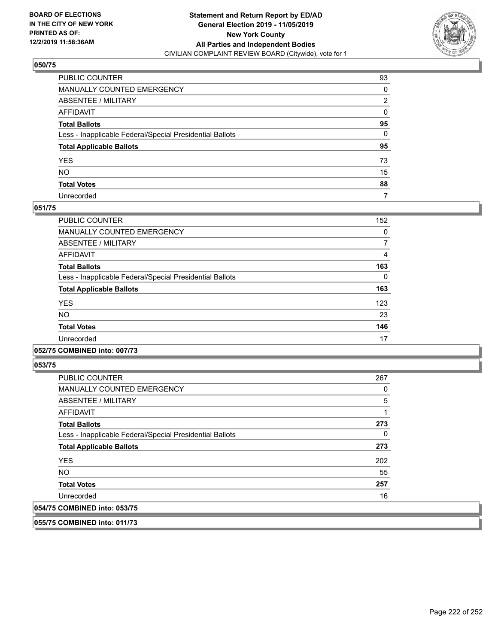

| PUBLIC COUNTER                                           | 93           |
|----------------------------------------------------------|--------------|
| MANUALLY COUNTED EMERGENCY                               | 0            |
| ABSENTEE / MILITARY                                      | 2            |
| AFFIDAVIT                                                | 0            |
| Total Ballots                                            | 95           |
| Less - Inapplicable Federal/Special Presidential Ballots | $\mathbf{0}$ |
| <b>Total Applicable Ballots</b>                          | 95           |
| YES                                                      | 73           |
| NO.                                                      | 15           |
| <b>Total Votes</b>                                       | 88           |
| Unrecorded                                               | 7            |

### **051/75**

| PUBLIC COUNTER                                           | 152 |
|----------------------------------------------------------|-----|
| <b>MANUALLY COUNTED EMERGENCY</b>                        | 0   |
| ABSENTEE / MILITARY                                      | 7   |
| <b>AFFIDAVIT</b>                                         | 4   |
| <b>Total Ballots</b>                                     | 163 |
| Less - Inapplicable Federal/Special Presidential Ballots | 0   |
| <b>Total Applicable Ballots</b>                          | 163 |
| <b>YES</b>                                               | 123 |
| <b>NO</b>                                                | 23  |
| <b>Total Votes</b>                                       | 146 |
| Unrecorded                                               | 17  |
|                                                          |     |

### **052/75 COMBINED into: 007/73**

**053/75** 

| <b>PUBLIC COUNTER</b>                                    | 267            |
|----------------------------------------------------------|----------------|
| <b>MANUALLY COUNTED EMERGENCY</b>                        | 0              |
| ABSENTEE / MILITARY                                      | $\overline{5}$ |
| AFFIDAVIT                                                |                |
| <b>Total Ballots</b>                                     | 273            |
| Less - Inapplicable Federal/Special Presidential Ballots | 0              |
| <b>Total Applicable Ballots</b>                          | 273            |
| <b>YES</b>                                               | 202            |
| <b>NO</b>                                                | 55             |
| <b>Total Votes</b>                                       | 257            |
| Unrecorded                                               | 16             |
| 054/75 COMBINED into: 053/75                             |                |

**055/75 COMBINED into: 011/73**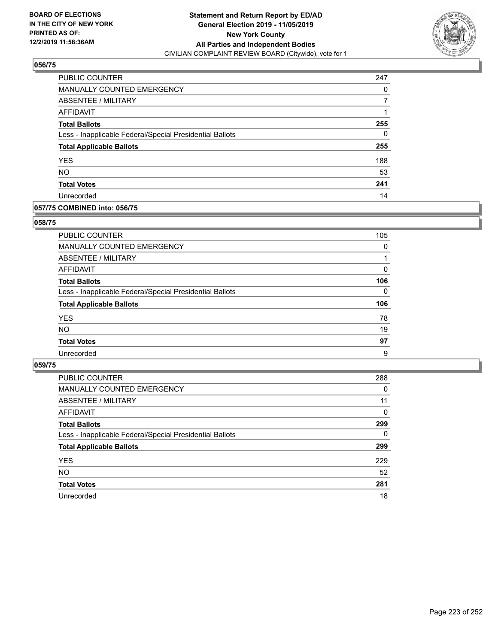

| <b>PUBLIC COUNTER</b>                                    | 247 |
|----------------------------------------------------------|-----|
| MANUALLY COUNTED EMERGENCY                               | 0   |
| <b>ABSENTEE / MILITARY</b>                               |     |
| <b>AFFIDAVIT</b>                                         |     |
| <b>Total Ballots</b>                                     | 255 |
| Less - Inapplicable Federal/Special Presidential Ballots | 0   |
| <b>Total Applicable Ballots</b>                          | 255 |
| <b>YES</b>                                               | 188 |
| <b>NO</b>                                                | 53  |
| <b>Total Votes</b>                                       | 241 |
| Unrecorded                                               | 14  |

### **057/75 COMBINED into: 056/75**

### **058/75**

| PUBLIC COUNTER                                           | 105      |
|----------------------------------------------------------|----------|
| MANUALLY COUNTED EMERGENCY                               | $\Omega$ |
| ABSENTEE / MILITARY                                      |          |
| AFFIDAVIT                                                | 0        |
| <b>Total Ballots</b>                                     | 106      |
| Less - Inapplicable Federal/Special Presidential Ballots | $\Omega$ |
| <b>Total Applicable Ballots</b>                          | 106      |
| <b>YES</b>                                               | 78       |
| <b>NO</b>                                                | 19       |
| <b>Total Votes</b>                                       | 97       |
| Unrecorded                                               | 9        |
|                                                          |          |

| PUBLIC COUNTER                                           | 288      |
|----------------------------------------------------------|----------|
| MANUALLY COUNTED EMERGENCY                               | $\Omega$ |
| ABSENTEE / MILITARY                                      | 11       |
| AFFIDAVIT                                                | $\Omega$ |
| <b>Total Ballots</b>                                     | 299      |
| Less - Inapplicable Federal/Special Presidential Ballots | 0        |
| <b>Total Applicable Ballots</b>                          | 299      |
| <b>YES</b>                                               | 229      |
| <b>NO</b>                                                | 52       |
| <b>Total Votes</b>                                       | 281      |
| Unrecorded                                               | 18       |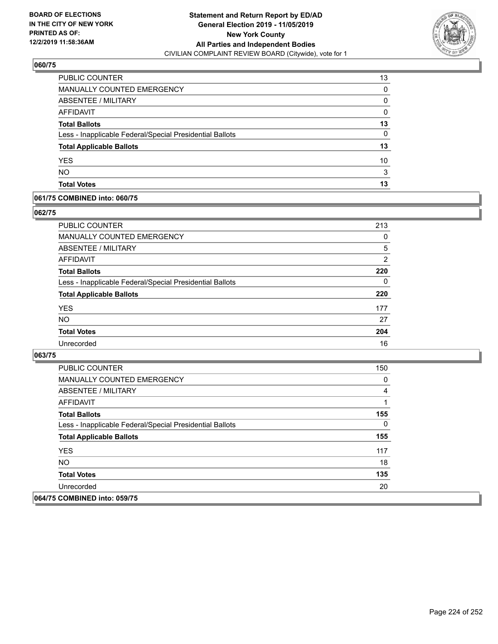

| PUBLIC COUNTER                                           | 13 |
|----------------------------------------------------------|----|
| MANUALLY COUNTED EMERGENCY                               | 0  |
| ABSENTEE / MILITARY                                      | 0  |
| AFFIDAVIT                                                | 0  |
| <b>Total Ballots</b>                                     | 13 |
| Less - Inapplicable Federal/Special Presidential Ballots | 0  |
| <b>Total Applicable Ballots</b>                          | 13 |
| <b>YES</b>                                               | 10 |
| <b>NO</b>                                                | 3  |
| <b>Total Votes</b>                                       | 13 |

### **061/75 COMBINED into: 060/75**

### **062/75**

| PUBLIC COUNTER                                           | 213            |
|----------------------------------------------------------|----------------|
| <b>MANUALLY COUNTED EMERGENCY</b>                        | 0              |
| ABSENTEE / MILITARY                                      | 5              |
| AFFIDAVIT                                                | $\overline{2}$ |
| <b>Total Ballots</b>                                     | 220            |
| Less - Inapplicable Federal/Special Presidential Ballots | 0              |
| <b>Total Applicable Ballots</b>                          | 220            |
| <b>YES</b>                                               | 177            |
| <b>NO</b>                                                | 27             |
| <b>Total Votes</b>                                       | 204            |
| Unrecorded                                               | 16             |

| PUBLIC COUNTER                                           | 150          |
|----------------------------------------------------------|--------------|
| <b>MANUALLY COUNTED EMERGENCY</b>                        | 0            |
| ABSENTEE / MILITARY                                      | 4            |
| AFFIDAVIT                                                |              |
| <b>Total Ballots</b>                                     | 155          |
| Less - Inapplicable Federal/Special Presidential Ballots | $\mathbf{0}$ |
| <b>Total Applicable Ballots</b>                          | 155          |
| <b>YES</b>                                               | 117          |
| NO.                                                      | 18           |
| <b>Total Votes</b>                                       | 135          |
| Unrecorded                                               | 20           |
| 064/75 COMBINED into: 059/75                             |              |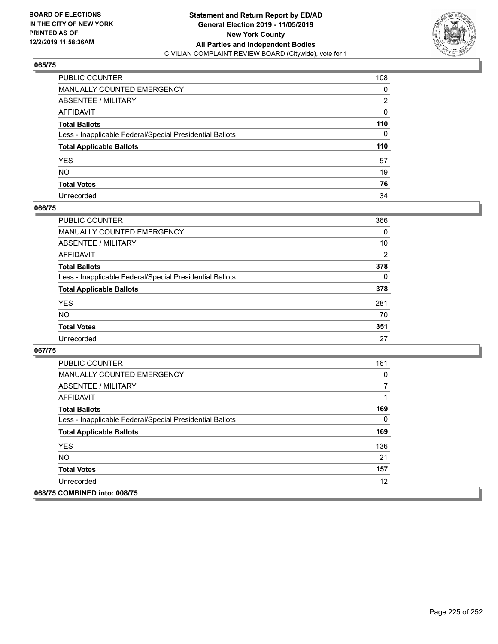

| PUBLIC COUNTER                                           | 108      |
|----------------------------------------------------------|----------|
| MANUALLY COUNTED EMERGENCY                               | 0        |
| ABSENTEE / MILITARY                                      | 2        |
| AFFIDAVIT                                                | 0        |
| Total Ballots                                            | 110      |
| Less - Inapplicable Federal/Special Presidential Ballots | $\Omega$ |
| <b>Total Applicable Ballots</b>                          | 110      |
| YES                                                      | 57       |
| NO.                                                      | 19       |
| <b>Total Votes</b>                                       | 76       |
| Unrecorded                                               | 34       |

### **066/75**

| PUBLIC COUNTER                                           | 366            |
|----------------------------------------------------------|----------------|
| <b>MANUALLY COUNTED EMERGENCY</b>                        | $\Omega$       |
| ABSENTEE / MILITARY                                      | 10             |
| AFFIDAVIT                                                | $\overline{2}$ |
| <b>Total Ballots</b>                                     | 378            |
| Less - Inapplicable Federal/Special Presidential Ballots | $\Omega$       |
| <b>Total Applicable Ballots</b>                          | 378            |
| <b>YES</b>                                               | 281            |
| <b>NO</b>                                                | 70             |
| <b>Total Votes</b>                                       | 351            |
| Unrecorded                                               | 27             |

| PUBLIC COUNTER                                           | 161 |
|----------------------------------------------------------|-----|
| <b>MANUALLY COUNTED EMERGENCY</b>                        | 0   |
| ABSENTEE / MILITARY                                      |     |
| AFFIDAVIT                                                |     |
| <b>Total Ballots</b>                                     | 169 |
| Less - Inapplicable Federal/Special Presidential Ballots | 0   |
| <b>Total Applicable Ballots</b>                          | 169 |
| <b>YES</b>                                               | 136 |
| <b>NO</b>                                                | 21  |
| <b>Total Votes</b>                                       | 157 |
| Unrecorded                                               | 12  |
| 068/75 COMBINED into: 008/75                             |     |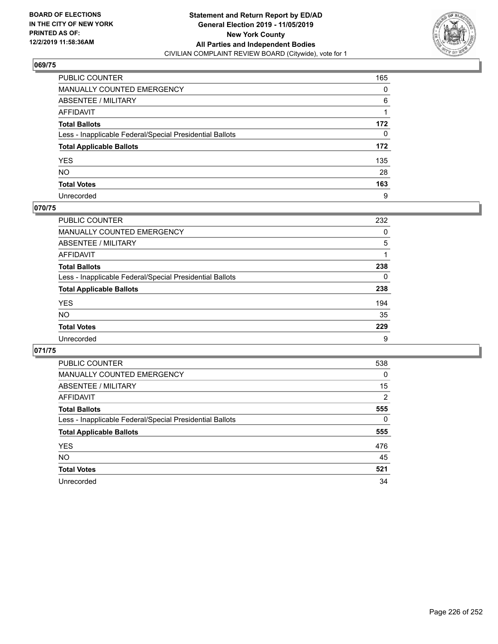

| PUBLIC COUNTER                                           | 165 |
|----------------------------------------------------------|-----|
| MANUALLY COUNTED EMERGENCY                               | 0   |
| ABSENTEE / MILITARY                                      | 6   |
| AFFIDAVIT                                                |     |
| Total Ballots                                            | 172 |
| Less - Inapplicable Federal/Special Presidential Ballots | 0   |
| <b>Total Applicable Ballots</b>                          | 172 |
| YES                                                      | 135 |
| NO.                                                      | 28  |
| <b>Total Votes</b>                                       | 163 |
| Unrecorded                                               | 9   |

### **070/75**

| <b>PUBLIC COUNTER</b>                                    | 232      |
|----------------------------------------------------------|----------|
| MANUALLY COUNTED EMERGENCY                               | 0        |
| ABSENTEE / MILITARY                                      | 5        |
| AFFIDAVIT                                                |          |
| <b>Total Ballots</b>                                     | 238      |
| Less - Inapplicable Federal/Special Presidential Ballots | $\Omega$ |
| <b>Total Applicable Ballots</b>                          | 238      |
| <b>YES</b>                                               | 194      |
| <b>NO</b>                                                | 35       |
| <b>Total Votes</b>                                       | 229      |
| Unrecorded                                               | 9        |

| PUBLIC COUNTER                                           | 538            |
|----------------------------------------------------------|----------------|
| <b>MANUALLY COUNTED EMERGENCY</b>                        | $\Omega$       |
| ABSENTEE / MILITARY                                      | 15             |
| AFFIDAVIT                                                | $\overline{2}$ |
| <b>Total Ballots</b>                                     | 555            |
| Less - Inapplicable Federal/Special Presidential Ballots | 0              |
| <b>Total Applicable Ballots</b>                          | 555            |
| <b>YES</b>                                               | 476            |
| NO.                                                      | 45             |
| <b>Total Votes</b>                                       | 521            |
| Unrecorded                                               | 34             |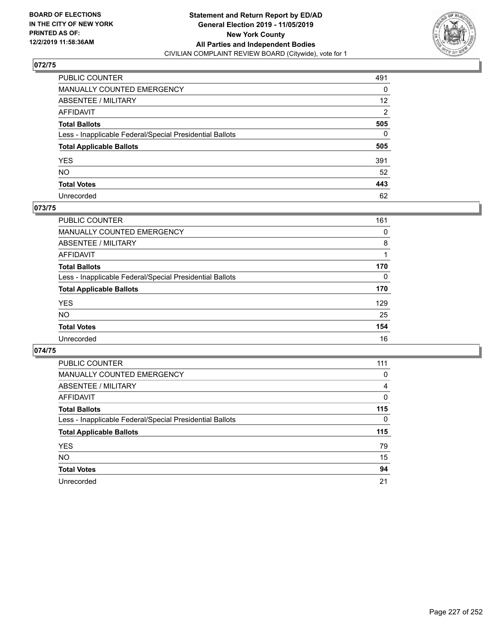

| PUBLIC COUNTER                                           | 491             |
|----------------------------------------------------------|-----------------|
| MANUALLY COUNTED EMERGENCY                               | 0               |
| ABSENTEE / MILITARY                                      | 12 <sup>2</sup> |
| AFFIDAVIT                                                | 2               |
| Total Ballots                                            | 505             |
| Less - Inapplicable Federal/Special Presidential Ballots | $\Omega$        |
| <b>Total Applicable Ballots</b>                          | 505             |
| YES                                                      | 391             |
| NO.                                                      | 52              |
| <b>Total Votes</b>                                       | 443             |
| Unrecorded                                               | 62              |

### **073/75**

| <b>PUBLIC COUNTER</b>                                    | 161      |
|----------------------------------------------------------|----------|
| <b>MANUALLY COUNTED EMERGENCY</b>                        | 0        |
| ABSENTEE / MILITARY                                      | 8        |
| AFFIDAVIT                                                |          |
| <b>Total Ballots</b>                                     | 170      |
| Less - Inapplicable Federal/Special Presidential Ballots | $\Omega$ |
| <b>Total Applicable Ballots</b>                          | 170      |
| <b>YES</b>                                               | 129      |
| <b>NO</b>                                                | 25       |
| <b>Total Votes</b>                                       | 154      |
| Unrecorded                                               | 16       |

| PUBLIC COUNTER                                           | 111 |
|----------------------------------------------------------|-----|
| <b>MANUALLY COUNTED EMERGENCY</b>                        | 0   |
| ABSENTEE / MILITARY                                      | 4   |
| AFFIDAVIT                                                | 0   |
| <b>Total Ballots</b>                                     | 115 |
| Less - Inapplicable Federal/Special Presidential Ballots | 0   |
| <b>Total Applicable Ballots</b>                          | 115 |
| <b>YES</b>                                               | 79  |
| NO.                                                      | 15  |
| <b>Total Votes</b>                                       | 94  |
| Unrecorded                                               | 21  |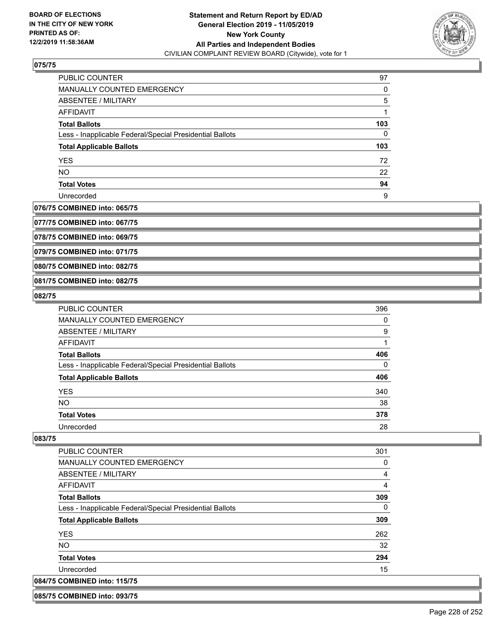

| PUBLIC COUNTER                                           | 97  |
|----------------------------------------------------------|-----|
| <b>MANUALLY COUNTED EMERGENCY</b>                        | 0   |
| ABSENTEE / MILITARY                                      | 5   |
| AFFIDAVIT                                                |     |
| <b>Total Ballots</b>                                     | 103 |
| Less - Inapplicable Federal/Special Presidential Ballots | 0   |
| <b>Total Applicable Ballots</b>                          | 103 |
| <b>YES</b>                                               | 72  |
| <b>NO</b>                                                | 22  |
| <b>Total Votes</b>                                       | 94  |
| Unrecorded                                               | 9   |

### **076/75 COMBINED into: 065/75**

**077/75 COMBINED into: 067/75**

**078/75 COMBINED into: 069/75**

**079/75 COMBINED into: 071/75**

**080/75 COMBINED into: 082/75**

### **081/75 COMBINED into: 082/75**

#### **082/75**

| <b>PUBLIC COUNTER</b>                                    | 396 |
|----------------------------------------------------------|-----|
| MANUALLY COUNTED EMERGENCY                               | 0   |
| ABSENTEE / MILITARY                                      | 9   |
| AFFIDAVIT                                                |     |
| <b>Total Ballots</b>                                     | 406 |
| Less - Inapplicable Federal/Special Presidential Ballots | 0   |
| <b>Total Applicable Ballots</b>                          | 406 |
| <b>YES</b>                                               | 340 |
| <b>NO</b>                                                | 38  |
| <b>Total Votes</b>                                       | 378 |
| Unrecorded                                               | 28  |

#### **083/75**

| PUBLIC COUNTER                                           | 301 |
|----------------------------------------------------------|-----|
| <b>MANUALLY COUNTED EMERGENCY</b>                        | 0   |
| ABSENTEE / MILITARY                                      | 4   |
| AFFIDAVIT                                                | 4   |
| <b>Total Ballots</b>                                     | 309 |
| Less - Inapplicable Federal/Special Presidential Ballots | 0   |
| <b>Total Applicable Ballots</b>                          | 309 |
| <b>YES</b>                                               | 262 |
| NO.                                                      | 32  |
| <b>Total Votes</b>                                       | 294 |
| Unrecorded                                               | 15  |
| 084/75 COMBINED into: 115/75                             |     |

**085/75 COMBINED into: 093/75**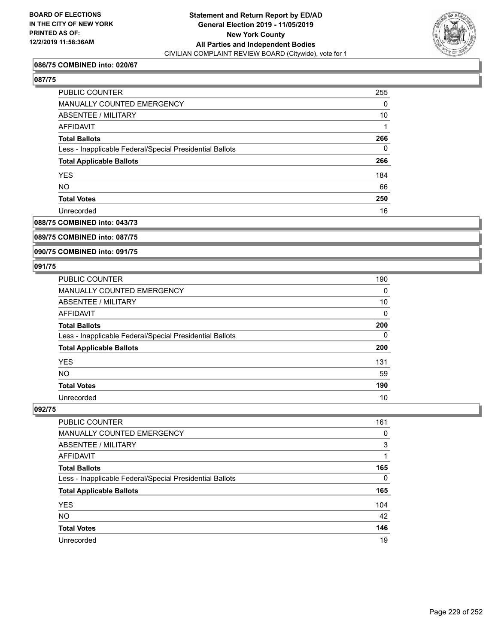

### **086/75 COMBINED into: 020/67**

### **087/75**

| PUBLIC COUNTER                                           | 255      |
|----------------------------------------------------------|----------|
| <b>MANUALLY COUNTED EMERGENCY</b>                        | $\Omega$ |
| ABSENTEE / MILITARY                                      | 10       |
| AFFIDAVIT                                                |          |
| <b>Total Ballots</b>                                     | 266      |
| Less - Inapplicable Federal/Special Presidential Ballots | 0        |
| <b>Total Applicable Ballots</b>                          | 266      |
| <b>YES</b>                                               | 184      |
| <b>NO</b>                                                | 66       |
| <b>Total Votes</b>                                       | 250      |
| Unrecorded                                               | 16       |
|                                                          |          |

## **088/75 COMBINED into: 043/73**

### **089/75 COMBINED into: 087/75**

#### **090/75 COMBINED into: 091/75**

### **091/75**

| PUBLIC COUNTER                                           | 190 |
|----------------------------------------------------------|-----|
| <b>MANUALLY COUNTED EMERGENCY</b>                        | 0   |
| ABSENTEE / MILITARY                                      | 10  |
| AFFIDAVIT                                                | 0   |
| <b>Total Ballots</b>                                     | 200 |
| Less - Inapplicable Federal/Special Presidential Ballots | 0   |
| <b>Total Applicable Ballots</b>                          | 200 |
| <b>YES</b>                                               | 131 |
| <b>NO</b>                                                | 59  |
| <b>Total Votes</b>                                       | 190 |
| Unrecorded                                               | 10  |

| PUBLIC COUNTER                                           | 161      |
|----------------------------------------------------------|----------|
| MANUALLY COUNTED EMERGENCY                               | 0        |
| ABSENTEE / MILITARY                                      | 3        |
| AFFIDAVIT                                                |          |
| <b>Total Ballots</b>                                     | 165      |
| Less - Inapplicable Federal/Special Presidential Ballots | $\Omega$ |
| <b>Total Applicable Ballots</b>                          | 165      |
| <b>YES</b>                                               | 104      |
| <b>NO</b>                                                | 42       |
| <b>Total Votes</b>                                       | 146      |
| Unrecorded                                               | 19       |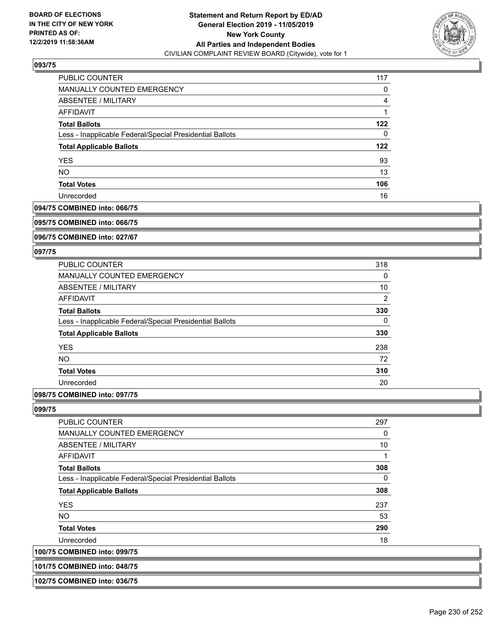

| PUBLIC COUNTER                                           | 117 |
|----------------------------------------------------------|-----|
| MANUALLY COUNTED EMERGENCY                               | 0   |
| <b>ABSENTEE / MILITARY</b>                               | 4   |
| AFFIDAVIT                                                |     |
| <b>Total Ballots</b>                                     | 122 |
| Less - Inapplicable Federal/Special Presidential Ballots | 0   |
| <b>Total Applicable Ballots</b>                          | 122 |
| <b>YES</b>                                               | 93  |
| <b>NO</b>                                                | 13  |
| <b>Total Votes</b>                                       | 106 |
| Unrecorded                                               | 16  |

#### **094/75 COMBINED into: 066/75**

#### **095/75 COMBINED into: 066/75**

**096/75 COMBINED into: 027/67**

#### **097/75**

| <b>PUBLIC COUNTER</b>                                    | 318 |
|----------------------------------------------------------|-----|
| <b>MANUALLY COUNTED EMERGENCY</b>                        | 0   |
| ABSENTEE / MILITARY                                      | 10  |
| <b>AFFIDAVIT</b>                                         | 2   |
| <b>Total Ballots</b>                                     | 330 |
| Less - Inapplicable Federal/Special Presidential Ballots | 0   |
| <b>Total Applicable Ballots</b>                          | 330 |
| <b>YES</b>                                               | 238 |
| NO.                                                      | 72  |
| <b>Total Votes</b>                                       | 310 |
| Unrecorded                                               | 20  |
|                                                          |     |

## **098/75 COMBINED into: 097/75**

#### **099/75**

**100/75 COMBINED into: 099/75**

| PUBLIC COUNTER                                           | 297 |
|----------------------------------------------------------|-----|
| <b>MANUALLY COUNTED EMERGENCY</b>                        | 0   |
| ABSENTEE / MILITARY                                      | 10  |
| AFFIDAVIT                                                | 1   |
| <b>Total Ballots</b>                                     | 308 |
| Less - Inapplicable Federal/Special Presidential Ballots | 0   |
| <b>Total Applicable Ballots</b>                          | 308 |
| <b>YES</b>                                               | 237 |
| <b>NO</b>                                                | 53  |
| <b>Total Votes</b>                                       | 290 |
| Unrecorded                                               | 18  |
| <b>COMBINED into: 099/75</b>                             |     |

## **101/75 COMBINED into: 048/75**

| 102/75 COMBINED into: 036/75 |  |
|------------------------------|--|
|                              |  |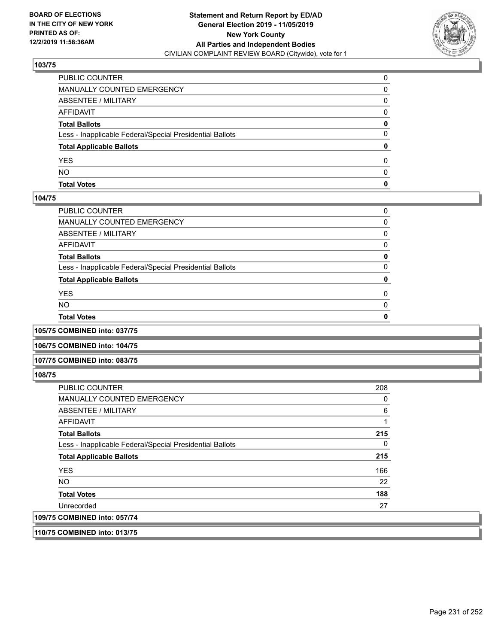

| PUBLIC COUNTER                                           |   |
|----------------------------------------------------------|---|
| MANUALLY COUNTED EMERGENCY                               | 0 |
| ABSENTEE / MILITARY                                      | 0 |
| AFFIDAVIT                                                | 0 |
| <b>Total Ballots</b>                                     | 0 |
| Less - Inapplicable Federal/Special Presidential Ballots | 0 |
| <b>Total Applicable Ballots</b>                          | 0 |
| <b>YES</b>                                               | 0 |
| <b>NO</b>                                                | 0 |
| <b>Total Votes</b>                                       | 0 |

#### **104/75**

| PUBLIC COUNTER                                           | 0        |
|----------------------------------------------------------|----------|
| MANUALLY COUNTED EMERGENCY                               | 0        |
| ABSENTEE / MILITARY                                      | 0        |
| AFFIDAVIT                                                | 0        |
| Total Ballots                                            | 0        |
| Less - Inapplicable Federal/Special Presidential Ballots | 0        |
| <b>Total Applicable Ballots</b>                          | 0        |
| YES                                                      | $\Omega$ |
| NO.                                                      | $\Omega$ |
| <b>Total Votes</b>                                       | 0        |
|                                                          |          |

**105/75 COMBINED into: 037/75**

**106/75 COMBINED into: 104/75**

#### **107/75 COMBINED into: 083/75**

**108/75** 

| <b>PUBLIC COUNTER</b>                                    | 208 |
|----------------------------------------------------------|-----|
| MANUALLY COUNTED EMERGENCY                               | 0   |
| ABSENTEE / MILITARY                                      | 6   |
| AFFIDAVIT                                                |     |
| <b>Total Ballots</b>                                     | 215 |
| Less - Inapplicable Federal/Special Presidential Ballots | 0   |
| <b>Total Applicable Ballots</b>                          | 215 |
| <b>YES</b>                                               | 166 |
| <b>NO</b>                                                | 22  |
| <b>Total Votes</b>                                       | 188 |
| Unrecorded                                               | 27  |
| 109/75 COMBINED into: 057/74                             |     |
|                                                          |     |

**110/75 COMBINED into: 013/75**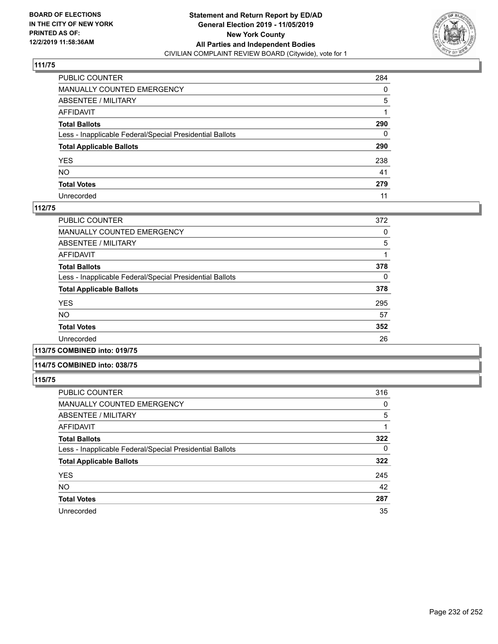

| PUBLIC COUNTER                                           | 284          |
|----------------------------------------------------------|--------------|
| MANUALLY COUNTED EMERGENCY                               | $\Omega$     |
| ABSENTEE / MILITARY                                      | 5            |
| AFFIDAVIT                                                |              |
| Total Ballots                                            | 290          |
| Less - Inapplicable Federal/Special Presidential Ballots | $\mathbf{0}$ |
| <b>Total Applicable Ballots</b>                          | 290          |
| YES                                                      | 238          |
| NO.                                                      | 41           |
| <b>Total Votes</b>                                       | 279          |
| Unrecorded                                               | 11           |

### **112/75**

| PUBLIC COUNTER                                           | 372 |
|----------------------------------------------------------|-----|
| MANUALLY COUNTED EMERGENCY                               | 0   |
| ABSENTEE / MILITARY                                      | 5   |
| AFFIDAVIT                                                |     |
| <b>Total Ballots</b>                                     | 378 |
| Less - Inapplicable Federal/Special Presidential Ballots | 0   |
| <b>Total Applicable Ballots</b>                          | 378 |
| <b>YES</b>                                               | 295 |
| <b>NO</b>                                                | 57  |
| <b>Total Votes</b>                                       | 352 |
| Unrecorded                                               | 26  |
|                                                          |     |

**113/75 COMBINED into: 019/75**

### **114/75 COMBINED into: 038/75**

| PUBLIC COUNTER                                           | 316 |
|----------------------------------------------------------|-----|
| <b>MANUALLY COUNTED EMERGENCY</b>                        | 0   |
| ABSENTEE / MILITARY                                      | 5   |
| AFFIDAVIT                                                |     |
| <b>Total Ballots</b>                                     | 322 |
| Less - Inapplicable Federal/Special Presidential Ballots | 0   |
| <b>Total Applicable Ballots</b>                          | 322 |
| <b>YES</b>                                               | 245 |
| <b>NO</b>                                                | 42  |
| <b>Total Votes</b>                                       | 287 |
| Unrecorded                                               | 35  |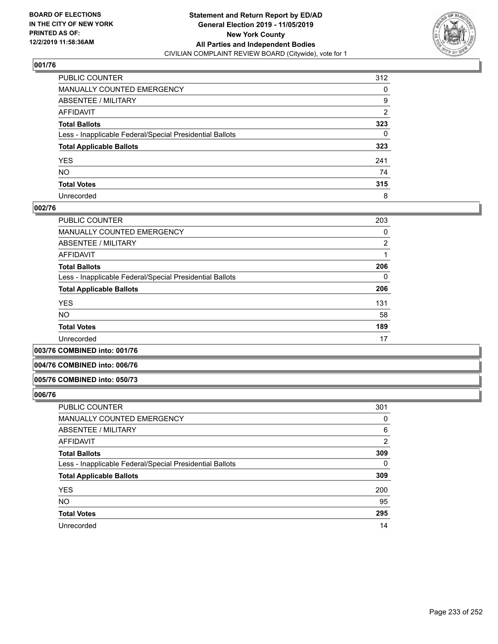

| PUBLIC COUNTER                                           | 312            |
|----------------------------------------------------------|----------------|
| MANUALLY COUNTED EMERGENCY                               | 0              |
| ABSENTEE / MILITARY                                      | 9              |
| AFFIDAVIT                                                | $\overline{2}$ |
| Total Ballots                                            | 323            |
| Less - Inapplicable Federal/Special Presidential Ballots | 0              |
| <b>Total Applicable Ballots</b>                          | 323            |
| YES                                                      | 241            |
| NO.                                                      | 74             |
| <b>Total Votes</b>                                       | 315            |
| Unrecorded                                               | 8              |

### **002/76**

| 203      |
|----------|
| 0        |
| 2        |
|          |
| 206      |
| $\Omega$ |
| 206      |
| 131      |
| 58       |
| 189      |
| 17       |
|          |

**003/76 COMBINED into: 001/76**

### **004/76 COMBINED into: 006/76**

#### **005/76 COMBINED into: 050/73**

| <b>PUBLIC COUNTER</b>                                    | 301      |
|----------------------------------------------------------|----------|
| MANUALLY COUNTED EMERGENCY                               | 0        |
| ABSENTEE / MILITARY                                      | 6        |
| AFFIDAVIT                                                | 2        |
| <b>Total Ballots</b>                                     | 309      |
| Less - Inapplicable Federal/Special Presidential Ballots | $\Omega$ |
| <b>Total Applicable Ballots</b>                          | 309      |
| <b>YES</b>                                               | 200      |
| <b>NO</b>                                                | 95       |
| <b>Total Votes</b>                                       | 295      |
| Unrecorded                                               | 14       |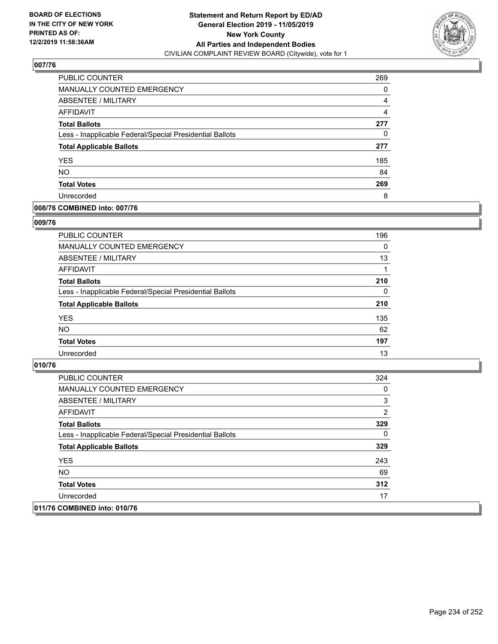

| PUBLIC COUNTER                                           | 269 |
|----------------------------------------------------------|-----|
| <b>MANUALLY COUNTED EMERGENCY</b>                        | 0   |
| ABSENTEE / MILITARY                                      | 4   |
| AFFIDAVIT                                                | 4   |
| <b>Total Ballots</b>                                     | 277 |
| Less - Inapplicable Federal/Special Presidential Ballots | 0   |
| <b>Total Applicable Ballots</b>                          | 277 |
| <b>YES</b>                                               | 185 |
| <b>NO</b>                                                | 84  |
| <b>Total Votes</b>                                       | 269 |
| Unrecorded                                               | 8   |

### **008/76 COMBINED into: 007/76**

### **009/76**

| <b>PUBLIC COUNTER</b>                                    | 196      |
|----------------------------------------------------------|----------|
| MANUALLY COUNTED EMERGENCY                               | $\Omega$ |
| ABSENTEE / MILITARY                                      | 13       |
| AFFIDAVIT                                                |          |
| <b>Total Ballots</b>                                     | 210      |
| Less - Inapplicable Federal/Special Presidential Ballots | $\Omega$ |
| <b>Total Applicable Ballots</b>                          | 210      |
| <b>YES</b>                                               | 135      |
| <b>NO</b>                                                | 62       |
| <b>Total Votes</b>                                       | 197      |
| Unrecorded                                               | 13       |

| <b>PUBLIC COUNTER</b>                                    | 324 |
|----------------------------------------------------------|-----|
| MANUALLY COUNTED EMERGENCY                               | 0   |
| ABSENTEE / MILITARY                                      | 3   |
| AFFIDAVIT                                                | 2   |
| <b>Total Ballots</b>                                     | 329 |
| Less - Inapplicable Federal/Special Presidential Ballots | 0   |
| <b>Total Applicable Ballots</b>                          | 329 |
| <b>YES</b>                                               | 243 |
| NO.                                                      | 69  |
| <b>Total Votes</b>                                       | 312 |
| Unrecorded                                               | 17  |
| 011/76 COMBINED into: 010/76                             |     |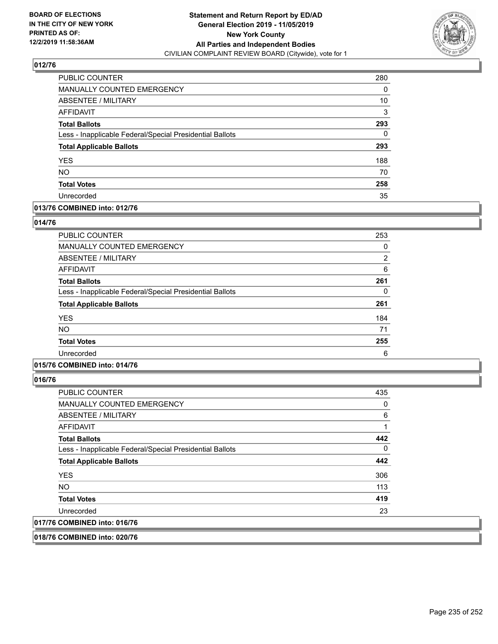

| <b>PUBLIC COUNTER</b>                                    | 280 |
|----------------------------------------------------------|-----|
| <b>MANUALLY COUNTED EMERGENCY</b>                        | 0   |
| ABSENTEE / MILITARY                                      | 10  |
| <b>AFFIDAVIT</b>                                         | 3   |
| <b>Total Ballots</b>                                     | 293 |
| Less - Inapplicable Federal/Special Presidential Ballots | 0   |
| <b>Total Applicable Ballots</b>                          | 293 |
| <b>YES</b>                                               | 188 |
| <b>NO</b>                                                | 70  |
| <b>Total Votes</b>                                       | 258 |
| Unrecorded                                               | 35  |

### **013/76 COMBINED into: 012/76**

### **014/76**

| <b>PUBLIC COUNTER</b>                                    | 253            |
|----------------------------------------------------------|----------------|
| <b>MANUALLY COUNTED EMERGENCY</b>                        | 0              |
| ABSENTEE / MILITARY                                      | $\overline{2}$ |
| AFFIDAVIT                                                | 6              |
| <b>Total Ballots</b>                                     | 261            |
| Less - Inapplicable Federal/Special Presidential Ballots | $\Omega$       |
| <b>Total Applicable Ballots</b>                          | 261            |
| <b>YES</b>                                               | 184            |
| <b>NO</b>                                                | 71             |
| <b>Total Votes</b>                                       | 255            |
| Unrecorded                                               | 6              |

### **015/76 COMBINED into: 014/76**

**016/76** 

| <b>PUBLIC COUNTER</b>                                    | 435 |
|----------------------------------------------------------|-----|
| <b>MANUALLY COUNTED EMERGENCY</b>                        | 0   |
| ABSENTEE / MILITARY                                      | 6   |
| AFFIDAVIT                                                |     |
| <b>Total Ballots</b>                                     | 442 |
| Less - Inapplicable Federal/Special Presidential Ballots | 0   |
| <b>Total Applicable Ballots</b>                          | 442 |
| <b>YES</b>                                               | 306 |
| NO.                                                      | 113 |
| <b>Total Votes</b>                                       | 419 |
| Unrecorded                                               | 23  |
| 017/76 COMBINED into: 016/76                             |     |

**018/76 COMBINED into: 020/76**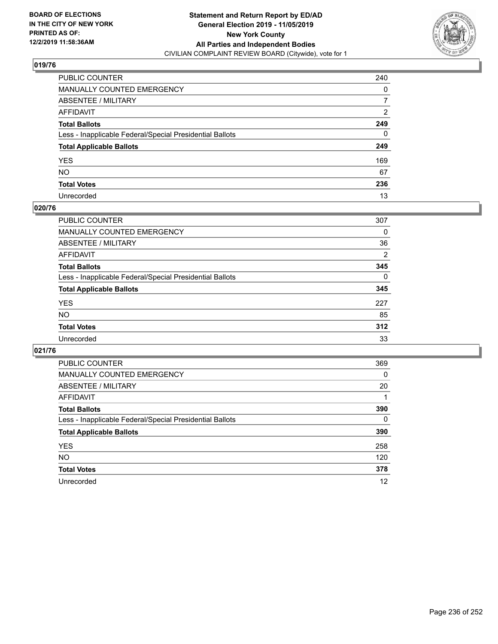

| PUBLIC COUNTER                                           | 240            |
|----------------------------------------------------------|----------------|
| MANUALLY COUNTED EMERGENCY                               | 0              |
| ABSENTEE / MILITARY                                      | 7              |
| AFFIDAVIT                                                | $\overline{2}$ |
| Total Ballots                                            | 249            |
| Less - Inapplicable Federal/Special Presidential Ballots | 0              |
| <b>Total Applicable Ballots</b>                          | 249            |
| YES                                                      | 169            |
| NO.                                                      | 67             |
| <b>Total Votes</b>                                       | 236            |
| Unrecorded                                               | 13             |

### **020/76**

| PUBLIC COUNTER                                           | 307      |
|----------------------------------------------------------|----------|
| <b>MANUALLY COUNTED EMERGENCY</b>                        | 0        |
| <b>ABSENTEE / MILITARY</b>                               | 36       |
| AFFIDAVIT                                                | 2        |
| <b>Total Ballots</b>                                     | 345      |
| Less - Inapplicable Federal/Special Presidential Ballots | $\Omega$ |
| <b>Total Applicable Ballots</b>                          | 345      |
| <b>YES</b>                                               | 227      |
| <b>NO</b>                                                | 85       |
| <b>Total Votes</b>                                       | 312      |
| Unrecorded                                               | 33       |

| PUBLIC COUNTER                                           | 369      |
|----------------------------------------------------------|----------|
| MANUALLY COUNTED EMERGENCY                               | $\Omega$ |
| ABSENTEE / MILITARY                                      | 20       |
| AFFIDAVIT                                                |          |
| <b>Total Ballots</b>                                     | 390      |
| Less - Inapplicable Federal/Special Presidential Ballots | $\Omega$ |
| <b>Total Applicable Ballots</b>                          | 390      |
| <b>YES</b>                                               | 258      |
| <b>NO</b>                                                | 120      |
| <b>Total Votes</b>                                       | 378      |
| Unrecorded                                               | 12       |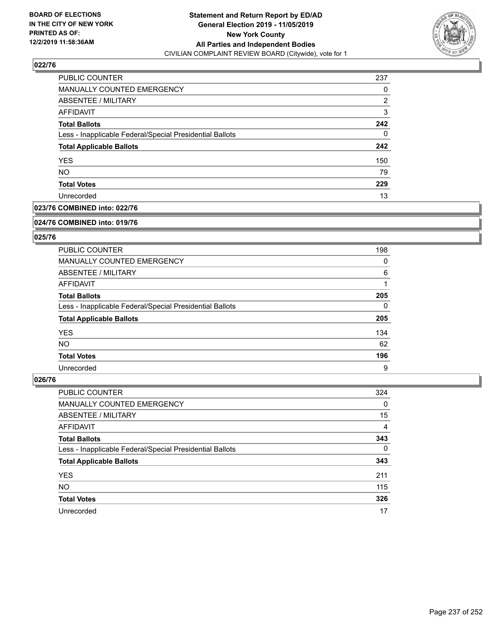

| <b>PUBLIC COUNTER</b>                                    | 237 |
|----------------------------------------------------------|-----|
| <b>MANUALLY COUNTED EMERGENCY</b>                        | 0   |
| <b>ABSENTEE / MILITARY</b>                               | 2   |
| AFFIDAVIT                                                | 3   |
| <b>Total Ballots</b>                                     | 242 |
| Less - Inapplicable Federal/Special Presidential Ballots | 0   |
| <b>Total Applicable Ballots</b>                          | 242 |
| <b>YES</b>                                               | 150 |
| <b>NO</b>                                                | 79  |
| <b>Total Votes</b>                                       | 229 |
| Unrecorded                                               | 13  |

### **023/76 COMBINED into: 022/76**

#### **024/76 COMBINED into: 019/76**

### **025/76**

| PUBLIC COUNTER                                           | 198      |
|----------------------------------------------------------|----------|
| <b>MANUALLY COUNTED EMERGENCY</b>                        | 0        |
| ABSENTEE / MILITARY                                      | 6        |
| AFFIDAVIT                                                |          |
| <b>Total Ballots</b>                                     | 205      |
| Less - Inapplicable Federal/Special Presidential Ballots | $\Omega$ |
| <b>Total Applicable Ballots</b>                          | 205      |
| <b>YES</b>                                               | 134      |
| NO.                                                      | 62       |
| <b>Total Votes</b>                                       | 196      |
| Unrecorded                                               | 9        |

| <b>PUBLIC COUNTER</b>                                    | 324      |
|----------------------------------------------------------|----------|
| MANUALLY COUNTED EMERGENCY                               | 0        |
| ABSENTEE / MILITARY                                      | 15       |
| AFFIDAVIT                                                | 4        |
| <b>Total Ballots</b>                                     | 343      |
| Less - Inapplicable Federal/Special Presidential Ballots | $\Omega$ |
| <b>Total Applicable Ballots</b>                          | 343      |
| <b>YES</b>                                               | 211      |
| <b>NO</b>                                                | 115      |
| <b>Total Votes</b>                                       | 326      |
| Unrecorded                                               | 17       |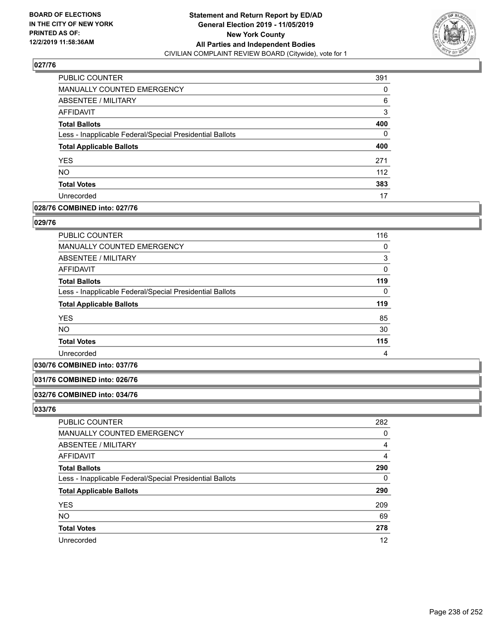

| <b>PUBLIC COUNTER</b>                                    | 391 |
|----------------------------------------------------------|-----|
| <b>MANUALLY COUNTED EMERGENCY</b>                        | 0   |
| ABSENTEE / MILITARY                                      | 6   |
| <b>AFFIDAVIT</b>                                         | 3   |
| <b>Total Ballots</b>                                     | 400 |
| Less - Inapplicable Federal/Special Presidential Ballots | 0   |
| <b>Total Applicable Ballots</b>                          | 400 |
| <b>YES</b>                                               | 271 |
| <b>NO</b>                                                | 112 |
| <b>Total Votes</b>                                       | 383 |
| Unrecorded                                               | 17  |

### **028/76 COMBINED into: 027/76**

#### **029/76**

| <b>PUBLIC COUNTER</b>                                    | 116      |
|----------------------------------------------------------|----------|
| <b>MANUALLY COUNTED EMERGENCY</b>                        | 0        |
| ABSENTEE / MILITARY                                      | 3        |
| AFFIDAVIT                                                | $\Omega$ |
| <b>Total Ballots</b>                                     | 119      |
| Less - Inapplicable Federal/Special Presidential Ballots | $\Omega$ |
| <b>Total Applicable Ballots</b>                          | 119      |
| <b>YES</b>                                               | 85       |
| <b>NO</b>                                                | 30       |
| <b>Total Votes</b>                                       | 115      |
| Unrecorded                                               | 4        |
|                                                          |          |

### **030/76 COMBINED into: 037/76**

#### **031/76 COMBINED into: 026/76**

#### **032/76 COMBINED into: 034/76**

| PUBLIC COUNTER                                           | 282 |
|----------------------------------------------------------|-----|
| <b>MANUALLY COUNTED EMERGENCY</b>                        | 0   |
| ABSENTEE / MILITARY                                      | 4   |
| AFFIDAVIT                                                | 4   |
| <b>Total Ballots</b>                                     | 290 |
| Less - Inapplicable Federal/Special Presidential Ballots | 0   |
| <b>Total Applicable Ballots</b>                          | 290 |
| <b>YES</b>                                               | 209 |
| <b>NO</b>                                                | 69  |
| <b>Total Votes</b>                                       | 278 |
| Unrecorded                                               | 12  |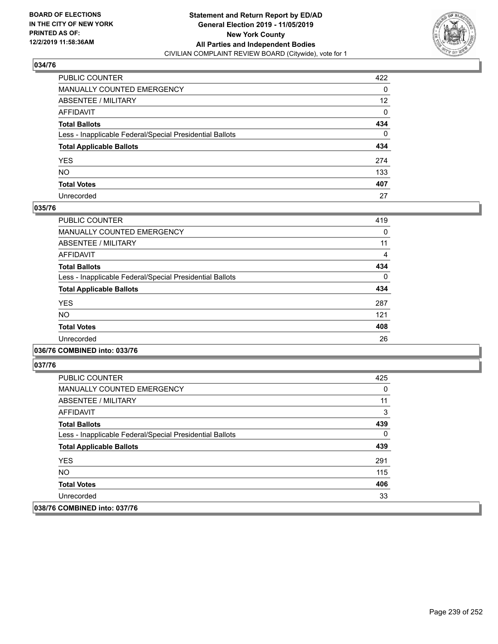

| PUBLIC COUNTER                                           | 422             |
|----------------------------------------------------------|-----------------|
| MANUALLY COUNTED EMERGENCY                               | 0               |
| ABSENTEE / MILITARY                                      | 12 <sup>2</sup> |
| AFFIDAVIT                                                | 0               |
| Total Ballots                                            | 434             |
| Less - Inapplicable Federal/Special Presidential Ballots | $\mathbf{0}$    |
| <b>Total Applicable Ballots</b>                          | 434             |
| YES                                                      | 274             |
| NO.                                                      | 133             |
| <b>Total Votes</b>                                       | 407             |
| Unrecorded                                               | 27              |

### **035/76**

| PUBLIC COUNTER                                           | 419      |
|----------------------------------------------------------|----------|
| <b>MANUALLY COUNTED EMERGENCY</b>                        | 0        |
| ABSENTEE / MILITARY                                      | 11       |
| <b>AFFIDAVIT</b>                                         | 4        |
| <b>Total Ballots</b>                                     | 434      |
| Less - Inapplicable Federal/Special Presidential Ballots | $\Omega$ |
| <b>Total Applicable Ballots</b>                          | 434      |
| <b>YES</b>                                               | 287      |
| NO.                                                      | 121      |
| <b>Total Votes</b>                                       | 408      |
| Unrecorded                                               | 26       |
|                                                          |          |

### **036/76 COMBINED into: 033/76**

| <b>PUBLIC COUNTER</b>                                    | 425 |
|----------------------------------------------------------|-----|
| <b>MANUALLY COUNTED EMERGENCY</b>                        | 0   |
| ABSENTEE / MILITARY                                      | 11  |
| AFFIDAVIT                                                | 3   |
| <b>Total Ballots</b>                                     | 439 |
| Less - Inapplicable Federal/Special Presidential Ballots | 0   |
| <b>Total Applicable Ballots</b>                          | 439 |
| <b>YES</b>                                               | 291 |
| NO.                                                      | 115 |
| <b>Total Votes</b>                                       | 406 |
| Unrecorded                                               | 33  |
| 038/76 COMBINED into: 037/76                             |     |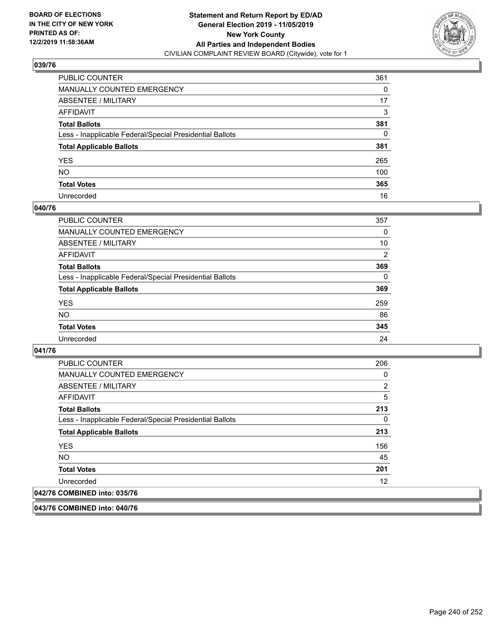

| PUBLIC COUNTER                                           | 361 |
|----------------------------------------------------------|-----|
| MANUALLY COUNTED EMERGENCY                               | 0   |
| ABSENTEE / MILITARY                                      | 17  |
| AFFIDAVIT                                                | 3   |
| Total Ballots                                            | 381 |
| Less - Inapplicable Federal/Special Presidential Ballots | 0   |
| <b>Total Applicable Ballots</b>                          | 381 |
| YES                                                      | 265 |
| NO.                                                      | 100 |
| <b>Total Votes</b>                                       | 365 |
| Unrecorded                                               | 16  |

### **040/76**

| PUBLIC COUNTER                                           | 357      |
|----------------------------------------------------------|----------|
| <b>MANUALLY COUNTED EMERGENCY</b>                        | 0        |
| ABSENTEE / MILITARY                                      | 10       |
| AFFIDAVIT                                                | 2        |
| <b>Total Ballots</b>                                     | 369      |
| Less - Inapplicable Federal/Special Presidential Ballots | $\Omega$ |
| <b>Total Applicable Ballots</b>                          | 369      |
| <b>YES</b>                                               | 259      |
| NO                                                       | 86       |
| <b>Total Votes</b>                                       | 345      |
| Unrecorded                                               | 24       |

### **041/76**

| PUBLIC COUNTER                                           | 206 |
|----------------------------------------------------------|-----|
| <b>MANUALLY COUNTED EMERGENCY</b>                        | 0   |
| ABSENTEE / MILITARY                                      | 2   |
| AFFIDAVIT                                                | 5   |
| <b>Total Ballots</b>                                     | 213 |
| Less - Inapplicable Federal/Special Presidential Ballots | 0   |
| <b>Total Applicable Ballots</b>                          | 213 |
| <b>YES</b>                                               | 156 |
| <b>NO</b>                                                | 45  |
| <b>Total Votes</b>                                       | 201 |
| Unrecorded                                               | 12  |
| 042/76 COMBINED into: 035/76                             |     |

**043/76 COMBINED into: 040/76**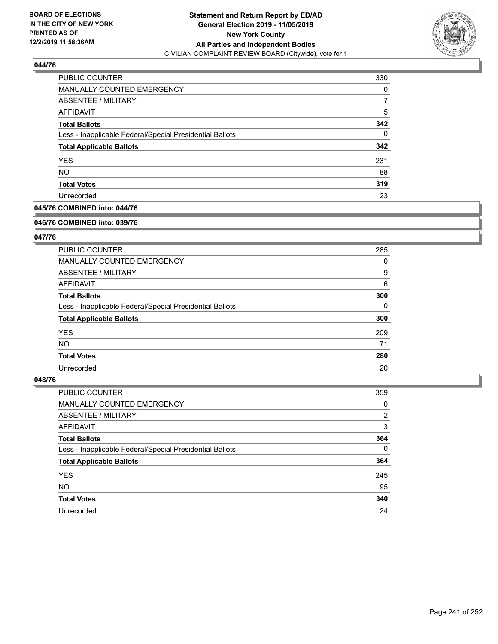

| PUBLIC COUNTER                                           | 330      |
|----------------------------------------------------------|----------|
| MANUALLY COUNTED EMERGENCY                               | 0        |
| ABSENTEE / MILITARY                                      | 7        |
| AFFIDAVIT                                                | 5        |
| <b>Total Ballots</b>                                     | 342      |
| Less - Inapplicable Federal/Special Presidential Ballots | $\Omega$ |
| <b>Total Applicable Ballots</b>                          | 342      |
| <b>YES</b>                                               | 231      |
| <b>NO</b>                                                | 88       |
| <b>Total Votes</b>                                       | 319      |
| Unrecorded                                               | 23       |

### **045/76 COMBINED into: 044/76**

#### **046/76 COMBINED into: 039/76**

### **047/76**

| PUBLIC COUNTER                                           | 285      |
|----------------------------------------------------------|----------|
| MANUALLY COUNTED EMERGENCY                               | 0        |
| ABSENTEE / MILITARY                                      | 9        |
| AFFIDAVIT                                                | 6        |
| <b>Total Ballots</b>                                     | 300      |
| Less - Inapplicable Federal/Special Presidential Ballots | $\Omega$ |
| <b>Total Applicable Ballots</b>                          | 300      |
| <b>YES</b>                                               | 209      |
| NO.                                                      | 71       |
| <b>Total Votes</b>                                       | 280      |
| Unrecorded                                               | 20       |

| <b>PUBLIC COUNTER</b>                                    | 359            |
|----------------------------------------------------------|----------------|
| MANUALLY COUNTED EMERGENCY                               | 0              |
| ABSENTEE / MILITARY                                      | $\overline{2}$ |
| AFFIDAVIT                                                | 3              |
| <b>Total Ballots</b>                                     | 364            |
| Less - Inapplicable Federal/Special Presidential Ballots | $\Omega$       |
| <b>Total Applicable Ballots</b>                          | 364            |
| <b>YES</b>                                               | 245            |
| <b>NO</b>                                                | 95             |
| <b>Total Votes</b>                                       | 340            |
| Unrecorded                                               | 24             |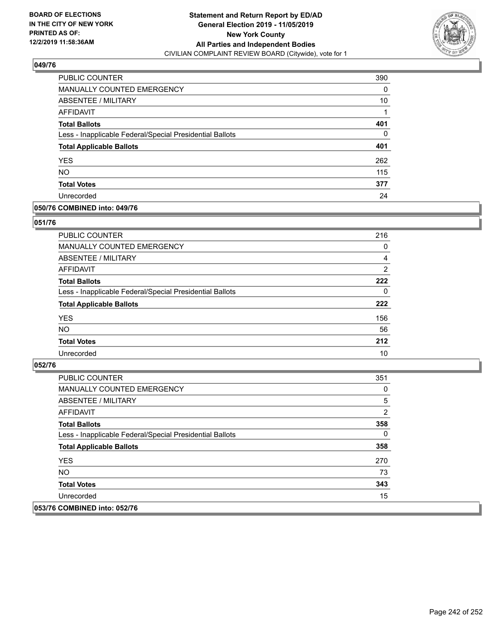

| PUBLIC COUNTER                                           | 390 |
|----------------------------------------------------------|-----|
| <b>MANUALLY COUNTED EMERGENCY</b>                        | 0   |
| ABSENTEE / MILITARY                                      | 10  |
| AFFIDAVIT                                                |     |
| <b>Total Ballots</b>                                     | 401 |
| Less - Inapplicable Federal/Special Presidential Ballots | 0   |
| <b>Total Applicable Ballots</b>                          | 401 |
| <b>YES</b>                                               | 262 |
| <b>NO</b>                                                | 115 |
| <b>Total Votes</b>                                       | 377 |
| Unrecorded                                               | 24  |

### **050/76 COMBINED into: 049/76**

### **051/76**

| PUBLIC COUNTER                                           | 216            |
|----------------------------------------------------------|----------------|
| <b>MANUALLY COUNTED EMERGENCY</b>                        | 0              |
| ABSENTEE / MILITARY                                      | 4              |
| AFFIDAVIT                                                | $\overline{2}$ |
| <b>Total Ballots</b>                                     | 222            |
| Less - Inapplicable Federal/Special Presidential Ballots | $\Omega$       |
| <b>Total Applicable Ballots</b>                          | 222            |
| <b>YES</b>                                               | 156            |
| <b>NO</b>                                                | 56             |
| <b>Total Votes</b>                                       | 212            |
| Unrecorded                                               | 10             |

| <b>PUBLIC COUNTER</b>                                    | 351 |
|----------------------------------------------------------|-----|
| <b>MANUALLY COUNTED EMERGENCY</b>                        | 0   |
| ABSENTEE / MILITARY                                      | 5   |
| AFFIDAVIT                                                | 2   |
| <b>Total Ballots</b>                                     | 358 |
| Less - Inapplicable Federal/Special Presidential Ballots | 0   |
| <b>Total Applicable Ballots</b>                          | 358 |
| <b>YES</b>                                               | 270 |
| NO.                                                      | 73  |
| <b>Total Votes</b>                                       | 343 |
| Unrecorded                                               | 15  |
| 053/76 COMBINED into: 052/76                             |     |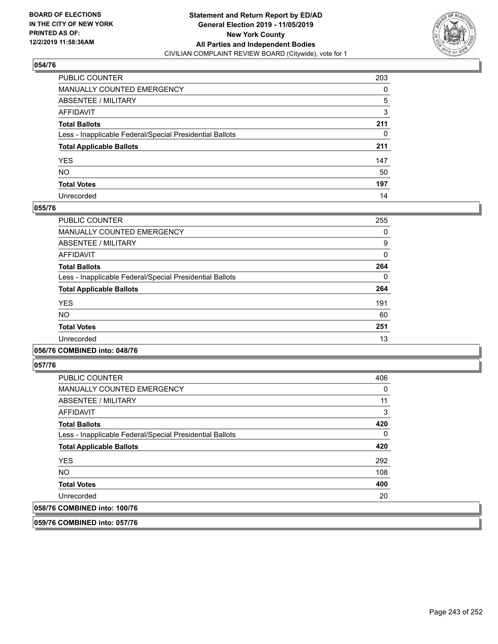

| PUBLIC COUNTER                                           | 203          |
|----------------------------------------------------------|--------------|
| MANUALLY COUNTED EMERGENCY                               | 0            |
| ABSENTEE / MILITARY                                      | 5            |
| AFFIDAVIT                                                | 3            |
| Total Ballots                                            | 211          |
| Less - Inapplicable Federal/Special Presidential Ballots | $\mathbf{0}$ |
| <b>Total Applicable Ballots</b>                          | 211          |
| YES                                                      | 147          |
| NO.                                                      | 50           |
| <b>Total Votes</b>                                       | 197          |
| Unrecorded                                               | 14           |

### **055/76**

| PUBLIC COUNTER                                           | 255      |
|----------------------------------------------------------|----------|
| <b>MANUALLY COUNTED EMERGENCY</b>                        | 0        |
| ABSENTEE / MILITARY                                      | 9        |
| AFFIDAVIT                                                | 0        |
| <b>Total Ballots</b>                                     | 264      |
| Less - Inapplicable Federal/Special Presidential Ballots | $\Omega$ |
| <b>Total Applicable Ballots</b>                          | 264      |
| <b>YES</b>                                               | 191      |
| <b>NO</b>                                                | 60       |
| <b>Total Votes</b>                                       | 251      |
| Unrecorded                                               | 13       |
|                                                          |          |

### **056/76 COMBINED into: 048/76**

**057/76** 

| <b>PUBLIC COUNTER</b>                                    | 406 |
|----------------------------------------------------------|-----|
| <b>MANUALLY COUNTED EMERGENCY</b>                        | 0   |
| ABSENTEE / MILITARY                                      | 11  |
| AFFIDAVIT                                                | 3   |
| <b>Total Ballots</b>                                     | 420 |
| Less - Inapplicable Federal/Special Presidential Ballots | 0   |
| <b>Total Applicable Ballots</b>                          | 420 |
| <b>YES</b>                                               | 292 |
| <b>NO</b>                                                | 108 |
| <b>Total Votes</b>                                       | 400 |
| Unrecorded                                               | 20  |
| 058/76 COMBINED into: 100/76                             |     |

**059/76 COMBINED into: 057/76**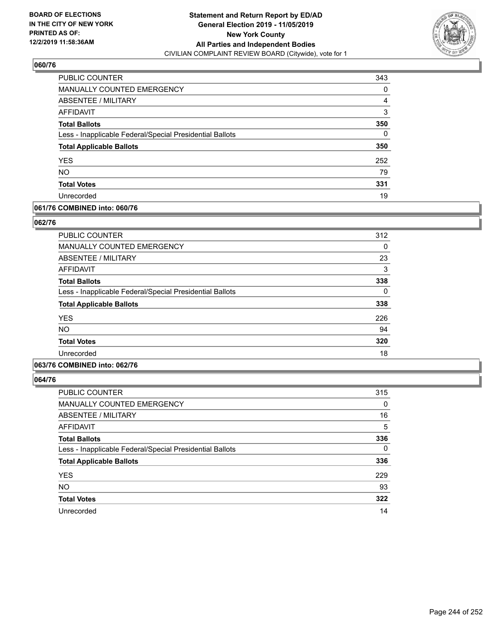

| PUBLIC COUNTER                                           | 343 |
|----------------------------------------------------------|-----|
| MANUALLY COUNTED EMERGENCY                               | 0   |
| ABSENTEE / MILITARY                                      | 4   |
| <b>AFFIDAVIT</b>                                         | 3   |
| <b>Total Ballots</b>                                     | 350 |
| Less - Inapplicable Federal/Special Presidential Ballots | 0   |
| <b>Total Applicable Ballots</b>                          | 350 |
| <b>YES</b>                                               | 252 |
| <b>NO</b>                                                | 79  |
| <b>Total Votes</b>                                       | 331 |
| Unrecorded                                               | 19  |

### **061/76 COMBINED into: 060/76**

### **062/76**

| PUBLIC COUNTER                                           | 312 |
|----------------------------------------------------------|-----|
| MANUALLY COUNTED EMERGENCY                               | 0   |
| ABSENTEE / MILITARY                                      | 23  |
| AFFIDAVIT                                                | 3   |
| <b>Total Ballots</b>                                     | 338 |
| Less - Inapplicable Federal/Special Presidential Ballots | 0   |
| <b>Total Applicable Ballots</b>                          | 338 |
| <b>YES</b>                                               | 226 |
| <b>NO</b>                                                | 94  |
| <b>Total Votes</b>                                       | 320 |
| Unrecorded                                               | 18  |

## **063/76 COMBINED into: 062/76**

| <b>PUBLIC COUNTER</b>                                    | 315      |
|----------------------------------------------------------|----------|
| <b>MANUALLY COUNTED EMERGENCY</b>                        | 0        |
| ABSENTEE / MILITARY                                      | 16       |
| <b>AFFIDAVIT</b>                                         | 5        |
| <b>Total Ballots</b>                                     | 336      |
| Less - Inapplicable Federal/Special Presidential Ballots | $\Omega$ |
| <b>Total Applicable Ballots</b>                          | 336      |
| <b>YES</b>                                               | 229      |
| <b>NO</b>                                                | 93       |
| <b>Total Votes</b>                                       | 322      |
| Unrecorded                                               | 14       |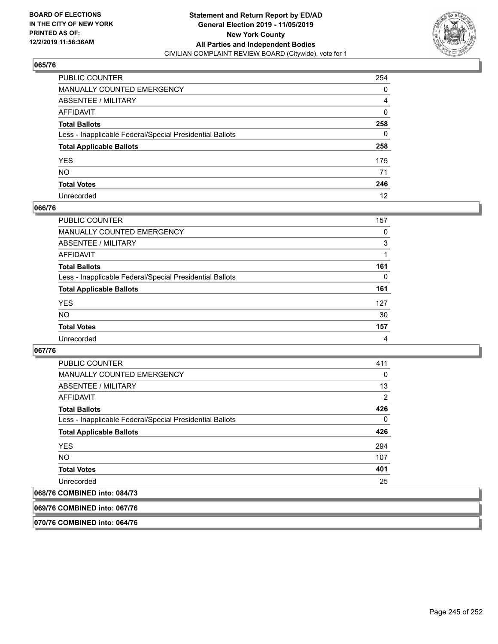

| PUBLIC COUNTER                                           | 254          |
|----------------------------------------------------------|--------------|
| MANUALLY COUNTED EMERGENCY                               | 0            |
| ABSENTEE / MILITARY                                      | 4            |
| AFFIDAVIT                                                | $\mathbf{0}$ |
| Total Ballots                                            | 258          |
| Less - Inapplicable Federal/Special Presidential Ballots | 0            |
| <b>Total Applicable Ballots</b>                          | 258          |
| YES                                                      | 175          |
| NO.                                                      | 71           |
| <b>Total Votes</b>                                       | 246          |
| Unrecorded                                               | 12           |

### **066/76**

| <b>PUBLIC COUNTER</b>                                    | 157      |
|----------------------------------------------------------|----------|
| <b>MANUALLY COUNTED EMERGENCY</b>                        | 0        |
| ABSENTEE / MILITARY                                      | 3        |
| AFFIDAVIT                                                |          |
| <b>Total Ballots</b>                                     | 161      |
| Less - Inapplicable Federal/Special Presidential Ballots | $\Omega$ |
| <b>Total Applicable Ballots</b>                          | 161      |
| <b>YES</b>                                               | 127      |
| <b>NO</b>                                                | 30       |
| <b>Total Votes</b>                                       | 157      |
| Unrecorded                                               | 4        |

### **067/76**

| <b>PUBLIC COUNTER</b>                                    | 411      |
|----------------------------------------------------------|----------|
| <b>MANUALLY COUNTED EMERGENCY</b>                        | 0        |
| ABSENTEE / MILITARY                                      | 13       |
| AFFIDAVIT                                                | 2        |
| <b>Total Ballots</b>                                     | 426      |
| Less - Inapplicable Federal/Special Presidential Ballots | $\Omega$ |
| <b>Total Applicable Ballots</b>                          | 426      |
| <b>YES</b>                                               | 294      |
| <b>NO</b>                                                | 107      |
| <b>Total Votes</b>                                       | 401      |
| Unrecorded                                               | 25       |
| $2$ Compinier $3.44$ , 001/72                            |          |

# **068/76 COMBINED into: 084/73**

**069/76 COMBINED into: 067/76**

**070/76 COMBINED into: 064/76**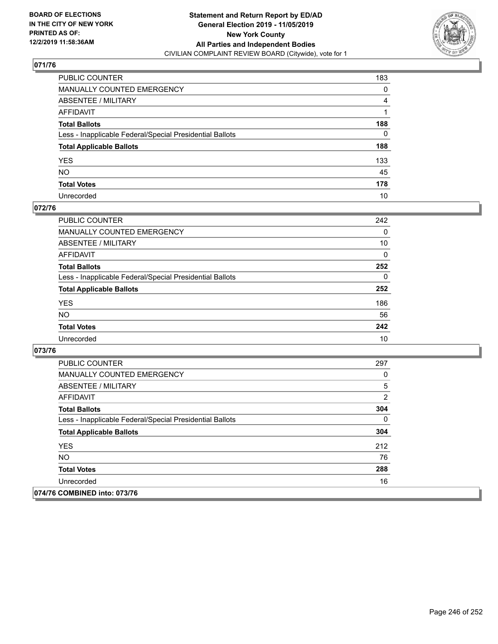

| PUBLIC COUNTER                                           | 183      |
|----------------------------------------------------------|----------|
| MANUALLY COUNTED EMERGENCY                               | 0        |
| ABSENTEE / MILITARY                                      | 4        |
| AFFIDAVIT                                                |          |
| Total Ballots                                            | 188      |
| Less - Inapplicable Federal/Special Presidential Ballots | $\Omega$ |
| <b>Total Applicable Ballots</b>                          | 188      |
| YES                                                      | 133      |
| NO.                                                      | 45       |
| <b>Total Votes</b>                                       | 178      |
| Unrecorded                                               | 10       |

### **072/76**

| <b>PUBLIC COUNTER</b>                                    | 242      |
|----------------------------------------------------------|----------|
| <b>MANUALLY COUNTED EMERGENCY</b>                        | $\Omega$ |
| ABSENTEE / MILITARY                                      | 10       |
| AFFIDAVIT                                                | $\Omega$ |
| <b>Total Ballots</b>                                     | 252      |
| Less - Inapplicable Federal/Special Presidential Ballots | $\Omega$ |
| <b>Total Applicable Ballots</b>                          | 252      |
| <b>YES</b>                                               | 186      |
| <b>NO</b>                                                | 56       |
| <b>Total Votes</b>                                       | 242      |
| Unrecorded                                               | 10       |

| <b>PUBLIC COUNTER</b>                                    | 297          |
|----------------------------------------------------------|--------------|
| <b>MANUALLY COUNTED EMERGENCY</b>                        | 0            |
| ABSENTEE / MILITARY                                      | 5            |
| AFFIDAVIT                                                | 2            |
| <b>Total Ballots</b>                                     | 304          |
| Less - Inapplicable Federal/Special Presidential Ballots | $\mathbf{0}$ |
| <b>Total Applicable Ballots</b>                          | 304          |
| <b>YES</b>                                               | 212          |
| NO.                                                      | 76           |
| <b>Total Votes</b>                                       | 288          |
| Unrecorded                                               | 16           |
| 074/76 COMBINED into: 073/76                             |              |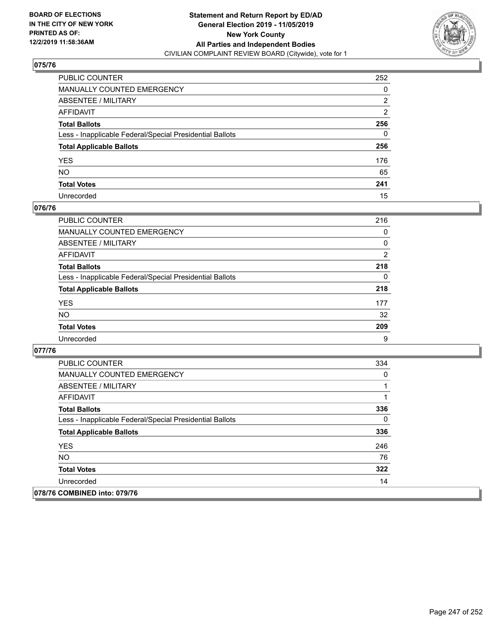

| PUBLIC COUNTER                                           | 252 |
|----------------------------------------------------------|-----|
| MANUALLY COUNTED EMERGENCY                               | 0   |
| ABSENTEE / MILITARY                                      | 2   |
| AFFIDAVIT                                                | 2   |
| Total Ballots                                            | 256 |
| Less - Inapplicable Federal/Special Presidential Ballots | 0   |
| <b>Total Applicable Ballots</b>                          | 256 |
| YES                                                      | 176 |
| NO.                                                      | 65  |
| <b>Total Votes</b>                                       | 241 |
| Unrecorded                                               | 15  |

### **076/76**

| <b>PUBLIC COUNTER</b>                                    | 216            |
|----------------------------------------------------------|----------------|
| MANUALLY COUNTED EMERGENCY                               | 0              |
| ABSENTEE / MILITARY                                      | 0              |
| AFFIDAVIT                                                | $\overline{2}$ |
| <b>Total Ballots</b>                                     | 218            |
| Less - Inapplicable Federal/Special Presidential Ballots | $\Omega$       |
| <b>Total Applicable Ballots</b>                          | 218            |
| <b>YES</b>                                               | 177            |
| <b>NO</b>                                                | 32             |
| <b>Total Votes</b>                                       | 209            |
| Unrecorded                                               | 9              |

| <b>PUBLIC COUNTER</b>                                    | 334 |
|----------------------------------------------------------|-----|
| <b>MANUALLY COUNTED EMERGENCY</b>                        | 0   |
| ABSENTEE / MILITARY                                      |     |
| AFFIDAVIT                                                |     |
| <b>Total Ballots</b>                                     | 336 |
| Less - Inapplicable Federal/Special Presidential Ballots | 0   |
| <b>Total Applicable Ballots</b>                          | 336 |
| <b>YES</b>                                               | 246 |
| <b>NO</b>                                                | 76  |
| <b>Total Votes</b>                                       | 322 |
| Unrecorded                                               | 14  |
| 078/76 COMBINED into: 079/76                             |     |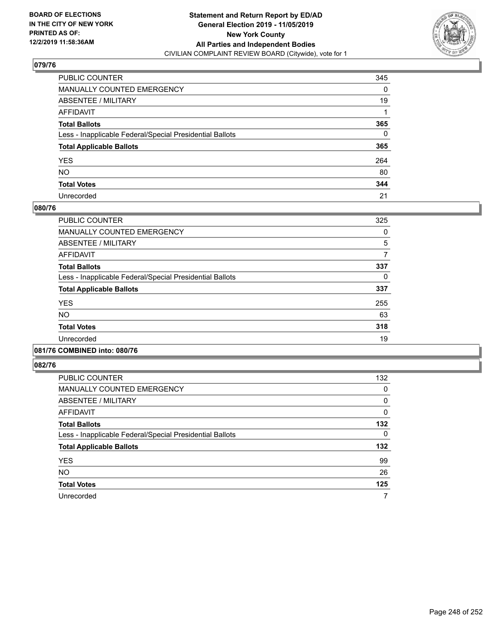

| PUBLIC COUNTER                                           | 345      |
|----------------------------------------------------------|----------|
| MANUALLY COUNTED EMERGENCY                               | 0        |
| ABSENTEE / MILITARY                                      | 19       |
| AFFIDAVIT                                                |          |
| Total Ballots                                            | 365      |
| Less - Inapplicable Federal/Special Presidential Ballots | $\Omega$ |
| <b>Total Applicable Ballots</b>                          | 365      |
| YES                                                      | 264      |
| NO.                                                      | 80       |
| <b>Total Votes</b>                                       | 344      |
| Unrecorded                                               | 21       |

### **080/76**

| PUBLIC COUNTER                                           | 325 |
|----------------------------------------------------------|-----|
| <b>MANUALLY COUNTED EMERGENCY</b>                        | 0   |
| ABSENTEE / MILITARY                                      | 5   |
| <b>AFFIDAVIT</b>                                         |     |
| <b>Total Ballots</b>                                     | 337 |
| Less - Inapplicable Federal/Special Presidential Ballots | 0   |
| <b>Total Applicable Ballots</b>                          | 337 |
| <b>YES</b>                                               | 255 |
| <b>NO</b>                                                | 63  |
| <b>Total Votes</b>                                       | 318 |
| Unrecorded                                               | 19  |
|                                                          |     |

#### **081/76 COMBINED into: 080/76**

| PUBLIC COUNTER                                           | 132 |
|----------------------------------------------------------|-----|
| <b>MANUALLY COUNTED EMERGENCY</b>                        | 0   |
| ABSENTEE / MILITARY                                      | 0   |
| AFFIDAVIT                                                | 0   |
| <b>Total Ballots</b>                                     | 132 |
| Less - Inapplicable Federal/Special Presidential Ballots | 0   |
| <b>Total Applicable Ballots</b>                          | 132 |
| <b>YES</b>                                               | 99  |
| <b>NO</b>                                                | 26  |
| <b>Total Votes</b>                                       | 125 |
| Unrecorded                                               | 7   |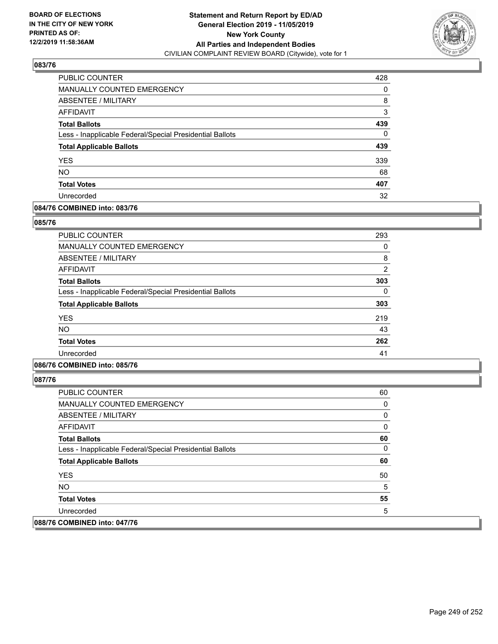

| PUBLIC COUNTER                                           | 428 |
|----------------------------------------------------------|-----|
| MANUALLY COUNTED EMERGENCY                               | 0   |
| ABSENTEE / MILITARY                                      | 8   |
| AFFIDAVIT                                                | 3   |
| <b>Total Ballots</b>                                     | 439 |
| Less - Inapplicable Federal/Special Presidential Ballots | 0   |
| <b>Total Applicable Ballots</b>                          | 439 |
| <b>YES</b>                                               | 339 |
| <b>NO</b>                                                | 68  |
| <b>Total Votes</b>                                       | 407 |
| Unrecorded                                               | 32  |

### **084/76 COMBINED into: 083/76**

### **085/76**

| <b>PUBLIC COUNTER</b>                                    | 293      |
|----------------------------------------------------------|----------|
| MANUALLY COUNTED EMERGENCY                               | 0        |
| ABSENTEE / MILITARY                                      | 8        |
| AFFIDAVIT                                                | 2        |
| <b>Total Ballots</b>                                     | 303      |
| Less - Inapplicable Federal/Special Presidential Ballots | $\Omega$ |
| <b>Total Applicable Ballots</b>                          | 303      |
| <b>YES</b>                                               | 219      |
| <b>NO</b>                                                | 43       |
| <b>Total Votes</b>                                       | 262      |
| Unrecorded                                               | 41       |

### **086/76 COMBINED into: 085/76**

| <b>PUBLIC COUNTER</b>                                    | 60 |
|----------------------------------------------------------|----|
| MANUALLY COUNTED EMERGENCY                               | 0  |
| ABSENTEE / MILITARY                                      | 0  |
| AFFIDAVIT                                                | 0  |
| <b>Total Ballots</b>                                     | 60 |
| Less - Inapplicable Federal/Special Presidential Ballots | 0  |
| <b>Total Applicable Ballots</b>                          | 60 |
| <b>YES</b>                                               | 50 |
| <b>NO</b>                                                | 5  |
| <b>Total Votes</b>                                       | 55 |
| Unrecorded                                               | 5  |
| 088/76 COMBINED into: 047/76                             |    |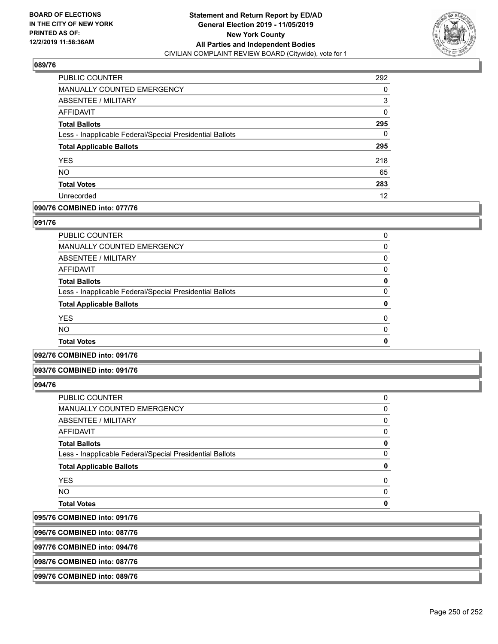

| PUBLIC COUNTER                                           | 292 |
|----------------------------------------------------------|-----|
| <b>MANUALLY COUNTED EMERGENCY</b>                        | 0   |
| <b>ABSENTEE / MILITARY</b>                               | 3   |
| AFFIDAVIT                                                | 0   |
| <b>Total Ballots</b>                                     | 295 |
| Less - Inapplicable Federal/Special Presidential Ballots | 0   |
| <b>Total Applicable Ballots</b>                          | 295 |
| <b>YES</b>                                               | 218 |
| <b>NO</b>                                                | 65  |
| <b>Total Votes</b>                                       | 283 |
| Unrecorded                                               | 12  |

### **090/76 COMBINED into: 077/76**

### **091/76**

| PUBLIC COUNTER                                           | 0        |
|----------------------------------------------------------|----------|
| <b>MANUALLY COUNTED EMERGENCY</b>                        | 0        |
| ABSENTEE / MILITARY                                      | 0        |
| AFFIDAVIT                                                | 0        |
| <b>Total Ballots</b>                                     | 0        |
| Less - Inapplicable Federal/Special Presidential Ballots | 0        |
| <b>Total Applicable Ballots</b>                          | 0        |
| <b>YES</b>                                               | $\Omega$ |
| <b>NO</b>                                                | $\Omega$ |
| <b>Total Votes</b>                                       | 0        |

### **092/76 COMBINED into: 091/76**

#### **093/76 COMBINED into: 091/76**

### **094/76**

095/76 096/76

| <b>COMBINED into: 087/76</b>                             |          |
|----------------------------------------------------------|----------|
| <b>COMBINED into: 091/76</b>                             |          |
| <b>Total Votes</b>                                       | ŋ        |
| <b>NO</b>                                                | 0        |
| <b>YES</b>                                               | 0        |
| <b>Total Applicable Ballots</b>                          | 0        |
| Less - Inapplicable Federal/Special Presidential Ballots | $\Omega$ |
| <b>Total Ballots</b>                                     | 0        |
| <b>AFFIDAVIT</b>                                         | 0        |
| ABSENTEE / MILITARY                                      | 0        |
| <b>MANUALLY COUNTED EMERGENCY</b>                        | 0        |
| PUBLIC COUNTER                                           | 0        |

**097/76 COMBINED into: 094/76**

**098/76 COMBINED into: 087/76**

### **099/76 COMBINED into: 089/76**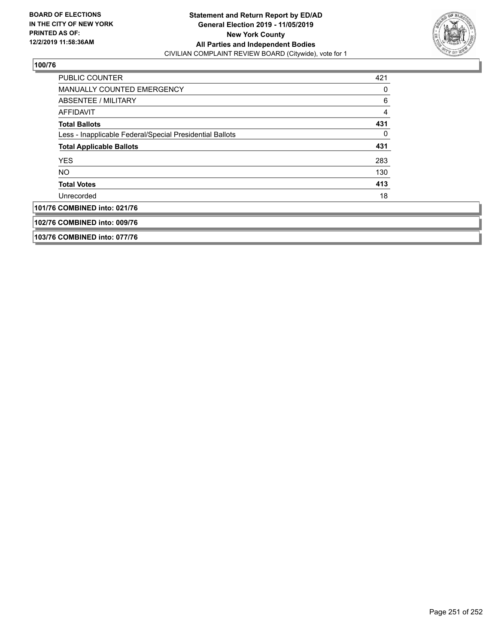

| PUBLIC COUNTER                                           | 421 |
|----------------------------------------------------------|-----|
| MANUALLY COUNTED EMERGENCY                               | 0   |
| ABSENTEE / MILITARY                                      | 6   |
| AFFIDAVIT                                                | 4   |
| <b>Total Ballots</b>                                     | 431 |
| Less - Inapplicable Federal/Special Presidential Ballots | 0   |
| <b>Total Applicable Ballots</b>                          | 431 |
| <b>YES</b>                                               | 283 |
| <b>NO</b>                                                | 130 |
| <b>Total Votes</b>                                       | 413 |
| Unrecorded                                               | 18  |
| 101/76 COMBINED into: 021/76                             |     |
| 102/76 COMBINED into: 009/76                             |     |
| 103/76 COMBINED into: 077/76                             |     |